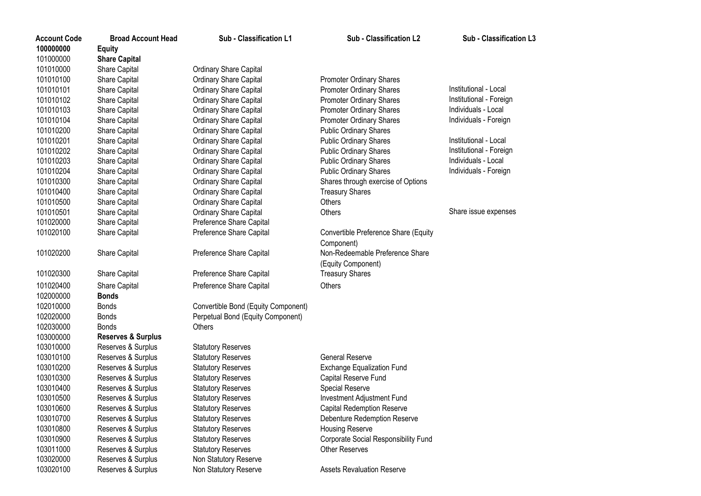| <b>Account Code</b> | <b>Broad Account Head</b>     | Sub - Classification L1             | Sub - Classification L2              | Sub - Classification L3 |
|---------------------|-------------------------------|-------------------------------------|--------------------------------------|-------------------------|
| 100000000           | <b>Equity</b>                 |                                     |                                      |                         |
| 101000000           | <b>Share Capital</b>          |                                     |                                      |                         |
| 101010000           | Share Capital                 | Ordinary Share Capital              |                                      |                         |
| 101010100           | Share Capital                 | <b>Ordinary Share Capital</b>       | Promoter Ordinary Shares             |                         |
| 101010101           | Share Capital                 | <b>Ordinary Share Capital</b>       | <b>Promoter Ordinary Shares</b>      | Institutional - Local   |
| 101010102           | Share Capital                 | Ordinary Share Capital              | <b>Promoter Ordinary Shares</b>      | Institutional - Foreign |
| 101010103           | Share Capital                 | Ordinary Share Capital              | <b>Promoter Ordinary Shares</b>      | Individuals - Local     |
| 101010104           | Share Capital                 | <b>Ordinary Share Capital</b>       | Promoter Ordinary Shares             | Individuals - Foreign   |
| 101010200           | Share Capital                 | Ordinary Share Capital              | <b>Public Ordinary Shares</b>        |                         |
| 101010201           | Share Capital                 | Ordinary Share Capital              | <b>Public Ordinary Shares</b>        | Institutional - Local   |
| 101010202           | Share Capital                 | <b>Ordinary Share Capital</b>       | <b>Public Ordinary Shares</b>        | Institutional - Foreign |
| 101010203           | Share Capital                 | Ordinary Share Capital              | <b>Public Ordinary Shares</b>        | Individuals - Local     |
| 101010204           | Share Capital                 | <b>Ordinary Share Capital</b>       | <b>Public Ordinary Shares</b>        | Individuals - Foreign   |
| 101010300           | Share Capital                 | Ordinary Share Capital              | Shares through exercise of Options   |                         |
| 101010400           | Share Capital                 | Ordinary Share Capital              | <b>Treasury Shares</b>               |                         |
| 101010500           | Share Capital                 | Ordinary Share Capital              | <b>Others</b>                        |                         |
| 101010501           | Share Capital                 | Ordinary Share Capital              | Others                               | Share issue expenses    |
| 101020000           | Share Capital                 | Preference Share Capital            |                                      |                         |
| 101020100           | Share Capital                 | Preference Share Capital            | Convertible Preference Share (Equity |                         |
|                     |                               |                                     | Component)                           |                         |
| 101020200           | Share Capital                 | Preference Share Capital            | Non-Redeemable Preference Share      |                         |
|                     |                               |                                     | (Equity Component)                   |                         |
| 101020300           | Share Capital                 | Preference Share Capital            | <b>Treasury Shares</b>               |                         |
| 101020400           | Share Capital                 | Preference Share Capital            | Others                               |                         |
| 102000000           | <b>Bonds</b>                  |                                     |                                      |                         |
| 102010000           | <b>Bonds</b>                  | Convertible Bond (Equity Component) |                                      |                         |
| 102020000           | <b>Bonds</b>                  | Perpetual Bond (Equity Component)   |                                      |                         |
| 102030000           | <b>Bonds</b>                  | Others                              |                                      |                         |
| 103000000           | <b>Reserves &amp; Surplus</b> |                                     |                                      |                         |
| 103010000           | Reserves & Surplus            | <b>Statutory Reserves</b>           |                                      |                         |
| 103010100           | Reserves & Surplus            | <b>Statutory Reserves</b>           | <b>General Reserve</b>               |                         |
| 103010200           | Reserves & Surplus            | <b>Statutory Reserves</b>           | <b>Exchange Equalization Fund</b>    |                         |
| 103010300           | Reserves & Surplus            | <b>Statutory Reserves</b>           | Capital Reserve Fund                 |                         |
| 103010400           | Reserves & Surplus            | <b>Statutory Reserves</b>           | Special Reserve                      |                         |
| 103010500           | Reserves & Surplus            | <b>Statutory Reserves</b>           | Investment Adjustment Fund           |                         |
| 103010600           | Reserves & Surplus            | <b>Statutory Reserves</b>           | <b>Capital Redemption Reserve</b>    |                         |
| 103010700           | Reserves & Surplus            | <b>Statutory Reserves</b>           | Debenture Redemption Reserve         |                         |
| 103010800           | Reserves & Surplus            | <b>Statutory Reserves</b>           | Housing Reserve                      |                         |
| 103010900           | Reserves & Surplus            | <b>Statutory Reserves</b>           | Corporate Social Responsibility Fund |                         |
| 103011000           | Reserves & Surplus            | <b>Statutory Reserves</b>           | <b>Other Reserves</b>                |                         |
| 103020000           | Reserves & Surplus            | Non Statutory Reserve               |                                      |                         |
| 103020100           | Reserves & Surplus            | Non Statutory Reserve               | <b>Assets Revaluation Reserve</b>    |                         |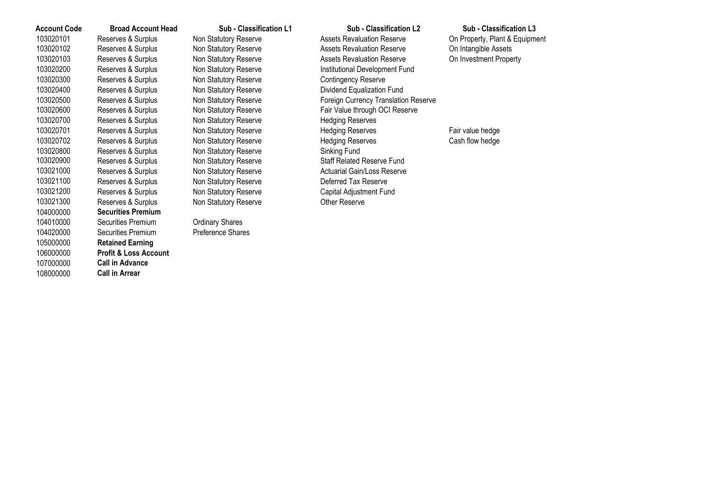| <b>Account Code</b> | <b>Broad Account Head</b>        | Sub - Classification L1 | Sub - Classification L2                     | Sub - Classification L3        |
|---------------------|----------------------------------|-------------------------|---------------------------------------------|--------------------------------|
| 103020101           | Reserves & Surplus               | Non Statutory Reserve   | <b>Assets Revaluation Reserve</b>           | On Property, Plant & Equipment |
| 103020102           | Reserves & Surplus               | Non Statutory Reserve   | <b>Assets Revaluation Reserve</b>           | On Intangible Assets           |
| 103020103           | Reserves & Surplus               | Non Statutory Reserve   | <b>Assets Revaluation Reserve</b>           | On Investment Property         |
| 103020200           | Reserves & Surplus               | Non Statutory Reserve   | Institutional Development Fund              |                                |
| 103020300           | Reserves & Surplus               | Non Statutory Reserve   | <b>Contingency Reserve</b>                  |                                |
| 103020400           | Reserves & Surplus               | Non Statutory Reserve   | Dividend Equalization Fund                  |                                |
| 103020500           | Reserves & Surplus               | Non Statutory Reserve   | <b>Foreign Currency Translation Reserve</b> |                                |
| 103020600           | Reserves & Surplus               | Non Statutory Reserve   | Fair Value through OCI Reserve              |                                |
| 103020700           | Reserves & Surplus               | Non Statutory Reserve   | <b>Hedging Reserves</b>                     |                                |
| 103020701           | Reserves & Surplus               | Non Statutory Reserve   | <b>Hedging Reserves</b>                     | Fair value hedge               |
| 103020702           | Reserves & Surplus               | Non Statutory Reserve   | <b>Hedging Reserves</b>                     | Cash flow hedge                |
| 103020800           | Reserves & Surplus               | Non Statutory Reserve   | Sinking Fund                                |                                |
| 103020900           | Reserves & Surplus               | Non Statutory Reserve   | <b>Staff Related Reserve Fund</b>           |                                |
| 103021000           | Reserves & Surplus               | Non Statutory Reserve   | <b>Actuarial Gain/Loss Reserve</b>          |                                |
| 103021100           | Reserves & Surplus               | Non Statutory Reserve   | Deferred Tax Reserve                        |                                |
| 103021200           | Reserves & Surplus               | Non Statutory Reserve   | Capital Adjustment Fund                     |                                |
| 103021300           | Reserves & Surplus               | Non Statutory Reserve   | Other Reserve                               |                                |
| 104000000           | <b>Securities Premium</b>        |                         |                                             |                                |
| 104010000           | Securities Premium               | <b>Ordinary Shares</b>  |                                             |                                |
| 104020000           | Securities Premium               | Preference Shares       |                                             |                                |
| 105000000           | <b>Retained Earning</b>          |                         |                                             |                                |
| 106000000           | <b>Profit &amp; Loss Account</b> |                         |                                             |                                |
| 107000000           | <b>Call in Advance</b>           |                         |                                             |                                |
| 108000000           | <b>Call in Arrear</b>            |                         |                                             |                                |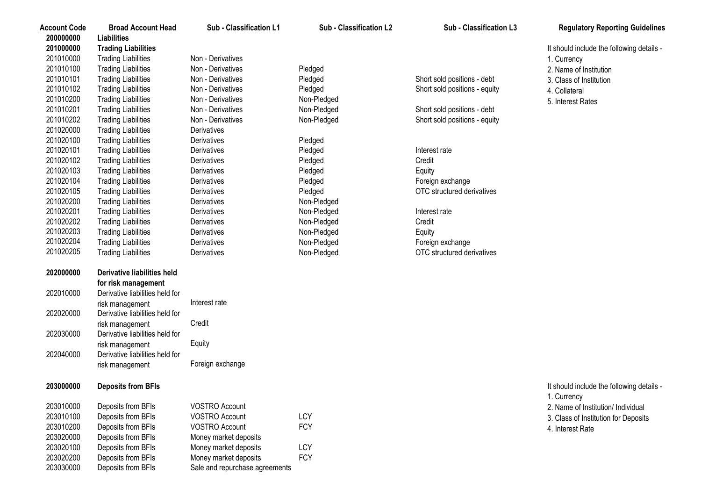| <b>Account Code</b><br>200000000 | <b>Broad Account Head</b><br>Liabilities | Sub - Classification L1        | Sub - Classification L2 | Sub - Classification L3       | <b>Regulatory Reporting Guidelines</b>                   |
|----------------------------------|------------------------------------------|--------------------------------|-------------------------|-------------------------------|----------------------------------------------------------|
| 201000000                        | <b>Trading Liabilities</b>               |                                |                         |                               | It should include the following details -                |
| 201010000                        | <b>Trading Liabilities</b>               | Non - Derivatives              |                         |                               | 1. Currency                                              |
| 201010100                        | <b>Trading Liabilities</b>               | Non - Derivatives              | Pledged                 |                               | 2. Name of Institution                                   |
| 201010101                        | <b>Trading Liabilities</b>               | Non - Derivatives              | Pledged                 | Short sold positions - debt   | 3. Class of Institution                                  |
| 201010102                        | <b>Trading Liabilities</b>               | Non - Derivatives              | Pledged                 | Short sold positions - equity | 4. Collateral                                            |
| 201010200                        | <b>Trading Liabilities</b>               | Non - Derivatives              | Non-Pledged             |                               | 5. Interest Rates                                        |
| 201010201                        | <b>Trading Liabilities</b>               | Non - Derivatives              | Non-Pledged             | Short sold positions - debt   |                                                          |
| 201010202                        | <b>Trading Liabilities</b>               | Non - Derivatives              | Non-Pledged             | Short sold positions - equity |                                                          |
| 201020000                        | <b>Trading Liabilities</b>               | Derivatives                    |                         |                               |                                                          |
| 201020100                        | <b>Trading Liabilities</b>               | Derivatives                    | Pledged                 |                               |                                                          |
| 201020101                        | <b>Trading Liabilities</b>               | Derivatives                    | Pledged                 | Interest rate                 |                                                          |
| 201020102                        | <b>Trading Liabilities</b>               | Derivatives                    | Pledged                 | Credit                        |                                                          |
| 201020103                        | <b>Trading Liabilities</b>               | Derivatives                    | Pledged                 | Equity                        |                                                          |
| 201020104                        | <b>Trading Liabilities</b>               | Derivatives                    | Pledged                 | Foreign exchange              |                                                          |
| 201020105                        | <b>Trading Liabilities</b>               | Derivatives                    | Pledged                 | OTC structured derivatives    |                                                          |
| 201020200                        | <b>Trading Liabilities</b>               | Derivatives                    | Non-Pledged             |                               |                                                          |
| 201020201                        | <b>Trading Liabilities</b>               | Derivatives                    | Non-Pledged             | Interest rate                 |                                                          |
| 201020202                        | <b>Trading Liabilities</b>               | Derivatives                    | Non-Pledged             | Credit                        |                                                          |
| 201020203                        | <b>Trading Liabilities</b>               | Derivatives                    | Non-Pledged             | Equity                        |                                                          |
| 201020204                        | <b>Trading Liabilities</b>               | <b>Derivatives</b>             | Non-Pledged             | Foreign exchange              |                                                          |
| 201020205                        | <b>Trading Liabilities</b>               | Derivatives                    | Non-Pledged             | OTC structured derivatives    |                                                          |
| 202000000                        | <b>Derivative liabilities held</b>       |                                |                         |                               |                                                          |
|                                  | for risk management                      |                                |                         |                               |                                                          |
| 202010000                        | Derivative liabilities held for          |                                |                         |                               |                                                          |
|                                  | risk management                          | Interest rate                  |                         |                               |                                                          |
| 202020000                        | Derivative liabilities held for          |                                |                         |                               |                                                          |
|                                  | risk management                          | Credit                         |                         |                               |                                                          |
| 202030000                        | Derivative liabilities held for          |                                |                         |                               |                                                          |
|                                  | risk management                          | Equity                         |                         |                               |                                                          |
| 202040000                        | Derivative liabilities held for          |                                |                         |                               |                                                          |
|                                  | risk management                          | Foreign exchange               |                         |                               |                                                          |
| 203000000                        | <b>Deposits from BFIs</b>                |                                |                         |                               | It should include the following details -<br>1. Currency |
| 203010000                        | Deposits from BFIs                       | VOSTRO Account                 |                         |                               | 2. Name of Institution/ Individual                       |
| 203010100                        | Deposits from BFIs                       | <b>VOSTRO Account</b>          | LCY                     |                               | 3. Class of Institution for Deposits                     |
| 203010200                        | Deposits from BFIs                       | <b>VOSTRO Account</b>          | <b>FCY</b>              |                               | 4. Interest Rate                                         |
| 203020000                        | Deposits from BFIs                       | Money market deposits          |                         |                               |                                                          |
| 203020100                        | Deposits from BFIs                       | Money market deposits          | LCY                     |                               |                                                          |
| 203020200                        | Deposits from BFIs                       | Money market deposits          | <b>FCY</b>              |                               |                                                          |
| 203030000                        | Deposits from BFIs                       | Sale and repurchase agreements |                         |                               |                                                          |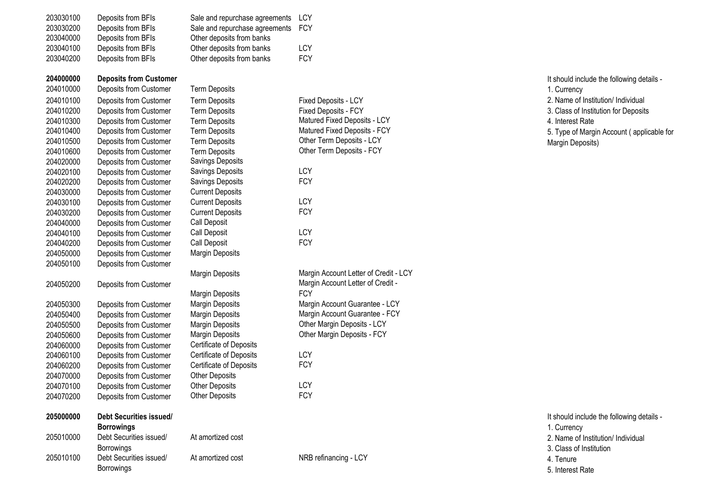| 203030100 | Deposits from BFIs             | Sale and repurchase agreements | <b>LCY</b>                            |
|-----------|--------------------------------|--------------------------------|---------------------------------------|
| 203030200 | Deposits from BFIs             | Sale and repurchase agreements | <b>FCY</b>                            |
| 203040000 | Deposits from BFIs             | Other deposits from banks      |                                       |
| 203040100 | Deposits from BFIs             | Other deposits from banks      | LCY                                   |
| 203040200 | Deposits from BFIs             | Other deposits from banks      | <b>FCY</b>                            |
| 204000000 | <b>Deposits from Customer</b>  |                                |                                       |
| 204010000 | Deposits from Customer         | <b>Term Deposits</b>           |                                       |
| 204010100 | Deposits from Customer         | <b>Term Deposits</b>           | <b>Fixed Deposits - LCY</b>           |
| 204010200 | Deposits from Customer         | <b>Term Deposits</b>           | Fixed Deposits - FCY                  |
| 204010300 | Deposits from Customer         | <b>Term Deposits</b>           | Matured Fixed Deposits - LCY          |
| 204010400 |                                | <b>Term Deposits</b>           | Matured Fixed Deposits - FCY          |
|           | Deposits from Customer         |                                | Other Term Deposits - LCY             |
| 204010500 | Deposits from Customer         | <b>Term Deposits</b>           | Other Term Deposits - FCY             |
| 204010600 | Deposits from Customer         | <b>Term Deposits</b>           |                                       |
| 204020000 | Deposits from Customer         | Savings Deposits               | LCY                                   |
| 204020100 | Deposits from Customer         | Savings Deposits               |                                       |
| 204020200 | Deposits from Customer         | Savings Deposits               | <b>FCY</b>                            |
| 204030000 | Deposits from Customer         | <b>Current Deposits</b>        |                                       |
| 204030100 | Deposits from Customer         | <b>Current Deposits</b>        | LCY                                   |
| 204030200 | Deposits from Customer         | <b>Current Deposits</b>        | <b>FCY</b>                            |
| 204040000 | Deposits from Customer         | Call Deposit                   |                                       |
| 204040100 | Deposits from Customer         | Call Deposit                   | LCY                                   |
| 204040200 | Deposits from Customer         | Call Deposit                   | <b>FCY</b>                            |
| 204050000 | Deposits from Customer         | Margin Deposits                |                                       |
| 204050100 | Deposits from Customer         |                                |                                       |
|           |                                | <b>Margin Deposits</b>         | Margin Account Letter of Credit - LCY |
| 204050200 | Deposits from Customer         |                                | Margin Account Letter of Credit -     |
|           |                                | Margin Deposits                | <b>FCY</b>                            |
| 204050300 | Deposits from Customer         | Margin Deposits                | Margin Account Guarantee - LCY        |
| 204050400 | Deposits from Customer         | Margin Deposits                | Margin Account Guarantee - FCY        |
| 204050500 | Deposits from Customer         | Margin Deposits                | Other Margin Deposits - LCY           |
| 204050600 | Deposits from Customer         | Margin Deposits                | Other Margin Deposits - FCY           |
| 204060000 | Deposits from Customer         | Certificate of Deposits        |                                       |
| 204060100 | Deposits from Customer         | Certificate of Deposits        | LCY                                   |
| 204060200 | Deposits from Customer         | Certificate of Deposits        | <b>FCY</b>                            |
| 204070000 | Deposits from Customer         | <b>Other Deposits</b>          |                                       |
| 204070100 | Deposits from Customer         | <b>Other Deposits</b>          | <b>LCY</b>                            |
| 204070200 | Deposits from Customer         | <b>Other Deposits</b>          | <b>FCY</b>                            |
| 205000000 | <b>Debt Securities issued/</b> |                                |                                       |
|           | <b>Borrowings</b>              |                                |                                       |
| 205010000 | Debt Securities issued/        | At amortized cost              |                                       |
|           | Borrowings                     |                                |                                       |
| 205010100 | Debt Securities issued/        | At amortized cost              | NRB refinancing - LCY                 |

Borrowings

It should include the following details - 1. Currency 2. Name of Institution/ Individual 3. Class of Institution for Deposits 4. Interest Rate 5. Type of Margin Account ( applicable for Margin Deposits)

| It should include the following details - |
|-------------------------------------------|
| 1. Currency                               |
| 2. Name of Institution/ Individual        |
| 3. Class of Institution                   |
| 4. Tenure                                 |
| 5. Interest Rate                          |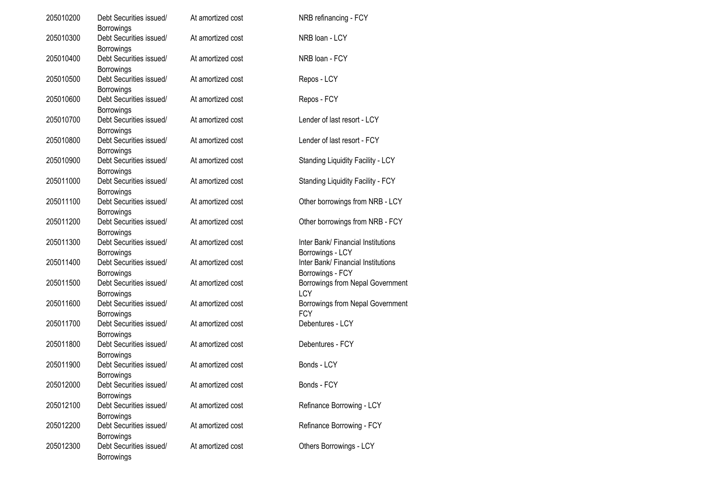| 205010200 | Debt Securities issued/                                           | At amortized cost | NRB refinancing - FCY                                  |
|-----------|-------------------------------------------------------------------|-------------------|--------------------------------------------------------|
| 205010300 | <b>Borrowings</b><br>Debt Securities issued/                      | At amortized cost | NRB loan - LCY                                         |
| 205010400 | <b>Borrowings</b><br>Debt Securities issued/                      | At amortized cost | NRB loan - FCY                                         |
| 205010500 | <b>Borrowings</b><br>Debt Securities issued/                      | At amortized cost | Repos - LCY                                            |
|           | Borrowings                                                        |                   |                                                        |
| 205010600 | Debt Securities issued/<br>Borrowings                             | At amortized cost | Repos - FCY                                            |
| 205010700 | Debt Securities issued/<br>Borrowings                             | At amortized cost | Lender of last resort - LCY                            |
| 205010800 | Debt Securities issued/<br>Borrowings                             | At amortized cost | Lender of last resort - FCY                            |
| 205010900 | Debt Securities issued/<br>Borrowings                             | At amortized cost | <b>Standing Liquidity Facility - LCY</b>               |
| 205011000 | Debt Securities issued/<br><b>Borrowings</b>                      | At amortized cost | <b>Standing Liquidity Facility - FCY</b>               |
| 205011100 | Debt Securities issued/<br><b>Borrowings</b>                      | At amortized cost | Other borrowings from NRB - LCY                        |
| 205011200 | Debt Securities issued/                                           | At amortized cost | Other borrowings from NRB - FCY                        |
| 205011300 | <b>Borrowings</b><br>Debt Securities issued/<br><b>Borrowings</b> | At amortized cost | Inter Bank/ Financial Institutions<br>Borrowings - LCY |
| 205011400 | Debt Securities issued/<br>Borrowings                             | At amortized cost | Inter Bank/ Financial Institutions<br>Borrowings - FCY |
| 205011500 | Debt Securities issued/<br><b>Borrowings</b>                      | At amortized cost | Borrowings from Nepal Government<br><b>LCY</b>         |
| 205011600 | Debt Securities issued/<br><b>Borrowings</b>                      | At amortized cost | Borrowings from Nepal Government<br><b>FCY</b>         |
| 205011700 | Debt Securities issued/                                           | At amortized cost | Debentures - LCY                                       |
| 205011800 | <b>Borrowings</b><br>Debt Securities issued/                      | At amortized cost | Debentures - FCY                                       |
| 205011900 | Borrowings<br>Debt Securities issued/                             | At amortized cost | Bonds - LCY                                            |
| 205012000 | Borrowings<br>Debt Securities issued/                             | At amortized cost | Bonds - FCY                                            |
| 205012100 | <b>Borrowings</b><br>Debt Securities issued/                      | At amortized cost | Refinance Borrowing - LCY                              |
| 205012200 | <b>Borrowings</b><br>Debt Securities issued/                      | At amortized cost | Refinance Borrowing - FCY                              |
| 205012300 | Borrowings<br>Debt Securities issued/<br>Borrowings               | At amortized cost | Others Borrowings - LCY                                |

5. Interest Rate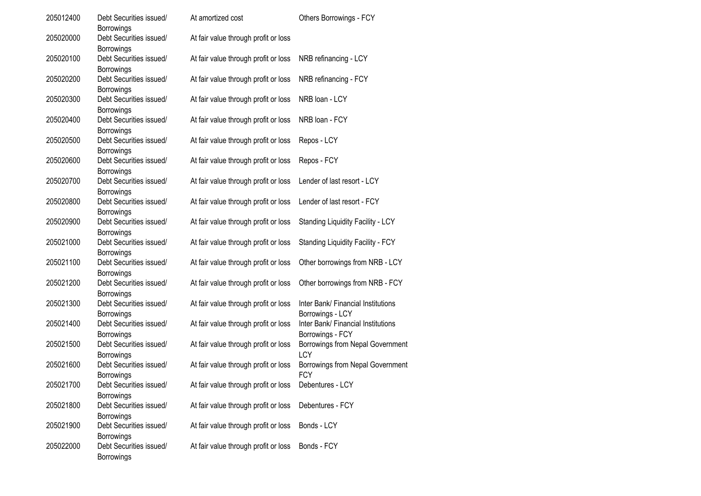| 205012400 | Debt Securities issued/<br><b>Borrowings</b>               | At amortized cost                    | Others Borrowings - FCY                                                    |
|-----------|------------------------------------------------------------|--------------------------------------|----------------------------------------------------------------------------|
| 205020000 | Debt Securities issued/<br>Borrowings                      | At fair value through profit or loss |                                                                            |
| 205020100 | Debt Securities issued/<br><b>Borrowings</b>               | At fair value through profit or loss | NRB refinancing - LCY                                                      |
| 205020200 | Debt Securities issued/<br><b>Borrowings</b>               | At fair value through profit or loss | NRB refinancing - FCY                                                      |
| 205020300 | Debt Securities issued/<br>Borrowings                      | At fair value through profit or loss | NRB loan - LCY                                                             |
| 205020400 | Debt Securities issued/<br>Borrowings                      | At fair value through profit or loss | NRB loan - FCY                                                             |
| 205020500 | Debt Securities issued/<br>Borrowings                      | At fair value through profit or loss | Repos - LCY                                                                |
| 205020600 | Debt Securities issued/<br>Borrowings                      | At fair value through profit or loss | Repos - FCY                                                                |
| 205020700 | Debt Securities issued/<br>Borrowings                      | At fair value through profit or loss | Lender of last resort - LCY                                                |
| 205020800 | Debt Securities issued/                                    | At fair value through profit or loss | Lender of last resort - FCY                                                |
| 205020900 | Borrowings<br>Debt Securities issued/<br>Borrowings        | At fair value through profit or loss | Standing Liquidity Facility - LCY                                          |
| 205021000 | Debt Securities issued/                                    | At fair value through profit or loss | <b>Standing Liquidity Facility - FCY</b>                                   |
| 205021100 | Borrowings<br>Debt Securities issued/                      | At fair value through profit or loss | Other borrowings from NRB - LCY                                            |
| 205021200 | Borrowings<br>Debt Securities issued/                      | At fair value through profit or loss | Other borrowings from NRB - FCY                                            |
| 205021300 | Borrowings<br>Debt Securities issued/                      | At fair value through profit or loss | Inter Bank/ Financial Institutions                                         |
| 205021400 | Borrowings<br>Debt Securities issued/<br><b>Borrowings</b> | At fair value through profit or loss | Borrowings - LCY<br>Inter Bank/ Financial Institutions<br>Borrowings - FCY |
| 205021500 | Debt Securities issued/<br>Borrowings                      | At fair value through profit or loss | Borrowings from Nepal Government<br>LCY                                    |
| 205021600 | Debt Securities issued/<br><b>Borrowings</b>               | At fair value through profit or loss | Borrowings from Nepal Government<br><b>FCY</b>                             |
| 205021700 | Debt Securities issued/                                    | At fair value through profit or loss | Debentures - LCY                                                           |
| 205021800 | <b>Borrowings</b><br>Debt Securities issued/               | At fair value through profit or loss | Debentures - FCY                                                           |
| 205021900 | Borrowings<br>Debt Securities issued/                      | At fair value through profit or loss | Bonds - LCY                                                                |
| 205022000 | <b>Borrowings</b><br>Debt Securities issued/<br>Borrowings | At fair value through profit or loss | Bonds - FCY                                                                |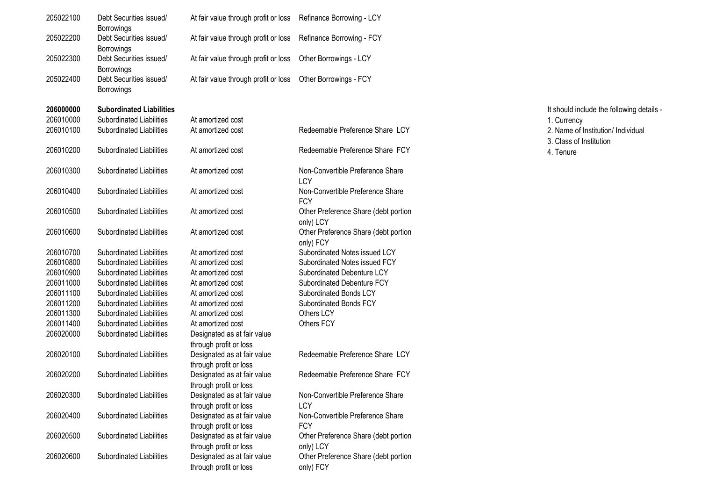| 205022100 | Debt Securities issued/<br><b>Borrowings</b>                      | At fair value through profit or loss                                            | Refinance Borrowing - LCY                                    |
|-----------|-------------------------------------------------------------------|---------------------------------------------------------------------------------|--------------------------------------------------------------|
| 205022200 | Debt Securities issued/                                           | At fair value through profit or loss                                            | Refinance Borrowing - FCY                                    |
| 205022300 | <b>Borrowings</b><br>Debt Securities issued/                      | At fair value through profit or loss                                            | Other Borrowings - LCY                                       |
| 205022400 | <b>Borrowings</b><br>Debt Securities issued/<br><b>Borrowings</b> | At fair value through profit or loss                                            | Other Borrowings - FCY                                       |
| 206000000 | <b>Subordinated Liabilities</b>                                   |                                                                                 |                                                              |
| 206010000 | Subordinated Liabilities                                          | At amortized cost                                                               |                                                              |
| 206010100 | Subordinated Liabilities                                          | At amortized cost                                                               | Redeemable Preference Share LCY                              |
| 206010200 | Subordinated Liabilities                                          | At amortized cost                                                               | Redeemable Preference Share FCY                              |
| 206010300 | Subordinated Liabilities                                          | At amortized cost                                                               | Non-Convertible Preference Share<br>LCY                      |
| 206010400 | Subordinated Liabilities                                          | At amortized cost                                                               | Non-Convertible Preference Share<br><b>FCY</b>               |
| 206010500 | Subordinated Liabilities                                          | At amortized cost                                                               | Other Preference Share (debt portion<br>only) LCY            |
| 206010600 | Subordinated Liabilities                                          | At amortized cost                                                               | Other Preference Share (debt portion<br>only) FCY            |
| 206010700 | Subordinated Liabilities                                          | At amortized cost                                                               | Subordinated Notes issued LCY                                |
| 206010800 | Subordinated Liabilities                                          | At amortized cost                                                               | Subordinated Notes issued FCY                                |
| 206010900 | Subordinated Liabilities                                          | At amortized cost                                                               | Subordinated Debenture LCY                                   |
| 206011000 | Subordinated Liabilities                                          | At amortized cost                                                               | Subordinated Debenture FCY                                   |
| 206011100 | Subordinated Liabilities                                          | At amortized cost                                                               | Subordinated Bonds LCY                                       |
| 206011200 | Subordinated Liabilities                                          | At amortized cost                                                               | Subordinated Bonds FCY                                       |
| 206011300 | Subordinated Liabilities                                          | At amortized cost                                                               | Others LCY                                                   |
| 206011400 | Subordinated Liabilities                                          | At amortized cost                                                               | Others FCY                                                   |
| 206020000 | Subordinated Liabilities                                          | Designated as at fair value                                                     |                                                              |
|           |                                                                   | through profit or loss                                                          |                                                              |
| 206020100 | Subordinated Liabilities                                          | Designated as at fair value<br>through profit or loss                           | Redeemable Preference Share LCY                              |
| 206020200 | Subordinated Liabilities                                          | Designated as at fair value                                                     | Redeemable Preference Share FCY                              |
| 206020300 | Subordinated Liabilities                                          | through profit or loss<br>Designated as at fair value                           | Non-Convertible Preference Share                             |
| 206020400 | Subordinated Liabilities                                          | through profit or loss<br>Designated as at fair value<br>through profit or loss | <b>LCY</b><br>Non-Convertible Preference Share<br><b>FCY</b> |
| 206020500 | Subordinated Liabilities                                          | Designated as at fair value<br>through profit or loss                           | Other Preference Share (debt portion<br>only) LCY            |
| 206020600 | Subordinated Liabilities                                          | Designated as at fair value<br>through profit or loss                           | Other Preference Share (debt portion<br>only) FCY            |

It should include the following details - 1. Currency 2. Name of Institution/ Individual 3. Class of Institution 4. Tenure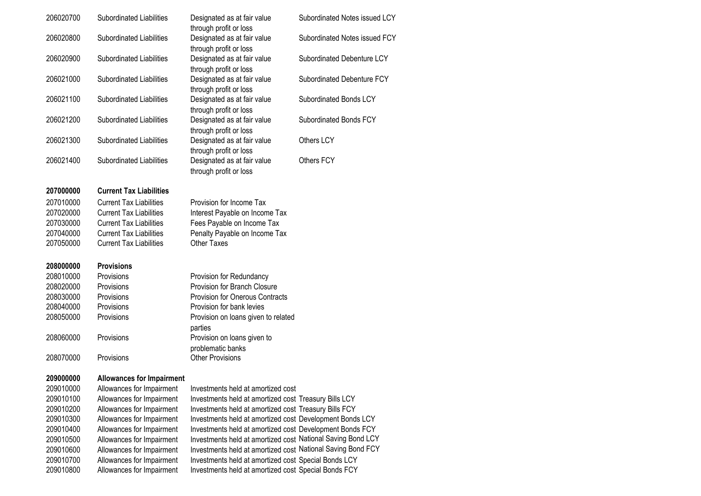| 206020700 | Subordinated Liabilities         | Designated as at fair value<br>through profit or loss                           | Subordinated Notes issued LCY |
|-----------|----------------------------------|---------------------------------------------------------------------------------|-------------------------------|
| 206020800 | Subordinated Liabilities         | Designated as at fair value                                                     | Subordinated Notes issued FCY |
| 206020900 | Subordinated Liabilities         | through profit or loss<br>Designated as at fair value                           | Subordinated Debenture LCY    |
| 206021000 | Subordinated Liabilities         | through profit or loss<br>Designated as at fair value                           | Subordinated Debenture FCY    |
| 206021100 | Subordinated Liabilities         | through profit or loss<br>Designated as at fair value                           | Subordinated Bonds LCY        |
| 206021200 | Subordinated Liabilities         | through profit or loss<br>Designated as at fair value<br>through profit or loss | Subordinated Bonds FCY        |
| 206021300 | Subordinated Liabilities         | Designated as at fair value<br>through profit or loss                           | Others LCY                    |
| 206021400 | Subordinated Liabilities         | Designated as at fair value<br>through profit or loss                           | Others FCY                    |
| 207000000 | <b>Current Tax Liabilities</b>   |                                                                                 |                               |
| 207010000 | <b>Current Tax Liabilities</b>   | Provision for Income Tax                                                        |                               |
| 207020000 | <b>Current Tax Liabilities</b>   | Interest Payable on Income Tax                                                  |                               |
| 207030000 | <b>Current Tax Liabilities</b>   | Fees Payable on Income Tax                                                      |                               |
| 207040000 | <b>Current Tax Liabilities</b>   | Penalty Payable on Income Tax                                                   |                               |
| 207050000 | <b>Current Tax Liabilities</b>   | <b>Other Taxes</b>                                                              |                               |
| 208000000 | <b>Provisions</b>                |                                                                                 |                               |
| 208010000 | Provisions                       | Provision for Redundancy                                                        |                               |
| 208020000 | Provisions                       | Provision for Branch Closure                                                    |                               |
| 208030000 | Provisions                       | <b>Provision for Onerous Contracts</b>                                          |                               |
| 208040000 | Provisions                       | Provision for bank levies                                                       |                               |
| 208050000 | Provisions                       | Provision on loans given to related<br>parties                                  |                               |
| 208060000 | Provisions                       | Provision on loans given to<br>problematic banks                                |                               |
| 208070000 | Provisions                       | <b>Other Provisions</b>                                                         |                               |
| 209000000 | <b>Allowances for Impairment</b> |                                                                                 |                               |
| 209010000 | Allowances for Impairment        | Investments held at amortized cost                                              |                               |
| 209010100 | Allowances for Impairment        | Investments held at amortized cost Treasury Bills LCY                           |                               |
| 209010200 | Allowances for Impairment        | Investments held at amortized cost Treasury Bills FCY                           |                               |
| 209010300 | Allowances for Impairment        | Investments held at amortized cost Development Bonds LCY                        |                               |
| 209010400 | Allowances for Impairment        | Investments held at amortized cost Development Bonds FCY                        |                               |
| 209010500 | Allowances for Impairment        | Investments held at amortized cost National Saving Bond LCY                     |                               |
| 209010600 | Allowances for Impairment        | Investments held at amortized cost National Saving Bond FCY                     |                               |
| 209010700 | Allowances for Impairment        | Investments held at amortized cost Special Bonds LCY                            |                               |
| 209010800 | Allowances for Impairment        | Investments held at amortized cost Special Bonds FCY                            |                               |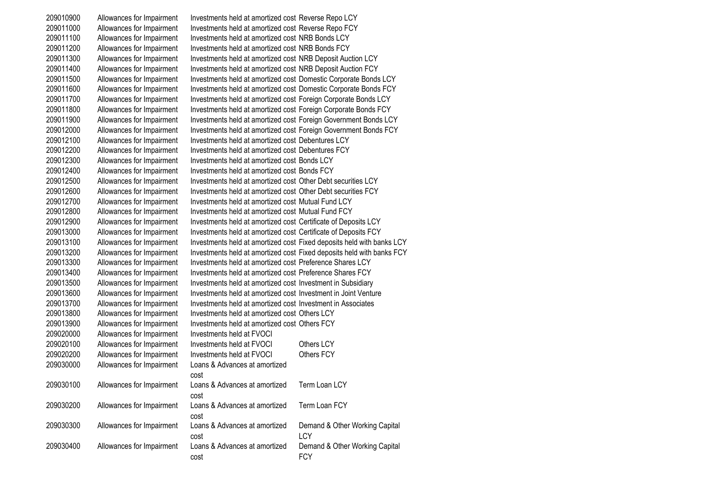Allowances for Impairment Investments held at amortized cost Reverse Repo LCY Allowances for Impairment Investments held at amortized cost Reverse Repo FCY Allowances for Impairment Investments held at amortized cost NRB Bonds LCY Allowances for Impairment Investments held at amortized cost NRB Bonds FCY Allowances for Impairment Investments held at amortized cost NRB Deposit Auction LCY Allowances for Impairment Investments held at amortized cost NRB Deposit Auction FCY Allowances for Impairment Investments held at amortized cost Domestic Corporate Bonds LCY Allowances for Impairment Investments held at amortized cost Domestic Corporate Bonds FCY Allowances for Impairment Investments held at amortized cost Foreign Corporate Bonds LCY Allowances for Impairment Investments held at amortized cost Foreign Corporate Bonds FCY Allowances for Impairment Investments held at amortized cost Foreign Government Bonds LCY Allowances for Impairment Investments held at amortized cost Foreign Government Bonds FCY Allowances for Impairment Investments held at amortized cost Debentures LCY Allowances for Impairment Investments held at amortized cost Debentures FCY Allowances for Impairment Investments held at amortized cost Bonds LCY Allowances for Impairment Investments held at amortized cost Bonds FCY Allowances for Impairment Investments held at amortized cost Other Debt securities LCY Allowances for Impairment Investments held at amortized cost Other Debt securities FCY Allowances for Impairment Investments held at amortized cost Mutual Fund LCY Allowances for Impairment Investments held at amortized cost Mutual Fund FCY Allowances for Impairment Investments held at amortized cost Certificate of Deposits LCY Allowances for Impairment Investments held at amortized cost Certificate of Deposits FCY Allowances for Impairment Investments held at amortized cost Fixed deposits held with banks LCY Allowances for Impairment Investments held at amortized cost Fixed deposits held with banks FCY Allowances for Impairment Investments held at amortized cost Preference Shares LCY Allowances for Impairment Investments held at amortized cost Preference Shares FCY Allowances for Impairment Investments held at amortized cost Investment in Subsidiary Allowances for Impairment Investments held at amortized cost Investment in Joint Venture Allowances for Impairment Investments held at amortized cost Investment in Associates Allowances for Impairment Investments held at amortized cost Others LCY Allowances for Impairment Investments held at amortized cost Others FCY Allowances for Impairment Investments held at FVOCI Allowances for Impairment Investments held at FVOCI Others LCY Allowances for Impairment Investments held at FVOCI Others FCY Allowances for Impairment Loans & Advances at amortized cost Allowances for Impairment Loans & Advances at amortized cost Term Loan LCY Allowances for Impairment Loans & Advances at amortized cost Term Loan FCY Allowances for Impairment Loans & Advances at amortized cost Demand & Other Working Capital **LCY**  Allowances for Impairment Loans & Advances at amortized cost Demand & Other Working Capital **FCY**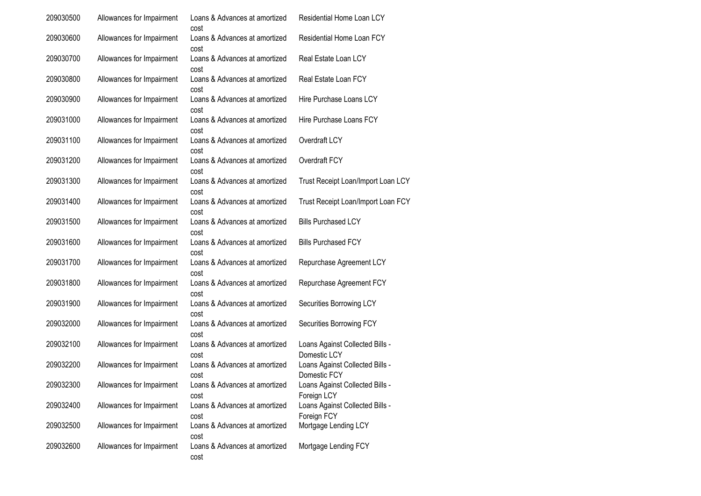| 209030500 | Allowances for Impairment | Loans & Advances at amortized<br>cost | Residential Home Loan LCY                       |
|-----------|---------------------------|---------------------------------------|-------------------------------------------------|
| 209030600 | Allowances for Impairment | Loans & Advances at amortized<br>cost | Residential Home Loan FCY                       |
| 209030700 | Allowances for Impairment | Loans & Advances at amortized<br>cost | Real Estate Loan LCY                            |
| 209030800 | Allowances for Impairment | Loans & Advances at amortized<br>cost | Real Estate Loan FCY                            |
| 209030900 | Allowances for Impairment | Loans & Advances at amortized<br>cost | Hire Purchase Loans LCY                         |
| 209031000 | Allowances for Impairment | Loans & Advances at amortized<br>cost | Hire Purchase Loans FCY                         |
| 209031100 | Allowances for Impairment | Loans & Advances at amortized<br>cost | Overdraft LCY                                   |
| 209031200 | Allowances for Impairment | Loans & Advances at amortized<br>cost | Overdraft FCY                                   |
| 209031300 | Allowances for Impairment | Loans & Advances at amortized<br>cost | Trust Receipt Loan/Import Loan LCY              |
| 209031400 | Allowances for Impairment | Loans & Advances at amortized<br>cost | Trust Receipt Loan/Import Loan FCY              |
| 209031500 | Allowances for Impairment | Loans & Advances at amortized<br>cost | <b>Bills Purchased LCY</b>                      |
| 209031600 | Allowances for Impairment | Loans & Advances at amortized<br>cost | <b>Bills Purchased FCY</b>                      |
| 209031700 | Allowances for Impairment | Loans & Advances at amortized<br>cost | Repurchase Agreement LCY                        |
| 209031800 | Allowances for Impairment | Loans & Advances at amortized<br>cost | Repurchase Agreement FCY                        |
| 209031900 | Allowances for Impairment | Loans & Advances at amortized<br>cost | Securities Borrowing LCY                        |
| 209032000 | Allowances for Impairment | Loans & Advances at amortized<br>cost | Securities Borrowing FCY                        |
| 209032100 | Allowances for Impairment | Loans & Advances at amortized<br>cost | Loans Against Collected Bills -<br>Domestic LCY |
| 209032200 | Allowances for Impairment | Loans & Advances at amortized<br>cost | Loans Against Collected Bills -<br>Domestic FCY |
| 209032300 | Allowances for Impairment | Loans & Advances at amortized<br>cost | Loans Against Collected Bills -<br>Foreign LCY  |
| 209032400 | Allowances for Impairment | Loans & Advances at amortized<br>cost | Loans Against Collected Bills -<br>Foreign FCY  |
| 209032500 | Allowances for Impairment | Loans & Advances at amortized<br>cost | Mortgage Lending LCY                            |
| 209032600 | Allowances for Impairment | Loans & Advances at amortized<br>cost | Mortgage Lending FCY                            |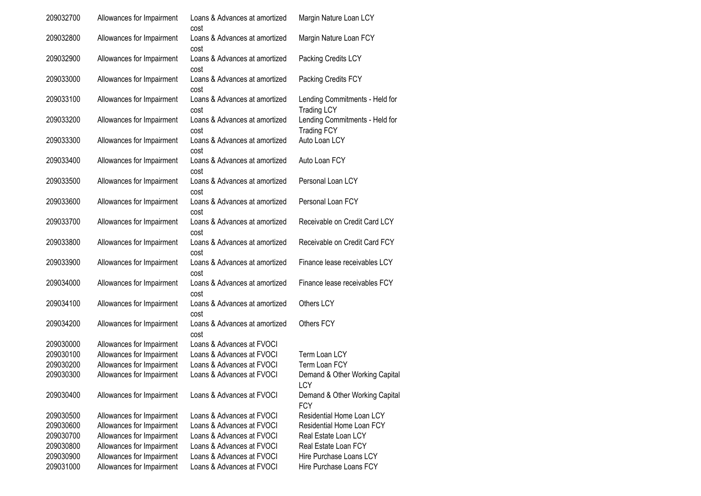| 209032700 | Allowances for Impairment | Loans & Advances at amortized<br>cost | Margin Nature Loan LCY                               |
|-----------|---------------------------|---------------------------------------|------------------------------------------------------|
| 209032800 | Allowances for Impairment | Loans & Advances at amortized<br>cost | Margin Nature Loan FCY                               |
| 209032900 | Allowances for Impairment | Loans & Advances at amortized<br>cost | Packing Credits LCY                                  |
| 209033000 | Allowances for Impairment | Loans & Advances at amortized<br>cost | Packing Credits FCY                                  |
| 209033100 | Allowances for Impairment | Loans & Advances at amortized<br>cost | Lending Commitments - Held for<br><b>Trading LCY</b> |
| 209033200 | Allowances for Impairment | Loans & Advances at amortized<br>cost | Lending Commitments - Held for<br><b>Trading FCY</b> |
| 209033300 | Allowances for Impairment | Loans & Advances at amortized<br>cost | Auto Loan LCY                                        |
| 209033400 | Allowances for Impairment | Loans & Advances at amortized<br>cost | Auto Loan FCY                                        |
| 209033500 | Allowances for Impairment | Loans & Advances at amortized<br>cost | Personal Loan LCY                                    |
| 209033600 | Allowances for Impairment | Loans & Advances at amortized<br>cost | Personal Loan FCY                                    |
| 209033700 | Allowances for Impairment | Loans & Advances at amortized<br>cost | Receivable on Credit Card LCY                        |
| 209033800 | Allowances for Impairment | Loans & Advances at amortized<br>cost | Receivable on Credit Card FCY                        |
| 209033900 | Allowances for Impairment | Loans & Advances at amortized<br>cost | Finance lease receivables LCY                        |
| 209034000 | Allowances for Impairment | Loans & Advances at amortized<br>cost | Finance lease receivables FCY                        |
| 209034100 | Allowances for Impairment | Loans & Advances at amortized<br>cost | Others LCY                                           |
| 209034200 | Allowances for Impairment | Loans & Advances at amortized<br>cost | Others FCY                                           |
| 209030000 | Allowances for Impairment | Loans & Advances at FVOCI             |                                                      |
| 209030100 | Allowances for Impairment | Loans & Advances at FVOCI             | Term Loan LCY                                        |
| 209030200 | Allowances for Impairment | Loans & Advances at FVOCI             | Term Loan FCY                                        |
| 209030300 | Allowances for Impairment | Loans & Advances at FVOCI             | Demand & Other Working Capital<br>LCY                |
| 209030400 | Allowances for Impairment | Loans & Advances at FVOCI             | Demand & Other Working Capital<br><b>FCY</b>         |
| 209030500 | Allowances for Impairment | Loans & Advances at FVOCI             | Residential Home Loan LCY                            |
| 209030600 | Allowances for Impairment | Loans & Advances at FVOCI             | Residential Home Loan FCY                            |
| 209030700 | Allowances for Impairment | Loans & Advances at FVOCI             | Real Estate Loan LCY                                 |
| 209030800 | Allowances for Impairment | Loans & Advances at FVOCI             | Real Estate Loan FCY                                 |
| 209030900 | Allowances for Impairment | Loans & Advances at FVOCI             | Hire Purchase Loans LCY                              |
| 209031000 | Allowances for Impairment | Loans & Advances at FVOCI             | Hire Purchase Loans FCY                              |
|           |                           |                                       |                                                      |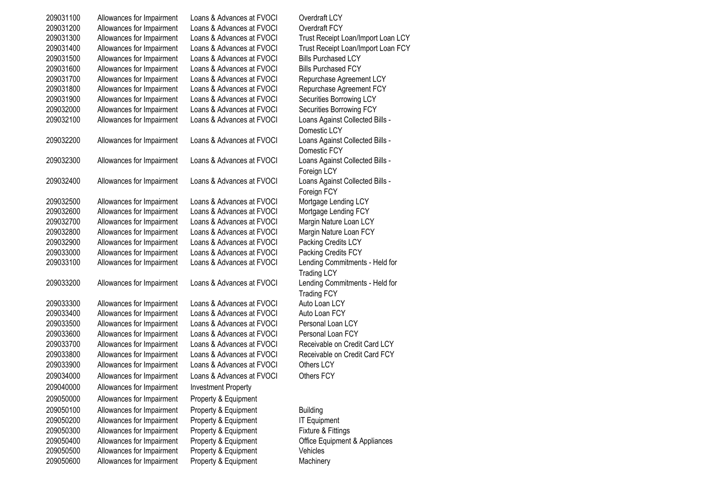| 209031100 | Allowances for Impairment | Loans & Advances at FVOCI  | Overdraft LCY                                        |
|-----------|---------------------------|----------------------------|------------------------------------------------------|
| 209031200 | Allowances for Impairment | Loans & Advances at FVOCI  | Overdraft FCY                                        |
| 209031300 | Allowances for Impairment | Loans & Advances at FVOCI  | Trust Receipt Loan/Import Loan LCY                   |
| 209031400 | Allowances for Impairment | Loans & Advances at FVOCI  | Trust Receipt Loan/Import Loan FCY                   |
| 209031500 | Allowances for Impairment | Loans & Advances at FVOCI  | <b>Bills Purchased LCY</b>                           |
| 209031600 | Allowances for Impairment | Loans & Advances at FVOCI  | <b>Bills Purchased FCY</b>                           |
| 209031700 | Allowances for Impairment | Loans & Advances at FVOCI  | Repurchase Agreement LCY                             |
| 209031800 | Allowances for Impairment | Loans & Advances at FVOCI  | Repurchase Agreement FCY                             |
| 209031900 | Allowances for Impairment | Loans & Advances at FVOCI  | Securities Borrowing LCY                             |
| 209032000 | Allowances for Impairment | Loans & Advances at FVOCI  | Securities Borrowing FCY                             |
| 209032100 | Allowances for Impairment | Loans & Advances at FVOCI  | Loans Against Collected Bills -<br>Domestic LCY      |
| 209032200 | Allowances for Impairment | Loans & Advances at FVOCI  | Loans Against Collected Bills -<br>Domestic FCY      |
| 209032300 | Allowances for Impairment | Loans & Advances at FVOCI  | Loans Against Collected Bills -<br>Foreign LCY       |
| 209032400 | Allowances for Impairment | Loans & Advances at FVOCI  | Loans Against Collected Bills -<br>Foreign FCY       |
| 209032500 | Allowances for Impairment | Loans & Advances at FVOCI  | Mortgage Lending LCY                                 |
| 209032600 | Allowances for Impairment | Loans & Advances at FVOCI  | Mortgage Lending FCY                                 |
| 209032700 | Allowances for Impairment | Loans & Advances at FVOCI  | Margin Nature Loan LCY                               |
| 209032800 | Allowances for Impairment | Loans & Advances at FVOCI  | Margin Nature Loan FCY                               |
| 209032900 | Allowances for Impairment | Loans & Advances at FVOCI  | Packing Credits LCY                                  |
| 209033000 | Allowances for Impairment | Loans & Advances at FVOCI  | Packing Credits FCY                                  |
| 209033100 | Allowances for Impairment | Loans & Advances at FVOCI  | Lending Commitments - Held for<br><b>Trading LCY</b> |
| 209033200 | Allowances for Impairment | Loans & Advances at FVOCI  | Lending Commitments - Held for<br><b>Trading FCY</b> |
| 209033300 | Allowances for Impairment | Loans & Advances at FVOCI  | Auto Loan LCY                                        |
| 209033400 | Allowances for Impairment | Loans & Advances at FVOCI  | Auto Loan FCY                                        |
| 209033500 | Allowances for Impairment | Loans & Advances at FVOCI  | Personal Loan LCY                                    |
| 209033600 | Allowances for Impairment | Loans & Advances at FVOCI  | Personal Loan FCY                                    |
| 209033700 | Allowances for Impairment | Loans & Advances at FVOCI  | Receivable on Credit Card LCY                        |
| 209033800 | Allowances for Impairment | Loans & Advances at FVOCI  | Receivable on Credit Card FCY                        |
| 209033900 | Allowances for Impairment | Loans & Advances at FVOCI  | Others LCY                                           |
| 209034000 | Allowances for Impairment | Loans & Advances at FVOCI  | Others FCY                                           |
| 209040000 | Allowances for Impairment | <b>Investment Property</b> |                                                      |
| 209050000 | Allowances for Impairment | Property & Equipment       |                                                      |
| 209050100 | Allowances for Impairment | Property & Equipment       | <b>Building</b>                                      |
| 209050200 | Allowances for Impairment | Property & Equipment       | <b>IT Equipment</b>                                  |
| 209050300 | Allowances for Impairment | Property & Equipment       | Fixture & Fittings                                   |
| 209050400 | Allowances for Impairment | Property & Equipment       | Office Equipment & Appliances                        |
| 209050500 | Allowances for Impairment | Property & Equipment       | Vehicles                                             |
| 209050600 | Allowances for Impairment | Property & Equipment       | Machinery                                            |
|           |                           |                            |                                                      |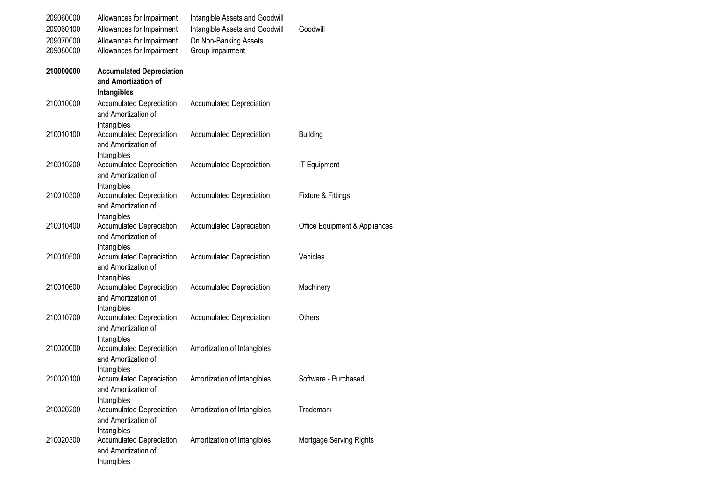| 209060000 | Allowances for Impairment                                             | Intangible Assets and Goodwill  |                               |
|-----------|-----------------------------------------------------------------------|---------------------------------|-------------------------------|
| 209060100 | Allowances for Impairment                                             | Intangible Assets and Goodwill  | Goodwill                      |
| 209070000 | Allowances for Impairment                                             | On Non-Banking Assets           |                               |
| 209080000 | Allowances for Impairment                                             | Group impairment                |                               |
| 210000000 | <b>Accumulated Depreciation</b><br>and Amortization of<br>Intangibles |                                 |                               |
| 210010000 | <b>Accumulated Depreciation</b><br>and Amortization of<br>Intangibles | <b>Accumulated Depreciation</b> |                               |
| 210010100 | <b>Accumulated Depreciation</b><br>and Amortization of<br>Intangibles | <b>Accumulated Depreciation</b> | <b>Building</b>               |
| 210010200 | <b>Accumulated Depreciation</b><br>and Amortization of<br>Intangibles | <b>Accumulated Depreciation</b> | <b>IT Equipment</b>           |
| 210010300 | <b>Accumulated Depreciation</b><br>and Amortization of<br>Intangibles | <b>Accumulated Depreciation</b> | Fixture & Fittings            |
| 210010400 | <b>Accumulated Depreciation</b><br>and Amortization of<br>Intangibles | <b>Accumulated Depreciation</b> | Office Equipment & Appliances |
| 210010500 | <b>Accumulated Depreciation</b><br>and Amortization of<br>Intangibles | <b>Accumulated Depreciation</b> | Vehicles                      |
| 210010600 | <b>Accumulated Depreciation</b><br>and Amortization of<br>Intangibles | <b>Accumulated Depreciation</b> | Machinery                     |
| 210010700 | <b>Accumulated Depreciation</b><br>and Amortization of<br>Intangibles | <b>Accumulated Depreciation</b> | Others                        |
| 210020000 | <b>Accumulated Depreciation</b><br>and Amortization of<br>Intangibles | Amortization of Intangibles     |                               |
| 210020100 | <b>Accumulated Depreciation</b><br>and Amortization of<br>Intangibles | Amortization of Intangibles     | Software - Purchased          |
| 210020200 | <b>Accumulated Depreciation</b><br>and Amortization of<br>Intangibles | Amortization of Intangibles     | <b>Trademark</b>              |
| 210020300 | <b>Accumulated Depreciation</b><br>and Amortization of<br>Intangibles | Amortization of Intangibles     | Mortgage Serving Rights       |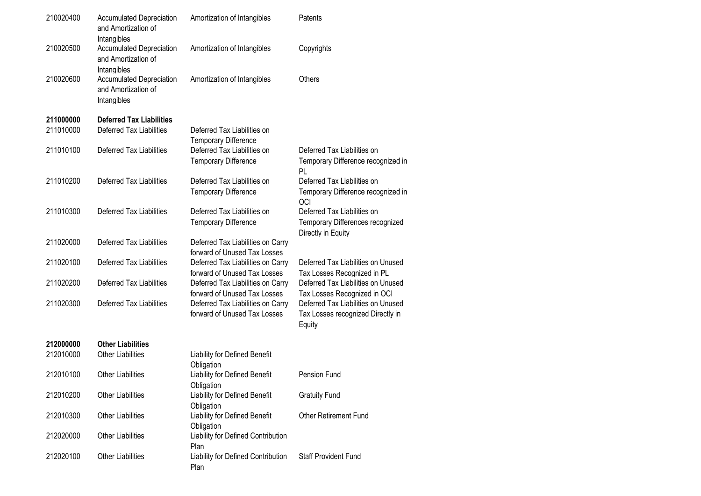| 210020400 | <b>Accumulated Depreciation</b><br>and Amortization of                               | Amortization of Intangibles                                       | Patents                                                                               |
|-----------|--------------------------------------------------------------------------------------|-------------------------------------------------------------------|---------------------------------------------------------------------------------------|
| 210020500 | Intangibles<br><b>Accumulated Depreciation</b><br>and Amortization of                | Amortization of Intangibles                                       | Copyrights                                                                            |
| 210020600 | Intangibles<br><b>Accumulated Depreciation</b><br>and Amortization of<br>Intangibles | Amortization of Intangibles                                       | Others                                                                                |
| 211000000 | <b>Deferred Tax Liabilities</b>                                                      |                                                                   |                                                                                       |
| 211010000 | Deferred Tax Liabilities                                                             | Deferred Tax Liabilities on<br><b>Temporary Difference</b>        |                                                                                       |
| 211010100 | Deferred Tax Liabilities                                                             | Deferred Tax Liabilities on<br><b>Temporary Difference</b>        | Deferred Tax Liabilities on<br>Temporary Difference recognized in<br><b>PL</b>        |
| 211010200 | Deferred Tax Liabilities                                                             | Deferred Tax Liabilities on<br><b>Temporary Difference</b>        | Deferred Tax Liabilities on<br>Temporary Difference recognized in<br>OCI              |
| 211010300 | Deferred Tax Liabilities                                                             | Deferred Tax Liabilities on<br><b>Temporary Difference</b>        | Deferred Tax Liabilities on<br>Temporary Differences recognized<br>Directly in Equity |
| 211020000 | Deferred Tax Liabilities                                                             | Deferred Tax Liabilities on Carry<br>forward of Unused Tax Losses |                                                                                       |
| 211020100 | Deferred Tax Liabilities                                                             | Deferred Tax Liabilities on Carry<br>forward of Unused Tax Losses | Deferred Tax Liabilities on Unused<br>Tax Losses Recognized in PL                     |
| 211020200 | Deferred Tax Liabilities                                                             | Deferred Tax Liabilities on Carry<br>forward of Unused Tax Losses | Deferred Tax Liabilities on Unused<br>Tax Losses Recognized in OCI                    |
| 211020300 | Deferred Tax Liabilities                                                             | Deferred Tax Liabilities on Carry<br>forward of Unused Tax Losses | Deferred Tax Liabilities on Unused<br>Tax Losses recognized Directly in<br>Equity     |
| 212000000 | <b>Other Liabilities</b>                                                             |                                                                   |                                                                                       |
| 212010000 | <b>Other Liabilities</b>                                                             | Liability for Defined Benefit<br>Obligation                       |                                                                                       |
| 212010100 | <b>Other Liabilities</b>                                                             | Liability for Defined Benefit<br>Obligation                       | Pension Fund                                                                          |
| 212010200 | <b>Other Liabilities</b>                                                             | Liability for Defined Benefit<br>Obligation                       | <b>Gratuity Fund</b>                                                                  |
| 212010300 | <b>Other Liabilities</b>                                                             | Liability for Defined Benefit<br>Obligation                       | Other Retirement Fund                                                                 |
| 212020000 | <b>Other Liabilities</b>                                                             | Liability for Defined Contribution<br>Plan                        |                                                                                       |
| 212020100 | <b>Other Liabilities</b>                                                             | Liability for Defined Contribution<br>Plan                        | <b>Staff Provident Fund</b>                                                           |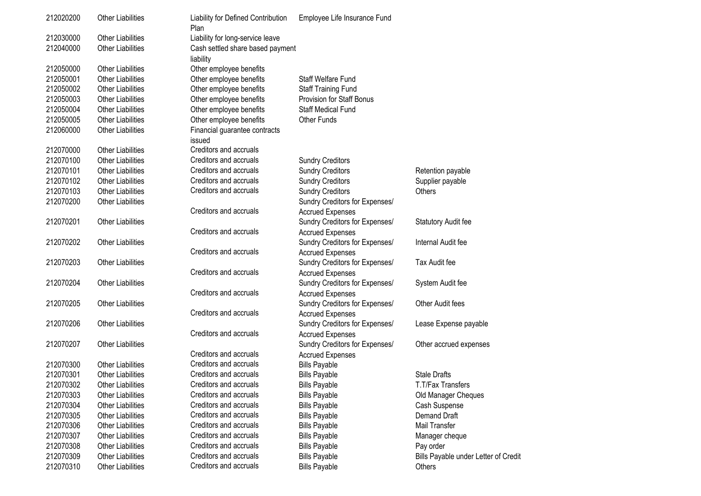| 212020200 | <b>Other Liabilities</b> | Liability for Defined Contribution<br>Plan | Employee Life Insurance Fund   |                                      |
|-----------|--------------------------|--------------------------------------------|--------------------------------|--------------------------------------|
| 212030000 | <b>Other Liabilities</b> | Liability for long-service leave           |                                |                                      |
| 212040000 | <b>Other Liabilities</b> | Cash settled share based payment           |                                |                                      |
|           |                          | liability                                  |                                |                                      |
| 212050000 | <b>Other Liabilities</b> | Other employee benefits                    |                                |                                      |
| 212050001 | <b>Other Liabilities</b> | Other employee benefits                    | Staff Welfare Fund             |                                      |
| 212050002 | <b>Other Liabilities</b> | Other employee benefits                    | Staff Training Fund            |                                      |
| 212050003 | <b>Other Liabilities</b> | Other employee benefits                    | Provision for Staff Bonus      |                                      |
| 212050004 | <b>Other Liabilities</b> | Other employee benefits                    | Staff Medical Fund             |                                      |
| 212050005 | <b>Other Liabilities</b> | Other employee benefits                    | <b>Other Funds</b>             |                                      |
| 212060000 | <b>Other Liabilities</b> | Financial guarantee contracts<br>issued    |                                |                                      |
| 212070000 | <b>Other Liabilities</b> | Creditors and accruals                     |                                |                                      |
| 212070100 | <b>Other Liabilities</b> | Creditors and accruals                     | <b>Sundry Creditors</b>        |                                      |
| 212070101 | <b>Other Liabilities</b> | Creditors and accruals                     | <b>Sundry Creditors</b>        | Retention payable                    |
| 212070102 | <b>Other Liabilities</b> | Creditors and accruals                     | <b>Sundry Creditors</b>        | Supplier payable                     |
| 212070103 | <b>Other Liabilities</b> | Creditors and accruals                     | <b>Sundry Creditors</b>        | Others                               |
| 212070200 | <b>Other Liabilities</b> |                                            | Sundry Creditors for Expenses/ |                                      |
|           |                          | Creditors and accruals                     | <b>Accrued Expenses</b>        |                                      |
| 212070201 | <b>Other Liabilities</b> |                                            | Sundry Creditors for Expenses/ | Statutory Audit fee                  |
|           |                          | Creditors and accruals                     | <b>Accrued Expenses</b>        |                                      |
| 212070202 | <b>Other Liabilities</b> |                                            | Sundry Creditors for Expenses/ | Internal Audit fee                   |
|           |                          | Creditors and accruals                     | <b>Accrued Expenses</b>        |                                      |
| 212070203 | <b>Other Liabilities</b> |                                            | Sundry Creditors for Expenses/ | Tax Audit fee                        |
|           |                          | Creditors and accruals                     | <b>Accrued Expenses</b>        |                                      |
| 212070204 | <b>Other Liabilities</b> |                                            | Sundry Creditors for Expenses/ | System Audit fee                     |
|           |                          | Creditors and accruals                     | <b>Accrued Expenses</b>        |                                      |
| 212070205 | <b>Other Liabilities</b> |                                            | Sundry Creditors for Expenses/ | Other Audit fees                     |
|           |                          | Creditors and accruals                     | <b>Accrued Expenses</b>        |                                      |
| 212070206 | <b>Other Liabilities</b> |                                            | Sundry Creditors for Expenses/ | Lease Expense payable                |
|           |                          | Creditors and accruals                     | <b>Accrued Expenses</b>        |                                      |
| 212070207 | <b>Other Liabilities</b> |                                            | Sundry Creditors for Expenses/ | Other accrued expenses               |
|           |                          | Creditors and accruals                     | <b>Accrued Expenses</b>        |                                      |
| 212070300 | <b>Other Liabilities</b> | Creditors and accruals                     | <b>Bills Payable</b>           |                                      |
| 212070301 | <b>Other Liabilities</b> | Creditors and accruals                     | <b>Bills Payable</b>           | <b>Stale Drafts</b>                  |
| 212070302 | Other Liabilities        | Creditors and accruals                     | <b>Bills Payable</b>           | T.T/Fax Transfers                    |
| 212070303 | <b>Other Liabilities</b> | Creditors and accruals                     | <b>Bills Payable</b>           | Old Manager Cheques                  |
| 212070304 | <b>Other Liabilities</b> | Creditors and accruals                     | <b>Bills Payable</b>           | Cash Suspense                        |
| 212070305 | <b>Other Liabilities</b> | Creditors and accruals                     | <b>Bills Payable</b>           | <b>Demand Draft</b>                  |
| 212070306 | <b>Other Liabilities</b> | Creditors and accruals                     | <b>Bills Payable</b>           | Mail Transfer                        |
| 212070307 | <b>Other Liabilities</b> | Creditors and accruals                     | <b>Bills Payable</b>           | Manager cheque                       |
| 212070308 | <b>Other Liabilities</b> | Creditors and accruals                     | <b>Bills Payable</b>           | Pay order                            |
| 212070309 | <b>Other Liabilities</b> | Creditors and accruals                     | <b>Bills Payable</b>           | Bills Payable under Letter of Credit |
| 212070310 | <b>Other Liabilities</b> | Creditors and accruals                     | <b>Bills Payable</b>           | Others                               |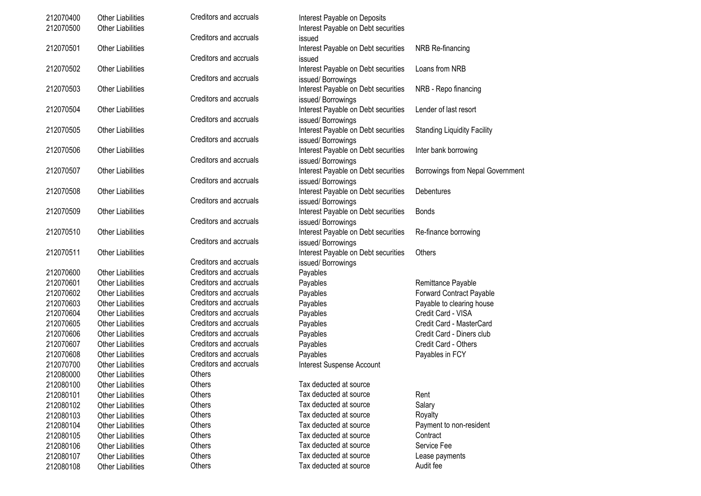| 212070400 | <b>Other Liabilities</b> | Creditors and accruals | Interest Payable on Deposits        |                                    |
|-----------|--------------------------|------------------------|-------------------------------------|------------------------------------|
| 212070500 | <b>Other Liabilities</b> |                        | Interest Payable on Debt securities |                                    |
|           |                          | Creditors and accruals | issued                              |                                    |
| 212070501 | <b>Other Liabilities</b> |                        | Interest Payable on Debt securities | NRB Re-financing                   |
|           |                          | Creditors and accruals | issued                              |                                    |
| 212070502 | <b>Other Liabilities</b> |                        | Interest Payable on Debt securities | Loans from NRB                     |
|           |                          | Creditors and accruals | issued/Borrowings                   |                                    |
| 212070503 | <b>Other Liabilities</b> |                        | Interest Payable on Debt securities | NRB - Repo financing               |
|           |                          | Creditors and accruals | issued/Borrowings                   |                                    |
| 212070504 | <b>Other Liabilities</b> |                        | Interest Payable on Debt securities | Lender of last resort              |
|           |                          | Creditors and accruals | issued/Borrowings                   |                                    |
| 212070505 | <b>Other Liabilities</b> |                        | Interest Payable on Debt securities | <b>Standing Liquidity Facility</b> |
|           |                          | Creditors and accruals | issued/Borrowings                   |                                    |
| 212070506 | <b>Other Liabilities</b> |                        | Interest Payable on Debt securities | Inter bank borrowing               |
|           |                          | Creditors and accruals | issued/Borrowings                   |                                    |
| 212070507 | <b>Other Liabilities</b> |                        | Interest Payable on Debt securities | Borrowings from Nepal Government   |
|           |                          | Creditors and accruals | issued/Borrowings                   |                                    |
| 212070508 | <b>Other Liabilities</b> |                        | Interest Payable on Debt securities | Debentures                         |
|           |                          | Creditors and accruals | issued/Borrowings                   |                                    |
| 212070509 | <b>Other Liabilities</b> |                        | Interest Payable on Debt securities | <b>Bonds</b>                       |
|           |                          | Creditors and accruals | issued/Borrowings                   |                                    |
| 212070510 | <b>Other Liabilities</b> |                        | Interest Payable on Debt securities | Re-finance borrowing               |
|           |                          | Creditors and accruals | issued/Borrowings                   |                                    |
| 212070511 | <b>Other Liabilities</b> |                        | Interest Payable on Debt securities | Others                             |
|           |                          | Creditors and accruals | issued/Borrowings                   |                                    |
| 212070600 | <b>Other Liabilities</b> | Creditors and accruals | Payables                            |                                    |
| 212070601 | <b>Other Liabilities</b> | Creditors and accruals | Payables                            | Remittance Payable                 |
| 212070602 | <b>Other Liabilities</b> | Creditors and accruals | Payables                            | Forward Contract Payable           |
| 212070603 | <b>Other Liabilities</b> | Creditors and accruals | Payables                            | Payable to clearing house          |
| 212070604 | <b>Other Liabilities</b> | Creditors and accruals | Payables                            | Credit Card - VISA                 |
| 212070605 | <b>Other Liabilities</b> | Creditors and accruals | Payables                            | Credit Card - MasterCard           |
| 212070606 | <b>Other Liabilities</b> | Creditors and accruals | Payables                            | Credit Card - Diners club          |
| 212070607 | <b>Other Liabilities</b> | Creditors and accruals | Payables                            | Credit Card - Others               |
| 212070608 | <b>Other Liabilities</b> | Creditors and accruals | Payables                            | Payables in FCY                    |
| 212070700 | <b>Other Liabilities</b> | Creditors and accruals | Interest Suspense Account           |                                    |
| 212080000 | <b>Other Liabilities</b> | Others                 |                                     |                                    |
| 212080100 | Other Liabilities        | Others                 | Tax deducted at source              |                                    |
| 212080101 | <b>Other Liabilities</b> | Others                 | Tax deducted at source              | Rent                               |
| 212080102 | <b>Other Liabilities</b> | Others                 | Tax deducted at source              | Salary                             |
| 212080103 | <b>Other Liabilities</b> | Others                 | Tax deducted at source              | Royalty                            |
|           |                          |                        | Tax deducted at source              | Payment to non-resident            |
| 212080104 | <b>Other Liabilities</b> | Others<br>Others       | Tax deducted at source              | Contract                           |
| 212080105 | <b>Other Liabilities</b> |                        | Tax deducted at source              | Service Fee                        |
| 212080106 | <b>Other Liabilities</b> | Others                 |                                     |                                    |
| 212080107 | <b>Other Liabilities</b> | Others                 | Tax deducted at source              | Lease payments                     |
| 212080108 | <b>Other Liabilities</b> | Others                 | Tax deducted at source              | Audit fee                          |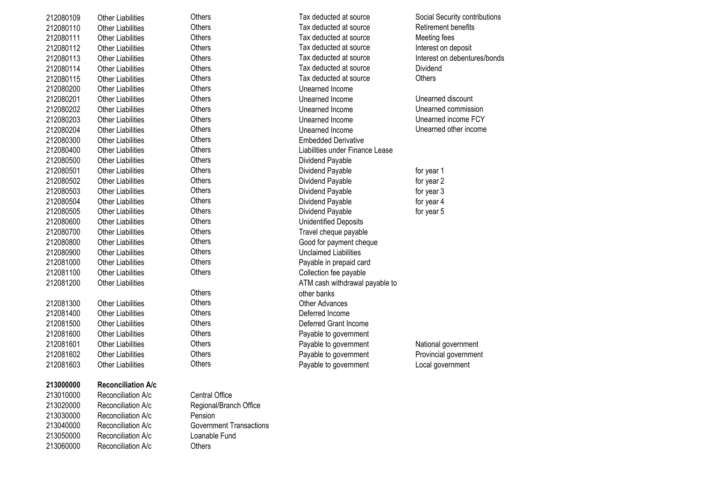| 212080109 | <b>Other Liabilities</b>  | <b>Others</b>                  | Tax deducted at source          | Social Security contributions |
|-----------|---------------------------|--------------------------------|---------------------------------|-------------------------------|
| 212080110 | <b>Other Liabilities</b>  | Others                         | Tax deducted at source          | Retirement benefits           |
| 212080111 | <b>Other Liabilities</b>  | Others                         | Tax deducted at source          | Meeting fees                  |
| 212080112 | <b>Other Liabilities</b>  | Others                         | Tax deducted at source          | Interest on deposit           |
| 212080113 | <b>Other Liabilities</b>  | Others                         | Tax deducted at source          | Interest on debentures/bonds  |
| 212080114 | <b>Other Liabilities</b>  | Others                         | Tax deducted at source          | Dividend                      |
| 212080115 | <b>Other Liabilities</b>  | Others                         | Tax deducted at source          | Others                        |
| 212080200 | <b>Other Liabilities</b>  | Others                         | Unearned Income                 |                               |
| 212080201 | <b>Other Liabilities</b>  | Others                         | Unearned Income                 | Unearned discount             |
| 212080202 | <b>Other Liabilities</b>  | <b>Others</b>                  | Unearned Income                 | Unearned commission           |
| 212080203 | <b>Other Liabilities</b>  | Others                         | Unearned Income                 | Unearned income FCY           |
| 212080204 | <b>Other Liabilities</b>  | Others                         | Unearned Income                 | Unearned other income         |
| 212080300 | <b>Other Liabilities</b>  | Others                         | <b>Embedded Derivative</b>      |                               |
| 212080400 | <b>Other Liabilities</b>  | Others                         | Liabilities under Finance Lease |                               |
| 212080500 | <b>Other Liabilities</b>  | Others                         | Dividend Payable                |                               |
| 212080501 | <b>Other Liabilities</b>  | <b>Others</b>                  | Dividend Payable                | for year 1                    |
| 212080502 | <b>Other Liabilities</b>  | Others                         | Dividend Payable                | for year 2                    |
| 212080503 | <b>Other Liabilities</b>  | Others                         | Dividend Payable                | for year 3                    |
| 212080504 | <b>Other Liabilities</b>  | Others                         | Dividend Payable                | for year 4                    |
| 212080505 | <b>Other Liabilities</b>  | Others                         | Dividend Payable                | for year 5                    |
| 212080600 | <b>Other Liabilities</b>  | Others                         | <b>Unidentified Deposits</b>    |                               |
| 212080700 | <b>Other Liabilities</b>  | Others                         | Travel cheque payable           |                               |
| 212080800 | <b>Other Liabilities</b>  | Others                         | Good for payment cheque         |                               |
| 212080900 | <b>Other Liabilities</b>  | Others                         | <b>Unclaimed Liabilities</b>    |                               |
| 212081000 | <b>Other Liabilities</b>  | Others                         | Payable in prepaid card         |                               |
| 212081100 | <b>Other Liabilities</b>  | Others                         | Collection fee payable          |                               |
| 212081200 | <b>Other Liabilities</b>  |                                | ATM cash withdrawal payable to  |                               |
|           |                           | Others                         | other banks                     |                               |
| 212081300 | <b>Other Liabilities</b>  | Others                         | <b>Other Advances</b>           |                               |
| 212081400 | <b>Other Liabilities</b>  | Others                         | Deferred Income                 |                               |
| 212081500 | <b>Other Liabilities</b>  | <b>Others</b>                  | Deferred Grant Income           |                               |
| 212081600 | <b>Other Liabilities</b>  | Others                         | Payable to government           |                               |
| 212081601 | <b>Other Liabilities</b>  | Others                         | Payable to government           | National government           |
| 212081602 | <b>Other Liabilities</b>  | Others                         | Payable to government           | Provincial government         |
| 212081603 | <b>Other Liabilities</b>  | Others                         | Payable to government           | Local government              |
| 213000000 | <b>Reconciliation A/c</b> |                                |                                 |                               |
| 213010000 | Reconciliation A/c        | <b>Central Office</b>          |                                 |                               |
| 213020000 | Reconciliation A/c        | Regional/Branch Office         |                                 |                               |
| 213030000 | Reconciliation A/c        | Pension                        |                                 |                               |
| 213040000 | Reconciliation A/c        | <b>Government Transactions</b> |                                 |                               |

213040000 Reconciliation A/c Government Transactions<br>213050000 Reconciliation A/c Loanable Fund

213050000 Reconciliation A/c Loanable Fund<br>213060000 Reconciliation A/c Others

Reconciliation A/c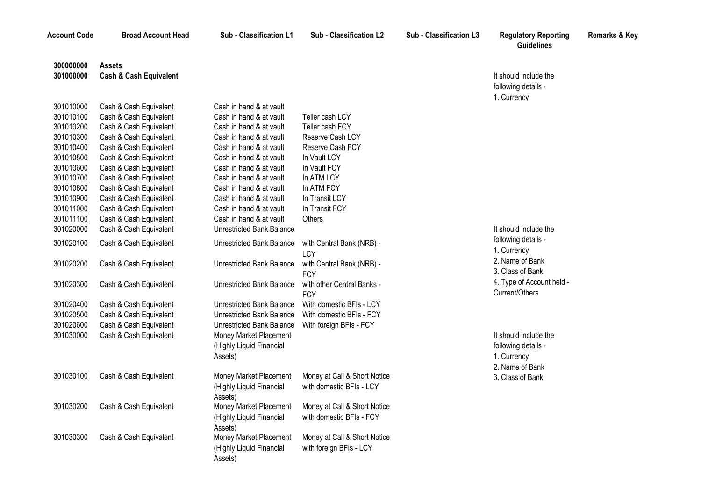**Account Code Broad Account Head Sub - Classification L1 Sub - Classification L2 Sub - Classification L3 Regulatory Reporting** 

**Remarks & Key**

**Guidelines**

| 300000000 | <b>Assets</b>                     |                                  |                              |                           |
|-----------|-----------------------------------|----------------------------------|------------------------------|---------------------------|
| 301000000 | <b>Cash &amp; Cash Equivalent</b> |                                  |                              | It should include the     |
|           |                                   |                                  |                              | following details -       |
|           |                                   |                                  |                              | 1. Currency               |
| 301010000 | Cash & Cash Equivalent            | Cash in hand & at vault          |                              |                           |
| 301010100 | Cash & Cash Equivalent            | Cash in hand & at vault          | Teller cash LCY              |                           |
| 301010200 | Cash & Cash Equivalent            | Cash in hand & at vault          | Teller cash FCY              |                           |
| 301010300 | Cash & Cash Equivalent            | Cash in hand & at vault          | Reserve Cash LCY             |                           |
| 301010400 | Cash & Cash Equivalent            | Cash in hand & at vault          | Reserve Cash FCY             |                           |
| 301010500 | Cash & Cash Equivalent            | Cash in hand & at vault          | In Vault LCY                 |                           |
| 301010600 | Cash & Cash Equivalent            | Cash in hand & at vault          | In Vault FCY                 |                           |
| 301010700 | Cash & Cash Equivalent            | Cash in hand & at vault          | In ATM LCY                   |                           |
| 301010800 | Cash & Cash Equivalent            | Cash in hand & at vault          | In ATM FCY                   |                           |
| 301010900 | Cash & Cash Equivalent            | Cash in hand & at vault          | In Transit LCY               |                           |
| 301011000 | Cash & Cash Equivalent            | Cash in hand & at vault          | In Transit FCY               |                           |
| 301011100 | Cash & Cash Equivalent            | Cash in hand & at vault          | <b>Others</b>                |                           |
| 301020000 | Cash & Cash Equivalent            | <b>Unrestricted Bank Balance</b> |                              | It should include the     |
| 301020100 | Cash & Cash Equivalent            | Unrestricted Bank Balance        | with Central Bank (NRB) -    | following details -       |
|           |                                   |                                  | LCY                          | 1. Currency               |
| 301020200 | Cash & Cash Equivalent            | <b>Unrestricted Bank Balance</b> | with Central Bank (NRB) -    | 2. Name of Bank           |
|           |                                   |                                  | <b>FCY</b>                   | 3. Class of Bank          |
| 301020300 | Cash & Cash Equivalent            | <b>Unrestricted Bank Balance</b> | with other Central Banks -   | 4. Type of Account held - |
|           |                                   |                                  | <b>FCY</b>                   | Current/Others            |
| 301020400 | Cash & Cash Equivalent            | <b>Unrestricted Bank Balance</b> | With domestic BFIs - LCY     |                           |
| 301020500 | Cash & Cash Equivalent            | <b>Unrestricted Bank Balance</b> | With domestic BFIs - FCY     |                           |
| 301020600 | Cash & Cash Equivalent            | <b>Unrestricted Bank Balance</b> | With foreign BFIs - FCY      |                           |
| 301030000 | Cash & Cash Equivalent            | Money Market Placement           |                              | It should include the     |
|           |                                   | (Highly Liquid Financial         |                              | following details -       |
|           |                                   | Assets)                          |                              | 1. Currency               |
|           |                                   |                                  |                              | 2. Name of Bank           |
| 301030100 | Cash & Cash Equivalent            | Money Market Placement           | Money at Call & Short Notice | 3. Class of Bank          |
|           |                                   | (Highly Liquid Financial         | with domestic BFIs - LCY     |                           |
|           |                                   | Assets)                          |                              |                           |
| 301030200 | Cash & Cash Equivalent            | Money Market Placement           | Money at Call & Short Notice |                           |
|           |                                   | (Highly Liquid Financial         | with domestic BFIs - FCY     |                           |
|           |                                   | Assets)                          |                              |                           |
| 301030300 | Cash & Cash Equivalent            | Money Market Placement           | Money at Call & Short Notice |                           |
|           |                                   | (Highly Liquid Financial         | with foreign BFIs - LCY      |                           |

Assets)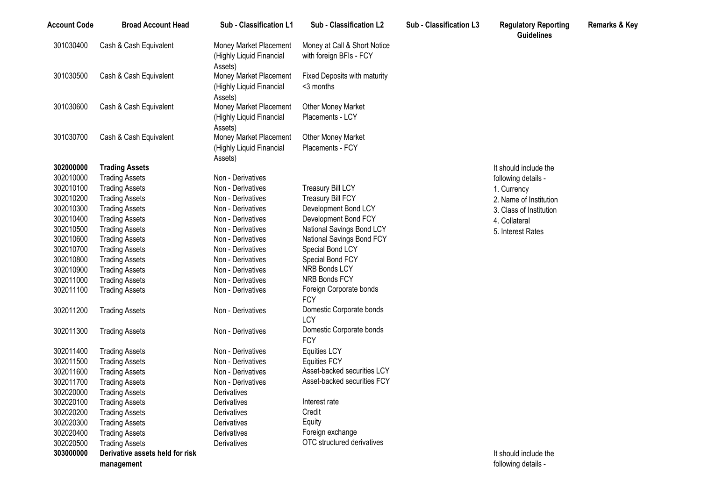| 301030400<br>Cash & Cash Equivalent<br>Money at Call & Short Notice<br>Money Market Placement<br>(Highly Liquid Financial<br>with foreign BFIs - FCY<br>Assets)<br>301030500<br>Cash & Cash Equivalent<br>Fixed Deposits with maturity<br>Money Market Placement<br><3 months<br>(Highly Liquid Financial<br>Assets) |  |  |  |  |
|----------------------------------------------------------------------------------------------------------------------------------------------------------------------------------------------------------------------------------------------------------------------------------------------------------------------|--|--|--|--|
|                                                                                                                                                                                                                                                                                                                      |  |  |  |  |
|                                                                                                                                                                                                                                                                                                                      |  |  |  |  |
|                                                                                                                                                                                                                                                                                                                      |  |  |  |  |
|                                                                                                                                                                                                                                                                                                                      |  |  |  |  |
|                                                                                                                                                                                                                                                                                                                      |  |  |  |  |
| 301030600<br>Cash & Cash Equivalent<br>Money Market Placement<br><b>Other Money Market</b>                                                                                                                                                                                                                           |  |  |  |  |
| Placements - LCY<br>(Highly Liquid Financial                                                                                                                                                                                                                                                                         |  |  |  |  |
| Assets)                                                                                                                                                                                                                                                                                                              |  |  |  |  |
| 301030700<br>Cash & Cash Equivalent<br>Money Market Placement<br><b>Other Money Market</b>                                                                                                                                                                                                                           |  |  |  |  |
| Placements - FCY<br>(Highly Liquid Financial                                                                                                                                                                                                                                                                         |  |  |  |  |
| Assets)                                                                                                                                                                                                                                                                                                              |  |  |  |  |
| 302000000<br><b>Trading Assets</b><br>It should include the                                                                                                                                                                                                                                                          |  |  |  |  |
| 302010000<br><b>Trading Assets</b><br>Non - Derivatives<br>following details -                                                                                                                                                                                                                                       |  |  |  |  |
| 302010100<br><b>Treasury Bill LCY</b><br><b>Trading Assets</b><br>Non - Derivatives<br>1. Currency                                                                                                                                                                                                                   |  |  |  |  |
| 302010200<br><b>Treasury Bill FCY</b><br><b>Trading Assets</b><br>Non - Derivatives<br>2. Name of Institution                                                                                                                                                                                                        |  |  |  |  |
| 302010300<br>Development Bond LCY<br><b>Trading Assets</b><br>Non - Derivatives<br>3. Class of Institution                                                                                                                                                                                                           |  |  |  |  |
| 302010400<br>Development Bond FCY<br><b>Trading Assets</b><br>Non - Derivatives<br>4. Collateral                                                                                                                                                                                                                     |  |  |  |  |
| 302010500<br>National Savings Bond LCY<br><b>Trading Assets</b><br>Non - Derivatives<br>5. Interest Rates                                                                                                                                                                                                            |  |  |  |  |
| 302010600<br><b>Trading Assets</b><br>Non - Derivatives<br>National Savings Bond FCY                                                                                                                                                                                                                                 |  |  |  |  |
| 302010700<br><b>Trading Assets</b><br>Non - Derivatives<br>Special Bond LCY                                                                                                                                                                                                                                          |  |  |  |  |
| 302010800<br><b>Trading Assets</b><br>Non - Derivatives<br>Special Bond FCY                                                                                                                                                                                                                                          |  |  |  |  |
| NRB Bonds LCY<br>302010900<br>Non - Derivatives<br><b>Trading Assets</b>                                                                                                                                                                                                                                             |  |  |  |  |
| NRB Bonds FCY<br>302011000<br>Non - Derivatives<br><b>Trading Assets</b>                                                                                                                                                                                                                                             |  |  |  |  |
| Foreign Corporate bonds<br>302011100<br>Non - Derivatives<br><b>Trading Assets</b><br><b>FCY</b>                                                                                                                                                                                                                     |  |  |  |  |
| Domestic Corporate bonds                                                                                                                                                                                                                                                                                             |  |  |  |  |
| 302011200<br>Non - Derivatives<br><b>Trading Assets</b><br>LCY                                                                                                                                                                                                                                                       |  |  |  |  |
| Domestic Corporate bonds<br>302011300<br>Non - Derivatives<br><b>Trading Assets</b>                                                                                                                                                                                                                                  |  |  |  |  |
| <b>FCY</b>                                                                                                                                                                                                                                                                                                           |  |  |  |  |
| 302011400<br><b>Trading Assets</b><br>Non - Derivatives<br><b>Equities LCY</b>                                                                                                                                                                                                                                       |  |  |  |  |
| 302011500<br><b>Trading Assets</b><br>Non - Derivatives<br><b>Equities FCY</b>                                                                                                                                                                                                                                       |  |  |  |  |
| Asset-backed securities LCY<br>302011600<br><b>Trading Assets</b><br>Non - Derivatives                                                                                                                                                                                                                               |  |  |  |  |
| Asset-backed securities FCY<br>302011700<br><b>Trading Assets</b><br>Non - Derivatives                                                                                                                                                                                                                               |  |  |  |  |
| 302020000<br><b>Trading Assets</b><br>Derivatives                                                                                                                                                                                                                                                                    |  |  |  |  |
| Interest rate<br>302020100<br><b>Trading Assets</b><br>Derivatives                                                                                                                                                                                                                                                   |  |  |  |  |
| Credit<br>302020200<br><b>Trading Assets</b><br>Derivatives                                                                                                                                                                                                                                                          |  |  |  |  |
| Equity<br>302020300<br><b>Trading Assets</b><br>Derivatives                                                                                                                                                                                                                                                          |  |  |  |  |
| Foreign exchange<br>302020400<br><b>Trading Assets</b><br>Derivatives                                                                                                                                                                                                                                                |  |  |  |  |
| OTC structured derivatives<br>302020500<br><b>Trading Assets</b><br>Derivatives                                                                                                                                                                                                                                      |  |  |  |  |
| 303000000<br>Derivative assets held for risk<br>It should include the                                                                                                                                                                                                                                                |  |  |  |  |
| following details -<br>management                                                                                                                                                                                                                                                                                    |  |  |  |  |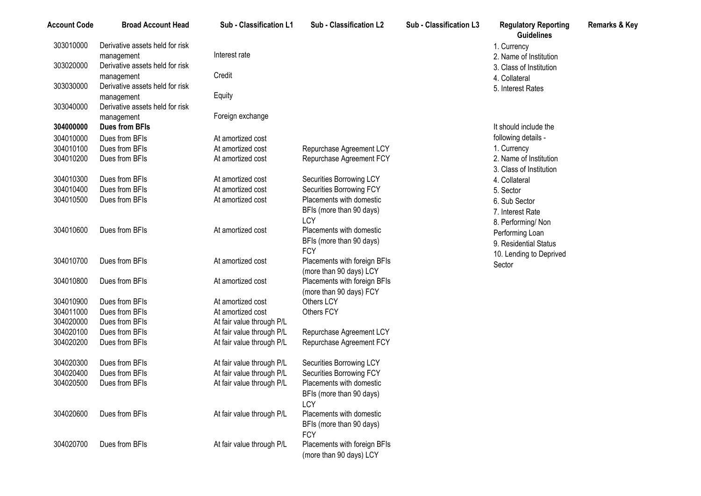| <b>Account Code</b> | <b>Broad Account Head</b>       | Sub - Classification L1   | <b>Sub - Classification L2</b> | <b>Sub - Classification L3</b> | <b>Regulatory Reporting</b><br><b>Guidelines</b> | <b>Remarks &amp; Key</b> |
|---------------------|---------------------------------|---------------------------|--------------------------------|--------------------------------|--------------------------------------------------|--------------------------|
| 303010000           | Derivative assets held for risk |                           |                                |                                | 1. Currency                                      |                          |
|                     | management                      | Interest rate             |                                |                                | 2. Name of Institution                           |                          |
| 303020000           | Derivative assets held for risk |                           |                                |                                | 3. Class of Institution                          |                          |
|                     | management                      | Credit                    |                                |                                | 4. Collateral                                    |                          |
| 303030000           | Derivative assets held for risk |                           |                                |                                | 5. Interest Rates                                |                          |
|                     | management                      | Equity                    |                                |                                |                                                  |                          |
| 303040000           | Derivative assets held for risk |                           |                                |                                |                                                  |                          |
|                     | management                      | Foreign exchange          |                                |                                |                                                  |                          |
| 304000000           | <b>Dues from BFIs</b>           |                           |                                |                                | It should include the                            |                          |
| 304010000           | Dues from BFIs                  | At amortized cost         |                                |                                | following details -                              |                          |
| 304010100           | Dues from BFIs                  | At amortized cost         | Repurchase Agreement LCY       |                                | 1. Currency                                      |                          |
| 304010200           | Dues from BFIs                  | At amortized cost         | Repurchase Agreement FCY       |                                | 2. Name of Institution                           |                          |
|                     |                                 |                           |                                |                                | 3. Class of Institution                          |                          |
| 304010300           | Dues from BFIs                  | At amortized cost         | Securities Borrowing LCY       |                                | 4. Collateral                                    |                          |
| 304010400           | Dues from BFIs                  | At amortized cost         | Securities Borrowing FCY       |                                | 5. Sector                                        |                          |
| 304010500           | Dues from BFIs                  | At amortized cost         | Placements with domestic       |                                | 6. Sub Sector                                    |                          |
|                     |                                 |                           | BFIs (more than 90 days)       |                                | 7. Interest Rate                                 |                          |
|                     |                                 |                           | LCY                            |                                |                                                  |                          |
| 304010600           | Dues from BFIs                  | At amortized cost         | Placements with domestic       |                                | 8. Performing/Non                                |                          |
|                     |                                 |                           | BFIs (more than 90 days)       |                                | Performing Loan                                  |                          |
|                     |                                 |                           | <b>FCY</b>                     |                                | 9. Residential Status                            |                          |
| 304010700           | Dues from BFIs                  | At amortized cost         | Placements with foreign BFIs   |                                | 10. Lending to Deprived                          |                          |
|                     |                                 |                           | (more than 90 days) LCY        |                                | Sector                                           |                          |
| 304010800           | Dues from BFIs                  | At amortized cost         | Placements with foreign BFIs   |                                |                                                  |                          |
|                     |                                 |                           | (more than 90 days) FCY        |                                |                                                  |                          |
| 304010900           | Dues from BFIs                  | At amortized cost         | Others LCY                     |                                |                                                  |                          |
| 304011000           | Dues from BFIs                  | At amortized cost         | Others FCY                     |                                |                                                  |                          |
| 304020000           | Dues from BFIs                  | At fair value through P/L |                                |                                |                                                  |                          |
| 304020100           | Dues from BFIs                  | At fair value through P/L | Repurchase Agreement LCY       |                                |                                                  |                          |
| 304020200           | Dues from BFIs                  | At fair value through P/L | Repurchase Agreement FCY       |                                |                                                  |                          |
|                     |                                 |                           |                                |                                |                                                  |                          |
| 304020300           | Dues from BFIs                  | At fair value through P/L | Securities Borrowing LCY       |                                |                                                  |                          |
| 304020400           | Dues from BFIs                  | At fair value through P/L | Securities Borrowing FCY       |                                |                                                  |                          |
| 304020500           | Dues from BFIs                  | At fair value through P/L | Placements with domestic       |                                |                                                  |                          |
|                     |                                 |                           | BFIs (more than 90 days)       |                                |                                                  |                          |
|                     |                                 |                           | LCY                            |                                |                                                  |                          |
| 304020600           | Dues from BFIs                  | At fair value through P/L | Placements with domestic       |                                |                                                  |                          |
|                     |                                 |                           | BFIs (more than 90 days)       |                                |                                                  |                          |
|                     |                                 |                           | <b>FCY</b>                     |                                |                                                  |                          |
| 304020700           | Dues from BFIs                  | At fair value through P/L | Placements with foreign BFIs   |                                |                                                  |                          |

(more than 90 days) LCY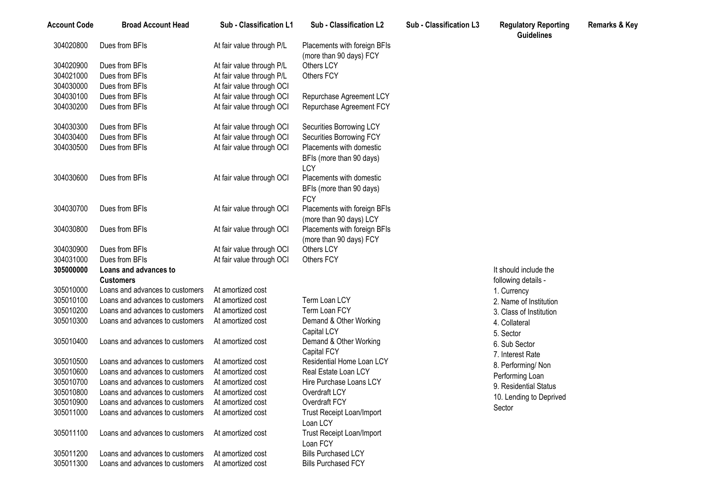| <b>Account Code</b> | <b>Broad Account Head</b>       | Sub - Classification L1   | Sub - Classification L2         | Sub - Classification L3 | <b>Regulatory Reporting</b><br><b>Guidelines</b> | <b>Remarks &amp; Key</b> |
|---------------------|---------------------------------|---------------------------|---------------------------------|-------------------------|--------------------------------------------------|--------------------------|
| 304020800           | Dues from BFIs                  | At fair value through P/L | Placements with foreign BFIs    |                         |                                                  |                          |
|                     |                                 |                           | (more than 90 days) FCY         |                         |                                                  |                          |
| 304020900           | Dues from BFIs                  | At fair value through P/L | Others LCY                      |                         |                                                  |                          |
| 304021000           | Dues from BFIs                  | At fair value through P/L | Others FCY                      |                         |                                                  |                          |
| 304030000           | Dues from BFIs                  | At fair value through OCI |                                 |                         |                                                  |                          |
| 304030100           | Dues from BFIs                  | At fair value through OCI | Repurchase Agreement LCY        |                         |                                                  |                          |
| 304030200           | Dues from BFIs                  | At fair value through OCI | Repurchase Agreement FCY        |                         |                                                  |                          |
| 304030300           | Dues from BFIs                  | At fair value through OCI | Securities Borrowing LCY        |                         |                                                  |                          |
| 304030400           | Dues from BFIs                  | At fair value through OCI | Securities Borrowing FCY        |                         |                                                  |                          |
| 304030500           | Dues from BFIs                  | At fair value through OCI | Placements with domestic        |                         |                                                  |                          |
|                     |                                 |                           | BFIs (more than 90 days)<br>LCY |                         |                                                  |                          |
| 304030600           | Dues from BFIs                  | At fair value through OCI | Placements with domestic        |                         |                                                  |                          |
|                     |                                 |                           | BFIs (more than 90 days)        |                         |                                                  |                          |
|                     |                                 |                           | <b>FCY</b>                      |                         |                                                  |                          |
| 304030700           | Dues from BFIs                  | At fair value through OCI | Placements with foreign BFIs    |                         |                                                  |                          |
|                     |                                 |                           | (more than 90 days) LCY         |                         |                                                  |                          |
| 304030800           | Dues from BFIs                  | At fair value through OCI | Placements with foreign BFIs    |                         |                                                  |                          |
|                     |                                 |                           | (more than 90 days) FCY         |                         |                                                  |                          |
| 304030900           | Dues from BFIs                  | At fair value through OCI | Others LCY                      |                         |                                                  |                          |
| 304031000           | Dues from BFIs                  | At fair value through OCI | Others FCY                      |                         |                                                  |                          |
| 305000000           | Loans and advances to           |                           |                                 |                         | It should include the                            |                          |
|                     | <b>Customers</b>                |                           |                                 |                         | following details -                              |                          |
| 305010000           | Loans and advances to customers | At amortized cost         |                                 |                         | 1. Currency                                      |                          |
| 305010100           | Loans and advances to customers | At amortized cost         | Term Loan LCY                   |                         | 2. Name of Institution                           |                          |
| 305010200           | Loans and advances to customers | At amortized cost         | Term Loan FCY                   |                         | 3. Class of Institution                          |                          |
| 305010300           | Loans and advances to customers | At amortized cost         | Demand & Other Working          |                         | 4. Collateral                                    |                          |
|                     |                                 |                           | Capital LCY                     |                         | 5. Sector                                        |                          |
| 305010400           | Loans and advances to customers | At amortized cost         | Demand & Other Working          |                         | 6. Sub Sector                                    |                          |
|                     |                                 |                           | Capital FCY                     |                         | 7. Interest Rate                                 |                          |
| 305010500           | Loans and advances to customers | At amortized cost         | Residential Home Loan LCY       |                         | 8. Performing/Non                                |                          |
| 305010600           | Loans and advances to customers | At amortized cost         | Real Estate Loan LCY            |                         | Performing Loan                                  |                          |
| 305010700           | Loans and advances to customers | At amortized cost         | Hire Purchase Loans LCY         |                         | 9. Residential Status                            |                          |
| 305010800           | Loans and advances to customers | At amortized cost         | Overdraft LCY                   |                         | 10. Lending to Deprived                          |                          |
| 305010900           | Loans and advances to customers | At amortized cost         | Overdraft FCY                   |                         | Sector                                           |                          |
| 305011000           | Loans and advances to customers | At amortized cost         | Trust Receipt Loan/Import       |                         |                                                  |                          |
|                     |                                 |                           | Loan LCY                        |                         |                                                  |                          |
| 305011100           | Loans and advances to customers | At amortized cost         | Trust Receipt Loan/Import       |                         |                                                  |                          |
|                     |                                 |                           | Loan FCY                        |                         |                                                  |                          |
| 305011200           | Loans and advances to customers | At amortized cost         | <b>Bills Purchased LCY</b>      |                         |                                                  |                          |
| 305011300           | Loans and advances to customers | At amortized cost         | <b>Bills Purchased FCY</b>      |                         |                                                  |                          |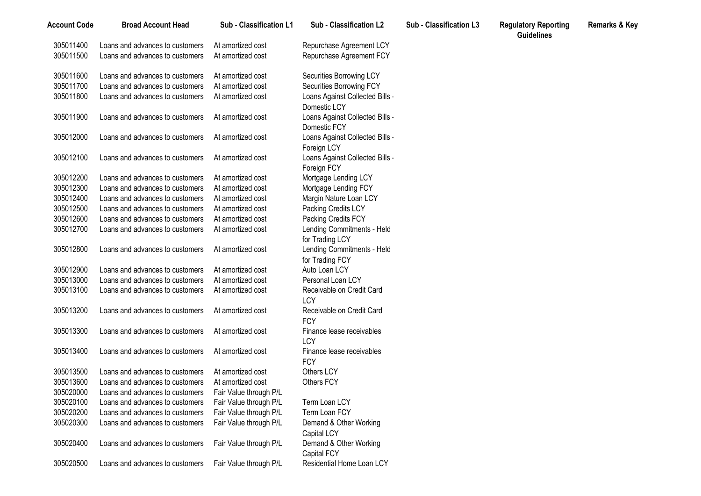| <b>Account Code</b> | <b>Broad Account Head</b>       | Sub - Classification L1 | Sub - Classification L2                              | Sub - Classification L3 | <b>Regulatory Reporting</b><br><b>Guidelines</b> | <b>Remarks &amp; Key</b> |
|---------------------|---------------------------------|-------------------------|------------------------------------------------------|-------------------------|--------------------------------------------------|--------------------------|
| 305011400           | Loans and advances to customers | At amortized cost       | Repurchase Agreement LCY                             |                         |                                                  |                          |
| 305011500           | Loans and advances to customers | At amortized cost       | Repurchase Agreement FCY                             |                         |                                                  |                          |
| 305011600           | Loans and advances to customers | At amortized cost       | Securities Borrowing LCY                             |                         |                                                  |                          |
| 305011700           | Loans and advances to customers | At amortized cost       | Securities Borrowing FCY                             |                         |                                                  |                          |
| 305011800           | Loans and advances to customers | At amortized cost       | Loans Against Collected Bills -<br>Domestic LCY      |                         |                                                  |                          |
| 305011900           | Loans and advances to customers | At amortized cost       | Loans Against Collected Bills -<br>Domestic FCY      |                         |                                                  |                          |
| 305012000           | Loans and advances to customers | At amortized cost       | Loans Against Collected Bills -<br>Foreign LCY       |                         |                                                  |                          |
| 305012100           | Loans and advances to customers | At amortized cost       | Loans Against Collected Bills -<br>Foreign FCY       |                         |                                                  |                          |
| 305012200           | Loans and advances to customers | At amortized cost       | Mortgage Lending LCY                                 |                         |                                                  |                          |
| 305012300           | Loans and advances to customers | At amortized cost       | Mortgage Lending FCY                                 |                         |                                                  |                          |
| 305012400           | Loans and advances to customers | At amortized cost       | Margin Nature Loan LCY                               |                         |                                                  |                          |
| 305012500           | Loans and advances to customers | At amortized cost       | Packing Credits LCY                                  |                         |                                                  |                          |
| 305012600           | Loans and advances to customers | At amortized cost       | Packing Credits FCY                                  |                         |                                                  |                          |
| 305012700           | Loans and advances to customers | At amortized cost       | Lending Commitments - Held<br>for Trading LCY        |                         |                                                  |                          |
| 305012800           | Loans and advances to customers | At amortized cost       | Lending Commitments - Held<br>for Trading FCY        |                         |                                                  |                          |
| 305012900           | Loans and advances to customers | At amortized cost       | Auto Loan LCY                                        |                         |                                                  |                          |
| 305013000           | Loans and advances to customers | At amortized cost       | Personal Loan LCY                                    |                         |                                                  |                          |
| 305013100           | Loans and advances to customers | At amortized cost       | Receivable on Credit Card                            |                         |                                                  |                          |
|                     |                                 |                         | LCY                                                  |                         |                                                  |                          |
| 305013200           | Loans and advances to customers | At amortized cost       | Receivable on Credit Card<br><b>FCY</b>              |                         |                                                  |                          |
| 305013300           | Loans and advances to customers | At amortized cost       | Finance lease receivables<br><b>LCY</b>              |                         |                                                  |                          |
| 305013400           | Loans and advances to customers | At amortized cost       | Finance lease receivables<br><b>FCY</b>              |                         |                                                  |                          |
| 305013500           | Loans and advances to customers | At amortized cost       | Others LCY                                           |                         |                                                  |                          |
| 305013600           | Loans and advances to customers | At amortized cost       | Others FCY                                           |                         |                                                  |                          |
| 305020000           | Loans and advances to customers | Fair Value through P/L  |                                                      |                         |                                                  |                          |
| 305020100           | Loans and advances to customers | Fair Value through P/L  | Term Loan LCY                                        |                         |                                                  |                          |
| 305020200           | Loans and advances to customers | Fair Value through P/L  | Term Loan FCY                                        |                         |                                                  |                          |
| 305020300           | Loans and advances to customers | Fair Value through P/L  | Demand & Other Working                               |                         |                                                  |                          |
| 305020400           | Loans and advances to customers | Fair Value through P/L  | Capital LCY<br>Demand & Other Working<br>Capital FCY |                         |                                                  |                          |
| 305020500           | Loans and advances to customers | Fair Value through P/L  | Residential Home Loan LCY                            |                         |                                                  |                          |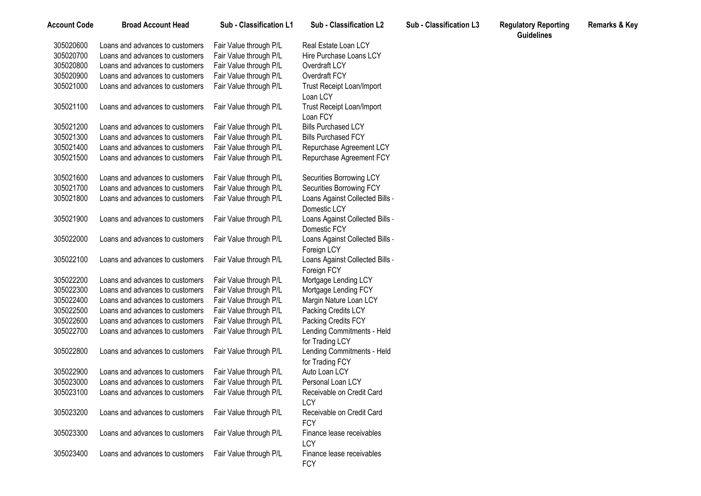| <b>Account Code</b> | <b>Broad Account Head</b>       | Sub - Classification L1 | Sub - Classification L2                      | <b>Sub - Classification L3</b> | <b>Regulatory Reporting</b><br><b>Guidelines</b> | <b>Remarks &amp; Key</b> |
|---------------------|---------------------------------|-------------------------|----------------------------------------------|--------------------------------|--------------------------------------------------|--------------------------|
| 305020600           | Loans and advances to customers | Fair Value through P/L  | Real Estate Loan LCY                         |                                |                                                  |                          |
| 305020700           | Loans and advances to customers | Fair Value through P/L  | Hire Purchase Loans LCY                      |                                |                                                  |                          |
| 305020800           | Loans and advances to customers | Fair Value through P/L  | Overdraft LCY                                |                                |                                                  |                          |
| 305020900           | Loans and advances to customers | Fair Value through P/L  | Overdraft FCY                                |                                |                                                  |                          |
| 305021000           | Loans and advances to customers | Fair Value through P/L  | <b>Trust Receipt Loan/Import</b><br>Loan LCY |                                |                                                  |                          |
| 305021100           | Loans and advances to customers | Fair Value through P/L  | Trust Receipt Loan/Import                    |                                |                                                  |                          |
| 305021200           | Loans and advances to customers | Fair Value through P/L  | Loan FCY<br><b>Bills Purchased LCY</b>       |                                |                                                  |                          |
| 305021300           | Loans and advances to customers | Fair Value through P/L  | <b>Bills Purchased FCY</b>                   |                                |                                                  |                          |
| 305021400           | Loans and advances to customers | Fair Value through P/L  |                                              |                                |                                                  |                          |
|                     |                                 |                         | Repurchase Agreement LCY                     |                                |                                                  |                          |
| 305021500           | Loans and advances to customers | Fair Value through P/L  | Repurchase Agreement FCY                     |                                |                                                  |                          |
| 305021600           | Loans and advances to customers | Fair Value through P/L  | Securities Borrowing LCY                     |                                |                                                  |                          |
| 305021700           | Loans and advances to customers | Fair Value through P/L  | Securities Borrowing FCY                     |                                |                                                  |                          |
| 305021800           | Loans and advances to customers | Fair Value through P/L  | Loans Against Collected Bills -              |                                |                                                  |                          |
|                     |                                 |                         | Domestic LCY                                 |                                |                                                  |                          |
| 305021900           | Loans and advances to customers | Fair Value through P/L  | Loans Against Collected Bills -              |                                |                                                  |                          |
|                     |                                 |                         | Domestic FCY                                 |                                |                                                  |                          |
| 305022000           | Loans and advances to customers | Fair Value through P/L  | Loans Against Collected Bills -              |                                |                                                  |                          |
|                     |                                 |                         | Foreign LCY                                  |                                |                                                  |                          |
| 305022100           | Loans and advances to customers | Fair Value through P/L  | Loans Against Collected Bills -              |                                |                                                  |                          |
|                     |                                 |                         | Foreign FCY                                  |                                |                                                  |                          |
| 305022200           | Loans and advances to customers | Fair Value through P/L  | Mortgage Lending LCY                         |                                |                                                  |                          |
| 305022300           | Loans and advances to customers | Fair Value through P/L  | Mortgage Lending FCY                         |                                |                                                  |                          |
| 305022400           | Loans and advances to customers | Fair Value through P/L  | Margin Nature Loan LCY                       |                                |                                                  |                          |
| 305022500           | Loans and advances to customers | Fair Value through P/L  | Packing Credits LCY                          |                                |                                                  |                          |
| 305022600           | Loans and advances to customers | Fair Value through P/L  | Packing Credits FCY                          |                                |                                                  |                          |
| 305022700           | Loans and advances to customers | Fair Value through P/L  | Lending Commitments - Held                   |                                |                                                  |                          |
|                     |                                 |                         | for Trading LCY                              |                                |                                                  |                          |
| 305022800           | Loans and advances to customers | Fair Value through P/L  | Lending Commitments - Held                   |                                |                                                  |                          |
|                     |                                 |                         | for Trading FCY                              |                                |                                                  |                          |
| 305022900           | Loans and advances to customers | Fair Value through P/L  | Auto Loan LCY                                |                                |                                                  |                          |
| 305023000           | Loans and advances to customers | Fair Value through P/L  | Personal Loan LCY                            |                                |                                                  |                          |
| 305023100           | Loans and advances to customers | Fair Value through P/L  | Receivable on Credit Card                    |                                |                                                  |                          |
|                     |                                 |                         | LCY                                          |                                |                                                  |                          |
| 305023200           | Loans and advances to customers | Fair Value through P/L  | Receivable on Credit Card                    |                                |                                                  |                          |
|                     |                                 |                         | <b>FCY</b>                                   |                                |                                                  |                          |
| 305023300           | Loans and advances to customers | Fair Value through P/L  | Finance lease receivables                    |                                |                                                  |                          |
|                     |                                 |                         | LCY                                          |                                |                                                  |                          |
| 305023400           | Loans and advances to customers | Fair Value through P/L  | Finance lease receivables                    |                                |                                                  |                          |
|                     |                                 |                         | <b>FCY</b>                                   |                                |                                                  |                          |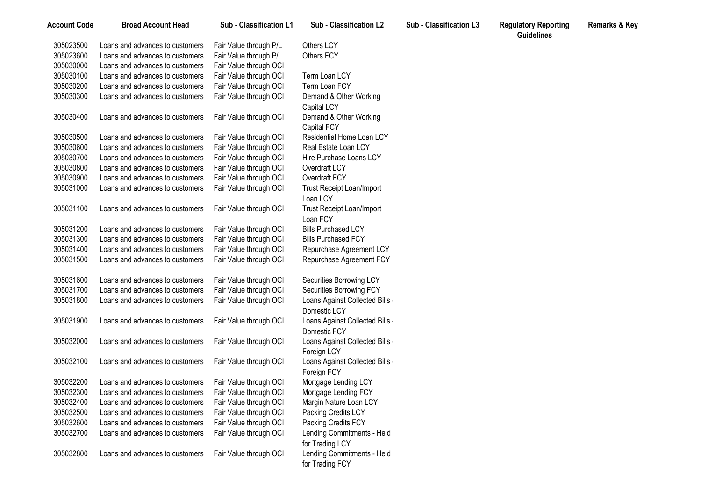| <b>Account Code</b> | <b>Broad Account Head</b>       | Sub - Classification L1 | Sub - Classification L2                       | <b>Sub - Classification L3</b> | <b>Regulatory Reporting</b><br><b>Guidelines</b> | <b>Remarks &amp; Key</b> |
|---------------------|---------------------------------|-------------------------|-----------------------------------------------|--------------------------------|--------------------------------------------------|--------------------------|
| 305023500           | Loans and advances to customers | Fair Value through P/L  | Others LCY                                    |                                |                                                  |                          |
| 305023600           | Loans and advances to customers | Fair Value through P/L  | Others FCY                                    |                                |                                                  |                          |
| 305030000           | Loans and advances to customers | Fair Value through OCI  |                                               |                                |                                                  |                          |
| 305030100           | Loans and advances to customers | Fair Value through OCI  | Term Loan LCY                                 |                                |                                                  |                          |
| 305030200           | Loans and advances to customers | Fair Value through OCI  | Term Loan FCY                                 |                                |                                                  |                          |
| 305030300           | Loans and advances to customers | Fair Value through OCI  | Demand & Other Working                        |                                |                                                  |                          |
|                     |                                 |                         | Capital LCY                                   |                                |                                                  |                          |
| 305030400           | Loans and advances to customers | Fair Value through OCI  | Demand & Other Working<br>Capital FCY         |                                |                                                  |                          |
| 305030500           | Loans and advances to customers | Fair Value through OCI  | Residential Home Loan LCY                     |                                |                                                  |                          |
| 305030600           | Loans and advances to customers | Fair Value through OCI  | Real Estate Loan LCY                          |                                |                                                  |                          |
| 305030700           | Loans and advances to customers | Fair Value through OCI  | Hire Purchase Loans LCY                       |                                |                                                  |                          |
| 305030800           | Loans and advances to customers | Fair Value through OCI  | Overdraft LCY                                 |                                |                                                  |                          |
| 305030900           | Loans and advances to customers | Fair Value through OCI  | Overdraft FCY                                 |                                |                                                  |                          |
| 305031000           | Loans and advances to customers | Fair Value through OCI  | Trust Receipt Loan/Import<br>Loan LCY         |                                |                                                  |                          |
| 305031100           | Loans and advances to customers | Fair Value through OCI  | <b>Trust Receipt Loan/Import</b><br>Loan FCY  |                                |                                                  |                          |
| 305031200           | Loans and advances to customers | Fair Value through OCI  | <b>Bills Purchased LCY</b>                    |                                |                                                  |                          |
| 305031300           | Loans and advances to customers | Fair Value through OCI  | <b>Bills Purchased FCY</b>                    |                                |                                                  |                          |
| 305031400           | Loans and advances to customers | Fair Value through OCI  | Repurchase Agreement LCY                      |                                |                                                  |                          |
| 305031500           | Loans and advances to customers | Fair Value through OCI  | Repurchase Agreement FCY                      |                                |                                                  |                          |
| 305031600           | Loans and advances to customers | Fair Value through OCI  | Securities Borrowing LCY                      |                                |                                                  |                          |
| 305031700           | Loans and advances to customers | Fair Value through OCI  | Securities Borrowing FCY                      |                                |                                                  |                          |
| 305031800           | Loans and advances to customers | Fair Value through OCI  | Loans Against Collected Bills -               |                                |                                                  |                          |
|                     |                                 |                         | Domestic LCY                                  |                                |                                                  |                          |
| 305031900           | Loans and advances to customers | Fair Value through OCI  | Loans Against Collected Bills -               |                                |                                                  |                          |
|                     |                                 |                         | Domestic FCY                                  |                                |                                                  |                          |
| 305032000           | Loans and advances to customers | Fair Value through OCI  | Loans Against Collected Bills -               |                                |                                                  |                          |
|                     |                                 |                         | Foreign LCY                                   |                                |                                                  |                          |
| 305032100           | Loans and advances to customers | Fair Value through OCI  | Loans Against Collected Bills -               |                                |                                                  |                          |
|                     |                                 |                         | Foreign FCY                                   |                                |                                                  |                          |
| 305032200           | Loans and advances to customers | Fair Value through OCI  | Mortgage Lending LCY                          |                                |                                                  |                          |
| 305032300           | Loans and advances to customers | Fair Value through OCI  | Mortgage Lending FCY                          |                                |                                                  |                          |
| 305032400           | Loans and advances to customers | Fair Value through OCI  | Margin Nature Loan LCY                        |                                |                                                  |                          |
| 305032500           | Loans and advances to customers | Fair Value through OCI  | Packing Credits LCY                           |                                |                                                  |                          |
| 305032600           | Loans and advances to customers | Fair Value through OCI  | Packing Credits FCY                           |                                |                                                  |                          |
| 305032700           | Loans and advances to customers | Fair Value through OCI  | Lending Commitments - Held                    |                                |                                                  |                          |
|                     |                                 |                         | for Trading LCY                               |                                |                                                  |                          |
| 305032800           | Loans and advances to customers | Fair Value through OCI  | Lending Commitments - Held<br>for Trading FCY |                                |                                                  |                          |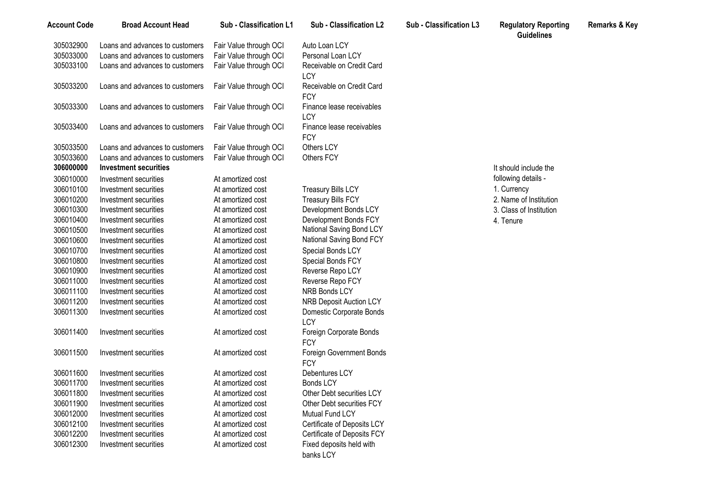| <b>Account Code</b> | <b>Broad Account Head</b>       | Sub - Classification L1 | Sub - Classification L2                 | Sub - Classification L3 | <b>Regulatory Reporting</b><br><b>Guidelines</b> | <b>Remarks &amp; Key</b> |
|---------------------|---------------------------------|-------------------------|-----------------------------------------|-------------------------|--------------------------------------------------|--------------------------|
| 305032900           | Loans and advances to customers | Fair Value through OCI  | Auto Loan LCY                           |                         |                                                  |                          |
| 305033000           | Loans and advances to customers | Fair Value through OCI  | Personal Loan LCY                       |                         |                                                  |                          |
| 305033100           | Loans and advances to customers | Fair Value through OCI  | Receivable on Credit Card<br><b>LCY</b> |                         |                                                  |                          |
| 305033200           | Loans and advances to customers | Fair Value through OCI  | Receivable on Credit Card<br><b>FCY</b> |                         |                                                  |                          |
| 305033300           | Loans and advances to customers | Fair Value through OCI  | Finance lease receivables<br>LCY        |                         |                                                  |                          |
| 305033400           | Loans and advances to customers | Fair Value through OCI  | Finance lease receivables<br><b>FCY</b> |                         |                                                  |                          |
| 305033500           | Loans and advances to customers | Fair Value through OCI  | Others LCY                              |                         |                                                  |                          |
| 305033600           | Loans and advances to customers | Fair Value through OCI  | Others FCY                              |                         |                                                  |                          |
| 306000000           | <b>Investment securities</b>    |                         |                                         |                         | It should include the                            |                          |
| 306010000           | Investment securities           | At amortized cost       |                                         |                         | following details -                              |                          |
| 306010100           | Investment securities           | At amortized cost       | <b>Treasury Bills LCY</b>               |                         | 1. Currency                                      |                          |
| 306010200           | Investment securities           | At amortized cost       | <b>Treasury Bills FCY</b>               |                         | 2. Name of Institution                           |                          |
| 306010300           | Investment securities           | At amortized cost       | Development Bonds LCY                   |                         | 3. Class of Institution                          |                          |
| 306010400           | Investment securities           | At amortized cost       | Development Bonds FCY                   |                         | 4. Tenure                                        |                          |
| 306010500           | Investment securities           | At amortized cost       | National Saving Bond LCY                |                         |                                                  |                          |
| 306010600           | Investment securities           | At amortized cost       | National Saving Bond FCY                |                         |                                                  |                          |
| 306010700           | Investment securities           | At amortized cost       | Special Bonds LCY                       |                         |                                                  |                          |
| 306010800           | Investment securities           | At amortized cost       | Special Bonds FCY                       |                         |                                                  |                          |
| 306010900           | Investment securities           | At amortized cost       | Reverse Repo LCY                        |                         |                                                  |                          |
| 306011000           | Investment securities           | At amortized cost       | Reverse Repo FCY                        |                         |                                                  |                          |
| 306011100           | Investment securities           | At amortized cost       | NRB Bonds LCY                           |                         |                                                  |                          |
| 306011200           | Investment securities           | At amortized cost       | <b>NRB Deposit Auction LCY</b>          |                         |                                                  |                          |
| 306011300           | Investment securities           | At amortized cost       | Domestic Corporate Bonds<br><b>LCY</b>  |                         |                                                  |                          |
| 306011400           | Investment securities           | At amortized cost       | Foreign Corporate Bonds<br><b>FCY</b>   |                         |                                                  |                          |
| 306011500           | Investment securities           | At amortized cost       | Foreign Government Bonds<br><b>FCY</b>  |                         |                                                  |                          |
| 306011600           | Investment securities           | At amortized cost       | Debentures LCY                          |                         |                                                  |                          |
| 306011700           | Investment securities           | At amortized cost       | <b>Bonds LCY</b>                        |                         |                                                  |                          |
| 306011800           | Investment securities           | At amortized cost       | Other Debt securities LCY               |                         |                                                  |                          |
| 306011900           | Investment securities           | At amortized cost       | Other Debt securities FCY               |                         |                                                  |                          |
| 306012000           | Investment securities           | At amortized cost       | Mutual Fund LCY                         |                         |                                                  |                          |
| 306012100           | Investment securities           | At amortized cost       | Certificate of Deposits LCY             |                         |                                                  |                          |
| 306012200           | Investment securities           | At amortized cost       | Certificate of Deposits FCY             |                         |                                                  |                          |
| 306012300           | Investment securities           | At amortized cost       | Fixed deposits held with<br>banks LCY   |                         |                                                  |                          |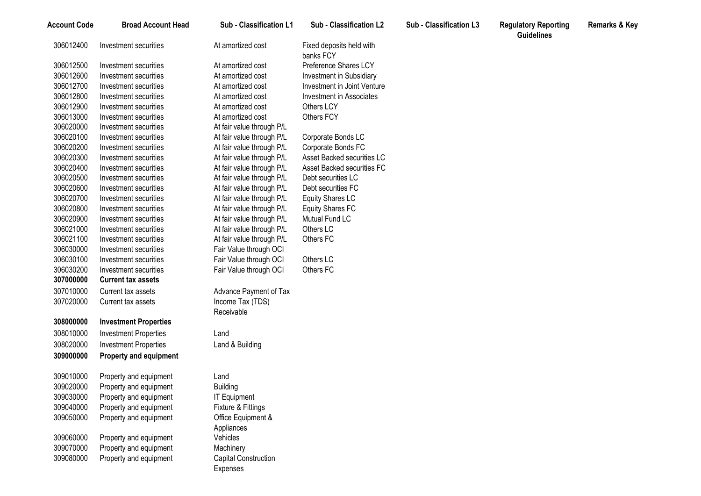| <b>Account Code</b> | <b>Broad Account Head</b>     | Sub - Classification L1     | <b>Sub - Classification L2</b>        | Sub - Classification L3 | <b>Regulatory Reporting</b><br><b>Guidelines</b> | <b>Remarks &amp; Key</b> |
|---------------------|-------------------------------|-----------------------------|---------------------------------------|-------------------------|--------------------------------------------------|--------------------------|
| 306012400           | Investment securities         | At amortized cost           | Fixed deposits held with<br>banks FCY |                         |                                                  |                          |
| 306012500           | Investment securities         | At amortized cost           | Preference Shares LCY                 |                         |                                                  |                          |
| 306012600           | Investment securities         | At amortized cost           | Investment in Subsidiary              |                         |                                                  |                          |
| 306012700           | Investment securities         | At amortized cost           | Investment in Joint Venture           |                         |                                                  |                          |
| 306012800           | Investment securities         | At amortized cost           | <b>Investment in Associates</b>       |                         |                                                  |                          |
| 306012900           | Investment securities         | At amortized cost           | Others LCY                            |                         |                                                  |                          |
| 306013000           | Investment securities         | At amortized cost           | Others FCY                            |                         |                                                  |                          |
| 306020000           | Investment securities         | At fair value through P/L   |                                       |                         |                                                  |                          |
| 306020100           | Investment securities         | At fair value through P/L   | Corporate Bonds LC                    |                         |                                                  |                          |
| 306020200           | Investment securities         | At fair value through P/L   | Corporate Bonds FC                    |                         |                                                  |                          |
| 306020300           | Investment securities         | At fair value through P/L   | Asset Backed securities LC            |                         |                                                  |                          |
| 306020400           | Investment securities         | At fair value through P/L   | Asset Backed securities FC            |                         |                                                  |                          |
| 306020500           | Investment securities         | At fair value through P/L   | Debt securities LC                    |                         |                                                  |                          |
| 306020600           | Investment securities         | At fair value through P/L   | Debt securities FC                    |                         |                                                  |                          |
| 306020700           | Investment securities         | At fair value through P/L   | Equity Shares LC                      |                         |                                                  |                          |
| 306020800           | Investment securities         | At fair value through P/L   | <b>Equity Shares FC</b>               |                         |                                                  |                          |
| 306020900           | Investment securities         | At fair value through P/L   | Mutual Fund LC                        |                         |                                                  |                          |
| 306021000           | Investment securities         | At fair value through P/L   | Others LC                             |                         |                                                  |                          |
| 306021100           | Investment securities         | At fair value through P/L   | Others FC                             |                         |                                                  |                          |
| 306030000           | Investment securities         | Fair Value through OCI      |                                       |                         |                                                  |                          |
| 306030100           | Investment securities         | Fair Value through OCI      | Others LC                             |                         |                                                  |                          |
| 306030200           | Investment securities         | Fair Value through OCI      | Others FC                             |                         |                                                  |                          |
| 307000000           | <b>Current tax assets</b>     |                             |                                       |                         |                                                  |                          |
| 307010000           | Current tax assets            | Advance Payment of Tax      |                                       |                         |                                                  |                          |
| 307020000           | Current tax assets            | Income Tax (TDS)            |                                       |                         |                                                  |                          |
|                     |                               | Receivable                  |                                       |                         |                                                  |                          |
| 308000000           | <b>Investment Properties</b>  |                             |                                       |                         |                                                  |                          |
| 308010000           | <b>Investment Properties</b>  | Land                        |                                       |                         |                                                  |                          |
| 308020000           | <b>Investment Properties</b>  | Land & Building             |                                       |                         |                                                  |                          |
| 309000000           | <b>Property and equipment</b> |                             |                                       |                         |                                                  |                          |
|                     |                               |                             |                                       |                         |                                                  |                          |
| 309010000           | Property and equipment        | Land                        |                                       |                         |                                                  |                          |
| 309020000           | Property and equipment        | <b>Building</b>             |                                       |                         |                                                  |                          |
| 309030000           | Property and equipment        | <b>IT Equipment</b>         |                                       |                         |                                                  |                          |
| 309040000           | Property and equipment        | Fixture & Fittings          |                                       |                         |                                                  |                          |
| 309050000           | Property and equipment        | Office Equipment &          |                                       |                         |                                                  |                          |
|                     |                               | Appliances                  |                                       |                         |                                                  |                          |
| 309060000           | Property and equipment        | Vehicles                    |                                       |                         |                                                  |                          |
| 309070000           | Property and equipment        | Machinery                   |                                       |                         |                                                  |                          |
| 309080000           | Property and equipment        | <b>Capital Construction</b> |                                       |                         |                                                  |                          |
|                     |                               | Expenses                    |                                       |                         |                                                  |                          |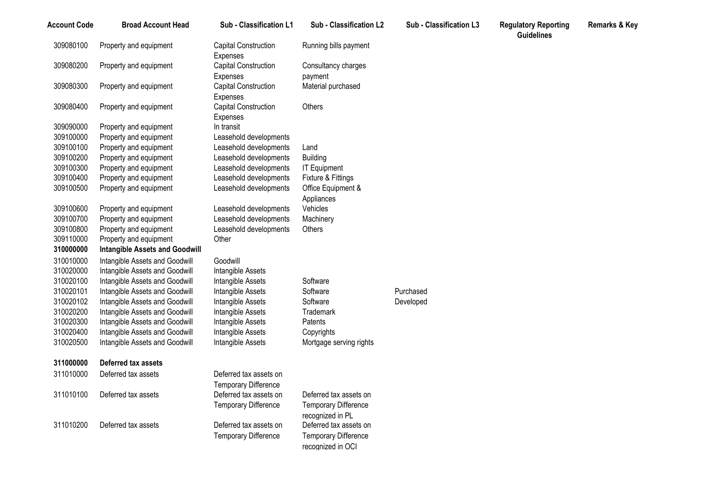| <b>Account Code</b> | <b>Broad Account Head</b>             | Sub - Classification L1     | Sub - Classification L2     | Sub - Classification L3 | <b>Regulatory Reporting</b><br><b>Guidelines</b> | <b>Remarks &amp; Key</b> |
|---------------------|---------------------------------------|-----------------------------|-----------------------------|-------------------------|--------------------------------------------------|--------------------------|
| 309080100           | Property and equipment                | Capital Construction        | Running bills payment       |                         |                                                  |                          |
|                     |                                       | <b>Expenses</b>             |                             |                         |                                                  |                          |
| 309080200           | Property and equipment                | Capital Construction        | Consultancy charges         |                         |                                                  |                          |
|                     |                                       | Expenses                    | payment                     |                         |                                                  |                          |
| 309080300           | Property and equipment                | Capital Construction        | Material purchased          |                         |                                                  |                          |
|                     |                                       | Expenses                    |                             |                         |                                                  |                          |
| 309080400           | Property and equipment                | <b>Capital Construction</b> | Others                      |                         |                                                  |                          |
|                     |                                       | Expenses                    |                             |                         |                                                  |                          |
| 309090000           | Property and equipment                | In transit                  |                             |                         |                                                  |                          |
| 309100000           | Property and equipment                | Leasehold developments      |                             |                         |                                                  |                          |
| 309100100           | Property and equipment                | Leasehold developments      | Land                        |                         |                                                  |                          |
| 309100200           | Property and equipment                | Leasehold developments      | <b>Building</b>             |                         |                                                  |                          |
| 309100300           | Property and equipment                | Leasehold developments      | <b>IT Equipment</b>         |                         |                                                  |                          |
| 309100400           | Property and equipment                | Leasehold developments      | Fixture & Fittings          |                         |                                                  |                          |
| 309100500           | Property and equipment                | Leasehold developments      | Office Equipment &          |                         |                                                  |                          |
|                     |                                       |                             | Appliances                  |                         |                                                  |                          |
| 309100600           | Property and equipment                | Leasehold developments      | Vehicles                    |                         |                                                  |                          |
| 309100700           | Property and equipment                | Leasehold developments      | Machinery                   |                         |                                                  |                          |
| 309100800           | Property and equipment                | Leasehold developments      | Others                      |                         |                                                  |                          |
| 309110000           | Property and equipment                | Other                       |                             |                         |                                                  |                          |
| 310000000           | <b>Intangible Assets and Goodwill</b> |                             |                             |                         |                                                  |                          |
| 310010000           | Intangible Assets and Goodwill        | Goodwill                    |                             |                         |                                                  |                          |
| 310020000           | Intangible Assets and Goodwill        | Intangible Assets           |                             |                         |                                                  |                          |
| 310020100           | Intangible Assets and Goodwill        | Intangible Assets           | Software                    |                         |                                                  |                          |
| 310020101           | Intangible Assets and Goodwill        | Intangible Assets           | Software                    | Purchased               |                                                  |                          |
| 310020102           | Intangible Assets and Goodwill        | Intangible Assets           | Software                    | Developed               |                                                  |                          |
| 310020200           | Intangible Assets and Goodwill        | Intangible Assets           | Trademark                   |                         |                                                  |                          |
| 310020300           | Intangible Assets and Goodwill        | Intangible Assets           | Patents                     |                         |                                                  |                          |
| 310020400           | Intangible Assets and Goodwill        | Intangible Assets           | Copyrights                  |                         |                                                  |                          |
| 310020500           | Intangible Assets and Goodwill        | Intangible Assets           | Mortgage serving rights     |                         |                                                  |                          |
| 311000000           | Deferred tax assets                   |                             |                             |                         |                                                  |                          |
| 311010000           | Deferred tax assets                   | Deferred tax assets on      |                             |                         |                                                  |                          |
|                     |                                       | <b>Temporary Difference</b> |                             |                         |                                                  |                          |
| 311010100           | Deferred tax assets                   | Deferred tax assets on      | Deferred tax assets on      |                         |                                                  |                          |
|                     |                                       | <b>Temporary Difference</b> | <b>Temporary Difference</b> |                         |                                                  |                          |
|                     |                                       |                             | recognized in PL            |                         |                                                  |                          |
| 311010200           | Deferred tax assets                   | Deferred tax assets on      | Deferred tax assets on      |                         |                                                  |                          |
|                     |                                       | <b>Temporary Difference</b> | <b>Temporary Difference</b> |                         |                                                  |                          |
|                     |                                       |                             | recognized in OCI           |                         |                                                  |                          |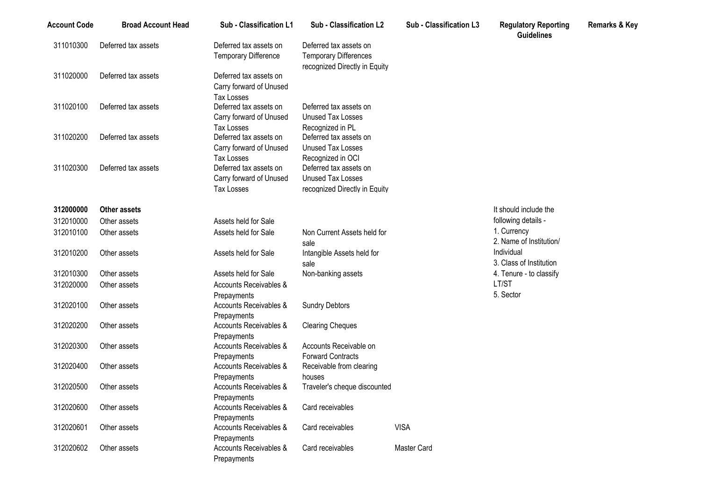| <b>Account Code</b> | <b>Broad Account Head</b> | Sub - Classification L1                                                | Sub - Classification L2                                                                 | Sub - Classification L3 | <b>Regulatory Reporting</b><br><b>Guidelines</b> | Remarks & Key |
|---------------------|---------------------------|------------------------------------------------------------------------|-----------------------------------------------------------------------------------------|-------------------------|--------------------------------------------------|---------------|
| 311010300           | Deferred tax assets       | Deferred tax assets on<br><b>Temporary Difference</b>                  | Deferred tax assets on<br><b>Temporary Differences</b><br>recognized Directly in Equity |                         |                                                  |               |
| 311020000           | Deferred tax assets       | Deferred tax assets on<br>Carry forward of Unused<br><b>Tax Losses</b> |                                                                                         |                         |                                                  |               |
| 311020100           | Deferred tax assets       | Deferred tax assets on<br>Carry forward of Unused<br><b>Tax Losses</b> | Deferred tax assets on<br>Unused Tax Losses<br>Recognized in PL                         |                         |                                                  |               |
| 311020200           | Deferred tax assets       | Deferred tax assets on<br>Carry forward of Unused<br>Tax Losses        | Deferred tax assets on<br><b>Unused Tax Losses</b><br>Recognized in OCI                 |                         |                                                  |               |
| 311020300           | Deferred tax assets       | Deferred tax assets on<br>Carry forward of Unused<br><b>Tax Losses</b> | Deferred tax assets on<br>Unused Tax Losses<br>recognized Directly in Equity            |                         |                                                  |               |
| 312000000           | Other assets              |                                                                        |                                                                                         |                         | It should include the                            |               |
| 312010000           | Other assets              | Assets held for Sale                                                   |                                                                                         |                         | following details -                              |               |
| 312010100           | Other assets              | Assets held for Sale                                                   | Non Current Assets held for<br>sale                                                     |                         | 1. Currency<br>2. Name of Institution/           |               |
| 312010200           | Other assets              | Assets held for Sale                                                   | Intangible Assets held for<br>sale                                                      |                         | Individual<br>3. Class of Institution            |               |
| 312010300           | Other assets              | Assets held for Sale                                                   | Non-banking assets                                                                      |                         | 4. Tenure - to classify                          |               |
| 312020000           | Other assets              | <b>Accounts Receivables &amp;</b><br>Prepayments                       |                                                                                         |                         | LT/ST<br>5. Sector                               |               |
| 312020100           | Other assets              | Accounts Receivables &<br>Prepayments                                  | <b>Sundry Debtors</b>                                                                   |                         |                                                  |               |
| 312020200           | Other assets              | Accounts Receivables &<br>Prepayments                                  | <b>Clearing Cheques</b>                                                                 |                         |                                                  |               |
| 312020300           | Other assets              | Accounts Receivables &<br>Prepayments                                  | Accounts Receivable on<br><b>Forward Contracts</b>                                      |                         |                                                  |               |
| 312020400           | Other assets              | Accounts Receivables &<br>Prepayments                                  | Receivable from clearing<br>houses                                                      |                         |                                                  |               |
| 312020500           | Other assets              | Accounts Receivables &<br>Prepayments                                  | Traveler's cheque discounted                                                            |                         |                                                  |               |
| 312020600           | Other assets              | Accounts Receivables &<br>Prepayments                                  | Card receivables                                                                        |                         |                                                  |               |
| 312020601           | Other assets              | Accounts Receivables &<br>Prepayments                                  | Card receivables                                                                        | <b>VISA</b>             |                                                  |               |
| 312020602           | Other assets              | Accounts Receivables &<br>Prepayments                                  | Card receivables                                                                        | Master Card             |                                                  |               |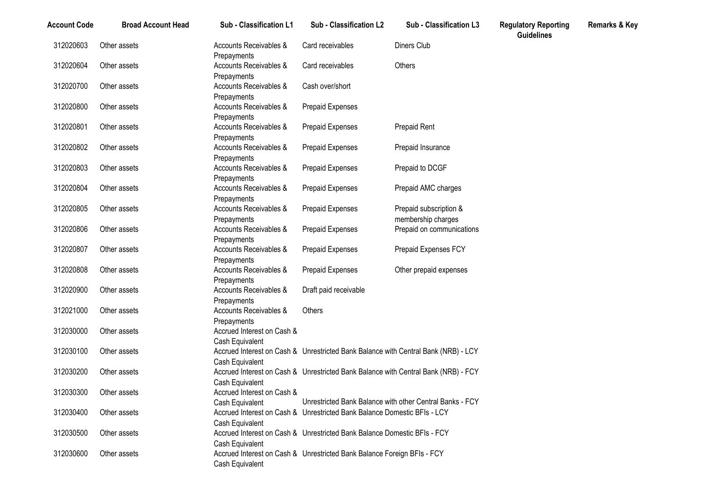| <b>Account Code</b> | <b>Broad Account Head</b> | Sub - Classification L1                       | Sub - Classification L2                                                            | Sub - Classification L3                         | <b>Regulatory Reporting</b><br><b>Guidelines</b> | Remarks & Key |
|---------------------|---------------------------|-----------------------------------------------|------------------------------------------------------------------------------------|-------------------------------------------------|--------------------------------------------------|---------------|
| 312020603           | Other assets              | Accounts Receivables &<br>Prepayments         | Card receivables                                                                   | Diners Club                                     |                                                  |               |
| 312020604           | Other assets              | Accounts Receivables &<br>Prepayments         | Card receivables                                                                   | Others                                          |                                                  |               |
| 312020700           | Other assets              | Accounts Receivables &<br>Prepayments         | Cash over/short                                                                    |                                                 |                                                  |               |
| 312020800           | Other assets              | Accounts Receivables &                        | Prepaid Expenses                                                                   |                                                 |                                                  |               |
| 312020801           | Other assets              | Prepayments<br>Accounts Receivables &         | Prepaid Expenses                                                                   | Prepaid Rent                                    |                                                  |               |
| 312020802           | Other assets              | Prepayments<br>Accounts Receivables &         | Prepaid Expenses                                                                   | Prepaid Insurance                               |                                                  |               |
| 312020803           | Other assets              | Prepayments<br>Accounts Receivables &         | Prepaid Expenses                                                                   | Prepaid to DCGF                                 |                                                  |               |
| 312020804           | Other assets              | Prepayments<br>Accounts Receivables &         | Prepaid Expenses                                                                   | Prepaid AMC charges                             |                                                  |               |
| 312020805           | Other assets              | Prepayments<br>Accounts Receivables &         | Prepaid Expenses                                                                   | Prepaid subscription &                          |                                                  |               |
| 312020806           | Other assets              | Prepayments<br>Accounts Receivables &         | Prepaid Expenses                                                                   | membership charges<br>Prepaid on communications |                                                  |               |
| 312020807           | Other assets              | Prepayments<br>Accounts Receivables &         | Prepaid Expenses                                                                   | Prepaid Expenses FCY                            |                                                  |               |
| 312020808           | Other assets              | Prepayments<br>Accounts Receivables &         | Prepaid Expenses                                                                   | Other prepaid expenses                          |                                                  |               |
| 312020900           | Other assets              | Prepayments<br>Accounts Receivables &         | Draft paid receivable                                                              |                                                 |                                                  |               |
| 312021000           | Other assets              | Prepayments<br>Accounts Receivables &         | Others                                                                             |                                                 |                                                  |               |
| 312030000           | Other assets              | Prepayments<br>Accrued Interest on Cash &     |                                                                                    |                                                 |                                                  |               |
| 312030100           | Other assets              | Cash Equivalent<br>Cash Equivalent            | Accrued Interest on Cash & Unrestricted Bank Balance with Central Bank (NRB) - LCY |                                                 |                                                  |               |
| 312030200           | Other assets              |                                               | Accrued Interest on Cash & Unrestricted Bank Balance with Central Bank (NRB) - FCY |                                                 |                                                  |               |
| 312030300           | Other assets              | Cash Equivalent<br>Accrued Interest on Cash & | Unrestricted Bank Balance with other Central Banks - FCY                           |                                                 |                                                  |               |
| 312030400           | Other assets              | Cash Equivalent                               | Accrued Interest on Cash & Unrestricted Bank Balance Domestic BFIs - LCY           |                                                 |                                                  |               |
| 312030500           | Other assets              | Cash Equivalent                               | Accrued Interest on Cash & Unrestricted Bank Balance Domestic BFIs - FCY           |                                                 |                                                  |               |
| 312030600           | Other assets              | Cash Equivalent<br>Cash Equivalent            | Accrued Interest on Cash & Unrestricted Bank Balance Foreign BFIs - FCY            |                                                 |                                                  |               |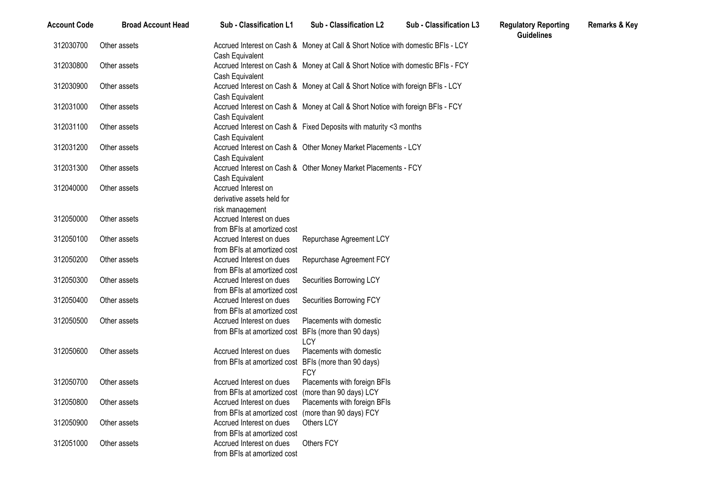| <b>Account Code</b> | <b>Broad Account Head</b> | Sub - Classification L1                                                         | Sub - Classification L2                                                          | Sub - Classification L3 | <b>Regulatory Reporting</b><br><b>Guidelines</b> | <b>Remarks &amp; Key</b> |
|---------------------|---------------------------|---------------------------------------------------------------------------------|----------------------------------------------------------------------------------|-------------------------|--------------------------------------------------|--------------------------|
| 312030700           | Other assets              | Cash Equivalent                                                                 | Accrued Interest on Cash & Money at Call & Short Notice with domestic BFIs - LCY |                         |                                                  |                          |
| 312030800           | Other assets              | Cash Equivalent                                                                 | Accrued Interest on Cash & Money at Call & Short Notice with domestic BFIs - FCY |                         |                                                  |                          |
| 312030900           | Other assets              | Cash Equivalent                                                                 | Accrued Interest on Cash & Money at Call & Short Notice with foreign BFIs - LCY  |                         |                                                  |                          |
| 312031000           | Other assets              | Cash Equivalent                                                                 | Accrued Interest on Cash & Money at Call & Short Notice with foreign BFIs - FCY  |                         |                                                  |                          |
| 312031100           | Other assets              | Cash Equivalent                                                                 | Accrued Interest on Cash & Fixed Deposits with maturity <3 months                |                         |                                                  |                          |
| 312031200           | Other assets              | Cash Equivalent                                                                 | Accrued Interest on Cash & Other Money Market Placements - LCY                   |                         |                                                  |                          |
| 312031300           | Other assets              | Cash Equivalent                                                                 | Accrued Interest on Cash & Other Money Market Placements - FCY                   |                         |                                                  |                          |
| 312040000           | Other assets              | Accrued Interest on<br>derivative assets held for                               |                                                                                  |                         |                                                  |                          |
| 312050000           | Other assets              | risk management<br>Accrued Interest on dues<br>from BFIs at amortized cost      |                                                                                  |                         |                                                  |                          |
| 312050100           | Other assets              | Accrued Interest on dues<br>from BFIs at amortized cost                         | Repurchase Agreement LCY                                                         |                         |                                                  |                          |
| 312050200           | Other assets              | Accrued Interest on dues<br>from BFIs at amortized cost                         | Repurchase Agreement FCY                                                         |                         |                                                  |                          |
| 312050300           | Other assets              | Accrued Interest on dues<br>from BFIs at amortized cost                         | Securities Borrowing LCY                                                         |                         |                                                  |                          |
| 312050400           | Other assets              | Accrued Interest on dues<br>from BFIs at amortized cost                         | Securities Borrowing FCY                                                         |                         |                                                  |                          |
| 312050500           | Other assets              | Accrued Interest on dues<br>from BFIs at amortized cost                         | Placements with domestic<br>BFIs (more than 90 days)<br>LCY                      |                         |                                                  |                          |
| 312050600           | Other assets              | Accrued Interest on dues<br>from BFIs at amortized cost                         | Placements with domestic<br>BFIs (more than 90 days)<br><b>FCY</b>               |                         |                                                  |                          |
| 312050700           | Other assets              | Accrued Interest on dues<br>from BFIs at amortized cost (more than 90 days) LCY | Placements with foreign BFIs                                                     |                         |                                                  |                          |
| 312050800           | Other assets              | Accrued Interest on dues<br>from BFIs at amortized cost (more than 90 days) FCY | Placements with foreign BFIs                                                     |                         |                                                  |                          |
| 312050900           | Other assets              | Accrued Interest on dues<br>from BFIs at amortized cost                         | Others LCY                                                                       |                         |                                                  |                          |
| 312051000           | Other assets              | Accrued Interest on dues<br>from BFIs at amortized cost                         | Others FCY                                                                       |                         |                                                  |                          |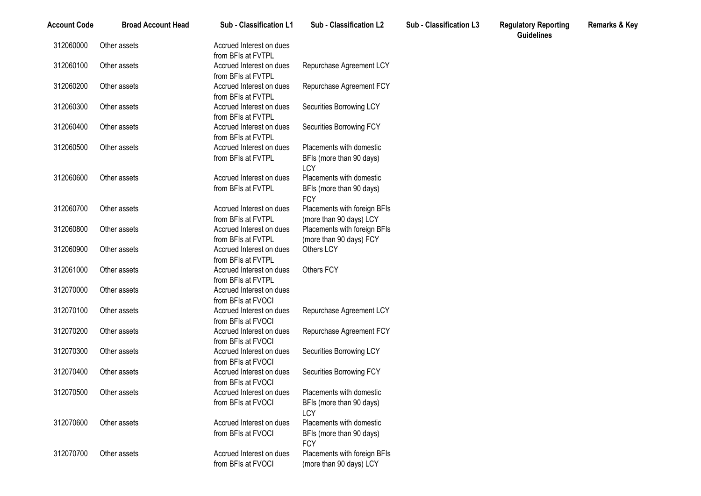| <b>Account Code</b> | <b>Broad Account Head</b> | Sub - Classification L1                        | <b>Sub - Classification L2</b>                                        | <b>Sub - Classification L3</b> | <b>Regulatory Reporting</b><br><b>Guidelines</b> | <b>Remarks &amp; Key</b> |
|---------------------|---------------------------|------------------------------------------------|-----------------------------------------------------------------------|--------------------------------|--------------------------------------------------|--------------------------|
| 312060000           | Other assets              | Accrued Interest on dues<br>from BFIs at FVTPL |                                                                       |                                |                                                  |                          |
| 312060100           | Other assets              | Accrued Interest on dues<br>from BFIs at FVTPL | Repurchase Agreement LCY                                              |                                |                                                  |                          |
| 312060200           | Other assets              | Accrued Interest on dues<br>from BFIs at FVTPL | Repurchase Agreement FCY                                              |                                |                                                  |                          |
| 312060300           | Other assets              | Accrued Interest on dues<br>from BFIs at FVTPL | Securities Borrowing LCY                                              |                                |                                                  |                          |
| 312060400           | Other assets              | Accrued Interest on dues<br>from BFIs at FVTPL | Securities Borrowing FCY                                              |                                |                                                  |                          |
| 312060500           | Other assets              | Accrued Interest on dues<br>from BFIs at FVTPL | Placements with domestic<br>BFIs (more than 90 days)                  |                                |                                                  |                          |
| 312060600           | Other assets              | Accrued Interest on dues                       | LCY<br>Placements with domestic                                       |                                |                                                  |                          |
|                     |                           | from BFIs at FVTPL                             | BFIs (more than 90 days)<br><b>FCY</b>                                |                                |                                                  |                          |
| 312060700           | Other assets              | Accrued Interest on dues<br>from BFIs at FVTPL | Placements with foreign BFIs<br>(more than 90 days) LCY               |                                |                                                  |                          |
| 312060800           | Other assets              | Accrued Interest on dues<br>from BFIs at FVTPL | Placements with foreign BFIs<br>(more than 90 days) FCY               |                                |                                                  |                          |
| 312060900           | Other assets              | Accrued Interest on dues<br>from BFIs at FVTPL | Others LCY                                                            |                                |                                                  |                          |
| 312061000           | Other assets              | Accrued Interest on dues<br>from BFIs at FVTPL | Others FCY                                                            |                                |                                                  |                          |
| 312070000           | Other assets              | Accrued Interest on dues<br>from BFIs at FVOCI |                                                                       |                                |                                                  |                          |
| 312070100           | Other assets              | Accrued Interest on dues<br>from BFIs at FVOCI | Repurchase Agreement LCY                                              |                                |                                                  |                          |
| 312070200           | Other assets              | Accrued Interest on dues<br>from BFIs at FVOCI | Repurchase Agreement FCY                                              |                                |                                                  |                          |
| 312070300           | Other assets              | Accrued Interest on dues<br>from BFIs at FVOCI | Securities Borrowing LCY                                              |                                |                                                  |                          |
| 312070400           | Other assets              | Accrued Interest on dues<br>from BFIs at FVOCI | Securities Borrowing FCY                                              |                                |                                                  |                          |
| 312070500           | Other assets              | Accrued Interest on dues<br>from BFIs at FVOCI | Placements with domestic<br>BFIs (more than 90 days)                  |                                |                                                  |                          |
| 312070600           | Other assets              | Accrued Interest on dues<br>from BFIs at FVOCI | LCY<br>Placements with domestic<br>BFIs (more than 90 days)           |                                |                                                  |                          |
| 312070700           | Other assets              | Accrued Interest on dues<br>from BFIs at FVOCI | <b>FCY</b><br>Placements with foreign BFIs<br>(more than 90 days) LCY |                                |                                                  |                          |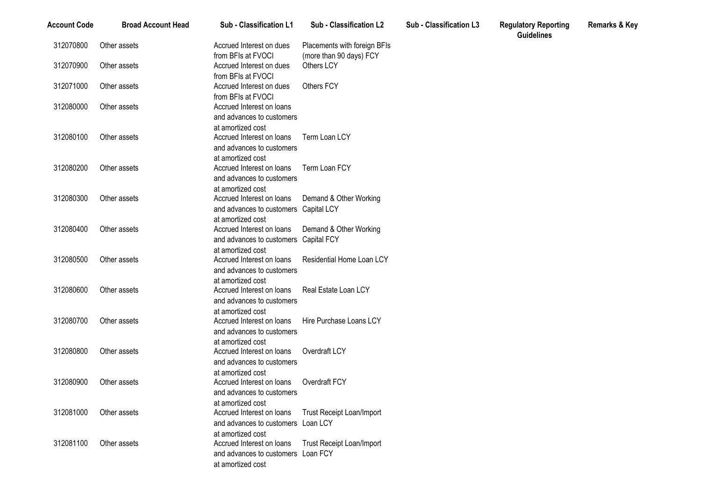| <b>Account Code</b> | <b>Broad Account Head</b> | <b>Sub - Classification L1</b>                                                                   | Sub - Classification L2                                 | <b>Sub - Classification L3</b> | <b>Regulatory Reporting</b><br><b>Guidelines</b> | <b>Remarks &amp; Key</b> |
|---------------------|---------------------------|--------------------------------------------------------------------------------------------------|---------------------------------------------------------|--------------------------------|--------------------------------------------------|--------------------------|
| 312070800           | Other assets              | Accrued Interest on dues<br>from BFIs at FVOCI                                                   | Placements with foreign BFIs<br>(more than 90 days) FCY |                                |                                                  |                          |
| 312070900           | Other assets              | Accrued Interest on dues<br>from BFIs at FVOCI                                                   | Others LCY                                              |                                |                                                  |                          |
| 312071000           | Other assets              | Accrued Interest on dues<br>from BFIs at FVOCI                                                   | Others FCY                                              |                                |                                                  |                          |
| 312080000           | Other assets              | Accrued Interest on loans<br>and advances to customers                                           |                                                         |                                |                                                  |                          |
| 312080100           | Other assets              | at amortized cost<br>Accrued Interest on loans                                                   | Term Loan LCY                                           |                                |                                                  |                          |
|                     |                           | and advances to customers<br>at amortized cost                                                   |                                                         |                                |                                                  |                          |
| 312080200           | Other assets              | Accrued Interest on loans<br>and advances to customers                                           | Term Loan FCY                                           |                                |                                                  |                          |
| 312080300           | Other assets              | at amortized cost<br>Accrued Interest on loans                                                   | Demand & Other Working                                  |                                |                                                  |                          |
|                     |                           | and advances to customers Capital LCY<br>at amortized cost                                       |                                                         |                                |                                                  |                          |
| 312080400           | Other assets              | Accrued Interest on loans<br>and advances to customers Capital FCY                               | Demand & Other Working                                  |                                |                                                  |                          |
| 312080500           | Other assets              | at amortized cost<br>Accrued Interest on loans                                                   | Residential Home Loan LCY                               |                                |                                                  |                          |
|                     |                           | and advances to customers<br>at amortized cost                                                   |                                                         |                                |                                                  |                          |
| 312080600           | Other assets              | Accrued Interest on loans<br>and advances to customers                                           | Real Estate Loan LCY                                    |                                |                                                  |                          |
| 312080700           | Other assets              | at amortized cost<br>Accrued Interest on loans<br>and advances to customers                      | Hire Purchase Loans LCY                                 |                                |                                                  |                          |
| 312080800           | Other assets              | at amortized cost<br>Accrued Interest on loans<br>and advances to customers<br>at amortized cost | Overdraft LCY                                           |                                |                                                  |                          |
| 312080900           | Other assets              | Accrued Interest on loans<br>and advances to customers<br>at amortized cost                      | Overdraft FCY                                           |                                |                                                  |                          |
| 312081000           | Other assets              | Accrued Interest on loans<br>and advances to customers Loan LCY<br>at amortized cost             | Trust Receipt Loan/Import                               |                                |                                                  |                          |
| 312081100           | Other assets              | Accrued Interest on loans<br>and advances to customers Loan FCY<br>at amortized cost             | <b>Trust Receipt Loan/Import</b>                        |                                |                                                  |                          |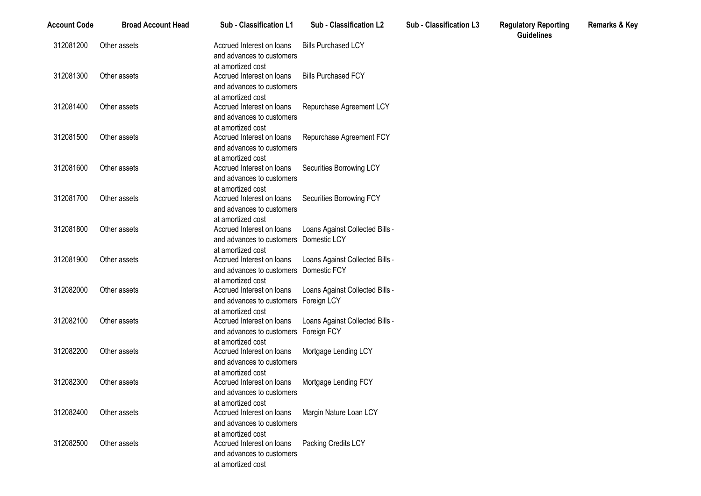| <b>Account Code</b> | <b>Broad Account Head</b> | Sub - Classification L1                                                                          | <b>Sub - Classification L2</b>  | <b>Sub - Classification L3</b> | <b>Regulatory Reporting</b><br><b>Guidelines</b> |
|---------------------|---------------------------|--------------------------------------------------------------------------------------------------|---------------------------------|--------------------------------|--------------------------------------------------|
| 312081200           | Other assets              | Accrued Interest on loans<br>and advances to customers                                           | <b>Bills Purchased LCY</b>      |                                |                                                  |
| 312081300           | Other assets              | at amortized cost<br>Accrued Interest on loans<br>and advances to customers                      | <b>Bills Purchased FCY</b>      |                                |                                                  |
| 312081400           | Other assets              | at amortized cost<br>Accrued Interest on loans<br>and advances to customers                      | Repurchase Agreement LCY        |                                |                                                  |
| 312081500           | Other assets              | at amortized cost<br>Accrued Interest on loans<br>and advances to customers                      | Repurchase Agreement FCY        |                                |                                                  |
| 312081600           | Other assets              | at amortized cost<br>Accrued Interest on loans<br>and advances to customers                      | Securities Borrowing LCY        |                                |                                                  |
| 312081700           | Other assets              | at amortized cost<br>Accrued Interest on loans<br>and advances to customers                      | Securities Borrowing FCY        |                                |                                                  |
| 312081800           | Other assets              | at amortized cost<br>Accrued Interest on loans<br>and advances to customers Domestic LCY         | Loans Against Collected Bills   |                                |                                                  |
| 312081900           | Other assets              | at amortized cost<br>Accrued Interest on loans<br>and advances to customers Domestic FCY         | Loans Against Collected Bills - |                                |                                                  |
| 312082000           | Other assets              | at amortized cost<br>Accrued Interest on loans<br>and advances to customers Foreign LCY          | Loans Against Collected Bills - |                                |                                                  |
| 312082100           | Other assets              | at amortized cost<br>Accrued Interest on loans<br>and advances to customers Foreign FCY          | Loans Against Collected Bills   |                                |                                                  |
| 312082200           | Other assets              | at amortized cost<br>Accrued Interest on loans<br>and advances to customers                      | Mortgage Lending LCY            |                                |                                                  |
| 312082300           | Other assets              | at amortized cost<br>Accrued Interest on loans<br>and advances to customers                      | Mortgage Lending FCY            |                                |                                                  |
| 312082400           | Other assets              | at amortized cost<br>Accrued Interest on loans<br>and advances to customers                      | Margin Nature Loan LCY          |                                |                                                  |
| 312082500           | Other assets              | at amortized cost<br>Accrued Interest on loans<br>and advances to customers<br>at amortized cost | Packing Credits LCY             |                                |                                                  |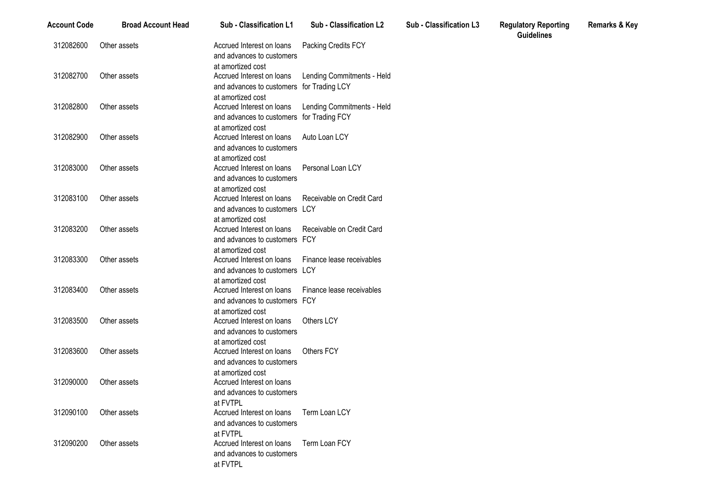| <b>Account Code</b> | <b>Broad Account Head</b> | Sub - Classification L1                                                                     | <b>Sub - Classification L2</b> | Sub - Classification L3 | <b>Regulatory Reporting</b><br><b>Guidelines</b> |
|---------------------|---------------------------|---------------------------------------------------------------------------------------------|--------------------------------|-------------------------|--------------------------------------------------|
| 312082600           | Other assets              | Accrued Interest on loans<br>and advances to customers<br>at amortized cost                 | Packing Credits FCY            |                         |                                                  |
| 312082700           | Other assets              | Accrued Interest on loans<br>and advances to customers for Trading LCY                      | Lending Commitments - Held     |                         |                                                  |
| 312082800           | Other assets              | at amortized cost<br>Accrued Interest on loans<br>and advances to customers for Trading FCY | Lending Commitments - Held     |                         |                                                  |
| 312082900           | Other assets              | at amortized cost<br>Accrued Interest on loans<br>and advances to customers                 | Auto Loan LCY                  |                         |                                                  |
| 312083000           | Other assets              | at amortized cost<br>Accrued Interest on loans<br>and advances to customers                 | Personal Loan LCY              |                         |                                                  |
| 312083100           | Other assets              | at amortized cost<br>Accrued Interest on loans<br>and advances to customers LCY             | Receivable on Credit Card      |                         |                                                  |
| 312083200           | Other assets              | at amortized cost<br>Accrued Interest on loans<br>and advances to customers FCY             | Receivable on Credit Card      |                         |                                                  |
| 312083300           | Other assets              | at amortized cost<br>Accrued Interest on loans<br>and advances to customers LCY             | Finance lease receivables      |                         |                                                  |
| 312083400           | Other assets              | at amortized cost<br>Accrued Interest on loans<br>and advances to customers FCY             | Finance lease receivables      |                         |                                                  |
| 312083500           | Other assets              | at amortized cost<br>Accrued Interest on loans<br>and advances to customers                 | Others LCY                     |                         |                                                  |
| 312083600           | Other assets              | at amortized cost<br>Accrued Interest on loans<br>and advances to customers                 | <b>Others FCY</b>              |                         |                                                  |
| 312090000           | Other assets              | at amortized cost<br>Accrued Interest on loans<br>and advances to customers                 |                                |                         |                                                  |
| 312090100           | Other assets              | at FVTPL<br>Accrued Interest on loans<br>and advances to customers                          | Term Loan LCY                  |                         |                                                  |
| 312090200           | Other assets              | at FVTPL<br>Accrued Interest on loans<br>and advances to customers<br>at FVTPL              | Term Loan FCY                  |                         |                                                  |

**Remarks & Key**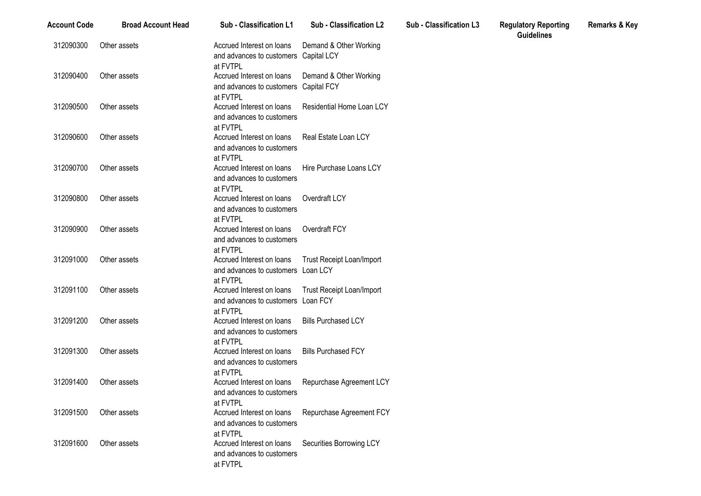| <b>Account Code</b> | <b>Broad Account Head</b> | <b>Sub - Classification L1</b>                                                                        | Sub - Classification L2    | Sub - Classification L3 | <b>Regulatory Reporting</b><br><b>Guidelines</b> | <b>Remarks &amp; Key</b> |
|---------------------|---------------------------|-------------------------------------------------------------------------------------------------------|----------------------------|-------------------------|--------------------------------------------------|--------------------------|
| 312090300           | Other assets              | Accrued Interest on loans<br>and advances to customers Capital LCY<br>at FVTPL                        | Demand & Other Working     |                         |                                                  |                          |
| 312090400           | Other assets              | Accrued Interest on loans Demand & Other Working<br>and advances to customers Capital FCY<br>at FVTPL |                            |                         |                                                  |                          |
| 312090500           | Other assets              | Accrued Interest on loans<br>and advances to customers<br>at FVTPL                                    | Residential Home Loan LCY  |                         |                                                  |                          |
| 312090600           | Other assets              | Accrued Interest on loans<br>and advances to customers<br>at FVTPL                                    | Real Estate Loan LCY       |                         |                                                  |                          |
| 312090700           | Other assets              | Accrued Interest on loans<br>and advances to customers<br>at FVTPL                                    | Hire Purchase Loans LCY    |                         |                                                  |                          |
| 312090800           | Other assets              | Accrued Interest on loans<br>and advances to customers<br>at FVTPL                                    | Overdraft LCY              |                         |                                                  |                          |
| 312090900           | Other assets              | Accrued Interest on loans<br>and advances to customers<br>at FVTPL                                    | Overdraft FCY              |                         |                                                  |                          |
| 312091000           | Other assets              | Accrued Interest on loans<br>and advances to customers Loan LCY<br>at FVTPL                           | Trust Receipt Loan/Import  |                         |                                                  |                          |
| 312091100           | Other assets              | Accrued Interest on Ioans Trust Receipt Loan/Import<br>and advances to customers Loan FCY<br>at FVTPL |                            |                         |                                                  |                          |
| 312091200           | Other assets              | Accrued Interest on loans<br>and advances to customers<br>at FVTPL                                    | <b>Bills Purchased LCY</b> |                         |                                                  |                          |
| 312091300           | Other assets              | Accrued Interest on loans<br>and advances to customers<br>at FVTPL                                    | <b>Bills Purchased FCY</b> |                         |                                                  |                          |
| 312091400           | Other assets              | Accrued Interest on loans<br>and advances to customers<br>at FVTPL                                    | Repurchase Agreement LCY   |                         |                                                  |                          |
| 312091500           | Other assets              | Accrued Interest on loans<br>and advances to customers<br>at FVTPL                                    | Repurchase Agreement FCY   |                         |                                                  |                          |
| 312091600           | Other assets              | Accrued Interest on loans<br>and advances to customers<br>at FVTPL                                    | Securities Borrowing LCY   |                         |                                                  |                          |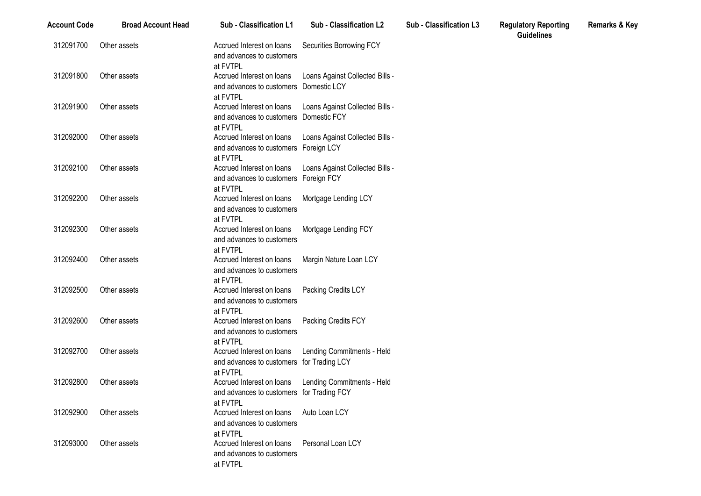| <b>Account Code</b> | <b>Broad Account Head</b> | Sub - Classification L1                                                            | <b>Sub - Classification L2</b>  | Sub - Classification L3 | <b>Regulatory Reporting</b><br><b>Guidelines</b> | <b>Remarks &amp; Key</b> |
|---------------------|---------------------------|------------------------------------------------------------------------------------|---------------------------------|-------------------------|--------------------------------------------------|--------------------------|
| 312091700           | Other assets              | Accrued Interest on loans<br>and advances to customers<br>at FVTPL                 | Securities Borrowing FCY        |                         |                                                  |                          |
| 312091800           | Other assets              | Accrued Interest on loans<br>and advances to customers Domestic LCY<br>at FVTPL    | Loans Against Collected Bills - |                         |                                                  |                          |
| 312091900           | Other assets              | Accrued Interest on loans<br>and advances to customers Domestic FCY<br>at FVTPL    | Loans Against Collected Bills - |                         |                                                  |                          |
| 312092000           | Other assets              | Accrued Interest on loans<br>and advances to customers Foreign LCY<br>at FVTPL     | Loans Against Collected Bills - |                         |                                                  |                          |
| 312092100           | Other assets              | Accrued Interest on loans<br>and advances to customers Foreign FCY<br>at FVTPL     | Loans Against Collected Bills   |                         |                                                  |                          |
| 312092200           | Other assets              | Accrued Interest on loans<br>and advances to customers<br>at FVTPL                 | Mortgage Lending LCY            |                         |                                                  |                          |
| 312092300           | Other assets              | Accrued Interest on loans<br>and advances to customers<br>at FVTPL                 | Mortgage Lending FCY            |                         |                                                  |                          |
| 312092400           | Other assets              | Accrued Interest on loans<br>and advances to customers<br>at FVTPL                 | Margin Nature Loan LCY          |                         |                                                  |                          |
| 312092500           | Other assets              | Accrued Interest on loans<br>and advances to customers<br>at FVTPL                 | Packing Credits LCY             |                         |                                                  |                          |
| 312092600           | Other assets              | Accrued Interest on loans<br>and advances to customers<br>at FVTPL                 | Packing Credits FCY             |                         |                                                  |                          |
| 312092700           | Other assets              | Accrued Interest on loans<br>and advances to customers for Trading LCY<br>at FVTPL | Lending Commitments - Held      |                         |                                                  |                          |
| 312092800           | Other assets              | Accrued Interest on loans<br>and advances to customers for Trading FCY<br>at FVTPL | Lending Commitments - Held      |                         |                                                  |                          |
| 312092900           | Other assets              | Accrued Interest on loans<br>and advances to customers<br>at FVTPL                 | Auto Loan LCY                   |                         |                                                  |                          |
| 312093000           | Other assets              | Accrued Interest on loans<br>and advances to customers<br>at FVTPL                 | Personal Loan LCY               |                         |                                                  |                          |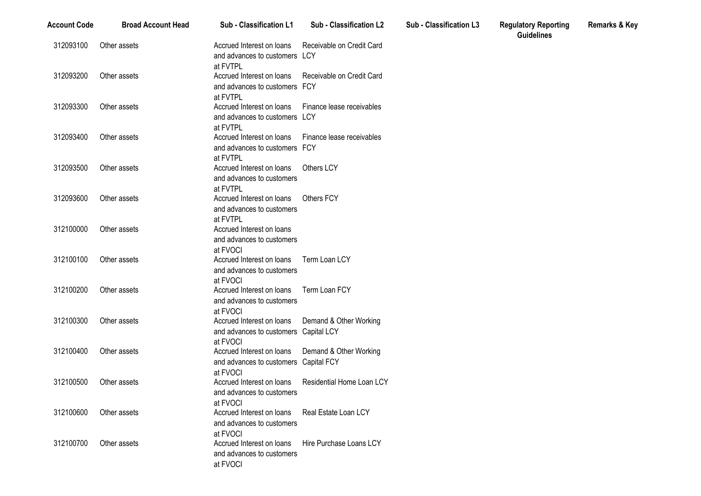| <b>Account Code</b> | <b>Broad Account Head</b> | Sub - Classification L1                                                                               | Sub - Classification L2   | Sub - Classification L3 | <b>Regulatory Reporting</b><br><b>Guidelines</b> | <b>Remarks &amp; Key</b> |
|---------------------|---------------------------|-------------------------------------------------------------------------------------------------------|---------------------------|-------------------------|--------------------------------------------------|--------------------------|
| 312093100           | Other assets              | Accrued Interest on loans<br>and advances to customers LCY<br>at FVTPL                                | Receivable on Credit Card |                         |                                                  |                          |
| 312093200           | Other assets              | Accrued Interest on Ioans Receivable on Credit Card<br>and advances to customers FCY<br>at FVTPL      |                           |                         |                                                  |                          |
| 312093300           | Other assets              | Accrued Interest on loans<br>and advances to customers LCY<br>at FVTPL                                | Finance lease receivables |                         |                                                  |                          |
| 312093400           | Other assets              | Accrued Interest on loans<br>and advances to customers FCY<br>at FVTPL                                | Finance lease receivables |                         |                                                  |                          |
| 312093500           | Other assets              | Accrued Interest on loans<br>and advances to customers<br>at FVTPL                                    | Others LCY                |                         |                                                  |                          |
| 312093600           | Other assets              | Accrued Interest on loans<br>and advances to customers<br>at FVTPL                                    | <b>Others FCY</b>         |                         |                                                  |                          |
| 312100000           | Other assets              | Accrued Interest on loans<br>and advances to customers<br>at FVOCI                                    |                           |                         |                                                  |                          |
| 312100100           | Other assets              | Accrued Interest on loans<br>and advances to customers<br>at FVOCI                                    | Term Loan LCY             |                         |                                                  |                          |
| 312100200           | Other assets              | Accrued Interest on loans<br>and advances to customers<br>at FVOCI                                    | Term Loan FCY             |                         |                                                  |                          |
| 312100300           | Other assets              | Accrued Interest on loans Demand & Other Working<br>and advances to customers Capital LCY<br>at FVOCI |                           |                         |                                                  |                          |
| 312100400           | Other assets              | Accrued Interest on loans<br>and advances to customers Capital FCY<br>at FVOCI                        | Demand & Other Working    |                         |                                                  |                          |
| 312100500           | Other assets              | Accrued Interest on loans<br>and advances to customers<br>at FVOCI                                    | Residential Home Loan LCY |                         |                                                  |                          |
| 312100600           | Other assets              | Accrued Interest on loans<br>and advances to customers<br>at FVOCI                                    | Real Estate Loan LCY      |                         |                                                  |                          |
| 312100700           | Other assets              | Accrued Interest on loans<br>and advances to customers<br>at FVOCI                                    | Hire Purchase Loans LCY   |                         |                                                  |                          |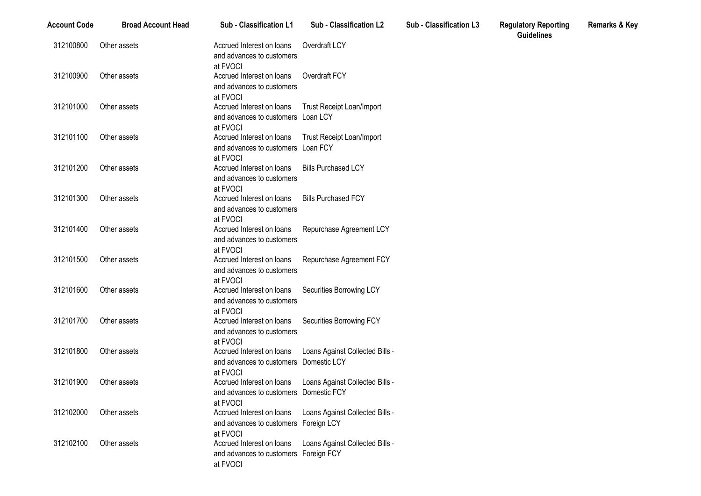| <b>Account Code</b> | <b>Broad Account Head</b> | Sub - Classification L1                                                         | <b>Sub - Classification L2</b>   | Sub - Classification L3 | <b>Regulatory Reporting</b><br><b>Guidelines</b> |
|---------------------|---------------------------|---------------------------------------------------------------------------------|----------------------------------|-------------------------|--------------------------------------------------|
| 312100800           | Other assets              | Accrued Interest on loans<br>and advances to customers                          | Overdraft LCY                    |                         |                                                  |
| 312100900           | Other assets              | at FVOCI<br>Accrued Interest on loans<br>and advances to customers              | Overdraft FCY                    |                         |                                                  |
| 312101000           | Other assets              | at FVOCI<br>Accrued Interest on loans                                           | <b>Trust Receipt Loan/Import</b> |                         |                                                  |
|                     |                           | and advances to customers Loan LCY<br>at FVOCI                                  |                                  |                         |                                                  |
| 312101100           | Other assets              | Accrued Interest on loans<br>and advances to customers Loan FCY<br>at FVOCI     | <b>Trust Receipt Loan/Import</b> |                         |                                                  |
| 312101200           | Other assets              | Accrued Interest on loans<br>and advances to customers                          | <b>Bills Purchased LCY</b>       |                         |                                                  |
| 312101300           | Other assets              | at FVOCI<br>Accrued Interest on loans<br>and advances to customers<br>at FVOCI  | <b>Bills Purchased FCY</b>       |                         |                                                  |
| 312101400           | Other assets              | Accrued Interest on loans<br>and advances to customers<br>at FVOCI              | Repurchase Agreement LCY         |                         |                                                  |
| 312101500           | Other assets              | Accrued Interest on loans<br>and advances to customers<br>at FVOCI              | Repurchase Agreement FCY         |                         |                                                  |
| 312101600           | Other assets              | Accrued Interest on loans<br>and advances to customers<br>at FVOCI              | Securities Borrowing LCY         |                         |                                                  |
| 312101700           | Other assets              | Accrued Interest on loans<br>and advances to customers<br>at FVOCI              | Securities Borrowing FCY         |                         |                                                  |
| 312101800           | Other assets              | Accrued Interest on loans<br>and advances to customers Domestic LCY<br>at FVOCI | Loans Against Collected Bills    |                         |                                                  |
| 312101900           | Other assets              | Accrued Interest on loans<br>and advances to customers Domestic FCY<br>at FVOCI | Loans Against Collected Bills -  |                         |                                                  |
| 312102000           | Other assets              | Accrued Interest on loans<br>and advances to customers Foreign LCY<br>at FVOCI  | Loans Against Collected Bills -  |                         |                                                  |
| 312102100           | Other assets              | Accrued Interest on loans<br>and advances to customers Foreign FCY<br>at FVOCI  | Loans Against Collected Bills    |                         |                                                  |

**Remarks & Key**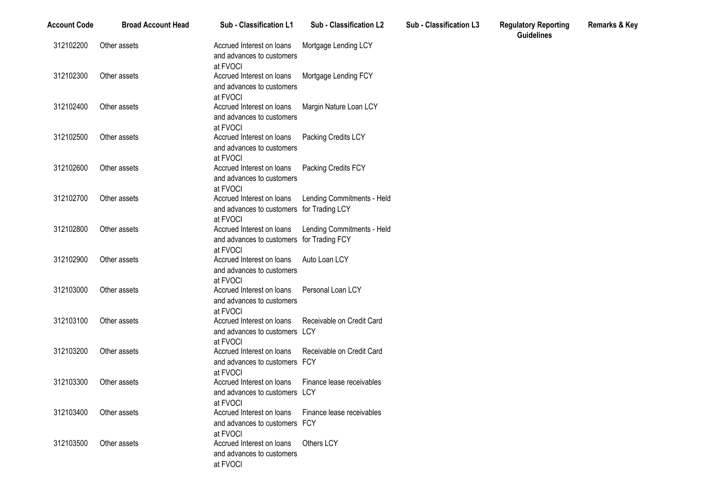| <b>Account Code</b> | <b>Broad Account Head</b> | Sub - Classification L1                                                            | Sub - Classification L2                       | Sub - Classification L3 | <b>Regulatory Reporting</b><br><b>Guidelines</b> |
|---------------------|---------------------------|------------------------------------------------------------------------------------|-----------------------------------------------|-------------------------|--------------------------------------------------|
| 312102200           | Other assets              | Accrued Interest on loans<br>and advances to customers<br>at FVOCI                 | Mortgage Lending LCY                          |                         |                                                  |
| 312102300           | Other assets              | Accrued Interest on loans<br>and advances to customers<br>at FVOCI                 | Mortgage Lending FCY                          |                         |                                                  |
| 312102400           | Other assets              | Accrued Interest on loans<br>and advances to customers<br>at FVOCI                 | Margin Nature Loan LCY                        |                         |                                                  |
| 312102500           | Other assets              | Accrued Interest on loans<br>and advances to customers<br>at FVOCI                 | Packing Credits LCY                           |                         |                                                  |
| 312102600           | Other assets              | Accrued Interest on loans<br>and advances to customers<br>at FVOCI                 | Packing Credits FCY                           |                         |                                                  |
| 312102700           | Other assets              | Accrued Interest on loans<br>and advances to customers for Trading LCY<br>at FVOCI | Lending Commitments - Held                    |                         |                                                  |
| 312102800           | Other assets              | Accrued Interest on loans<br>and advances to customers<br>at FVOCI                 | Lending Commitments - Held<br>for Trading FCY |                         |                                                  |
| 312102900           | Other assets              | Accrued Interest on loans<br>and advances to customers<br>at FVOCI                 | Auto Loan LCY                                 |                         |                                                  |
| 312103000           | Other assets              | Accrued Interest on loans<br>and advances to customers<br>at FVOCI                 | Personal Loan LCY                             |                         |                                                  |
| 312103100           | Other assets              | Accrued Interest on loans<br>and advances to customers LCY<br>at FVOCI             | Receivable on Credit Card                     |                         |                                                  |
| 312103200           | Other assets              | Accrued Interest on loans<br>and advances to customers FCY<br>at FVOCI             | Receivable on Credit Card                     |                         |                                                  |
| 312103300           | Other assets              | Accrued Interest on loans<br>and advances to customers LCY<br>at FVOCI             | Finance lease receivables                     |                         |                                                  |
| 312103400           | Other assets              | Accrued Interest on loans<br>and advances to customers FCY<br>at FVOCI             | Finance lease receivables                     |                         |                                                  |
| 312103500           | Other assets              | Accrued Interest on loans<br>and advances to customers<br>at FVOCI                 | Others LCY                                    |                         |                                                  |

**Remarks & Key**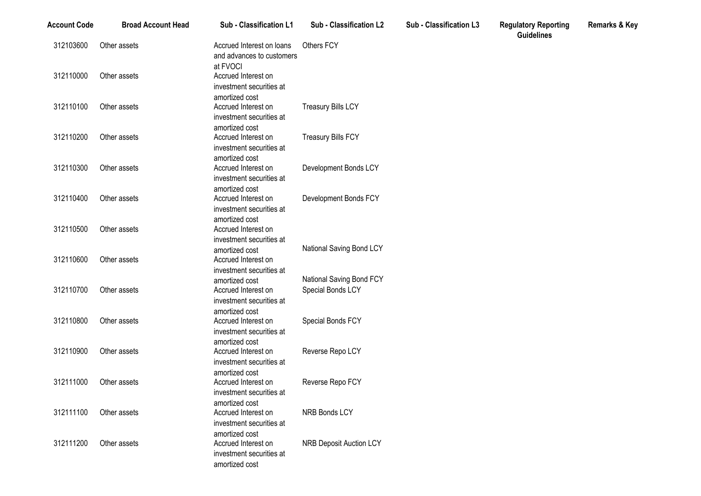| <b>Account Code</b> | <b>Broad Account Head</b> | Sub - Classification L1                                                             | Sub - Classification L2                       | Sub - Classification L3 | <b>Regulatory Reporting</b><br><b>Guidelines</b> | <b>Remarks &amp; Key</b> |
|---------------------|---------------------------|-------------------------------------------------------------------------------------|-----------------------------------------------|-------------------------|--------------------------------------------------|--------------------------|
| 312103600           | Other assets              | Accrued Interest on loans<br>and advances to customers                              | Others FCY                                    |                         |                                                  |                          |
| 312110000           | Other assets              | at FVOCI<br>Accrued Interest on<br>investment securities at                         |                                               |                         |                                                  |                          |
| 312110100           | Other assets              | amortized cost<br>Accrued Interest on<br>investment securities at                   | <b>Treasury Bills LCY</b>                     |                         |                                                  |                          |
| 312110200           | Other assets              | amortized cost<br>Accrued Interest on<br>investment securities at                   | <b>Treasury Bills FCY</b>                     |                         |                                                  |                          |
| 312110300           | Other assets              | amortized cost<br>Accrued Interest on<br>investment securities at                   | Development Bonds LCY                         |                         |                                                  |                          |
| 312110400           | Other assets              | amortized cost<br>Accrued Interest on<br>investment securities at                   | Development Bonds FCY                         |                         |                                                  |                          |
| 312110500           | Other assets              | amortized cost<br>Accrued Interest on<br>investment securities at                   |                                               |                         |                                                  |                          |
| 312110600           | Other assets              | amortized cost<br>Accrued Interest on<br>investment securities at                   | National Saving Bond LCY                      |                         |                                                  |                          |
| 312110700           | Other assets              | amortized cost<br>Accrued Interest on<br>investment securities at                   | National Saving Bond FCY<br>Special Bonds LCY |                         |                                                  |                          |
| 312110800           | Other assets              | amortized cost<br>Accrued Interest on<br>investment securities at                   | Special Bonds FCY                             |                         |                                                  |                          |
| 312110900           | Other assets              | amortized cost<br>Accrued Interest on<br>investment securities at                   | Reverse Repo LCY                              |                         |                                                  |                          |
| 312111000           | Other assets              | amortized cost<br>Accrued Interest on<br>investment securities at                   | Reverse Repo FCY                              |                         |                                                  |                          |
| 312111100           | Other assets              | amortized cost<br>Accrued Interest on<br>investment securities at                   | NRB Bonds LCY                                 |                         |                                                  |                          |
| 312111200           | Other assets              | amortized cost<br>Accrued Interest on<br>investment securities at<br>amortized cost | <b>NRB Deposit Auction LCY</b>                |                         |                                                  |                          |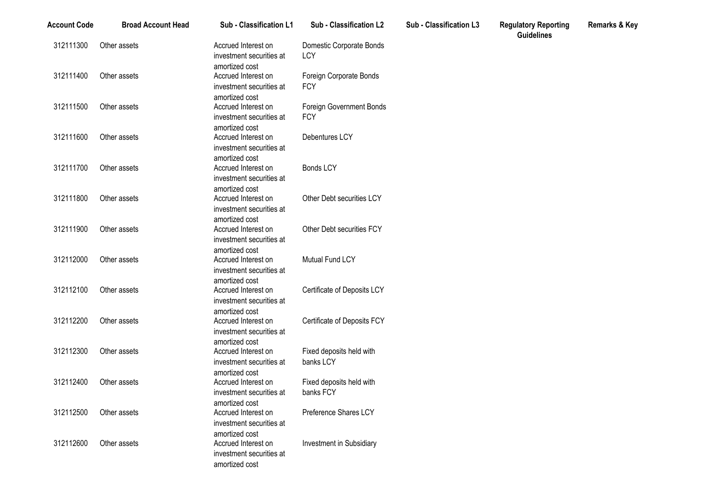| <b>Account Code</b> | <b>Broad Account Head</b> | Sub - Classification L1                    | Sub - Classification L2               | Sub - Classification L3 | <b>Regulatory Reporting</b><br><b>Guidelines</b> | <b>Remarks &amp; Key</b> |
|---------------------|---------------------------|--------------------------------------------|---------------------------------------|-------------------------|--------------------------------------------------|--------------------------|
| 312111300           | Other assets              | Accrued Interest on                        | Domestic Corporate Bonds              |                         |                                                  |                          |
|                     |                           | investment securities at<br>amortized cost | LCY                                   |                         |                                                  |                          |
| 312111400           | Other assets              | Accrued Interest on                        | Foreign Corporate Bonds               |                         |                                                  |                          |
|                     |                           | investment securities at                   | <b>FCY</b>                            |                         |                                                  |                          |
|                     |                           | amortized cost                             |                                       |                         |                                                  |                          |
| 312111500           | Other assets              | Accrued Interest on                        | Foreign Government Bonds              |                         |                                                  |                          |
|                     |                           | investment securities at                   | <b>FCY</b>                            |                         |                                                  |                          |
|                     |                           | amortized cost                             |                                       |                         |                                                  |                          |
| 312111600           | Other assets              | Accrued Interest on                        | Debentures LCY                        |                         |                                                  |                          |
|                     |                           | investment securities at                   |                                       |                         |                                                  |                          |
|                     |                           | amortized cost                             |                                       |                         |                                                  |                          |
| 312111700           | Other assets              | Accrued Interest on                        | <b>Bonds LCY</b>                      |                         |                                                  |                          |
|                     |                           | investment securities at                   |                                       |                         |                                                  |                          |
| 312111800           | Other assets              | amortized cost<br>Accrued Interest on      | Other Debt securities LCY             |                         |                                                  |                          |
|                     |                           | investment securities at                   |                                       |                         |                                                  |                          |
|                     |                           | amortized cost                             |                                       |                         |                                                  |                          |
| 312111900           | Other assets              | Accrued Interest on                        | Other Debt securities FCY             |                         |                                                  |                          |
|                     |                           | investment securities at                   |                                       |                         |                                                  |                          |
|                     |                           | amortized cost                             |                                       |                         |                                                  |                          |
| 312112000           | Other assets              | Accrued Interest on                        | Mutual Fund LCY                       |                         |                                                  |                          |
|                     |                           | investment securities at                   |                                       |                         |                                                  |                          |
|                     |                           | amortized cost                             |                                       |                         |                                                  |                          |
| 312112100           | Other assets              | Accrued Interest on                        | Certificate of Deposits LCY           |                         |                                                  |                          |
|                     |                           | investment securities at                   |                                       |                         |                                                  |                          |
|                     |                           | amortized cost                             |                                       |                         |                                                  |                          |
| 312112200           | Other assets              | Accrued Interest on                        | Certificate of Deposits FCY           |                         |                                                  |                          |
|                     |                           | investment securities at                   |                                       |                         |                                                  |                          |
|                     |                           | amortized cost                             |                                       |                         |                                                  |                          |
| 312112300           | Other assets              | Accrued Interest on                        | Fixed deposits held with              |                         |                                                  |                          |
|                     |                           | investment securities at                   | banks LCY                             |                         |                                                  |                          |
| 312112400           |                           | amortized cost                             |                                       |                         |                                                  |                          |
|                     | Other assets              | Accrued Interest on                        | Fixed deposits held with<br>banks FCY |                         |                                                  |                          |
|                     |                           | investment securities at<br>amortized cost |                                       |                         |                                                  |                          |
| 312112500           | Other assets              | Accrued Interest on                        | Preference Shares LCY                 |                         |                                                  |                          |
|                     |                           | investment securities at                   |                                       |                         |                                                  |                          |
|                     |                           | amortized cost                             |                                       |                         |                                                  |                          |
| 312112600           | Other assets              | Accrued Interest on                        | <b>Investment in Subsidiary</b>       |                         |                                                  |                          |
|                     |                           | investment securities at                   |                                       |                         |                                                  |                          |
|                     |                           | amortized cost                             |                                       |                         |                                                  |                          |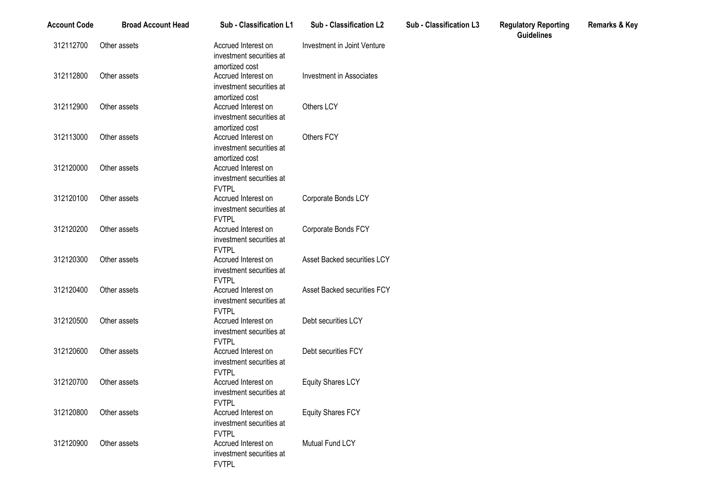| <b>Account Code</b> | <b>Broad Account Head</b> | Sub - Classification L1                                                         | Sub - Classification L2            | <b>Sub - Classification L3</b> | <b>Regulatory Reporting</b><br><b>Guidelines</b> | <b>Remarks &amp; Key</b> |
|---------------------|---------------------------|---------------------------------------------------------------------------------|------------------------------------|--------------------------------|--------------------------------------------------|--------------------------|
| 312112700           | Other assets              | Accrued Interest on<br>investment securities at<br>amortized cost               | Investment in Joint Venture        |                                |                                                  |                          |
| 312112800           | Other assets              | Accrued Interest on<br>investment securities at                                 | <b>Investment in Associates</b>    |                                |                                                  |                          |
| 312112900           | Other assets              | amortized cost<br>Accrued Interest on<br>investment securities at               | Others LCY                         |                                |                                                  |                          |
| 312113000           | Other assets              | amortized cost<br>Accrued Interest on<br>investment securities at               | Others FCY                         |                                |                                                  |                          |
| 312120000           | Other assets              | amortized cost<br>Accrued Interest on<br>investment securities at               |                                    |                                |                                                  |                          |
| 312120100           | Other assets              | <b>FVTPL</b><br>Accrued Interest on<br>investment securities at<br><b>FVTPL</b> | Corporate Bonds LCY                |                                |                                                  |                          |
| 312120200           | Other assets              | Accrued Interest on<br>investment securities at<br><b>FVTPL</b>                 | Corporate Bonds FCY                |                                |                                                  |                          |
| 312120300           | Other assets              | Accrued Interest on<br>investment securities at<br><b>FVTPL</b>                 | Asset Backed securities LCY        |                                |                                                  |                          |
| 312120400           | Other assets              | Accrued Interest on<br>investment securities at<br><b>FVTPL</b>                 | <b>Asset Backed securities FCY</b> |                                |                                                  |                          |
| 312120500           | Other assets              | Accrued Interest on<br>investment securities at<br><b>FVTPL</b>                 | Debt securities LCY                |                                |                                                  |                          |
| 312120600           | Other assets              | Accrued Interest on<br>investment securities at<br><b>FVTPL</b>                 | Debt securities FCY                |                                |                                                  |                          |
| 312120700           | Other assets              | Accrued Interest on<br>investment securities at                                 | <b>Equity Shares LCY</b>           |                                |                                                  |                          |
| 312120800           | Other assets              | <b>FVTPL</b><br>Accrued Interest on<br>investment securities at                 | <b>Equity Shares FCY</b>           |                                |                                                  |                          |
| 312120900           | Other assets              | <b>FVTPL</b><br>Accrued Interest on<br>investment securities at<br><b>FVTPL</b> | Mutual Fund LCY                    |                                |                                                  |                          |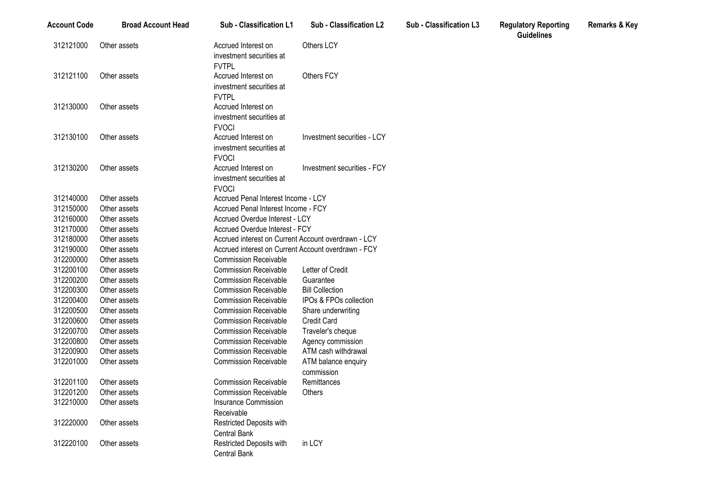| Account Code | <b>Broad Account Head</b> | <b>Sub - Classification L1</b>                                  | <b>Sub - Classification L2</b>                      | <b>Sub - Classification L3</b> | <b>Regulatory Reporting</b><br><b>Guidelines</b> | <b>Remarks &amp; Key</b> |
|--------------|---------------------------|-----------------------------------------------------------------|-----------------------------------------------------|--------------------------------|--------------------------------------------------|--------------------------|
| 312121000    | Other assets              | Accrued Interest on<br>investment securities at<br><b>FVTPL</b> | Others LCY                                          |                                |                                                  |                          |
| 312121100    | Other assets              | Accrued Interest on<br>investment securities at<br><b>FVTPL</b> | Others FCY                                          |                                |                                                  |                          |
| 312130000    | Other assets              | Accrued Interest on<br>investment securities at<br><b>FVOCI</b> |                                                     |                                |                                                  |                          |
| 312130100    | Other assets              | Accrued Interest on<br>investment securities at<br><b>FVOCI</b> | Investment securities - LCY                         |                                |                                                  |                          |
| 312130200    | Other assets              | Accrued Interest on<br>investment securities at<br><b>FVOCI</b> | Investment securities - FCY                         |                                |                                                  |                          |
| 312140000    | Other assets              | Accrued Penal Interest Income - LCY                             |                                                     |                                |                                                  |                          |
| 312150000    | Other assets              | Accrued Penal Interest Income - FCY                             |                                                     |                                |                                                  |                          |
| 312160000    | Other assets              | Accrued Overdue Interest - LCY                                  |                                                     |                                |                                                  |                          |
| 312170000    | Other assets              | Accrued Overdue Interest - FCY                                  |                                                     |                                |                                                  |                          |
| 312180000    | Other assets              | Accrued interest on Current Account overdrawn - LCY             |                                                     |                                |                                                  |                          |
| 312190000    | Other assets              |                                                                 | Accrued interest on Current Account overdrawn - FCY |                                |                                                  |                          |
| 312200000    | Other assets              | <b>Commission Receivable</b>                                    |                                                     |                                |                                                  |                          |
| 312200100    | Other assets              | <b>Commission Receivable</b>                                    | Letter of Credit                                    |                                |                                                  |                          |
| 312200200    | Other assets              | <b>Commission Receivable</b>                                    | Guarantee                                           |                                |                                                  |                          |
| 312200300    | Other assets              | <b>Commission Receivable</b>                                    | <b>Bill Collection</b>                              |                                |                                                  |                          |
| 312200400    | Other assets              | <b>Commission Receivable</b>                                    | IPOs & FPOs collection                              |                                |                                                  |                          |
| 312200500    | Other assets              | <b>Commission Receivable</b>                                    | Share underwriting                                  |                                |                                                  |                          |
| 312200600    | Other assets              | <b>Commission Receivable</b>                                    | <b>Credit Card</b>                                  |                                |                                                  |                          |
| 312200700    | Other assets              | <b>Commission Receivable</b>                                    | Traveler's cheque                                   |                                |                                                  |                          |
| 312200800    | Other assets              | <b>Commission Receivable</b>                                    | Agency commission                                   |                                |                                                  |                          |
| 312200900    | Other assets              | <b>Commission Receivable</b>                                    | ATM cash withdrawal                                 |                                |                                                  |                          |
| 312201000    | Other assets              | <b>Commission Receivable</b>                                    | ATM balance enquiry<br>commission                   |                                |                                                  |                          |
| 312201100    | Other assets              | <b>Commission Receivable</b>                                    | Remittances                                         |                                |                                                  |                          |
| 312201200    | Other assets              | <b>Commission Receivable</b>                                    | Others                                              |                                |                                                  |                          |
| 312210000    | Other assets              | Insurance Commission                                            |                                                     |                                |                                                  |                          |
|              |                           | Receivable                                                      |                                                     |                                |                                                  |                          |
| 312220000    | Other assets              | Restricted Deposits with                                        |                                                     |                                |                                                  |                          |
|              |                           | Central Bank                                                    |                                                     |                                |                                                  |                          |
| 312220100    | Other assets              | Restricted Deposits with<br>Central Bank                        | in LCY                                              |                                |                                                  |                          |
|              |                           |                                                                 |                                                     |                                |                                                  |                          |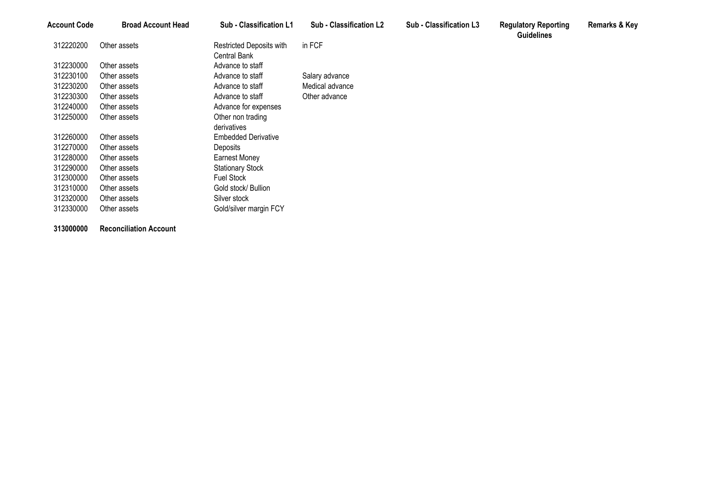| 312220200<br>in FCF<br>Restricted Deposits with<br>Other assets<br>Central Bank<br>312230000<br>Other assets<br>Advance to staff<br>312230100<br>Advance to staff<br>Salary advance<br>Other assets<br>312230200<br>Advance to staff<br>Medical advance<br>Other assets<br>312230300<br>Advance to staff<br>Other advance<br>Other assets<br>312240000<br>Advance for expenses<br>Other assets<br>312250000<br>Other non trading<br>Other assets<br>derivatives<br>312260000<br><b>Embedded Derivative</b><br>Other assets<br>312270000<br>Deposits<br>Other assets<br>312280000<br>Other assets<br>Earnest Money<br>312290000<br><b>Stationary Stock</b><br>Other assets<br><b>Fuel Stock</b><br>312300000<br>Other assets<br>312310000<br>Gold stock/ Bullion<br>Other assets<br>312320000<br>Silver stock<br>Other assets<br>312330000<br>Other assets | Account Code | <b>Broad Account Head</b> | <b>Sub - Classification L1</b> | <b>Sub - Classification L2</b> | Sub - Classification L3 | <b>Regulatory Reporting</b><br><b>Guidelines</b> | <b>Remarks &amp; Key</b> |
|-----------------------------------------------------------------------------------------------------------------------------------------------------------------------------------------------------------------------------------------------------------------------------------------------------------------------------------------------------------------------------------------------------------------------------------------------------------------------------------------------------------------------------------------------------------------------------------------------------------------------------------------------------------------------------------------------------------------------------------------------------------------------------------------------------------------------------------------------------------|--------------|---------------------------|--------------------------------|--------------------------------|-------------------------|--------------------------------------------------|--------------------------|
|                                                                                                                                                                                                                                                                                                                                                                                                                                                                                                                                                                                                                                                                                                                                                                                                                                                           |              |                           |                                |                                |                         |                                                  |                          |
|                                                                                                                                                                                                                                                                                                                                                                                                                                                                                                                                                                                                                                                                                                                                                                                                                                                           |              |                           |                                |                                |                         |                                                  |                          |
|                                                                                                                                                                                                                                                                                                                                                                                                                                                                                                                                                                                                                                                                                                                                                                                                                                                           |              |                           |                                |                                |                         |                                                  |                          |
|                                                                                                                                                                                                                                                                                                                                                                                                                                                                                                                                                                                                                                                                                                                                                                                                                                                           |              |                           |                                |                                |                         |                                                  |                          |
|                                                                                                                                                                                                                                                                                                                                                                                                                                                                                                                                                                                                                                                                                                                                                                                                                                                           |              |                           |                                |                                |                         |                                                  |                          |
|                                                                                                                                                                                                                                                                                                                                                                                                                                                                                                                                                                                                                                                                                                                                                                                                                                                           |              |                           |                                |                                |                         |                                                  |                          |
|                                                                                                                                                                                                                                                                                                                                                                                                                                                                                                                                                                                                                                                                                                                                                                                                                                                           |              |                           |                                |                                |                         |                                                  |                          |
|                                                                                                                                                                                                                                                                                                                                                                                                                                                                                                                                                                                                                                                                                                                                                                                                                                                           |              |                           |                                |                                |                         |                                                  |                          |
|                                                                                                                                                                                                                                                                                                                                                                                                                                                                                                                                                                                                                                                                                                                                                                                                                                                           |              |                           |                                |                                |                         |                                                  |                          |
|                                                                                                                                                                                                                                                                                                                                                                                                                                                                                                                                                                                                                                                                                                                                                                                                                                                           |              |                           |                                |                                |                         |                                                  |                          |
|                                                                                                                                                                                                                                                                                                                                                                                                                                                                                                                                                                                                                                                                                                                                                                                                                                                           |              |                           |                                |                                |                         |                                                  |                          |
|                                                                                                                                                                                                                                                                                                                                                                                                                                                                                                                                                                                                                                                                                                                                                                                                                                                           |              |                           |                                |                                |                         |                                                  |                          |
|                                                                                                                                                                                                                                                                                                                                                                                                                                                                                                                                                                                                                                                                                                                                                                                                                                                           |              |                           |                                |                                |                         |                                                  |                          |
|                                                                                                                                                                                                                                                                                                                                                                                                                                                                                                                                                                                                                                                                                                                                                                                                                                                           |              |                           |                                |                                |                         |                                                  |                          |
|                                                                                                                                                                                                                                                                                                                                                                                                                                                                                                                                                                                                                                                                                                                                                                                                                                                           |              |                           |                                |                                |                         |                                                  |                          |
|                                                                                                                                                                                                                                                                                                                                                                                                                                                                                                                                                                                                                                                                                                                                                                                                                                                           |              |                           |                                |                                |                         |                                                  |                          |
|                                                                                                                                                                                                                                                                                                                                                                                                                                                                                                                                                                                                                                                                                                                                                                                                                                                           |              |                           | Gold/silver margin FCY         |                                |                         |                                                  |                          |

**Reconciliation Account**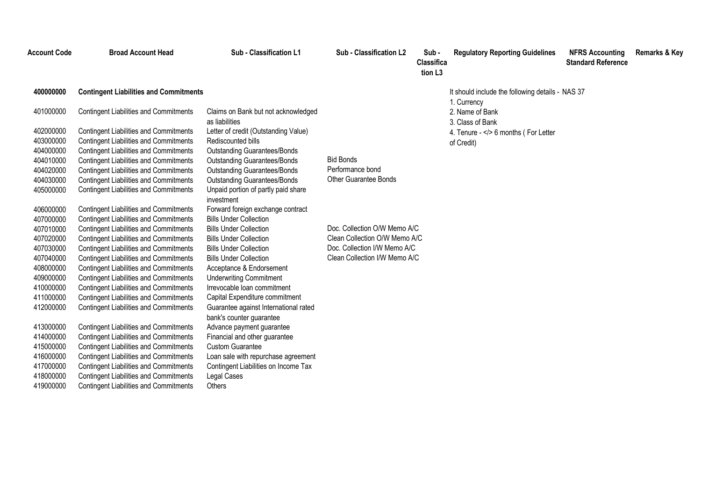| Account Code                                                                            | <b>Broad Account Head</b>                                                                                                                                                                                                                                                                                                                           | Sub - Classification L1                                                                                                                                                                                                                                     | Sub - Classification L2                                                                                                        | Sub-<br>Classifica<br>tion L <sub>3</sub> | <b>Regulatory Reporting Guidelines</b>                                                   | <b>NFRS Accounting</b><br><b>Standard Reference</b> | <b>Remarks &amp; Key</b> |
|-----------------------------------------------------------------------------------------|-----------------------------------------------------------------------------------------------------------------------------------------------------------------------------------------------------------------------------------------------------------------------------------------------------------------------------------------------------|-------------------------------------------------------------------------------------------------------------------------------------------------------------------------------------------------------------------------------------------------------------|--------------------------------------------------------------------------------------------------------------------------------|-------------------------------------------|------------------------------------------------------------------------------------------|-----------------------------------------------------|--------------------------|
| 400000000                                                                               | <b>Contingent Liabilities and Commitments</b>                                                                                                                                                                                                                                                                                                       |                                                                                                                                                                                                                                                             |                                                                                                                                |                                           | It should include the following details - NAS 37                                         |                                                     |                          |
| 401000000<br>402000000<br>403000000                                                     | <b>Contingent Liabilities and Commitments</b><br><b>Contingent Liabilities and Commitments</b><br><b>Contingent Liabilities and Commitments</b>                                                                                                                                                                                                     | Claims on Bank but not acknowledged<br>as liabilities<br>Letter of credit (Outstanding Value)<br>Rediscounted bills                                                                                                                                         |                                                                                                                                |                                           | 1. Currency<br>2. Name of Bank<br>3. Class of Bank<br>4. Tenure -  6 months ( For Letter |                                                     |                          |
| 404000000<br>404010000<br>404020000<br>404030000                                        | <b>Contingent Liabilities and Commitments</b><br><b>Contingent Liabilities and Commitments</b><br><b>Contingent Liabilities and Commitments</b><br><b>Contingent Liabilities and Commitments</b>                                                                                                                                                    | <b>Outstanding Guarantees/Bonds</b><br><b>Outstanding Guarantees/Bonds</b><br><b>Outstanding Guarantees/Bonds</b><br><b>Outstanding Guarantees/Bonds</b>                                                                                                    | <b>Bid Bonds</b><br>Performance bond<br><b>Other Guarantee Bonds</b>                                                           |                                           | of Credit)                                                                               |                                                     |                          |
| 405000000<br>406000000<br>407000000<br>407010000<br>407020000<br>407030000<br>407040000 | <b>Contingent Liabilities and Commitments</b><br><b>Contingent Liabilities and Commitments</b><br><b>Contingent Liabilities and Commitments</b><br><b>Contingent Liabilities and Commitments</b><br><b>Contingent Liabilities and Commitments</b><br><b>Contingent Liabilities and Commitments</b><br><b>Contingent Liabilities and Commitments</b> | Unpaid portion of partly paid share<br>investment<br>Forward foreign exchange contract<br><b>Bills Under Collection</b><br><b>Bills Under Collection</b><br><b>Bills Under Collection</b><br><b>Bills Under Collection</b><br><b>Bills Under Collection</b> | Doc. Collection O/W Memo A/C<br>Clean Collection O/W Memo A/C<br>Doc. Collection I/W Memo A/C<br>Clean Collection I/W Memo A/C |                                           |                                                                                          |                                                     |                          |
| 408000000<br>409000000<br>410000000<br>411000000<br>412000000                           | <b>Contingent Liabilities and Commitments</b><br><b>Contingent Liabilities and Commitments</b><br><b>Contingent Liabilities and Commitments</b><br><b>Contingent Liabilities and Commitments</b><br><b>Contingent Liabilities and Commitments</b>                                                                                                   | Acceptance & Endorsement<br><b>Underwriting Commitment</b><br>Irrevocable Ioan commitment<br>Capital Expenditure commitment<br>Guarantee against International rated                                                                                        |                                                                                                                                |                                           |                                                                                          |                                                     |                          |
| 413000000<br>414000000<br>415000000<br>416000000<br>417000000<br>418000000<br>419000000 | <b>Contingent Liabilities and Commitments</b><br><b>Contingent Liabilities and Commitments</b><br><b>Contingent Liabilities and Commitments</b><br><b>Contingent Liabilities and Commitments</b><br><b>Contingent Liabilities and Commitments</b><br><b>Contingent Liabilities and Commitments</b><br><b>Contingent Liabilities and Commitments</b> | bank's counter guarantee<br>Advance payment guarantee<br>Financial and other guarantee<br><b>Custom Guarantee</b><br>Loan sale with repurchase agreement<br>Contingent Liabilities on Income Tax<br>Legal Cases<br>Others                                   |                                                                                                                                |                                           |                                                                                          |                                                     |                          |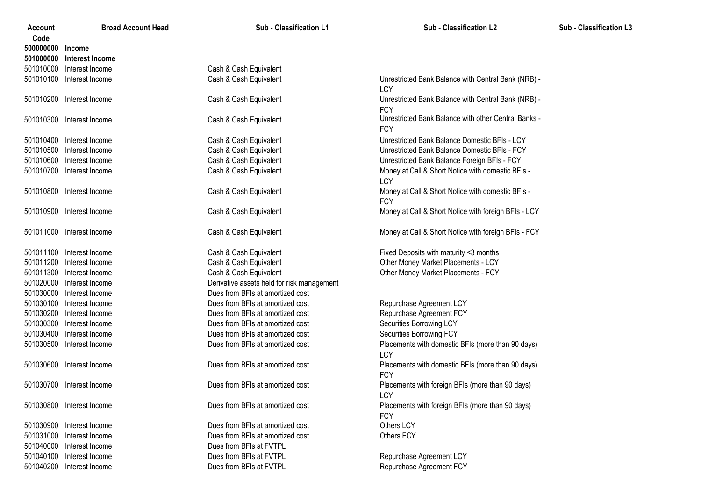| Account<br>Code | <b>Broad Account Head</b> | Sub - Classification L1                    | Sub - Classification L2                              | Sub - Classification L3 |
|-----------------|---------------------------|--------------------------------------------|------------------------------------------------------|-------------------------|
| 500000000       | Income                    |                                            |                                                      |                         |
| 501000000       | Interest Income           |                                            |                                                      |                         |
| 501010000       | Interest Income           | Cash & Cash Equivalent                     |                                                      |                         |
| 501010100       | Interest Income           | Cash & Cash Equivalent                     | Unrestricted Bank Balance with Central Bank (NRB) -  |                         |
|                 |                           |                                            | LCY                                                  |                         |
|                 | 501010200 Interest Income | Cash & Cash Equivalent                     | Unrestricted Bank Balance with Central Bank (NRB) -  |                         |
|                 |                           |                                            | <b>FCY</b>                                           |                         |
|                 | 501010300 Interest Income | Cash & Cash Equivalent                     | Unrestricted Bank Balance with other Central Banks - |                         |
|                 |                           |                                            | <b>FCY</b>                                           |                         |
| 501010400       | Interest Income           | Cash & Cash Equivalent                     | Unrestricted Bank Balance Domestic BFIs - LCY        |                         |
| 501010500       | Interest Income           | Cash & Cash Equivalent                     | Unrestricted Bank Balance Domestic BFIs - FCY        |                         |
| 501010600       | Interest Income           | Cash & Cash Equivalent                     | Unrestricted Bank Balance Foreign BFIs - FCY         |                         |
| 501010700       | Interest Income           | Cash & Cash Equivalent                     | Money at Call & Short Notice with domestic BFIs -    |                         |
|                 |                           |                                            | LCY                                                  |                         |
|                 | 501010800 Interest Income | Cash & Cash Equivalent                     | Money at Call & Short Notice with domestic BFIs -    |                         |
|                 |                           |                                            | <b>FCY</b>                                           |                         |
|                 | 501010900 Interest Income | Cash & Cash Equivalent                     | Money at Call & Short Notice with foreign BFIs - LCY |                         |
|                 | 501011000 Interest Income | Cash & Cash Equivalent                     | Money at Call & Short Notice with foreign BFIs - FCY |                         |
|                 |                           |                                            |                                                      |                         |
| 501011100       | Interest Income           | Cash & Cash Equivalent                     | Fixed Deposits with maturity <3 months               |                         |
| 501011200       | Interest Income           | Cash & Cash Equivalent                     | Other Money Market Placements - LCY                  |                         |
| 501011300       | Interest Income           | Cash & Cash Equivalent                     | Other Money Market Placements - FCY                  |                         |
| 501020000       | Interest Income           | Derivative assets held for risk management |                                                      |                         |
| 501030000       | Interest Income           | Dues from BFIs at amortized cost           |                                                      |                         |
| 501030100       | Interest Income           | Dues from BFIs at amortized cost           | Repurchase Agreement LCY                             |                         |
| 501030200       | Interest Income           | Dues from BFIs at amortized cost           | Repurchase Agreement FCY                             |                         |
| 501030300       | Interest Income           | Dues from BFIs at amortized cost           | Securities Borrowing LCY                             |                         |
| 501030400       | Interest Income           | Dues from BFIs at amortized cost           | Securities Borrowing FCY                             |                         |
| 501030500       | Interest Income           | Dues from BFIs at amortized cost           | Placements with domestic BFIs (more than 90 days)    |                         |
|                 |                           |                                            | LCY                                                  |                         |
| 501030600       | Interest Income           | Dues from BFIs at amortized cost           | Placements with domestic BFIs (more than 90 days)    |                         |
|                 |                           |                                            | <b>FCY</b>                                           |                         |
| 501030700       | Interest Income           | Dues from BFIs at amortized cost           | Placements with foreign BFIs (more than 90 days)     |                         |
|                 |                           |                                            | LCY                                                  |                         |
|                 | 501030800 Interest Income | Dues from BFIs at amortized cost           | Placements with foreign BFIs (more than 90 days)     |                         |
|                 |                           |                                            | <b>FCY</b>                                           |                         |
|                 | 501030900 Interest Income | Dues from BFIs at amortized cost           | Others LCY                                           |                         |
| 501031000       | Interest Income           | Dues from BFIs at amortized cost           | Others FCY                                           |                         |
| 501040000       | Interest Income           | Dues from BFIs at FVTPL                    |                                                      |                         |
| 501040100       | Interest Income           | Dues from BFIs at FVTPL                    | Repurchase Agreement LCY                             |                         |
| 501040200       | Interest Income           | Dues from BFIs at FVTPL                    | Repurchase Agreement FCY                             |                         |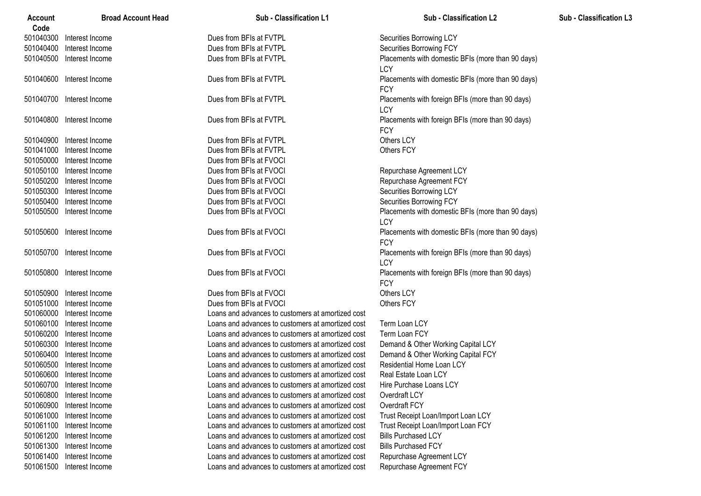| Account<br>Code | <b>Broad Account Head</b> | Sub - Classification L1                           | <b>Sub - Classification L2</b>                                  | Sub - Classification L3 |
|-----------------|---------------------------|---------------------------------------------------|-----------------------------------------------------------------|-------------------------|
| 501040300       | Interest Income           | Dues from BFIs at FVTPL                           | Securities Borrowing LCY                                        |                         |
| 501040400       | Interest Income           | Dues from BFIs at FVTPL                           | Securities Borrowing FCY                                        |                         |
| 501040500       | Interest Income           | Dues from BFIs at FVTPL                           | Placements with domestic BFIs (more than 90 days)<br>LCY        |                         |
| 501040600       | Interest Income           | Dues from BFIs at FVTPL                           | Placements with domestic BFIs (more than 90 days)<br><b>FCY</b> |                         |
| 501040700       | Interest Income           | Dues from BFIs at FVTPL                           | Placements with foreign BFIs (more than 90 days)<br>LCY         |                         |
| 501040800       | Interest Income           | Dues from BFIs at FVTPL                           | Placements with foreign BFIs (more than 90 days)<br><b>FCY</b>  |                         |
| 501040900       | Interest Income           | Dues from BFIs at FVTPL                           | Others LCY                                                      |                         |
| 501041000       | Interest Income           | Dues from BFIs at FVTPL                           | Others FCY                                                      |                         |
| 501050000       | Interest Income           | Dues from BFIs at FVOCI                           |                                                                 |                         |
| 501050100       | Interest Income           | Dues from BFIs at FVOCI                           | Repurchase Agreement LCY                                        |                         |
| 501050200       | Interest Income           | Dues from BFIs at FVOCI                           | Repurchase Agreement FCY                                        |                         |
| 501050300       | Interest Income           | Dues from BFIs at FVOCI                           | Securities Borrowing LCY                                        |                         |
| 501050400       | Interest Income           | Dues from BFIs at FVOCI                           | Securities Borrowing FCY                                        |                         |
| 501050500       | Interest Income           | Dues from BFIs at FVOCI                           | Placements with domestic BFIs (more than 90 days)<br>LCY        |                         |
| 501050600       | Interest Income           | Dues from BFIs at FVOCI                           | Placements with domestic BFIs (more than 90 days)<br><b>FCY</b> |                         |
| 501050700       | Interest Income           | Dues from BFIs at FVOCI                           | Placements with foreign BFIs (more than 90 days)<br>LCY         |                         |
| 501050800       | Interest Income           | Dues from BFIs at FVOCI                           | Placements with foreign BFIs (more than 90 days)<br><b>FCY</b>  |                         |
| 501050900       | Interest Income           | Dues from BFIs at FVOCI                           | Others LCY                                                      |                         |
| 501051000       | Interest Income           | Dues from BFIs at FVOCI                           | Others FCY                                                      |                         |
| 501060000       | Interest Income           | Loans and advances to customers at amortized cost |                                                                 |                         |
| 501060100       | Interest Income           | Loans and advances to customers at amortized cost | Term Loan LCY                                                   |                         |
| 501060200       | Interest Income           | Loans and advances to customers at amortized cost | Term Loan FCY                                                   |                         |
| 501060300       | Interest Income           | Loans and advances to customers at amortized cost | Demand & Other Working Capital LCY                              |                         |
| 501060400       | Interest Income           | Loans and advances to customers at amortized cost | Demand & Other Working Capital FCY                              |                         |
| 501060500       | Interest Income           | Loans and advances to customers at amortized cost | Residential Home Loan LCY                                       |                         |
| 501060600       | Interest Income           | Loans and advances to customers at amortized cost | Real Estate Loan LCY                                            |                         |
|                 | 501060700 Interest Income | Loans and advances to customers at amortized cost | Hire Purchase Loans LCY                                         |                         |
| 501060800       | Interest Income           | Loans and advances to customers at amortized cost | Overdraft LCY                                                   |                         |
| 501060900       | Interest Income           | Loans and advances to customers at amortized cost | Overdraft FCY                                                   |                         |
| 501061000       | Interest Income           | Loans and advances to customers at amortized cost | Trust Receipt Loan/Import Loan LCY                              |                         |
| 501061100       | Interest Income           | Loans and advances to customers at amortized cost | Trust Receipt Loan/Import Loan FCY                              |                         |
| 501061200       | Interest Income           | Loans and advances to customers at amortized cost | <b>Bills Purchased LCY</b>                                      |                         |
| 501061300       | Interest Income           | Loans and advances to customers at amortized cost | <b>Bills Purchased FCY</b>                                      |                         |
| 501061400       | Interest Income           | Loans and advances to customers at amortized cost | Repurchase Agreement LCY                                        |                         |
| 501061500       | Interest Income           | Loans and advances to customers at amortized cost | Repurchase Agreement FCY                                        |                         |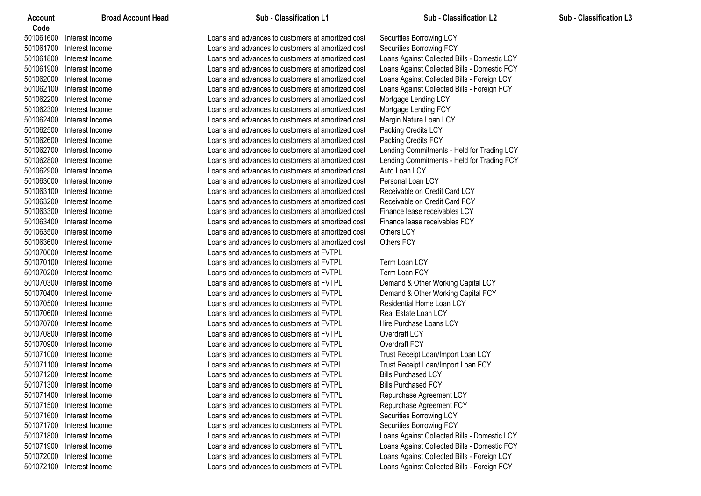| Code<br>501061600<br>Interest Income<br>Loans and advances to customers at amortized cost<br>Securities Borrowing LCY<br>Loans and advances to customers at amortized cost<br>Securities Borrowing FCY<br>501061700<br>Interest Income<br>501061800<br>Loans Against Collected Bills - Domestic LCY<br>Interest Income<br>Loans and advances to customers at amortized cost<br>501061900<br>Loans Against Collected Bills - Domestic FCY<br>Interest Income<br>Loans and advances to customers at amortized cost<br>501062000<br>Loans Against Collected Bills - Foreign LCY<br>Interest Income<br>Loans and advances to customers at amortized cost<br>501062100<br>Loans Against Collected Bills - Foreign FCY<br>Interest Income<br>Loans and advances to customers at amortized cost<br>501062200<br>Interest Income<br>Loans and advances to customers at amortized cost<br>Mortgage Lending LCY<br>501062300<br>Interest Income<br>Loans and advances to customers at amortized cost<br>Mortgage Lending FCY<br>501062400<br>Interest Income<br>Loans and advances to customers at amortized cost<br>Margin Nature Loan LCY<br>501062500<br>Interest Income<br>Loans and advances to customers at amortized cost<br>Packing Credits LCY<br>501062600<br>Interest Income<br>Loans and advances to customers at amortized cost<br>Packing Credits FCY<br>501062700<br>Interest Income<br>Loans and advances to customers at amortized cost<br>Lending Commitments - Held for Trading LCY<br>501062800<br>Interest Income<br>Loans and advances to customers at amortized cost<br>Lending Commitments - Held for Trading FCY<br>501062900<br>Loans and advances to customers at amortized cost<br>Auto Loan LCY<br>Interest Income<br>501063000<br>Personal Loan LCY<br>Interest Income<br>Loans and advances to customers at amortized cost<br>501063100<br>Receivable on Credit Card LCY<br>Interest Income<br>Loans and advances to customers at amortized cost<br>501063200<br>Receivable on Credit Card FCY<br>Loans and advances to customers at amortized cost<br>Interest Income<br>501063300<br>Finance lease receivables LCY<br>Interest Income<br>Loans and advances to customers at amortized cost<br>501063400<br>Interest Income<br>Loans and advances to customers at amortized cost<br>Finance lease receivables FCY<br>501063500<br>Interest Income<br>Loans and advances to customers at amortized cost<br>Others LCY<br>501063600<br>Others FCY<br>Interest Income<br>Loans and advances to customers at amortized cost<br>501070000<br>Loans and advances to customers at FVTPL<br>Interest Income<br>501070100<br>Term Loan LCY<br>Interest Income<br>Loans and advances to customers at FVTPL<br>501070200<br>Loans and advances to customers at FVTPL<br>Term Loan FCY<br>Interest Income<br>501070300<br>Loans and advances to customers at FVTPL<br>Demand & Other Working Capital LCY<br>Interest Income<br>501070400<br>Demand & Other Working Capital FCY<br>Interest Income<br>Loans and advances to customers at FVTPL<br>501070500<br>Loans and advances to customers at FVTPL<br>Residential Home Loan LCY<br>Interest Income<br>Real Estate Loan LCY<br>501070600<br>Interest Income<br>Loans and advances to customers at FVTPL<br>501070700<br>Interest Income<br>Loans and advances to customers at FVTPL<br>Hire Purchase Loans LCY<br>501070800<br>Overdraft LCY<br>Interest Income<br>Loans and advances to customers at FVTPL<br>501070900<br>Overdraft FCY<br>Interest Income<br>Loans and advances to customers at FVTPL<br>501071000<br>Interest Income<br>Loans and advances to customers at FVTPL<br>Trust Receipt Loan/Import Loan LCY<br>501071100<br>Interest Income<br>Loans and advances to customers at FVTPL<br>Trust Receipt Loan/Import Loan FCY<br>501071200 Interest Income<br>Loans and advances to customers at FVTPL<br><b>Bills Purchased LCY</b><br>501071300 Interest Income<br><b>Bills Purchased FCY</b><br>Loans and advances to customers at FVTPL<br>501071400<br>Interest Income<br>Loans and advances to customers at FVTPL<br>Repurchase Agreement LCY<br>501071500<br>Interest Income<br>Loans and advances to customers at FVTPL<br>Repurchase Agreement FCY<br>501071600<br>Interest Income<br>Loans and advances to customers at FVTPL<br>Securities Borrowing LCY<br>Loans and advances to customers at FVTPL<br>Securities Borrowing FCY<br>501071700<br>Interest Income<br>Loans and advances to customers at FVTPL<br>Loans Against Collected Bills - Domestic LCY<br>501071800<br>Interest Income<br>Loans Against Collected Bills - Domestic FCY<br>501071900<br>Interest Income<br>Loans and advances to customers at FVTPL<br>Loans Against Collected Bills - Foreign LCY<br>501072000<br>Interest Income<br>Loans and advances to customers at FVTPL<br>Loans Against Collected Bills - Foreign FCY<br>501072100<br>Interest Income<br>Loans and advances to customers at FVTPL | Account | <b>Broad Account Head</b> | Sub - Classification L1 | <b>Sub - Classification L2</b> | <b>Sub - Classification L3</b> |
|-----------------------------------------------------------------------------------------------------------------------------------------------------------------------------------------------------------------------------------------------------------------------------------------------------------------------------------------------------------------------------------------------------------------------------------------------------------------------------------------------------------------------------------------------------------------------------------------------------------------------------------------------------------------------------------------------------------------------------------------------------------------------------------------------------------------------------------------------------------------------------------------------------------------------------------------------------------------------------------------------------------------------------------------------------------------------------------------------------------------------------------------------------------------------------------------------------------------------------------------------------------------------------------------------------------------------------------------------------------------------------------------------------------------------------------------------------------------------------------------------------------------------------------------------------------------------------------------------------------------------------------------------------------------------------------------------------------------------------------------------------------------------------------------------------------------------------------------------------------------------------------------------------------------------------------------------------------------------------------------------------------------------------------------------------------------------------------------------------------------------------------------------------------------------------------------------------------------------------------------------------------------------------------------------------------------------------------------------------------------------------------------------------------------------------------------------------------------------------------------------------------------------------------------------------------------------------------------------------------------------------------------------------------------------------------------------------------------------------------------------------------------------------------------------------------------------------------------------------------------------------------------------------------------------------------------------------------------------------------------------------------------------------------------------------------------------------------------------------------------------------------------------------------------------------------------------------------------------------------------------------------------------------------------------------------------------------------------------------------------------------------------------------------------------------------------------------------------------------------------------------------------------------------------------------------------------------------------------------------------------------------------------------------------------------------------------------------------------------------------------------------------------------------------------------------------------------------------------------------------------------------------------------------------------------------------------------------------------------------------------------------------------------------------------------------------------------------------------------------------------------------------------------------------------------------------------------------------------------------------------------------------------------------------------------------------------------------------------------------------------------------------------------------------------------------------------------------------------------------------------------------------------------------------------------------------------------------------------------------------------------------------------------------------------------------------------------------------------------------------------------------------------------------------------------------------------------------------------------------------------------------------------------------------------------------------------------------------------|---------|---------------------------|-------------------------|--------------------------------|--------------------------------|
|                                                                                                                                                                                                                                                                                                                                                                                                                                                                                                                                                                                                                                                                                                                                                                                                                                                                                                                                                                                                                                                                                                                                                                                                                                                                                                                                                                                                                                                                                                                                                                                                                                                                                                                                                                                                                                                                                                                                                                                                                                                                                                                                                                                                                                                                                                                                                                                                                                                                                                                                                                                                                                                                                                                                                                                                                                                                                                                                                                                                                                                                                                                                                                                                                                                                                                                                                                                                                                                                                                                                                                                                                                                                                                                                                                                                                                                                                                                                                                                                                                                                                                                                                                                                                                                                                                                                                                                                                                                                                                                                                                                                                                                                                                                                                                                                                                                                                                                                                                       |         |                           |                         |                                |                                |
|                                                                                                                                                                                                                                                                                                                                                                                                                                                                                                                                                                                                                                                                                                                                                                                                                                                                                                                                                                                                                                                                                                                                                                                                                                                                                                                                                                                                                                                                                                                                                                                                                                                                                                                                                                                                                                                                                                                                                                                                                                                                                                                                                                                                                                                                                                                                                                                                                                                                                                                                                                                                                                                                                                                                                                                                                                                                                                                                                                                                                                                                                                                                                                                                                                                                                                                                                                                                                                                                                                                                                                                                                                                                                                                                                                                                                                                                                                                                                                                                                                                                                                                                                                                                                                                                                                                                                                                                                                                                                                                                                                                                                                                                                                                                                                                                                                                                                                                                                                       |         |                           |                         |                                |                                |
|                                                                                                                                                                                                                                                                                                                                                                                                                                                                                                                                                                                                                                                                                                                                                                                                                                                                                                                                                                                                                                                                                                                                                                                                                                                                                                                                                                                                                                                                                                                                                                                                                                                                                                                                                                                                                                                                                                                                                                                                                                                                                                                                                                                                                                                                                                                                                                                                                                                                                                                                                                                                                                                                                                                                                                                                                                                                                                                                                                                                                                                                                                                                                                                                                                                                                                                                                                                                                                                                                                                                                                                                                                                                                                                                                                                                                                                                                                                                                                                                                                                                                                                                                                                                                                                                                                                                                                                                                                                                                                                                                                                                                                                                                                                                                                                                                                                                                                                                                                       |         |                           |                         |                                |                                |
|                                                                                                                                                                                                                                                                                                                                                                                                                                                                                                                                                                                                                                                                                                                                                                                                                                                                                                                                                                                                                                                                                                                                                                                                                                                                                                                                                                                                                                                                                                                                                                                                                                                                                                                                                                                                                                                                                                                                                                                                                                                                                                                                                                                                                                                                                                                                                                                                                                                                                                                                                                                                                                                                                                                                                                                                                                                                                                                                                                                                                                                                                                                                                                                                                                                                                                                                                                                                                                                                                                                                                                                                                                                                                                                                                                                                                                                                                                                                                                                                                                                                                                                                                                                                                                                                                                                                                                                                                                                                                                                                                                                                                                                                                                                                                                                                                                                                                                                                                                       |         |                           |                         |                                |                                |
|                                                                                                                                                                                                                                                                                                                                                                                                                                                                                                                                                                                                                                                                                                                                                                                                                                                                                                                                                                                                                                                                                                                                                                                                                                                                                                                                                                                                                                                                                                                                                                                                                                                                                                                                                                                                                                                                                                                                                                                                                                                                                                                                                                                                                                                                                                                                                                                                                                                                                                                                                                                                                                                                                                                                                                                                                                                                                                                                                                                                                                                                                                                                                                                                                                                                                                                                                                                                                                                                                                                                                                                                                                                                                                                                                                                                                                                                                                                                                                                                                                                                                                                                                                                                                                                                                                                                                                                                                                                                                                                                                                                                                                                                                                                                                                                                                                                                                                                                                                       |         |                           |                         |                                |                                |
|                                                                                                                                                                                                                                                                                                                                                                                                                                                                                                                                                                                                                                                                                                                                                                                                                                                                                                                                                                                                                                                                                                                                                                                                                                                                                                                                                                                                                                                                                                                                                                                                                                                                                                                                                                                                                                                                                                                                                                                                                                                                                                                                                                                                                                                                                                                                                                                                                                                                                                                                                                                                                                                                                                                                                                                                                                                                                                                                                                                                                                                                                                                                                                                                                                                                                                                                                                                                                                                                                                                                                                                                                                                                                                                                                                                                                                                                                                                                                                                                                                                                                                                                                                                                                                                                                                                                                                                                                                                                                                                                                                                                                                                                                                                                                                                                                                                                                                                                                                       |         |                           |                         |                                |                                |
|                                                                                                                                                                                                                                                                                                                                                                                                                                                                                                                                                                                                                                                                                                                                                                                                                                                                                                                                                                                                                                                                                                                                                                                                                                                                                                                                                                                                                                                                                                                                                                                                                                                                                                                                                                                                                                                                                                                                                                                                                                                                                                                                                                                                                                                                                                                                                                                                                                                                                                                                                                                                                                                                                                                                                                                                                                                                                                                                                                                                                                                                                                                                                                                                                                                                                                                                                                                                                                                                                                                                                                                                                                                                                                                                                                                                                                                                                                                                                                                                                                                                                                                                                                                                                                                                                                                                                                                                                                                                                                                                                                                                                                                                                                                                                                                                                                                                                                                                                                       |         |                           |                         |                                |                                |
|                                                                                                                                                                                                                                                                                                                                                                                                                                                                                                                                                                                                                                                                                                                                                                                                                                                                                                                                                                                                                                                                                                                                                                                                                                                                                                                                                                                                                                                                                                                                                                                                                                                                                                                                                                                                                                                                                                                                                                                                                                                                                                                                                                                                                                                                                                                                                                                                                                                                                                                                                                                                                                                                                                                                                                                                                                                                                                                                                                                                                                                                                                                                                                                                                                                                                                                                                                                                                                                                                                                                                                                                                                                                                                                                                                                                                                                                                                                                                                                                                                                                                                                                                                                                                                                                                                                                                                                                                                                                                                                                                                                                                                                                                                                                                                                                                                                                                                                                                                       |         |                           |                         |                                |                                |
|                                                                                                                                                                                                                                                                                                                                                                                                                                                                                                                                                                                                                                                                                                                                                                                                                                                                                                                                                                                                                                                                                                                                                                                                                                                                                                                                                                                                                                                                                                                                                                                                                                                                                                                                                                                                                                                                                                                                                                                                                                                                                                                                                                                                                                                                                                                                                                                                                                                                                                                                                                                                                                                                                                                                                                                                                                                                                                                                                                                                                                                                                                                                                                                                                                                                                                                                                                                                                                                                                                                                                                                                                                                                                                                                                                                                                                                                                                                                                                                                                                                                                                                                                                                                                                                                                                                                                                                                                                                                                                                                                                                                                                                                                                                                                                                                                                                                                                                                                                       |         |                           |                         |                                |                                |
|                                                                                                                                                                                                                                                                                                                                                                                                                                                                                                                                                                                                                                                                                                                                                                                                                                                                                                                                                                                                                                                                                                                                                                                                                                                                                                                                                                                                                                                                                                                                                                                                                                                                                                                                                                                                                                                                                                                                                                                                                                                                                                                                                                                                                                                                                                                                                                                                                                                                                                                                                                                                                                                                                                                                                                                                                                                                                                                                                                                                                                                                                                                                                                                                                                                                                                                                                                                                                                                                                                                                                                                                                                                                                                                                                                                                                                                                                                                                                                                                                                                                                                                                                                                                                                                                                                                                                                                                                                                                                                                                                                                                                                                                                                                                                                                                                                                                                                                                                                       |         |                           |                         |                                |                                |
|                                                                                                                                                                                                                                                                                                                                                                                                                                                                                                                                                                                                                                                                                                                                                                                                                                                                                                                                                                                                                                                                                                                                                                                                                                                                                                                                                                                                                                                                                                                                                                                                                                                                                                                                                                                                                                                                                                                                                                                                                                                                                                                                                                                                                                                                                                                                                                                                                                                                                                                                                                                                                                                                                                                                                                                                                                                                                                                                                                                                                                                                                                                                                                                                                                                                                                                                                                                                                                                                                                                                                                                                                                                                                                                                                                                                                                                                                                                                                                                                                                                                                                                                                                                                                                                                                                                                                                                                                                                                                                                                                                                                                                                                                                                                                                                                                                                                                                                                                                       |         |                           |                         |                                |                                |
|                                                                                                                                                                                                                                                                                                                                                                                                                                                                                                                                                                                                                                                                                                                                                                                                                                                                                                                                                                                                                                                                                                                                                                                                                                                                                                                                                                                                                                                                                                                                                                                                                                                                                                                                                                                                                                                                                                                                                                                                                                                                                                                                                                                                                                                                                                                                                                                                                                                                                                                                                                                                                                                                                                                                                                                                                                                                                                                                                                                                                                                                                                                                                                                                                                                                                                                                                                                                                                                                                                                                                                                                                                                                                                                                                                                                                                                                                                                                                                                                                                                                                                                                                                                                                                                                                                                                                                                                                                                                                                                                                                                                                                                                                                                                                                                                                                                                                                                                                                       |         |                           |                         |                                |                                |
|                                                                                                                                                                                                                                                                                                                                                                                                                                                                                                                                                                                                                                                                                                                                                                                                                                                                                                                                                                                                                                                                                                                                                                                                                                                                                                                                                                                                                                                                                                                                                                                                                                                                                                                                                                                                                                                                                                                                                                                                                                                                                                                                                                                                                                                                                                                                                                                                                                                                                                                                                                                                                                                                                                                                                                                                                                                                                                                                                                                                                                                                                                                                                                                                                                                                                                                                                                                                                                                                                                                                                                                                                                                                                                                                                                                                                                                                                                                                                                                                                                                                                                                                                                                                                                                                                                                                                                                                                                                                                                                                                                                                                                                                                                                                                                                                                                                                                                                                                                       |         |                           |                         |                                |                                |
|                                                                                                                                                                                                                                                                                                                                                                                                                                                                                                                                                                                                                                                                                                                                                                                                                                                                                                                                                                                                                                                                                                                                                                                                                                                                                                                                                                                                                                                                                                                                                                                                                                                                                                                                                                                                                                                                                                                                                                                                                                                                                                                                                                                                                                                                                                                                                                                                                                                                                                                                                                                                                                                                                                                                                                                                                                                                                                                                                                                                                                                                                                                                                                                                                                                                                                                                                                                                                                                                                                                                                                                                                                                                                                                                                                                                                                                                                                                                                                                                                                                                                                                                                                                                                                                                                                                                                                                                                                                                                                                                                                                                                                                                                                                                                                                                                                                                                                                                                                       |         |                           |                         |                                |                                |
|                                                                                                                                                                                                                                                                                                                                                                                                                                                                                                                                                                                                                                                                                                                                                                                                                                                                                                                                                                                                                                                                                                                                                                                                                                                                                                                                                                                                                                                                                                                                                                                                                                                                                                                                                                                                                                                                                                                                                                                                                                                                                                                                                                                                                                                                                                                                                                                                                                                                                                                                                                                                                                                                                                                                                                                                                                                                                                                                                                                                                                                                                                                                                                                                                                                                                                                                                                                                                                                                                                                                                                                                                                                                                                                                                                                                                                                                                                                                                                                                                                                                                                                                                                                                                                                                                                                                                                                                                                                                                                                                                                                                                                                                                                                                                                                                                                                                                                                                                                       |         |                           |                         |                                |                                |
|                                                                                                                                                                                                                                                                                                                                                                                                                                                                                                                                                                                                                                                                                                                                                                                                                                                                                                                                                                                                                                                                                                                                                                                                                                                                                                                                                                                                                                                                                                                                                                                                                                                                                                                                                                                                                                                                                                                                                                                                                                                                                                                                                                                                                                                                                                                                                                                                                                                                                                                                                                                                                                                                                                                                                                                                                                                                                                                                                                                                                                                                                                                                                                                                                                                                                                                                                                                                                                                                                                                                                                                                                                                                                                                                                                                                                                                                                                                                                                                                                                                                                                                                                                                                                                                                                                                                                                                                                                                                                                                                                                                                                                                                                                                                                                                                                                                                                                                                                                       |         |                           |                         |                                |                                |
|                                                                                                                                                                                                                                                                                                                                                                                                                                                                                                                                                                                                                                                                                                                                                                                                                                                                                                                                                                                                                                                                                                                                                                                                                                                                                                                                                                                                                                                                                                                                                                                                                                                                                                                                                                                                                                                                                                                                                                                                                                                                                                                                                                                                                                                                                                                                                                                                                                                                                                                                                                                                                                                                                                                                                                                                                                                                                                                                                                                                                                                                                                                                                                                                                                                                                                                                                                                                                                                                                                                                                                                                                                                                                                                                                                                                                                                                                                                                                                                                                                                                                                                                                                                                                                                                                                                                                                                                                                                                                                                                                                                                                                                                                                                                                                                                                                                                                                                                                                       |         |                           |                         |                                |                                |
|                                                                                                                                                                                                                                                                                                                                                                                                                                                                                                                                                                                                                                                                                                                                                                                                                                                                                                                                                                                                                                                                                                                                                                                                                                                                                                                                                                                                                                                                                                                                                                                                                                                                                                                                                                                                                                                                                                                                                                                                                                                                                                                                                                                                                                                                                                                                                                                                                                                                                                                                                                                                                                                                                                                                                                                                                                                                                                                                                                                                                                                                                                                                                                                                                                                                                                                                                                                                                                                                                                                                                                                                                                                                                                                                                                                                                                                                                                                                                                                                                                                                                                                                                                                                                                                                                                                                                                                                                                                                                                                                                                                                                                                                                                                                                                                                                                                                                                                                                                       |         |                           |                         |                                |                                |
|                                                                                                                                                                                                                                                                                                                                                                                                                                                                                                                                                                                                                                                                                                                                                                                                                                                                                                                                                                                                                                                                                                                                                                                                                                                                                                                                                                                                                                                                                                                                                                                                                                                                                                                                                                                                                                                                                                                                                                                                                                                                                                                                                                                                                                                                                                                                                                                                                                                                                                                                                                                                                                                                                                                                                                                                                                                                                                                                                                                                                                                                                                                                                                                                                                                                                                                                                                                                                                                                                                                                                                                                                                                                                                                                                                                                                                                                                                                                                                                                                                                                                                                                                                                                                                                                                                                                                                                                                                                                                                                                                                                                                                                                                                                                                                                                                                                                                                                                                                       |         |                           |                         |                                |                                |
|                                                                                                                                                                                                                                                                                                                                                                                                                                                                                                                                                                                                                                                                                                                                                                                                                                                                                                                                                                                                                                                                                                                                                                                                                                                                                                                                                                                                                                                                                                                                                                                                                                                                                                                                                                                                                                                                                                                                                                                                                                                                                                                                                                                                                                                                                                                                                                                                                                                                                                                                                                                                                                                                                                                                                                                                                                                                                                                                                                                                                                                                                                                                                                                                                                                                                                                                                                                                                                                                                                                                                                                                                                                                                                                                                                                                                                                                                                                                                                                                                                                                                                                                                                                                                                                                                                                                                                                                                                                                                                                                                                                                                                                                                                                                                                                                                                                                                                                                                                       |         |                           |                         |                                |                                |
|                                                                                                                                                                                                                                                                                                                                                                                                                                                                                                                                                                                                                                                                                                                                                                                                                                                                                                                                                                                                                                                                                                                                                                                                                                                                                                                                                                                                                                                                                                                                                                                                                                                                                                                                                                                                                                                                                                                                                                                                                                                                                                                                                                                                                                                                                                                                                                                                                                                                                                                                                                                                                                                                                                                                                                                                                                                                                                                                                                                                                                                                                                                                                                                                                                                                                                                                                                                                                                                                                                                                                                                                                                                                                                                                                                                                                                                                                                                                                                                                                                                                                                                                                                                                                                                                                                                                                                                                                                                                                                                                                                                                                                                                                                                                                                                                                                                                                                                                                                       |         |                           |                         |                                |                                |
|                                                                                                                                                                                                                                                                                                                                                                                                                                                                                                                                                                                                                                                                                                                                                                                                                                                                                                                                                                                                                                                                                                                                                                                                                                                                                                                                                                                                                                                                                                                                                                                                                                                                                                                                                                                                                                                                                                                                                                                                                                                                                                                                                                                                                                                                                                                                                                                                                                                                                                                                                                                                                                                                                                                                                                                                                                                                                                                                                                                                                                                                                                                                                                                                                                                                                                                                                                                                                                                                                                                                                                                                                                                                                                                                                                                                                                                                                                                                                                                                                                                                                                                                                                                                                                                                                                                                                                                                                                                                                                                                                                                                                                                                                                                                                                                                                                                                                                                                                                       |         |                           |                         |                                |                                |
|                                                                                                                                                                                                                                                                                                                                                                                                                                                                                                                                                                                                                                                                                                                                                                                                                                                                                                                                                                                                                                                                                                                                                                                                                                                                                                                                                                                                                                                                                                                                                                                                                                                                                                                                                                                                                                                                                                                                                                                                                                                                                                                                                                                                                                                                                                                                                                                                                                                                                                                                                                                                                                                                                                                                                                                                                                                                                                                                                                                                                                                                                                                                                                                                                                                                                                                                                                                                                                                                                                                                                                                                                                                                                                                                                                                                                                                                                                                                                                                                                                                                                                                                                                                                                                                                                                                                                                                                                                                                                                                                                                                                                                                                                                                                                                                                                                                                                                                                                                       |         |                           |                         |                                |                                |
|                                                                                                                                                                                                                                                                                                                                                                                                                                                                                                                                                                                                                                                                                                                                                                                                                                                                                                                                                                                                                                                                                                                                                                                                                                                                                                                                                                                                                                                                                                                                                                                                                                                                                                                                                                                                                                                                                                                                                                                                                                                                                                                                                                                                                                                                                                                                                                                                                                                                                                                                                                                                                                                                                                                                                                                                                                                                                                                                                                                                                                                                                                                                                                                                                                                                                                                                                                                                                                                                                                                                                                                                                                                                                                                                                                                                                                                                                                                                                                                                                                                                                                                                                                                                                                                                                                                                                                                                                                                                                                                                                                                                                                                                                                                                                                                                                                                                                                                                                                       |         |                           |                         |                                |                                |
|                                                                                                                                                                                                                                                                                                                                                                                                                                                                                                                                                                                                                                                                                                                                                                                                                                                                                                                                                                                                                                                                                                                                                                                                                                                                                                                                                                                                                                                                                                                                                                                                                                                                                                                                                                                                                                                                                                                                                                                                                                                                                                                                                                                                                                                                                                                                                                                                                                                                                                                                                                                                                                                                                                                                                                                                                                                                                                                                                                                                                                                                                                                                                                                                                                                                                                                                                                                                                                                                                                                                                                                                                                                                                                                                                                                                                                                                                                                                                                                                                                                                                                                                                                                                                                                                                                                                                                                                                                                                                                                                                                                                                                                                                                                                                                                                                                                                                                                                                                       |         |                           |                         |                                |                                |
|                                                                                                                                                                                                                                                                                                                                                                                                                                                                                                                                                                                                                                                                                                                                                                                                                                                                                                                                                                                                                                                                                                                                                                                                                                                                                                                                                                                                                                                                                                                                                                                                                                                                                                                                                                                                                                                                                                                                                                                                                                                                                                                                                                                                                                                                                                                                                                                                                                                                                                                                                                                                                                                                                                                                                                                                                                                                                                                                                                                                                                                                                                                                                                                                                                                                                                                                                                                                                                                                                                                                                                                                                                                                                                                                                                                                                                                                                                                                                                                                                                                                                                                                                                                                                                                                                                                                                                                                                                                                                                                                                                                                                                                                                                                                                                                                                                                                                                                                                                       |         |                           |                         |                                |                                |
|                                                                                                                                                                                                                                                                                                                                                                                                                                                                                                                                                                                                                                                                                                                                                                                                                                                                                                                                                                                                                                                                                                                                                                                                                                                                                                                                                                                                                                                                                                                                                                                                                                                                                                                                                                                                                                                                                                                                                                                                                                                                                                                                                                                                                                                                                                                                                                                                                                                                                                                                                                                                                                                                                                                                                                                                                                                                                                                                                                                                                                                                                                                                                                                                                                                                                                                                                                                                                                                                                                                                                                                                                                                                                                                                                                                                                                                                                                                                                                                                                                                                                                                                                                                                                                                                                                                                                                                                                                                                                                                                                                                                                                                                                                                                                                                                                                                                                                                                                                       |         |                           |                         |                                |                                |
|                                                                                                                                                                                                                                                                                                                                                                                                                                                                                                                                                                                                                                                                                                                                                                                                                                                                                                                                                                                                                                                                                                                                                                                                                                                                                                                                                                                                                                                                                                                                                                                                                                                                                                                                                                                                                                                                                                                                                                                                                                                                                                                                                                                                                                                                                                                                                                                                                                                                                                                                                                                                                                                                                                                                                                                                                                                                                                                                                                                                                                                                                                                                                                                                                                                                                                                                                                                                                                                                                                                                                                                                                                                                                                                                                                                                                                                                                                                                                                                                                                                                                                                                                                                                                                                                                                                                                                                                                                                                                                                                                                                                                                                                                                                                                                                                                                                                                                                                                                       |         |                           |                         |                                |                                |
|                                                                                                                                                                                                                                                                                                                                                                                                                                                                                                                                                                                                                                                                                                                                                                                                                                                                                                                                                                                                                                                                                                                                                                                                                                                                                                                                                                                                                                                                                                                                                                                                                                                                                                                                                                                                                                                                                                                                                                                                                                                                                                                                                                                                                                                                                                                                                                                                                                                                                                                                                                                                                                                                                                                                                                                                                                                                                                                                                                                                                                                                                                                                                                                                                                                                                                                                                                                                                                                                                                                                                                                                                                                                                                                                                                                                                                                                                                                                                                                                                                                                                                                                                                                                                                                                                                                                                                                                                                                                                                                                                                                                                                                                                                                                                                                                                                                                                                                                                                       |         |                           |                         |                                |                                |
|                                                                                                                                                                                                                                                                                                                                                                                                                                                                                                                                                                                                                                                                                                                                                                                                                                                                                                                                                                                                                                                                                                                                                                                                                                                                                                                                                                                                                                                                                                                                                                                                                                                                                                                                                                                                                                                                                                                                                                                                                                                                                                                                                                                                                                                                                                                                                                                                                                                                                                                                                                                                                                                                                                                                                                                                                                                                                                                                                                                                                                                                                                                                                                                                                                                                                                                                                                                                                                                                                                                                                                                                                                                                                                                                                                                                                                                                                                                                                                                                                                                                                                                                                                                                                                                                                                                                                                                                                                                                                                                                                                                                                                                                                                                                                                                                                                                                                                                                                                       |         |                           |                         |                                |                                |
|                                                                                                                                                                                                                                                                                                                                                                                                                                                                                                                                                                                                                                                                                                                                                                                                                                                                                                                                                                                                                                                                                                                                                                                                                                                                                                                                                                                                                                                                                                                                                                                                                                                                                                                                                                                                                                                                                                                                                                                                                                                                                                                                                                                                                                                                                                                                                                                                                                                                                                                                                                                                                                                                                                                                                                                                                                                                                                                                                                                                                                                                                                                                                                                                                                                                                                                                                                                                                                                                                                                                                                                                                                                                                                                                                                                                                                                                                                                                                                                                                                                                                                                                                                                                                                                                                                                                                                                                                                                                                                                                                                                                                                                                                                                                                                                                                                                                                                                                                                       |         |                           |                         |                                |                                |
|                                                                                                                                                                                                                                                                                                                                                                                                                                                                                                                                                                                                                                                                                                                                                                                                                                                                                                                                                                                                                                                                                                                                                                                                                                                                                                                                                                                                                                                                                                                                                                                                                                                                                                                                                                                                                                                                                                                                                                                                                                                                                                                                                                                                                                                                                                                                                                                                                                                                                                                                                                                                                                                                                                                                                                                                                                                                                                                                                                                                                                                                                                                                                                                                                                                                                                                                                                                                                                                                                                                                                                                                                                                                                                                                                                                                                                                                                                                                                                                                                                                                                                                                                                                                                                                                                                                                                                                                                                                                                                                                                                                                                                                                                                                                                                                                                                                                                                                                                                       |         |                           |                         |                                |                                |
|                                                                                                                                                                                                                                                                                                                                                                                                                                                                                                                                                                                                                                                                                                                                                                                                                                                                                                                                                                                                                                                                                                                                                                                                                                                                                                                                                                                                                                                                                                                                                                                                                                                                                                                                                                                                                                                                                                                                                                                                                                                                                                                                                                                                                                                                                                                                                                                                                                                                                                                                                                                                                                                                                                                                                                                                                                                                                                                                                                                                                                                                                                                                                                                                                                                                                                                                                                                                                                                                                                                                                                                                                                                                                                                                                                                                                                                                                                                                                                                                                                                                                                                                                                                                                                                                                                                                                                                                                                                                                                                                                                                                                                                                                                                                                                                                                                                                                                                                                                       |         |                           |                         |                                |                                |
|                                                                                                                                                                                                                                                                                                                                                                                                                                                                                                                                                                                                                                                                                                                                                                                                                                                                                                                                                                                                                                                                                                                                                                                                                                                                                                                                                                                                                                                                                                                                                                                                                                                                                                                                                                                                                                                                                                                                                                                                                                                                                                                                                                                                                                                                                                                                                                                                                                                                                                                                                                                                                                                                                                                                                                                                                                                                                                                                                                                                                                                                                                                                                                                                                                                                                                                                                                                                                                                                                                                                                                                                                                                                                                                                                                                                                                                                                                                                                                                                                                                                                                                                                                                                                                                                                                                                                                                                                                                                                                                                                                                                                                                                                                                                                                                                                                                                                                                                                                       |         |                           |                         |                                |                                |
|                                                                                                                                                                                                                                                                                                                                                                                                                                                                                                                                                                                                                                                                                                                                                                                                                                                                                                                                                                                                                                                                                                                                                                                                                                                                                                                                                                                                                                                                                                                                                                                                                                                                                                                                                                                                                                                                                                                                                                                                                                                                                                                                                                                                                                                                                                                                                                                                                                                                                                                                                                                                                                                                                                                                                                                                                                                                                                                                                                                                                                                                                                                                                                                                                                                                                                                                                                                                                                                                                                                                                                                                                                                                                                                                                                                                                                                                                                                                                                                                                                                                                                                                                                                                                                                                                                                                                                                                                                                                                                                                                                                                                                                                                                                                                                                                                                                                                                                                                                       |         |                           |                         |                                |                                |
|                                                                                                                                                                                                                                                                                                                                                                                                                                                                                                                                                                                                                                                                                                                                                                                                                                                                                                                                                                                                                                                                                                                                                                                                                                                                                                                                                                                                                                                                                                                                                                                                                                                                                                                                                                                                                                                                                                                                                                                                                                                                                                                                                                                                                                                                                                                                                                                                                                                                                                                                                                                                                                                                                                                                                                                                                                                                                                                                                                                                                                                                                                                                                                                                                                                                                                                                                                                                                                                                                                                                                                                                                                                                                                                                                                                                                                                                                                                                                                                                                                                                                                                                                                                                                                                                                                                                                                                                                                                                                                                                                                                                                                                                                                                                                                                                                                                                                                                                                                       |         |                           |                         |                                |                                |
|                                                                                                                                                                                                                                                                                                                                                                                                                                                                                                                                                                                                                                                                                                                                                                                                                                                                                                                                                                                                                                                                                                                                                                                                                                                                                                                                                                                                                                                                                                                                                                                                                                                                                                                                                                                                                                                                                                                                                                                                                                                                                                                                                                                                                                                                                                                                                                                                                                                                                                                                                                                                                                                                                                                                                                                                                                                                                                                                                                                                                                                                                                                                                                                                                                                                                                                                                                                                                                                                                                                                                                                                                                                                                                                                                                                                                                                                                                                                                                                                                                                                                                                                                                                                                                                                                                                                                                                                                                                                                                                                                                                                                                                                                                                                                                                                                                                                                                                                                                       |         |                           |                         |                                |                                |
|                                                                                                                                                                                                                                                                                                                                                                                                                                                                                                                                                                                                                                                                                                                                                                                                                                                                                                                                                                                                                                                                                                                                                                                                                                                                                                                                                                                                                                                                                                                                                                                                                                                                                                                                                                                                                                                                                                                                                                                                                                                                                                                                                                                                                                                                                                                                                                                                                                                                                                                                                                                                                                                                                                                                                                                                                                                                                                                                                                                                                                                                                                                                                                                                                                                                                                                                                                                                                                                                                                                                                                                                                                                                                                                                                                                                                                                                                                                                                                                                                                                                                                                                                                                                                                                                                                                                                                                                                                                                                                                                                                                                                                                                                                                                                                                                                                                                                                                                                                       |         |                           |                         |                                |                                |
|                                                                                                                                                                                                                                                                                                                                                                                                                                                                                                                                                                                                                                                                                                                                                                                                                                                                                                                                                                                                                                                                                                                                                                                                                                                                                                                                                                                                                                                                                                                                                                                                                                                                                                                                                                                                                                                                                                                                                                                                                                                                                                                                                                                                                                                                                                                                                                                                                                                                                                                                                                                                                                                                                                                                                                                                                                                                                                                                                                                                                                                                                                                                                                                                                                                                                                                                                                                                                                                                                                                                                                                                                                                                                                                                                                                                                                                                                                                                                                                                                                                                                                                                                                                                                                                                                                                                                                                                                                                                                                                                                                                                                                                                                                                                                                                                                                                                                                                                                                       |         |                           |                         |                                |                                |
|                                                                                                                                                                                                                                                                                                                                                                                                                                                                                                                                                                                                                                                                                                                                                                                                                                                                                                                                                                                                                                                                                                                                                                                                                                                                                                                                                                                                                                                                                                                                                                                                                                                                                                                                                                                                                                                                                                                                                                                                                                                                                                                                                                                                                                                                                                                                                                                                                                                                                                                                                                                                                                                                                                                                                                                                                                                                                                                                                                                                                                                                                                                                                                                                                                                                                                                                                                                                                                                                                                                                                                                                                                                                                                                                                                                                                                                                                                                                                                                                                                                                                                                                                                                                                                                                                                                                                                                                                                                                                                                                                                                                                                                                                                                                                                                                                                                                                                                                                                       |         |                           |                         |                                |                                |
|                                                                                                                                                                                                                                                                                                                                                                                                                                                                                                                                                                                                                                                                                                                                                                                                                                                                                                                                                                                                                                                                                                                                                                                                                                                                                                                                                                                                                                                                                                                                                                                                                                                                                                                                                                                                                                                                                                                                                                                                                                                                                                                                                                                                                                                                                                                                                                                                                                                                                                                                                                                                                                                                                                                                                                                                                                                                                                                                                                                                                                                                                                                                                                                                                                                                                                                                                                                                                                                                                                                                                                                                                                                                                                                                                                                                                                                                                                                                                                                                                                                                                                                                                                                                                                                                                                                                                                                                                                                                                                                                                                                                                                                                                                                                                                                                                                                                                                                                                                       |         |                           |                         |                                |                                |
|                                                                                                                                                                                                                                                                                                                                                                                                                                                                                                                                                                                                                                                                                                                                                                                                                                                                                                                                                                                                                                                                                                                                                                                                                                                                                                                                                                                                                                                                                                                                                                                                                                                                                                                                                                                                                                                                                                                                                                                                                                                                                                                                                                                                                                                                                                                                                                                                                                                                                                                                                                                                                                                                                                                                                                                                                                                                                                                                                                                                                                                                                                                                                                                                                                                                                                                                                                                                                                                                                                                                                                                                                                                                                                                                                                                                                                                                                                                                                                                                                                                                                                                                                                                                                                                                                                                                                                                                                                                                                                                                                                                                                                                                                                                                                                                                                                                                                                                                                                       |         |                           |                         |                                |                                |
|                                                                                                                                                                                                                                                                                                                                                                                                                                                                                                                                                                                                                                                                                                                                                                                                                                                                                                                                                                                                                                                                                                                                                                                                                                                                                                                                                                                                                                                                                                                                                                                                                                                                                                                                                                                                                                                                                                                                                                                                                                                                                                                                                                                                                                                                                                                                                                                                                                                                                                                                                                                                                                                                                                                                                                                                                                                                                                                                                                                                                                                                                                                                                                                                                                                                                                                                                                                                                                                                                                                                                                                                                                                                                                                                                                                                                                                                                                                                                                                                                                                                                                                                                                                                                                                                                                                                                                                                                                                                                                                                                                                                                                                                                                                                                                                                                                                                                                                                                                       |         |                           |                         |                                |                                |
|                                                                                                                                                                                                                                                                                                                                                                                                                                                                                                                                                                                                                                                                                                                                                                                                                                                                                                                                                                                                                                                                                                                                                                                                                                                                                                                                                                                                                                                                                                                                                                                                                                                                                                                                                                                                                                                                                                                                                                                                                                                                                                                                                                                                                                                                                                                                                                                                                                                                                                                                                                                                                                                                                                                                                                                                                                                                                                                                                                                                                                                                                                                                                                                                                                                                                                                                                                                                                                                                                                                                                                                                                                                                                                                                                                                                                                                                                                                                                                                                                                                                                                                                                                                                                                                                                                                                                                                                                                                                                                                                                                                                                                                                                                                                                                                                                                                                                                                                                                       |         |                           |                         |                                |                                |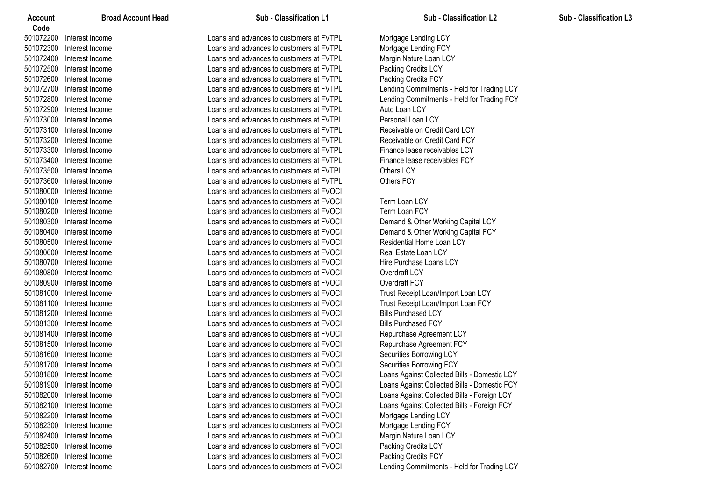| Account   | <b>Broad Account Head</b> | Sub - Classification L1                  | <b>Sub - Classification L2</b>               | <b>Sub - Classification L3</b> |
|-----------|---------------------------|------------------------------------------|----------------------------------------------|--------------------------------|
| Code      |                           |                                          |                                              |                                |
| 501072200 | Interest Income           | Loans and advances to customers at FVTPL | Mortgage Lending LCY                         |                                |
| 501072300 | Interest Income           | Loans and advances to customers at FVTPL | Mortgage Lending FCY                         |                                |
| 501072400 | Interest Income           | Loans and advances to customers at FVTPL | Margin Nature Loan LCY                       |                                |
| 501072500 | Interest Income           | Loans and advances to customers at FVTPL | Packing Credits LCY                          |                                |
| 501072600 | Interest Income           | Loans and advances to customers at FVTPL | Packing Credits FCY                          |                                |
| 501072700 | Interest Income           | Loans and advances to customers at FVTPL | Lending Commitments - Held for Trading LCY   |                                |
| 501072800 | Interest Income           | Loans and advances to customers at FVTPL | Lending Commitments - Held for Trading FCY   |                                |
| 501072900 | Interest Income           | Loans and advances to customers at FVTPL | Auto Loan LCY                                |                                |
| 501073000 | Interest Income           | Loans and advances to customers at FVTPL | Personal Loan LCY                            |                                |
| 501073100 | Interest Income           | Loans and advances to customers at FVTPL | Receivable on Credit Card LCY                |                                |
| 501073200 | Interest Income           | Loans and advances to customers at FVTPL | Receivable on Credit Card FCY                |                                |
| 501073300 | Interest Income           | Loans and advances to customers at FVTPL | Finance lease receivables LCY                |                                |
| 501073400 | Interest Income           | Loans and advances to customers at FVTPL | Finance lease receivables FCY                |                                |
| 501073500 | Interest Income           | Loans and advances to customers at FVTPL | Others LCY                                   |                                |
| 501073600 | Interest Income           | Loans and advances to customers at FVTPL | Others FCY                                   |                                |
| 501080000 | Interest Income           | Loans and advances to customers at FVOCI |                                              |                                |
| 501080100 | Interest Income           | Loans and advances to customers at FVOCI | Term Loan LCY                                |                                |
| 501080200 | Interest Income           | Loans and advances to customers at FVOCI | <b>Term Loan FCY</b>                         |                                |
| 501080300 | Interest Income           | Loans and advances to customers at FVOCI | Demand & Other Working Capital LCY           |                                |
| 501080400 | Interest Income           | Loans and advances to customers at FVOCI | Demand & Other Working Capital FCY           |                                |
| 501080500 | Interest Income           | Loans and advances to customers at FVOCI | <b>Residential Home Loan LCY</b>             |                                |
| 501080600 | Interest Income           | Loans and advances to customers at FVOCI | Real Estate Loan LCY                         |                                |
| 501080700 | Interest Income           | Loans and advances to customers at FVOCI | Hire Purchase Loans LCY                      |                                |
| 501080800 | Interest Income           | Loans and advances to customers at FVOCI | Overdraft LCY                                |                                |
| 501080900 | Interest Income           | Loans and advances to customers at FVOCI | Overdraft FCY                                |                                |
| 501081000 | Interest Income           | Loans and advances to customers at FVOCI | Trust Receipt Loan/Import Loan LCY           |                                |
| 501081100 | Interest Income           | Loans and advances to customers at FVOCI | Trust Receipt Loan/Import Loan FCY           |                                |
| 501081200 | Interest Income           | Loans and advances to customers at FVOCI | <b>Bills Purchased LCY</b>                   |                                |
| 501081300 | Interest Income           | Loans and advances to customers at FVOCI | <b>Bills Purchased FCY</b>                   |                                |
| 501081400 | Interest Income           | Loans and advances to customers at FVOCI | Repurchase Agreement LCY                     |                                |
| 501081500 | Interest Income           | Loans and advances to customers at FVOCI | Repurchase Agreement FCY                     |                                |
| 501081600 | Interest Income           | Loans and advances to customers at FVOCI | Securities Borrowing LCY                     |                                |
| 501081700 | Interest Income           | Loans and advances to customers at FVOCI | Securities Borrowing FCY                     |                                |
|           | 501081800 Interest Income | Loans and advances to customers at FVOCI | Loans Against Collected Bills - Domestic LCY |                                |
|           | 501081900 Interest Income | Loans and advances to customers at FVOCI | Loans Against Collected Bills - Domestic FCY |                                |
| 501082000 | Interest Income           | Loans and advances to customers at FVOCI | Loans Against Collected Bills - Foreign LCY  |                                |
| 501082100 | Interest Income           | Loans and advances to customers at FVOCI | Loans Against Collected Bills - Foreign FCY  |                                |
| 501082200 | Interest Income           | Loans and advances to customers at FVOCI | Mortgage Lending LCY                         |                                |
| 501082300 | Interest Income           | Loans and advances to customers at FVOCI | Mortgage Lending FCY                         |                                |
| 501082400 | Interest Income           | Loans and advances to customers at FVOCI | Margin Nature Loan LCY                       |                                |
| 501082500 | Interest Income           | Loans and advances to customers at FVOCI | Packing Credits LCY                          |                                |
| 501082600 | Interest Income           | Loans and advances to customers at FVOCI | Packing Credits FCY                          |                                |
| 501082700 | Interest Income           | Loans and advances to customers at FVOCI | Lending Commitments - Held for Trading LCY   |                                |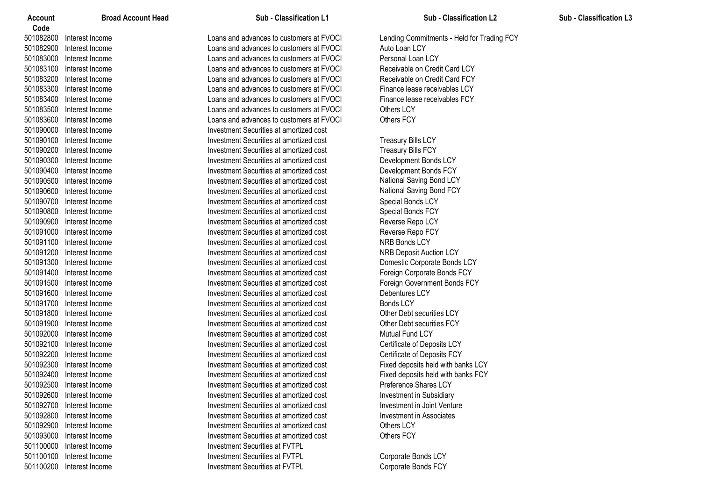| <b>Account</b><br>Code | <b>Broad Account Head</b> | Sub - Classification L1                  | Sub - Classification L2                    |
|------------------------|---------------------------|------------------------------------------|--------------------------------------------|
| 501082800              | Interest Income           | Loans and advances to customers at FVOCI | Lending Commitments - Held for Trading FCY |
| 501082900              | Interest Income           | Loans and advances to customers at FVOCI | Auto Loan LCY                              |
| 501083000              | Interest Income           | Loans and advances to customers at FVOCI | Personal Loan LCY                          |
| 501083100              | Interest Income           | Loans and advances to customers at FVOCI | Receivable on Credit Card LCY              |
| 501083200              | Interest Income           | Loans and advances to customers at FVOCI | Receivable on Credit Card FCY              |
| 501083300              | Interest Income           | Loans and advances to customers at FVOCI | Finance lease receivables LCY              |
| 501083400              | Interest Income           | Loans and advances to customers at FVOCI | Finance lease receivables FCY              |
| 501083500              | Interest Income           | Loans and advances to customers at FVOCI | Others LCY                                 |
| 501083600              | Interest Income           | Loans and advances to customers at FVOCI | <b>Others FCY</b>                          |
| 501090000              | Interest Income           | Investment Securities at amortized cost  |                                            |
| 501090100              | Interest Income           | Investment Securities at amortized cost  | <b>Treasury Bills LCY</b>                  |
| 501090200              | Interest Income           | Investment Securities at amortized cost  | <b>Treasury Bills FCY</b>                  |
| 501090300              | Interest Income           | Investment Securities at amortized cost  | Development Bonds LCY                      |
| 501090400              | Interest Income           | Investment Securities at amortized cost  | Development Bonds FCY                      |
| 501090500              | Interest Income           | Investment Securities at amortized cost  | National Saving Bond LCY                   |
| 501090600              | Interest Income           | Investment Securities at amortized cost  | National Saving Bond FCY                   |
| 501090700              | Interest Income           | Investment Securities at amortized cost  | Special Bonds LCY                          |
| 501090800              | Interest Income           | Investment Securities at amortized cost  | Special Bonds FCY                          |
| 501090900              | Interest Income           | Investment Securities at amortized cost  | Reverse Repo LCY                           |
| 501091000              | Interest Income           | Investment Securities at amortized cost  | Reverse Repo FCY                           |
| 501091100              | Interest Income           | Investment Securities at amortized cost  | NRB Bonds LCY                              |
| 501091200              | Interest Income           | Investment Securities at amortized cost  | <b>NRB Deposit Auction LCY</b>             |
| 501091300              | Interest Income           | Investment Securities at amortized cost  | Domestic Corporate Bonds LCY               |
| 501091400              | Interest Income           | Investment Securities at amortized cost  | Foreign Corporate Bonds FCY                |
| 501091500              | Interest Income           | Investment Securities at amortized cost  | Foreign Government Bonds FCY               |
| 501091600              | Interest Income           | Investment Securities at amortized cost  | Debentures LCY                             |
| 501091700              | Interest Income           | Investment Securities at amortized cost  | <b>Bonds LCY</b>                           |
| 501091800              | Interest Income           | Investment Securities at amortized cost  | Other Debt securities LCY                  |
| 501091900              | Interest Income           | Investment Securities at amortized cost  | Other Debt securities FCY                  |
| 501092000              | Interest Income           | Investment Securities at amortized cost  | Mutual Fund LCY                            |
| 501092100              | Interest Income           | Investment Securities at amortized cost  | Certificate of Deposits LCY                |
| 501092200              | Interest Income           | Investment Securities at amortized cost  | Certificate of Deposits FCY                |
| 501092300              | Interest Income           | Investment Securities at amortized cost  | Fixed deposits held with banks LCY         |
| 501092400              | Interest Income           | Investment Securities at amortized cost  | Fixed deposits held with banks FCY         |
| 501092500              | Interest Income           | Investment Securities at amortized cost  | Preference Shares LCY                      |
| 501092600              | Interest Income           | Investment Securities at amortized cost  | Investment in Subsidiary                   |
| 501092700              | Interest Income           | Investment Securities at amortized cost  | Investment in Joint Venture                |
| 501092800              | Interest Income           | Investment Securities at amortized cost  | Investment in Associates                   |
| 501092900              | Interest Income           | Investment Securities at amortized cost  | Others LCY                                 |
| 501093000              | Interest Income           | Investment Securities at amortized cost  | Others FCY                                 |
| 501100000              | Interest Income           | <b>Investment Securities at FVTPL</b>    |                                            |
| 501100100              | Interest Income           | <b>Investment Securities at FVTPL</b>    | Corporate Bonds LCY                        |
|                        | 501100200 Interest Income | Investment Securities at FVTPL           | Corporate Bonds FCY                        |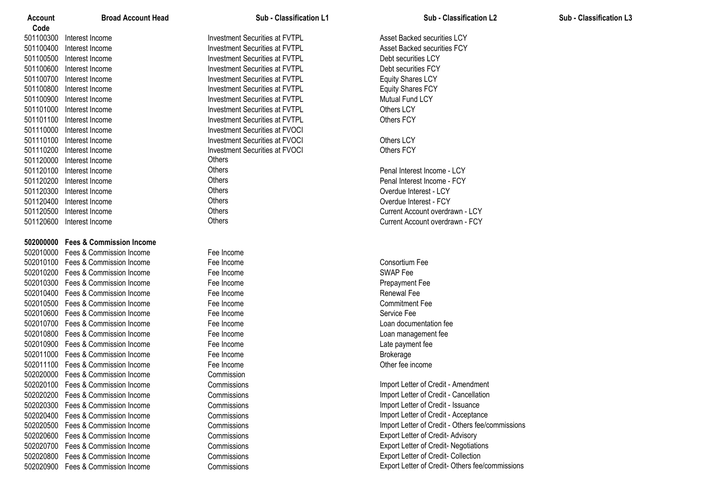| Account<br>Code | <b>Broad Account Head</b>                              | Sub - Classification L1               | <b>Sub - Classification L2</b>                   |
|-----------------|--------------------------------------------------------|---------------------------------------|--------------------------------------------------|
|                 | 501100300 Interest Income                              | <b>Investment Securities at FVTPL</b> | Asset Backed securities LCY                      |
|                 | 501100400 Interest Income                              | <b>Investment Securities at FVTPL</b> | Asset Backed securities FCY                      |
|                 | 501100500 Interest Income                              | <b>Investment Securities at FVTPL</b> | Debt securities LCY                              |
|                 | 501100600 Interest Income                              | <b>Investment Securities at FVTPL</b> | Debt securities FCY                              |
|                 | 501100700 Interest Income                              | <b>Investment Securities at FVTPL</b> | <b>Equity Shares LCY</b>                         |
|                 | 501100800 Interest Income                              | <b>Investment Securities at FVTPL</b> | <b>Equity Shares FCY</b>                         |
|                 | 501100900 Interest Income                              | <b>Investment Securities at FVTPL</b> | <b>Mutual Fund LCY</b>                           |
|                 | 501101000 Interest Income                              | <b>Investment Securities at FVTPL</b> | Others LCY                                       |
|                 | 501101100 Interest Income                              | <b>Investment Securities at FVTPL</b> | <b>Others FCY</b>                                |
|                 | 501110000 Interest Income                              | <b>Investment Securities at FVOCI</b> |                                                  |
|                 | 501110100 Interest Income                              | <b>Investment Securities at FVOCI</b> | Others LCY                                       |
|                 |                                                        | <b>Investment Securities at FVOCI</b> |                                                  |
|                 | 501110200 Interest Income<br>501120000 Interest Income | Others                                | <b>Others FCY</b>                                |
|                 | 501120100 Interest Income                              | Others                                |                                                  |
|                 |                                                        | Others                                | Penal Interest Income - LCY                      |
|                 | 501120200 Interest Income                              | Others                                | Penal Interest Income - FCY                      |
| 501120300       | Interest Income                                        | Others                                | Overdue Interest - LCY                           |
| 501120400       | Interest Income                                        | Others                                | Overdue Interest - FCY                           |
| 501120500       | Interest Income                                        | Others                                | Current Account overdrawn - LCY                  |
|                 | 501120600 Interest Income                              |                                       | Current Account overdrawn - FCY                  |
|                 | 502000000 Fees & Commission Income                     |                                       |                                                  |
|                 | 502010000 Fees & Commission Income                     | Fee Income                            |                                                  |
|                 | 502010100 Fees & Commission Income                     | Fee Income                            | Consortium Fee                                   |
|                 | 502010200 Fees & Commission Income                     | Fee Income                            | <b>SWAP Fee</b>                                  |
|                 | 502010300 Fees & Commission Income                     | Fee Income                            | Prepayment Fee                                   |
|                 | 502010400 Fees & Commission Income                     | Fee Income                            | <b>Renewal Fee</b>                               |
|                 | 502010500 Fees & Commission Income                     | Fee Income                            | <b>Commitment Fee</b>                            |
|                 | 502010600 Fees & Commission Income                     | Fee Income                            | Service Fee                                      |
|                 | 502010700 Fees & Commission Income                     | Fee Income                            | Loan documentation fee                           |
|                 | 502010800 Fees & Commission Income                     | Fee Income                            | Loan management fee                              |
|                 | 502010900 Fees & Commission Income                     | Fee Income                            | Late payment fee                                 |
|                 | 502011000 Fees & Commission Income                     | Fee Income                            | <b>Brokerage</b>                                 |
|                 | 502011100 Fees & Commission Income                     | Fee Income                            | Other fee income                                 |
|                 | 502020000 Fees & Commission Income                     | Commission                            |                                                  |
|                 | 502020100 Fees & Commission Income                     | Commissions                           | Import Letter of Credit - Amendment              |
|                 | 502020200 Fees & Commission Income                     | Commissions                           | Import Letter of Credit - Cancellation           |
|                 | 502020300 Fees & Commission Income                     | Commissions                           | Import Letter of Credit - Issuance               |
|                 | 502020400 Fees & Commission Income                     | Commissions                           | Import Letter of Credit - Acceptance             |
|                 | 502020500 Fees & Commission Income                     | Commissions                           | Import Letter of Credit - Others fee/commissions |
|                 | 502020600 Fees & Commission Income                     | Commissions                           | Export Letter of Credit- Advisory                |
|                 | 502020700 Fees & Commission Income                     | Commissions                           | <b>Export Letter of Credit- Negotiations</b>     |
|                 | 502020800 Fees & Commission Income                     | Commissions                           | Export Letter of Credit- Collection              |
|                 | 502020900 Fees & Commission Income                     | Commissions                           | Export Letter of Credit- Others fee/commissions  |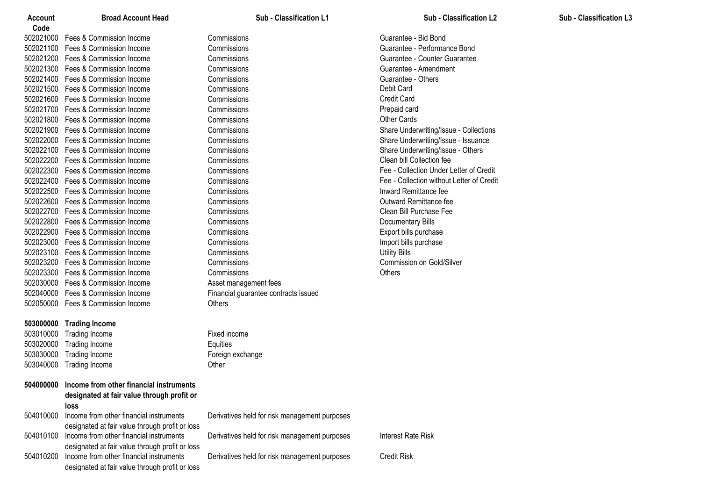| Account |
|---------|
|---------|

**Code** Fees & Commission Income Commissions Guarantee - Bid Bond Fees & Commission Income Commissions Guarantee - Performance Bond Fees & Commission Income Commissions Guarantee - Counter Guarantee Fees & Commission Income Commissions Guarantee - Amendment Fees & Commission Income Commissions Guarantee - Others 502021500 Fees & Commission Income Commissions Fees & Commission Income Commissions Credit Card Fees & Commission Income Commissions Prepaid card 502021800 Fees & Commission Income Commissions Fees & Commission Income Commissions Share Underwriting/Issue - Collections Fees & Commission Income Commissions Share Underwriting/Issue - Issuance Fees & Commission Income Commissions Share Underwriting/Issue - Others Fees & Commission Income Commissions Clean bill Collection fee Fees & Commission Income Commissions Fee - Collection Under Letter of Credit 502022400 Fees & Commission Income Commissions Fees & Commission Income Commissions Inward Remittance fee Fees & Commission Income Commissions Outward Remittance fee Fees & Commission Income Commissions Clean Bill Purchase Fee Fees & Commission Income Commissions Documentary Bills Fees & Commission Income Commissions Export bills purchase Fees & Commission Income Commissions Import bills purchase Fees & Commission Income Commissions Utility Bills Fees & Commission Income Commissions Commission on Gold/Silver Fees & Commission Income Commissions Others Fees & Commission Income Asset management fees Fees & Commission Income Financial guarantee contracts issued Fees & Commission Income Others

# **Trading Income**

 Trading Income Fixed income Trading Income Equities 503030000 Trading Income Foreign exchange Trading Income Other

| 504000000 | Income from other financial instruments<br>designated at fair value through profit or                |                                               |                    |
|-----------|------------------------------------------------------------------------------------------------------|-----------------------------------------------|--------------------|
|           | loss                                                                                                 |                                               |                    |
| 504010000 | Income from other financial instruments<br>designated at fair value through profit or loss           | Derivatives held for risk management purposes |                    |
| 504010100 | Income from other financial instruments<br>designated at fair value through profit or loss           | Derivatives held for risk management purposes | Interest Rate Risk |
|           | 504010200 Income from other financial instruments<br>designated at fair value through profit or loss | Derivatives held for risk management purposes | Credit Risk        |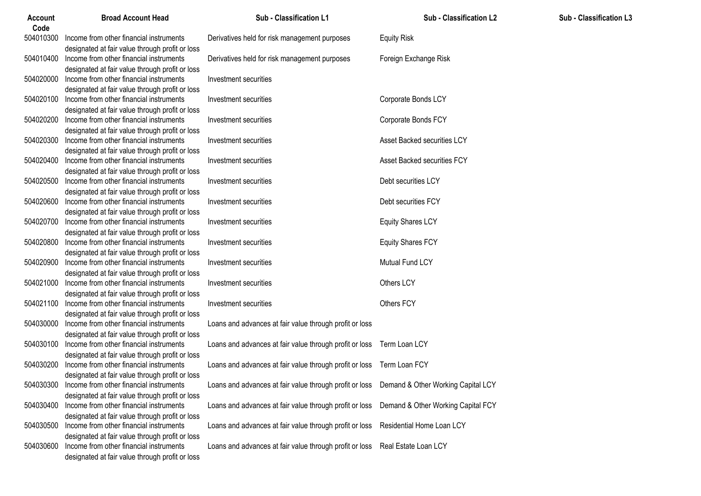| <b>Account</b><br>Code | <b>Broad Account Head</b>                         | Sub - Classification L1                                                                     | <b>Sub - Classification L2</b>     | Sub - Classification L3 |
|------------------------|---------------------------------------------------|---------------------------------------------------------------------------------------------|------------------------------------|-------------------------|
| 504010300              | Income from other financial instruments           | Derivatives held for risk management purposes                                               | <b>Equity Risk</b>                 |                         |
|                        | designated at fair value through profit or loss   |                                                                                             |                                    |                         |
| 504010400              | Income from other financial instruments           | Derivatives held for risk management purposes                                               | Foreign Exchange Risk              |                         |
|                        | designated at fair value through profit or loss   |                                                                                             |                                    |                         |
| 504020000              | Income from other financial instruments           | Investment securities                                                                       |                                    |                         |
|                        | designated at fair value through profit or loss   |                                                                                             |                                    |                         |
| 504020100              | Income from other financial instruments           | Investment securities                                                                       | Corporate Bonds LCY                |                         |
|                        | designated at fair value through profit or loss   |                                                                                             |                                    |                         |
| 504020200              | Income from other financial instruments           | Investment securities                                                                       | Corporate Bonds FCY                |                         |
|                        | designated at fair value through profit or loss   |                                                                                             |                                    |                         |
| 504020300              | Income from other financial instruments           | Investment securities                                                                       | Asset Backed securities LCY        |                         |
|                        | designated at fair value through profit or loss   |                                                                                             |                                    |                         |
|                        | 504020400 Income from other financial instruments | Investment securities                                                                       | Asset Backed securities FCY        |                         |
|                        | designated at fair value through profit or loss   |                                                                                             |                                    |                         |
| 504020500              | Income from other financial instruments           | Investment securities                                                                       | Debt securities LCY                |                         |
|                        | designated at fair value through profit or loss   |                                                                                             |                                    |                         |
| 504020600              | Income from other financial instruments           | Investment securities                                                                       | Debt securities FCY                |                         |
|                        | designated at fair value through profit or loss   |                                                                                             |                                    |                         |
| 504020700              | Income from other financial instruments           | Investment securities                                                                       | <b>Equity Shares LCY</b>           |                         |
|                        | designated at fair value through profit or loss   |                                                                                             |                                    |                         |
| 504020800              | Income from other financial instruments           | Investment securities                                                                       | <b>Equity Shares FCY</b>           |                         |
|                        | designated at fair value through profit or loss   |                                                                                             |                                    |                         |
| 504020900              | Income from other financial instruments           | Investment securities                                                                       | Mutual Fund LCY                    |                         |
|                        | designated at fair value through profit or loss   |                                                                                             |                                    |                         |
| 504021000              | Income from other financial instruments           | Investment securities                                                                       | Others LCY                         |                         |
|                        | designated at fair value through profit or loss   |                                                                                             |                                    |                         |
| 504021100              | Income from other financial instruments           | Investment securities                                                                       | Others FCY                         |                         |
|                        | designated at fair value through profit or loss   |                                                                                             |                                    |                         |
| 504030000              | Income from other financial instruments           | Loans and advances at fair value through profit or loss                                     |                                    |                         |
|                        | designated at fair value through profit or loss   |                                                                                             |                                    |                         |
| 504030100              | Income from other financial instruments           | Loans and advances at fair value through profit or loss  Term Loan LCY                      |                                    |                         |
|                        | designated at fair value through profit or loss   |                                                                                             |                                    |                         |
| 504030200              | Income from other financial instruments           | Loans and advances at fair value through profit or loss Term Loan FCY                       |                                    |                         |
|                        | designated at fair value through profit or loss   |                                                                                             |                                    |                         |
|                        | 504030300 Income from other financial instruments | Loans and advances at fair value through profit or loss  Demand & Other Working Capital LCY |                                    |                         |
|                        | designated at fair value through profit or loss   |                                                                                             |                                    |                         |
| 504030400              | Income from other financial instruments           | Loans and advances at fair value through profit or loss                                     | Demand & Other Working Capital FCY |                         |
|                        | designated at fair value through profit or loss   |                                                                                             |                                    |                         |
| 504030500              | Income from other financial instruments           | Loans and advances at fair value through profit or loss                                     | Residential Home Loan LCY          |                         |
|                        | designated at fair value through profit or loss   |                                                                                             |                                    |                         |
| 504030600              | Income from other financial instruments           | Loans and advances at fair value through profit or loss                                     | Real Estate Loan LCY               |                         |
|                        | designated at fair value through profit or loss   |                                                                                             |                                    |                         |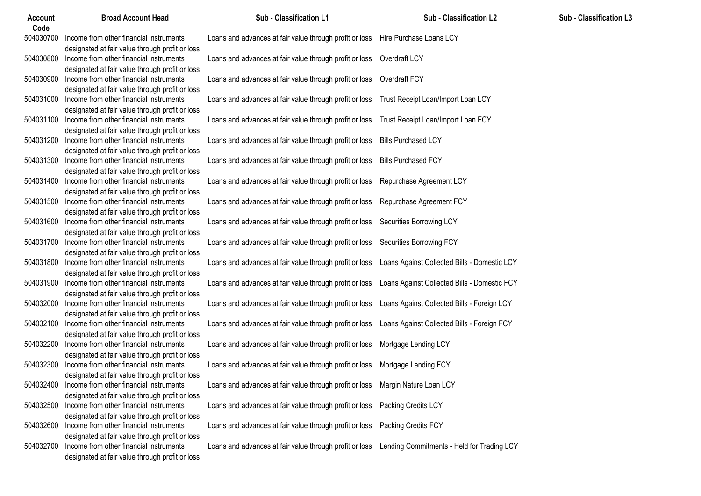| <b>Account</b><br>Code | <b>Broad Account Head</b>                                                                  | Sub - Classification L1                                                         | <b>Sub - Classification L2</b>               |
|------------------------|--------------------------------------------------------------------------------------------|---------------------------------------------------------------------------------|----------------------------------------------|
| 504030700              | Income from other financial instruments<br>designated at fair value through profit or loss | Loans and advances at fair value through profit or loss Hire Purchase Loans LCY |                                              |
| 504030800              | Income from other financial instruments<br>designated at fair value through profit or loss | Loans and advances at fair value through profit or loss                         | Overdraft LCY                                |
| 504030900              | Income from other financial instruments<br>designated at fair value through profit or loss | Loans and advances at fair value through profit or loss                         | Overdraft FCY                                |
| 504031000              | Income from other financial instruments<br>designated at fair value through profit or loss | Loans and advances at fair value through profit or loss                         | Trust Receipt Loan/Import Loan LCY           |
| 504031100              | Income from other financial instruments<br>designated at fair value through profit or loss | Loans and advances at fair value through profit or loss                         | Trust Receipt Loan/Import Loan FCY           |
| 504031200              | Income from other financial instruments<br>designated at fair value through profit or loss | Loans and advances at fair value through profit or loss                         | <b>Bills Purchased LCY</b>                   |
| 504031300              | Income from other financial instruments<br>designated at fair value through profit or loss | Loans and advances at fair value through profit or loss                         | <b>Bills Purchased FCY</b>                   |
| 504031400              | Income from other financial instruments<br>designated at fair value through profit or loss | Loans and advances at fair value through profit or loss                         | Repurchase Agreement LCY                     |
| 504031500              | Income from other financial instruments<br>designated at fair value through profit or loss | Loans and advances at fair value through profit or loss                         | Repurchase Agreement FCY                     |
| 504031600              | Income from other financial instruments<br>designated at fair value through profit or loss | Loans and advances at fair value through profit or loss                         | Securities Borrowing LCY                     |
| 504031700              | Income from other financial instruments<br>designated at fair value through profit or loss | Loans and advances at fair value through profit or loss                         | Securities Borrowing FCY                     |
| 504031800              | Income from other financial instruments<br>designated at fair value through profit or loss | Loans and advances at fair value through profit or loss                         | Loans Against Collected Bills - Domestic LCY |
| 504031900              | Income from other financial instruments<br>designated at fair value through profit or loss | Loans and advances at fair value through profit or loss                         | Loans Against Collected Bills - Domestic FCY |
| 504032000              | Income from other financial instruments<br>designated at fair value through profit or loss | Loans and advances at fair value through profit or loss                         | Loans Against Collected Bills - Foreign LCY  |
| 504032100              | Income from other financial instruments<br>designated at fair value through profit or loss | Loans and advances at fair value through profit or loss                         | Loans Against Collected Bills - Foreign FCY  |
| 504032200              | Income from other financial instruments<br>designated at fair value through profit or loss | Loans and advances at fair value through profit or loss                         | Mortgage Lending LCY                         |
| 504032300              | Income from other financial instruments<br>designated at fair value through profit or loss | Loans and advances at fair value through profit or loss                         | Mortgage Lending FCY                         |
| 504032400              | Income from other financial instruments<br>designated at fair value through profit or loss | Loans and advances at fair value through profit or loss                         | Margin Nature Loan LCY                       |
| 504032500              | Income from other financial instruments<br>designated at fair value through profit or loss | Loans and advances at fair value through profit or loss                         | Packing Credits LCY                          |
| 504032600              | Income from other financial instruments<br>designated at fair value through profit or loss | Loans and advances at fair value through profit or loss                         | Packing Credits FCY                          |
| 504032700              | Income from other financial instruments<br>designated at fair value through profit or loss | Loans and advances at fair value through profit or loss                         | Lending Commitments - Held for Trading LCY   |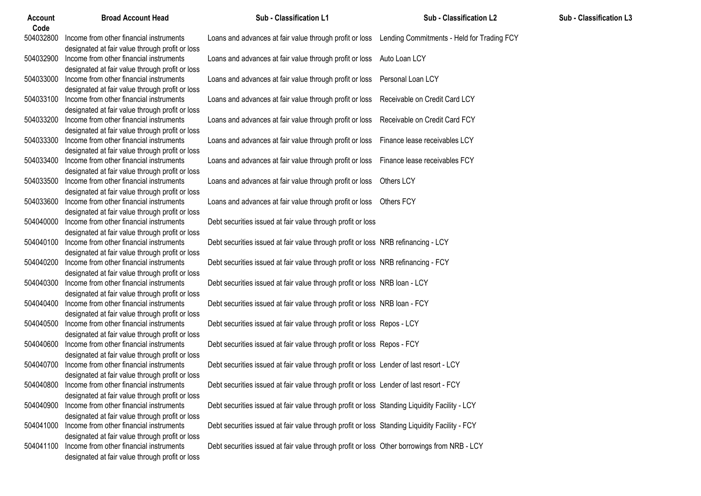| Account<br>Code | <b>Broad Account Head</b>                       | Sub - Classification L1                                                                            | Sub - Classification L2       |
|-----------------|-------------------------------------------------|----------------------------------------------------------------------------------------------------|-------------------------------|
| 504032800       | Income from other financial instruments         | Loans and advances at fair value through profit or loss Lending Commitments - Held for Trading FCY |                               |
|                 | designated at fair value through profit or loss |                                                                                                    |                               |
| 504032900       | Income from other financial instruments         | Loans and advances at fair value through profit or loss                                            | Auto Loan LCY                 |
|                 | designated at fair value through profit or loss |                                                                                                    |                               |
| 504033000       | Income from other financial instruments         | Loans and advances at fair value through profit or loss                                            | Personal Loan LCY             |
|                 | designated at fair value through profit or loss |                                                                                                    |                               |
| 504033100       | Income from other financial instruments         | Loans and advances at fair value through profit or loss                                            | Receivable on Credit Card LCY |
|                 | designated at fair value through profit or loss |                                                                                                    |                               |
| 504033200       | Income from other financial instruments         | Loans and advances at fair value through profit or loss                                            | Receivable on Credit Card FCY |
|                 | designated at fair value through profit or loss |                                                                                                    |                               |
| 504033300       | Income from other financial instruments         | Loans and advances at fair value through profit or loss                                            | Finance lease receivables LCY |
|                 | designated at fair value through profit or loss |                                                                                                    |                               |
| 504033400       | Income from other financial instruments         | Loans and advances at fair value through profit or loss                                            | Finance lease receivables FCY |
|                 | designated at fair value through profit or loss |                                                                                                    |                               |
| 504033500       | Income from other financial instruments         | Loans and advances at fair value through profit or loss                                            | Others LCY                    |
|                 | designated at fair value through profit or loss |                                                                                                    |                               |
| 504033600       | Income from other financial instruments         | Loans and advances at fair value through profit or loss                                            | <b>Others FCY</b>             |
|                 | designated at fair value through profit or loss |                                                                                                    |                               |
| 504040000       | Income from other financial instruments         | Debt securities issued at fair value through profit or loss                                        |                               |
|                 | designated at fair value through profit or loss |                                                                                                    |                               |
| 504040100       | Income from other financial instruments         | Debt securities issued at fair value through profit or loss NRB refinancing - LCY                  |                               |
|                 | designated at fair value through profit or loss |                                                                                                    |                               |
| 504040200       | Income from other financial instruments         | Debt securities issued at fair value through profit or loss NRB refinancing - FCY                  |                               |
|                 | designated at fair value through profit or loss |                                                                                                    |                               |
| 504040300       | Income from other financial instruments         | Debt securities issued at fair value through profit or loss NRB loan - LCY                         |                               |
|                 | designated at fair value through profit or loss |                                                                                                    |                               |
| 504040400       | Income from other financial instruments         | Debt securities issued at fair value through profit or loss NRB loan - FCY                         |                               |
|                 | designated at fair value through profit or loss |                                                                                                    |                               |
| 504040500       | Income from other financial instruments         | Debt securities issued at fair value through profit or loss Repos - LCY                            |                               |
|                 | designated at fair value through profit or loss |                                                                                                    |                               |
| 504040600       | Income from other financial instruments         | Debt securities issued at fair value through profit or loss Repos - FCY                            |                               |
|                 | designated at fair value through profit or loss |                                                                                                    |                               |
| 504040700       | Income from other financial instruments         | Debt securities issued at fair value through profit or loss Lender of last resort - LCY            |                               |
|                 | designated at fair value through profit or loss |                                                                                                    |                               |
| 504040800       | Income from other financial instruments         | Debt securities issued at fair value through profit or loss Lender of last resort - FCY            |                               |
|                 | designated at fair value through profit or loss |                                                                                                    |                               |
| 504040900       | Income from other financial instruments         | Debt securities issued at fair value through profit or loss Standing Liquidity Facility - LCY      |                               |
|                 | designated at fair value through profit or loss |                                                                                                    |                               |
| 504041000       | Income from other financial instruments         | Debt securities issued at fair value through profit or loss Standing Liquidity Facility - FCY      |                               |
|                 | designated at fair value through profit or loss |                                                                                                    |                               |
| 504041100       | Income from other financial instruments         | Debt securities issued at fair value through profit or loss Other borrowings from NRB - LCY        |                               |
|                 | designated at fair value through profit or loss |                                                                                                    |                               |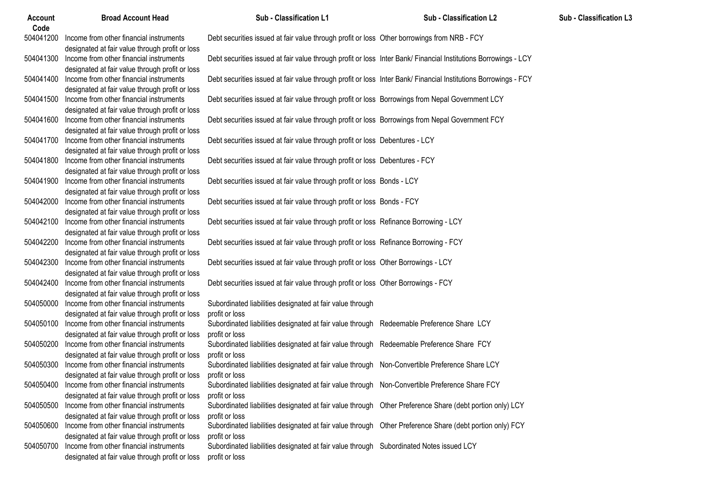| <b>Account</b><br>Code | <b>Broad Account Head</b>                                                                            | Sub - Classification L1                                                                                                    | <b>Sub - Classification L2</b> | Sub - Classification L3 |
|------------------------|------------------------------------------------------------------------------------------------------|----------------------------------------------------------------------------------------------------------------------------|--------------------------------|-------------------------|
|                        | 504041200 Income from other financial instruments<br>designated at fair value through profit or loss | Debt securities issued at fair value through profit or loss Other borrowings from NRB - FCY                                |                                |                         |
|                        | 504041300 Income from other financial instruments<br>designated at fair value through profit or loss | Debt securities issued at fair value through profit or loss Inter Bank/ Financial Institutions Borrowings - LCY            |                                |                         |
|                        | 504041400 Income from other financial instruments<br>designated at fair value through profit or loss | Debt securities issued at fair value through profit or loss Inter Bank/ Financial Institutions Borrowings - FCY            |                                |                         |
|                        | 504041500 Income from other financial instruments<br>designated at fair value through profit or loss | Debt securities issued at fair value through profit or loss Borrowings from Nepal Government LCY                           |                                |                         |
|                        | 504041600 Income from other financial instruments<br>designated at fair value through profit or loss | Debt securities issued at fair value through profit or loss Borrowings from Nepal Government FCY                           |                                |                         |
|                        | 504041700 Income from other financial instruments<br>designated at fair value through profit or loss | Debt securities issued at fair value through profit or loss Debentures - LCY                                               |                                |                         |
|                        | 504041800 Income from other financial instruments<br>designated at fair value through profit or loss | Debt securities issued at fair value through profit or loss Debentures - FCY                                               |                                |                         |
|                        | 504041900 Income from other financial instruments<br>designated at fair value through profit or loss | Debt securities issued at fair value through profit or loss Bonds - LCY                                                    |                                |                         |
|                        | 504042000 Income from other financial instruments<br>designated at fair value through profit or loss | Debt securities issued at fair value through profit or loss Bonds - FCY                                                    |                                |                         |
|                        | 504042100 Income from other financial instruments<br>designated at fair value through profit or loss | Debt securities issued at fair value through profit or loss Refinance Borrowing - LCY                                      |                                |                         |
|                        | 504042200 Income from other financial instruments<br>designated at fair value through profit or loss | Debt securities issued at fair value through profit or loss Refinance Borrowing - FCY                                      |                                |                         |
|                        | 504042300 Income from other financial instruments<br>designated at fair value through profit or loss | Debt securities issued at fair value through profit or loss Other Borrowings - LCY                                         |                                |                         |
|                        | 504042400 Income from other financial instruments<br>designated at fair value through profit or loss | Debt securities issued at fair value through profit or loss Other Borrowings - FCY                                         |                                |                         |
|                        | 504050000 Income from other financial instruments<br>designated at fair value through profit or loss | Subordinated liabilities designated at fair value through<br>profit or loss                                                |                                |                         |
|                        | 504050100 Income from other financial instruments<br>designated at fair value through profit or loss | Subordinated liabilities designated at fair value through Redeemable Preference Share LCY<br>profit or loss                |                                |                         |
|                        | 504050200 Income from other financial instruments<br>designated at fair value through profit or loss | Subordinated liabilities designated at fair value through Redeemable Preference Share FCY<br>profit or loss                |                                |                         |
|                        | 504050300 Income from other financial instruments<br>designated at fair value through profit or loss | Subordinated liabilities designated at fair value through Non-Convertible Preference Share LCY<br>profit or loss           |                                |                         |
|                        | 504050400 Income from other financial instruments<br>designated at fair value through profit or loss | Subordinated liabilities designated at fair value through Non-Convertible Preference Share FCY<br>profit or loss           |                                |                         |
| 504050500              | Income from other financial instruments<br>designated at fair value through profit or loss           | Subordinated liabilities designated at fair value through Other Preference Share (debt portion only) LCY<br>profit or loss |                                |                         |
|                        | 504050600 Income from other financial instruments<br>designated at fair value through profit or loss | Subordinated liabilities designated at fair value through Other Preference Share (debt portion only) FCY<br>profit or loss |                                |                         |
| 504050700              | Income from other financial instruments<br>designated at fair value through profit or loss           | Subordinated liabilities designated at fair value through Subordinated Notes issued LCY<br>profit or loss                  |                                |                         |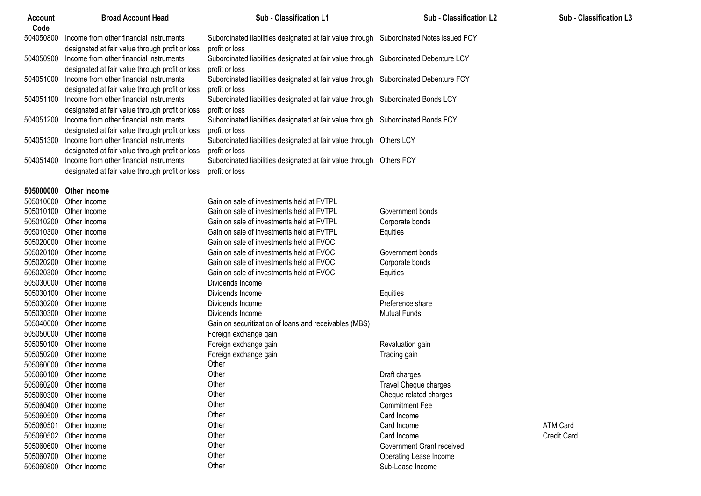| <b>Account</b><br>Code | <b>Broad Account Head</b>                                                                                                                     | Sub - Classification L1                                                                                                  | <b>Sub - Classification L2</b> | <b>Sub - Classification L3</b> |
|------------------------|-----------------------------------------------------------------------------------------------------------------------------------------------|--------------------------------------------------------------------------------------------------------------------------|--------------------------------|--------------------------------|
| 504050800              | Income from other financial instruments                                                                                                       | Subordinated liabilities designated at fair value through Subordinated Notes issued FCY                                  |                                |                                |
| 504050900              | designated at fair value through profit or loss<br>Income from other financial instruments<br>designated at fair value through profit or loss | profit or loss<br>Subordinated liabilities designated at fair value through Subordinated Debenture LCY<br>profit or loss |                                |                                |
| 504051000              | Income from other financial instruments<br>designated at fair value through profit or loss                                                    | Subordinated liabilities designated at fair value through Subordinated Debenture FCY<br>profit or loss                   |                                |                                |
| 504051100              | Income from other financial instruments<br>designated at fair value through profit or loss                                                    | Subordinated liabilities designated at fair value through Subordinated Bonds LCY<br>profit or loss                       |                                |                                |
| 504051200              | Income from other financial instruments<br>designated at fair value through profit or loss                                                    | Subordinated liabilities designated at fair value through Subordinated Bonds FCY<br>profit or loss                       |                                |                                |
| 504051300              | Income from other financial instruments<br>designated at fair value through profit or loss                                                    | Subordinated liabilities designated at fair value through Others LCY<br>profit or loss                                   |                                |                                |
| 504051400              | Income from other financial instruments<br>designated at fair value through profit or loss                                                    | Subordinated liabilities designated at fair value through Others FCY<br>profit or loss                                   |                                |                                |
| 505000000              | <b>Other Income</b>                                                                                                                           |                                                                                                                          |                                |                                |
| 505010000              | Other Income                                                                                                                                  | Gain on sale of investments held at FVTPL                                                                                |                                |                                |
| 505010100              | Other Income                                                                                                                                  | Gain on sale of investments held at FVTPL                                                                                | Government bonds               |                                |
| 505010200              | Other Income                                                                                                                                  | Gain on sale of investments held at FVTPL                                                                                | Corporate bonds                |                                |
| 505010300              | Other Income                                                                                                                                  | Gain on sale of investments held at FVTPL                                                                                | Equities                       |                                |
| 505020000              | Other Income                                                                                                                                  | Gain on sale of investments held at FVOCI                                                                                |                                |                                |
|                        | 505020100 Other Income                                                                                                                        | Gain on sale of investments held at FVOCI                                                                                | Government bonds               |                                |
|                        | 505020200 Other Income                                                                                                                        | Gain on sale of investments held at FVOCI                                                                                | Corporate bonds                |                                |
|                        | 505020300 Other Income                                                                                                                        | Gain on sale of investments held at FVOCI                                                                                | Equities                       |                                |
|                        | 505030000 Other Income                                                                                                                        | Dividends Income                                                                                                         |                                |                                |
|                        | 505030100 Other Income                                                                                                                        | Dividends Income                                                                                                         | Equities                       |                                |
| 505030200              | Other Income                                                                                                                                  | Dividends Income                                                                                                         | Preference share               |                                |
| 505030300              | Other Income                                                                                                                                  | Dividends Income                                                                                                         | <b>Mutual Funds</b>            |                                |
| 505040000              | Other Income                                                                                                                                  | Gain on securitization of loans and receivables (MBS)                                                                    |                                |                                |
| 505050000              | Other Income                                                                                                                                  | Foreign exchange gain                                                                                                    |                                |                                |
|                        | 505050100 Other Income                                                                                                                        | Foreign exchange gain                                                                                                    | Revaluation gain               |                                |
|                        | 505050200 Other Income                                                                                                                        | Foreign exchange gain                                                                                                    | Trading gain                   |                                |
|                        | 505060000 Other Income                                                                                                                        | Other                                                                                                                    |                                |                                |
|                        | 505060100 Other Income                                                                                                                        | Other                                                                                                                    | Draft charges                  |                                |
|                        | 505060200 Other Income                                                                                                                        | Other                                                                                                                    | Travel Cheque charges          |                                |
|                        | 505060300 Other Income                                                                                                                        | Other                                                                                                                    | Cheque related charges         |                                |
|                        | 505060400 Other Income                                                                                                                        | Other                                                                                                                    | <b>Commitment Fee</b>          |                                |
|                        | 505060500 Other Income                                                                                                                        | Other                                                                                                                    | Card Income                    |                                |
| 505060501              | Other Income                                                                                                                                  | Other                                                                                                                    | Card Income                    | ATM Card                       |
|                        | 505060502 Other Income                                                                                                                        | Other                                                                                                                    | Card Income                    | <b>Credit Card</b>             |
| 505060600              | Other Income                                                                                                                                  | Other                                                                                                                    | Government Grant received      |                                |
| 505060700              | Other Income                                                                                                                                  | Other                                                                                                                    | Operating Lease Income         |                                |
| 505060800              | Other Income                                                                                                                                  | Other                                                                                                                    | Sub-Lease Income               |                                |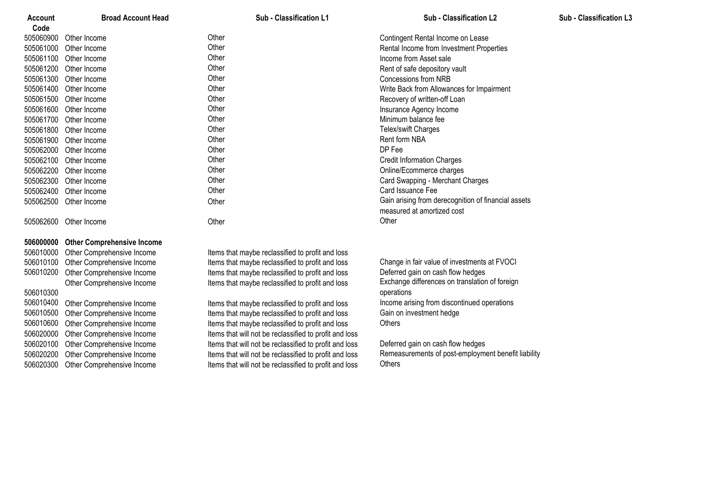| Account   | <b>Broad Account Head</b>         | <b>Sub - Classification L1</b>                         | <b>Sub - Classification L2</b>                      | Sub - Classification L3 |
|-----------|-----------------------------------|--------------------------------------------------------|-----------------------------------------------------|-------------------------|
| Code      |                                   |                                                        |                                                     |                         |
| 505060900 | Other Income                      | Other                                                  | Contingent Rental Income on Lease                   |                         |
| 505061000 | Other Income                      | Other                                                  | Rental Income from Investment Properties            |                         |
| 505061100 | Other Income                      | Other                                                  | Income from Asset sale                              |                         |
| 505061200 | Other Income                      | Other                                                  | Rent of safe depository vault                       |                         |
| 505061300 | Other Income                      | Other                                                  | <b>Concessions from NRB</b>                         |                         |
| 505061400 | Other Income                      | Other                                                  | Write Back from Allowances for Impairment           |                         |
| 505061500 | Other Income                      | Other                                                  | Recovery of written-off Loan                        |                         |
| 505061600 | Other Income                      | Other                                                  | Insurance Agency Income                             |                         |
| 505061700 | Other Income                      | Other                                                  | Minimum balance fee                                 |                         |
| 505061800 | Other Income                      | Other                                                  | Telex/swift Charges                                 |                         |
| 505061900 | Other Income                      | Other                                                  | Rent form NBA                                       |                         |
| 505062000 | Other Income                      | Other                                                  | DP Fee                                              |                         |
| 505062100 | Other Income                      | Other                                                  | <b>Credit Information Charges</b>                   |                         |
| 505062200 | Other Income                      | Other                                                  | Online/Ecommerce charges                            |                         |
| 505062300 | Other Income                      | Other                                                  | Card Swapping - Merchant Charges                    |                         |
| 505062400 | Other Income                      | Other                                                  | Card Issuance Fee                                   |                         |
| 505062500 | Other Income                      | Other                                                  | Gain arising from derecognition of financial assets |                         |
|           |                                   |                                                        | measured at amortized cost                          |                         |
|           | 505062600 Other Income            | Other                                                  | Other                                               |                         |
| 506000000 | <b>Other Comprehensive Income</b> |                                                        |                                                     |                         |
| 506010000 | Other Comprehensive Income        | Items that maybe reclassified to profit and loss       |                                                     |                         |
| 506010100 | Other Comprehensive Income        | Items that maybe reclassified to profit and loss       | Change in fair value of investments at FVOCI        |                         |
| 506010200 | Other Comprehensive Income        | Items that maybe reclassified to profit and loss       | Deferred gain on cash flow hedges                   |                         |
|           | Other Comprehensive Income        | Items that maybe reclassified to profit and loss       | Exchange differences on translation of foreign      |                         |
| 506010300 |                                   |                                                        | operations                                          |                         |
| 506010400 | Other Comprehensive Income        | Items that maybe reclassified to profit and loss       | Income arising from discontinued operations         |                         |
| 506010500 | Other Comprehensive Income        | Items that maybe reclassified to profit and loss       | Gain on investment hedge                            |                         |
| 506010600 | Other Comprehensive Income        | Items that maybe reclassified to profit and loss       | Others                                              |                         |
| 506020000 | Other Comprehensive Income        | Items that will not be reclassified to profit and loss |                                                     |                         |
| 506020100 | Other Comprehensive Income        | Items that will not be reclassified to profit and loss | Deferred gain on cash flow hedges                   |                         |
| 506020200 | Other Comprehensive Income        | Items that will not be reclassified to profit and loss | Remeasurements of post-employment benefit liability |                         |
| 506020300 | Other Comprehensive Income        | Items that will not be reclassified to profit and loss | Others                                              |                         |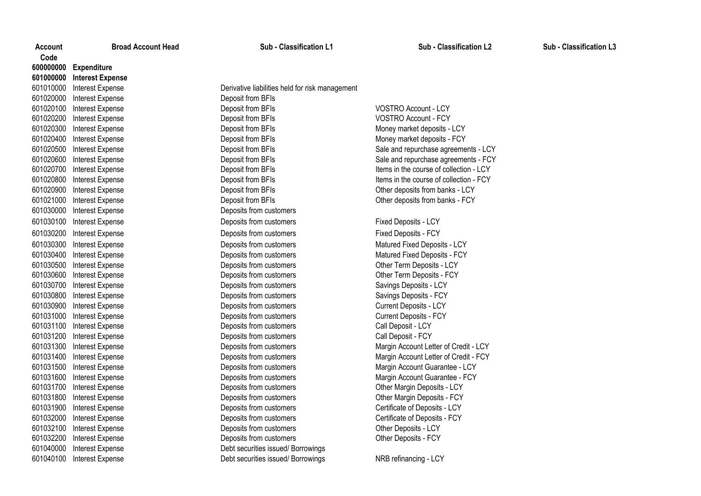| Code      |                         |
|-----------|-------------------------|
| 600000000 | <b>Expenditure</b>      |
| 601000000 | <b>Interest Expense</b> |
| 601010000 | Interest Expense        |
| 601020000 | <b>Interest Expense</b> |
| 601020100 | Interest Expense        |
| 601020200 | <b>Interest Expense</b> |
| 601020300 | Interest Expense        |
| 601020400 | Interest Expense        |
| 601020500 | Interest Expense        |
| 601020600 | Interest Expense        |
| 601020700 | Interest Expense        |
| 601020800 | Interest Expense        |
| 601020900 | Interest Expense        |
| 601021000 | Interest Expense        |
| 601030000 | Interest Expense        |
| 601030100 | Interest Expense        |
| 601030200 | Interest Expense        |
| 601030300 | <b>Interest Expense</b> |
| 601030400 | Interest Expense        |
| 601030500 | Interest Expense        |
| 601030600 | Interest Expense        |
| 601030700 | Interest Expense        |
| 601030800 | Interest Expense        |
| 601030900 | Interest Expense        |
| 601031000 | Interest Expense        |
| 601031100 | Interest Expense        |
| 601031200 | <b>Interest Expense</b> |
| 601031300 | Interest Expense        |
| 601031400 | Interest Expense        |
| 601031500 | Interest Expense        |
| 601031600 | Interest Expense        |
| 601031700 | Interest Expense        |
| 601031800 | Interest Expense        |
| 601031900 | Interest Expense        |
| 601032000 | Interest Expense        |
| 601032100 | Interest Expense        |
| 601032200 | Interest Expense        |
| 601040000 | Interest Expense        |
| 601010100 | Interest Evnapes        |

**Account** 

**Broad Account Head Sub - Classification L1 Sub - Classification L2 Sub - Classification L3**

Derivative liabilities held for risk management Deposit from BFIs **Deposit from BFIs** VOSTRO Account - LCY **Deposit from BFIs** VOSTRO Account - FCY **Expense Interest Expense Interventional Expense Interventional Money market deposits - LCY Expense Interverse Deposit from BFIs** Money market deposits - FCY **Expense Intervention Deposit from BFIs** Deposits from banks - LCY Deposit from BFIs **Deposit from BFIS Deposits from banks - FCY** Deposits from customers **Expenditus Controls Interest Expenditus Fixed Deposits - LCY Expenditus Expenditus Concernse Expenditus Expenditus Fixed Deposits - FCY Deposits from customers Contract Expense Interest Expense Interventional Matured Fixed Deposits - LCY Expense Interest Expense Interest Expenses Interest Expenses Interventional Property Deposits - FCY Expense Is the Deposits from customers Contract Expense Other Term Deposits - LCY Deposits from customers Community** Other Term Deposits - FCY **Expenses Expenses Deposits from customers Savings Deposits - LCY Expenses Expenses Deposits from customers Savings Deposits - FCY Expense Interest Expense Intervention Current Deposits - LCY Expense Is a Deposits from customers Current Deposits - FCY Deposits from customers Call Deposit - LCY Expense Deposits from customers Call Deposit - FCY Expensits from customers Contract Expense 2014** Margin Account Guarantee - LCY **Deposits from customers Contract Contract Customers Margin Account Guarantee - FCY Expenses Deposits from customers Contract Expenses Contract Persent Contract Persent Contract Persent Contract Persent Contract Persent Contract Persent Contract Persent Contract Persent Contract Persent Contract Persent Expenses** Deposits from customers **EXPENSE 2010** Other Margin Deposits - FCY **Expense Is a Deposits from customers Certificate of Deposits - LCY Deposits from customers Certificate of Deposits - FCY Expense Is a Deposits from customers CES AND REPOSITS COMPANY** Other Deposits - LCY **Expense Deposits from customers CES 2010 Intervalse Deposits FCY** Debt securities issued/ Borrowings

**Expense Interest Expense Interest Expense Interventional Sale and repurchase agreements - LCY** Deposit from BFIs **Expense 2010** Sale and repurchase agreements - FCY **Expense Items in the course of collection - LCY** Items in the course of collection - LCY **Expense Items in the course of collection - FCY** Items in the course of collection - FCY

Deposits from customers Margin Account Letter of Credit - LCY **Deposits from customers Contract Expense 2014** Margin Account Letter of Credit - FCY

601040100 Interest Expense Debt securities issued/ Borrowings NRB refinancing - LCY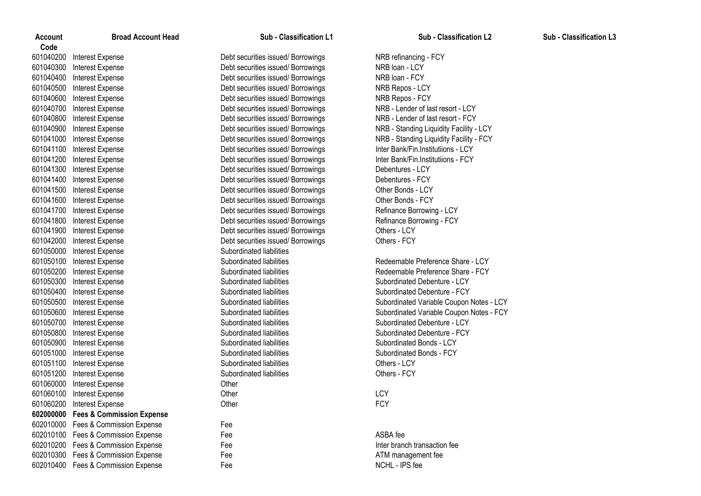| <b>Account</b> | <b>Broad Account Head</b>           | Sub - Classification L1           | Sub - Classification L2                  | Sub - Classification L3 |
|----------------|-------------------------------------|-----------------------------------|------------------------------------------|-------------------------|
| Code           |                                     |                                   |                                          |                         |
| 601040200      | Interest Expense                    | Debt securities issued/Borrowings | NRB refinancing - FCY                    |                         |
| 601040300      | Interest Expense                    | Debt securities issued/Borrowings | NRB loan - LCY                           |                         |
| 601040400      | Interest Expense                    | Debt securities issued/Borrowings | NRB loan - FCY                           |                         |
| 601040500      | Interest Expense                    | Debt securities issued/Borrowings | NRB Repos - LCY                          |                         |
| 601040600      | Interest Expense                    | Debt securities issued/Borrowings | NRB Repos - FCY                          |                         |
| 601040700      | Interest Expense                    | Debt securities issued/Borrowings | NRB - Lender of last resort - LCY        |                         |
| 601040800      | Interest Expense                    | Debt securities issued/Borrowings | NRB - Lender of last resort - FCY        |                         |
| 601040900      | Interest Expense                    | Debt securities issued/Borrowings | NRB - Standing Liquidity Facility - LCY  |                         |
| 601041000      | Interest Expense                    | Debt securities issued/Borrowings | NRB - Standing Liquidity Facility - FCY  |                         |
| 601041100      | Interest Expense                    | Debt securities issued/Borrowings | Inter Bank/Fin.Institutiions - LCY       |                         |
| 601041200      | Interest Expense                    | Debt securities issued/Borrowings | Inter Bank/Fin.Institutiions - FCY       |                         |
| 601041300      | Interest Expense                    | Debt securities issued/Borrowings | Debentures - LCY                         |                         |
| 601041400      | Interest Expense                    | Debt securities issued/Borrowings | Debentures - FCY                         |                         |
| 601041500      | Interest Expense                    | Debt securities issued/Borrowings | Other Bonds - LCY                        |                         |
| 601041600      | Interest Expense                    | Debt securities issued/Borrowings | Other Bonds - FCY                        |                         |
| 601041700      | Interest Expense                    | Debt securities issued/Borrowings | Refinance Borrowing - LCY                |                         |
| 601041800      | Interest Expense                    | Debt securities issued/Borrowings | Refinance Borrowing - FCY                |                         |
| 601041900      | Interest Expense                    | Debt securities issued/Borrowings | Others - LCY                             |                         |
| 601042000      | Interest Expense                    | Debt securities issued/Borrowings | Others - FCY                             |                         |
| 601050000      | Interest Expense                    | Subordinated liabilities          |                                          |                         |
| 601050100      | Interest Expense                    | Subordinated liabilities          | Redeemable Preference Share - LCY        |                         |
| 601050200      | Interest Expense                    | Subordinated liabilities          | Redeemable Preference Share - FCY        |                         |
| 601050300      | Interest Expense                    | Subordinated liabilities          | Subordinated Debenture - LCY             |                         |
| 601050400      | Interest Expense                    | Subordinated liabilities          | Subordinated Debenture - FCY             |                         |
| 601050500      | Interest Expense                    | Subordinated liabilities          | Subordinated Variable Coupon Notes - LCY |                         |
| 601050600      | Interest Expense                    | Subordinated liabilities          | Subordinated Variable Coupon Notes - FCY |                         |
| 601050700      | Interest Expense                    | Subordinated liabilities          | Subordinated Debenture - LCY             |                         |
| 601050800      | Interest Expense                    | Subordinated liabilities          | Subordinated Debenture - FCY             |                         |
| 601050900      | Interest Expense                    | Subordinated liabilities          | Subordinated Bonds - LCY                 |                         |
| 601051000      | Interest Expense                    | Subordinated liabilities          | Subordinated Bonds - FCY                 |                         |
| 601051100      | Interest Expense                    | Subordinated liabilities          | Others - LCY                             |                         |
| 601051200      | <b>Interest Expense</b>             | Subordinated liabilities          | Others - FCY                             |                         |
| 601060000      | Interest Expense                    | Other                             |                                          |                         |
| 601060100      | Interest Expense                    | Other                             | LCY                                      |                         |
| 601060200      | Interest Expense                    | Other                             | <b>FCY</b>                               |                         |
|                | 602000000 Fees & Commission Expense |                                   |                                          |                         |
| 602010000      | Fees & Commission Expense           | Fee                               |                                          |                         |
| 602010100      | Fees & Commission Expense           | Fee                               | ASBA fee                                 |                         |
| 602010200      | Fees & Commission Expense           | Fee                               | Inter branch transaction fee             |                         |
| 602010300      | Fees & Commission Expense           | Fee                               | ATM management fee                       |                         |
|                | 602010400 Fees & Commission Expense | Fee                               | NCHL - IPS fee                           |                         |
|                |                                     |                                   |                                          |                         |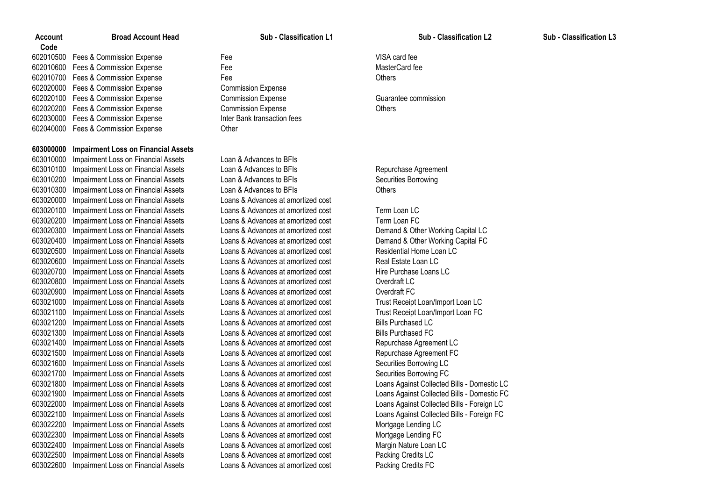Fees & Commission Expense Fee VISA card fee Fees & Commission Expense Fee MasterCard fee 602010700 Fees & Commission Expense Fee **Fee** Fee **Commission** Expense Fee Others Fees & Commission Expense Commission Expense Fees & Commission Expense Commission Expense Guarantee commission Fees & Commission Expense Commission Expense Others Fees & Commission Expense Inter Bank transaction fees Fees & Commission Expense Other

# **Impairment Loss on Financial Assets**

 Impairment Loss on Financial Assets Loan & Advances to BFIs Impairment Loss on Financial Assets Loan & Advances to BFIs Repurchase Agreement 603010200 Impairment Loss on Financial Assets Loan & Advances to BFIs Securities Borrowing Impairment Loss on Financial Assets Loan & Advances to BFIs Others Impairment Loss on Financial Assets Loans & Advances at amortized cost Impairment Loss on Financial Assets Loans & Advances at amortized cost Term Loan LC Impairment Loss on Financial Assets Loans & Advances at amortized cost Term Loan FC Impairment Loss on Financial Assets Loans & Advances at amortized cost Demand & Other Working Capital LC Impairment Loss on Financial Assets Loans & Advances at amortized cost Demand & Other Working Capital FC Impairment Loss on Financial Assets Loans & Advances at amortized cost Residential Home Loan LC Impairment Loss on Financial Assets Loans & Advances at amortized cost Real Estate Loan LC Impairment Loss on Financial Assets Loans & Advances at amortized cost Hire Purchase Loans LC Impairment Loss on Financial Assets Loans & Advances at amortized cost Overdraft LC Impairment Loss on Financial Assets Loans & Advances at amortized cost Overdraft FC Impairment Loss on Financial Assets Loans & Advances at amortized cost Trust Receipt Loan/Import Loan LC Impairment Loss on Financial Assets Loans & Advances at amortized cost Trust Receipt Loan/Import Loan FC Impairment Loss on Financial Assets Loans & Advances at amortized cost Bills Purchased LC Impairment Loss on Financial Assets Loans & Advances at amortized cost Bills Purchased FC Impairment Loss on Financial Assets Loans & Advances at amortized cost Repurchase Agreement LC Impairment Loss on Financial Assets Loans & Advances at amortized cost Repurchase Agreement FC Impairment Loss on Financial Assets Loans & Advances at amortized cost Securities Borrowing LC Impairment Loss on Financial Assets Loans & Advances at amortized cost Securities Borrowing FC Impairment Loss on Financial Assets Loans & Advances at amortized cost Loans Against Collected Bills - Domestic LC Impairment Loss on Financial Assets Loans & Advances at amortized cost Loans Against Collected Bills - Domestic FC Impairment Loss on Financial Assets Loans & Advances at amortized cost Loans Against Collected Bills - Foreign LC Impairment Loss on Financial Assets Loans & Advances at amortized cost Loans Against Collected Bills - Foreign FC Impairment Loss on Financial Assets Loans & Advances at amortized cost Mortgage Lending LC Impairment Loss on Financial Assets Loans & Advances at amortized cost Mortgage Lending FC Impairment Loss on Financial Assets Loans & Advances at amortized cost Margin Nature Loan LC Impairment Loss on Financial Assets Loans & Advances at amortized cost Packing Credits LC Impairment Loss on Financial Assets Loans & Advances at amortized cost Packing Credits FC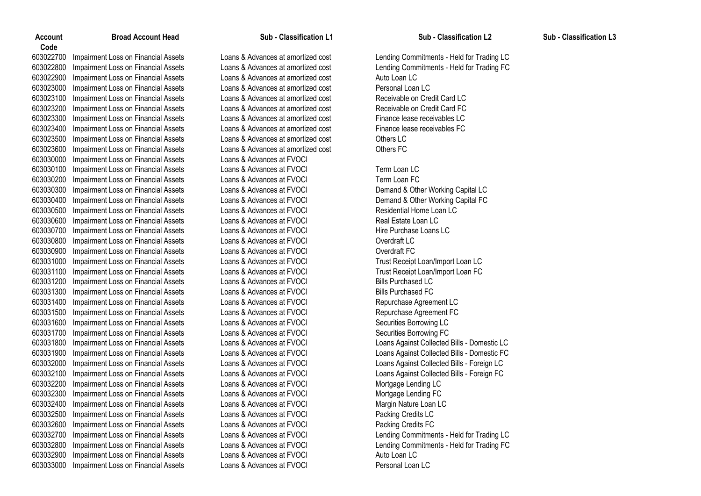Impairment Loss on Financial Assets Loans & Advances at amortized cost Lending Commitments - Held for Trading LC Impairment Loss on Financial Assets Loans & Advances at amortized cost Lending Commitments - Held for Trading FC Impairment Loss on Financial Assets Loans & Advances at amortized cost Auto Loan LC Impairment Loss on Financial Assets Loans & Advances at amortized cost Personal Loan LC 603023100 Impairment Loss on Financial Assets Loans & Advances at amortized cost Receivable on Credit Card LC<br>603023200 Impairment Loss on Financial Assets Loans & Advances at amortized cost Receivable on Credit Card FC Impairment Loss on Financial Assets Loans & Advances at amortized cost Receivable on Credit Card FC Impairment Loss on Financial Assets Loans & Advances at amortized cost Finance lease receivables LC Impairment Loss on Financial Assets Loans & Advances at amortized cost Finance lease receivables FC Impairment Loss on Financial Assets Loans & Advances at amortized cost Others LC Impairment Loss on Financial Assets Loans & Advances at amortized cost Others FC Impairment Loss on Financial Assets Loans & Advances at FVOCI Impairment Loss on Financial Assets Loans & Advances at FVOCI Term Loan LC Impairment Loss on Financial Assets Loans & Advances at FVOCI Term Loan FC Impairment Loss on Financial Assets Loans & Advances at FVOCI Demand & Other Working Capital LC Impairment Loss on Financial Assets Loans & Advances at FVOCI Demand & Other Working Capital FC Impairment Loss on Financial Assets Loans & Advances at FVOCI Residential Home Loan LC Impairment Loss on Financial Assets Loans & Advances at FVOCI Real Estate Loan LC Impairment Loss on Financial Assets Loans & Advances at FVOCI Hire Purchase Loans LC Impairment Loss on Financial Assets Loans & Advances at FVOCI Overdraft LC Impairment Loss on Financial Assets Loans & Advances at FVOCI Overdraft FC Impairment Loss on Financial Assets Loans & Advances at FVOCI Trust Receipt Loan/Import Loan LC Impairment Loss on Financial Assets Loans & Advances at FVOCI Trust Receipt Loan/Import Loan FC Impairment Loss on Financial Assets Loans & Advances at FVOCI Bills Purchased LC Impairment Loss on Financial Assets Loans & Advances at FVOCI Bills Purchased FC Impairment Loss on Financial Assets Loans & Advances at FVOCI Repurchase Agreement LC Impairment Loss on Financial Assets Loans & Advances at FVOCI Repurchase Agreement FC Impairment Loss on Financial Assets Loans & Advances at FVOCI Securities Borrowing LC Impairment Loss on Financial Assets Loans & Advances at FVOCI Securities Borrowing FC Impairment Loss on Financial Assets Loans & Advances at FVOCI Loans Against Collected Bills - Domestic LC Impairment Loss on Financial Assets Loans & Advances at FVOCI Loans Against Collected Bills - Domestic FC Impairment Loss on Financial Assets Loans & Advances at FVOCI Loans Against Collected Bills - Foreign LC Impairment Loss on Financial Assets Loans & Advances at FVOCI Loans Against Collected Bills - Foreign FC Impairment Loss on Financial Assets Loans & Advances at FVOCI Mortgage Lending LC Impairment Loss on Financial Assets Loans & Advances at FVOCI Mortgage Lending FC Impairment Loss on Financial Assets Loans & Advances at FVOCI Margin Nature Loan LC Impairment Loss on Financial Assets Loans & Advances at FVOCI Packing Credits LC Impairment Loss on Financial Assets Loans & Advances at FVOCI Packing Credits FC Impairment Loss on Financial Assets Loans & Advances at FVOCI Lending Commitments - Held for Trading LC Impairment Loss on Financial Assets Loans & Advances at FVOCI Lending Commitments - Held for Trading FC Impairment Loss on Financial Assets Loans & Advances at FVOCI Auto Loan LC Impairment Loss on Financial Assets Loans & Advances at FVOCI Personal Loan LC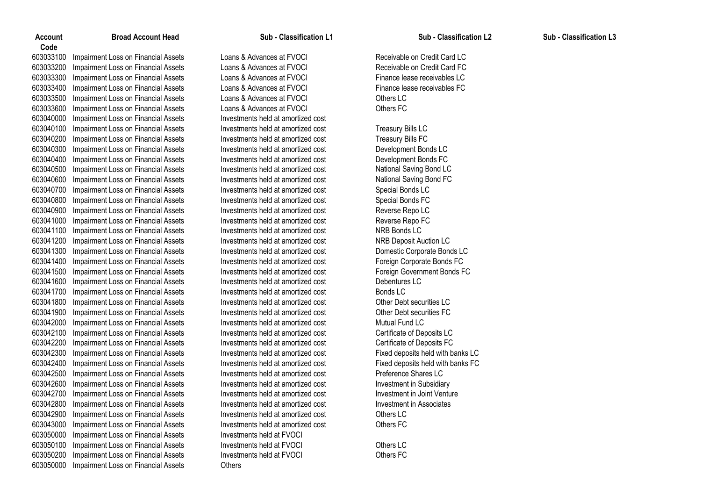Impairment Loss on Financial Assets Loans & Advances at FVOCI Receivable on Credit Card LC Impairment Loss on Financial Assets Loans & Advances at FVOCI Receivable on Credit Card FC Impairment Loss on Financial Assets Loans & Advances at FVOCI Finance lease receivables LC Impairment Loss on Financial Assets Loans & Advances at FVOCI Finance lease receivables FC Impairment Loss on Financial Assets Loans & Advances at FVOCI Others LC Impairment Loss on Financial Assets Loans & Advances at FVOCI Others FC Impairment Loss on Financial Assets Investments held at amortized cost 603040100 Impairment Loss on Financial Assets Investments held at amortized cost Treasury Bills LC<br>Investments held at amortized cost Treasury Bills FC in Bills FC 603040200 Impairment Loss on Financial Assets Investments held at amortized cost Impairment Loss on Financial Assets Investments held at amortized cost Development Bonds LC Impairment Loss on Financial Assets Investments held at amortized cost Development Bonds FC 603040500 Impairment Loss on Financial Assets Investments held at amortized cost National Saving Bond LC<br>Investments held at amortized cost National Saving Bond FC 603040600 Impairment Loss on Financial Assets Investments held at amortized cost Impairment Loss on Financial Assets Investments held at amortized cost Special Bonds LC Impairment Loss on Financial Assets Investments held at amortized cost Special Bonds FC Impairment Loss on Financial Assets Investments held at amortized cost Reverse Repo LC Impairment Loss on Financial Assets Investments held at amortized cost Reverse Repo FC Impairment Loss on Financial Assets Investments held at amortized cost NRB Bonds LC Impairment Loss on Financial Assets Investments held at amortized cost NRB Deposit Auction LC Impairment Loss on Financial Assets Investments held at amortized cost Domestic Corporate Bonds LC Impairment Loss on Financial Assets Investments held at amortized cost Foreign Corporate Bonds FC Impairment Loss on Financial Assets Investments held at amortized cost Foreign Government Bonds FC Impairment Loss on Financial Assets Investments held at amortized cost Debentures LC Impairment Loss on Financial Assets Investments held at amortized cost Bonds LC Impairment Loss on Financial Assets Investments held at amortized cost Other Debt securities LC Impairment Loss on Financial Assets Investments held at amortized cost Other Debt securities FC Impairment Loss on Financial Assets Investments held at amortized cost Mutual Fund LC Impairment Loss on Financial Assets Investments held at amortized cost Certificate of Deposits LC Impairment Loss on Financial Assets Investments held at amortized cost Certificate of Deposits FC Impairment Loss on Financial Assets Investments held at amortized cost Fixed deposits held with banks LC Impairment Loss on Financial Assets Investments held at amortized cost Fixed deposits held with banks FC Impairment Loss on Financial Assets Investments held at amortized cost Preference Shares LC Impairment Loss on Financial Assets Investments held at amortized cost Investment in Subsidiary Impairment Loss on Financial Assets Investments held at amortized cost Investment in Joint Venture Impairment Loss on Financial Assets Investments held at amortized cost Investment in Associates Impairment Loss on Financial Assets Investments held at amortized cost Others LC Impairment Loss on Financial Assets Investments held at amortized cost Others FC Impairment Loss on Financial Assets Investments held at FVOCI Impairment Loss on Financial Assets Investments held at FVOCI Others LC Impairment Loss on Financial Assets Investments held at FVOCI Others FC Impairment Loss on Financial Assets Others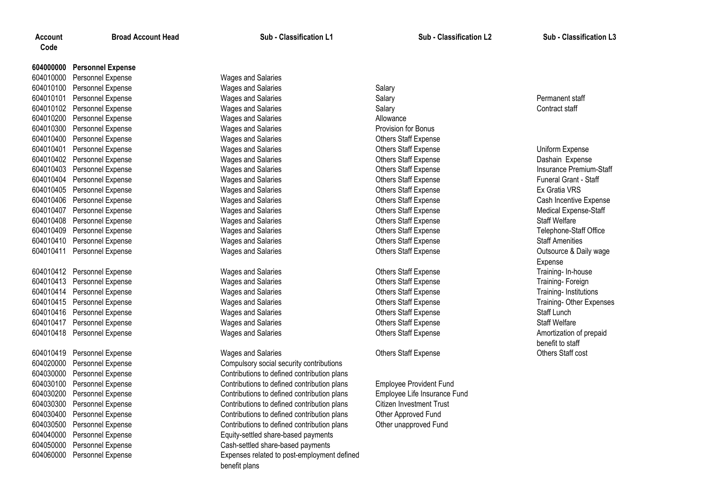# **Personnel Expense**

 Personnel Expense Wages and Salaries Personnel Expense Wages and Salaries Salary Personnel Expense Wages and Salaries Salary Permanent staff 604010102 Personnel Expense The Contract staff Wages and Salaries Salary Salary Salary Contract staff Salary Contract staff Personnel Expense Wages and Salaries Allowance Personnel Expense Wages and Salaries Provision for Bonus Personnel Expense Wages and Salaries Others Staff Expense Personnel Expense Wages and Salaries Others Staff Expense Uniform Expense Personnel Expense Wages and Salaries Others Staff Expense Dashain Expense Personnel Expense Wages and Salaries Others Staff Expense Insurance Premium-Staff Personnel Expense Wages and Salaries Others Staff Expense Funeral Grant - Staff Personnel Expense Wages and Salaries Others Staff Expense Ex Gratia VRS Personnel Expense Wages and Salaries Others Staff Expense Cash Incentive Expense Personnel Expense Wages and Salaries Others Staff Expense Medical Expense-Staff Personnel Expense Wages and Salaries Others Staff Expense Staff Welfare Personnel Expense Wages and Salaries Others Staff Expense Telephone-Staff Office Personnel Expense Wages and Salaries Others Staff Expense Staff Amenities Personnel Expense Wages and Salaries Others Staff Expense Outsource & Daily wage

 Personnel Expense Wages and Salaries Others Staff Expense Training- In-house Personnel Expense Wages and Salaries Others Staff Expense Training- Foreign Personnel Expense Wages and Salaries Others Staff Expense Training- Institutions Personnel Expense Wages and Salaries Others Staff Expense Training- Other Expenses Personnel Expense Wages and Salaries Others Staff Expense Staff Lunch 604010417 Personnel Expense The Communication of Mages and Salaries Communication Christian Christian Staff Expense Staff Welfare Personnel Expense Wages and Salaries Others Staff Expense Amortization of prepaid

 Personnel Expense Wages and Salaries Others Staff Expense Others Staff cost Personnel Expense Compulsory social security contributions

 Personnel Expense Contributions to defined contribution plans Personnel Expense Contributions to defined contribution plans Employee Provident Fund Personnel Expense Contributions to defined contribution plans Employee Life Insurance Fund Personnel Expense Contributions to defined contribution plans Citizen Investment Trust Personnel Expense Contributions to defined contribution plans Other Approved Fund Personnel Expense Contributions to defined contribution plans Other unapproved Fund Personnel Expense Equity-settled share-based payments Personnel Expense Cash-settled share-based payments Personnel Expense Expenses related to post-employment defined benefit plans

Expense benefit to staff

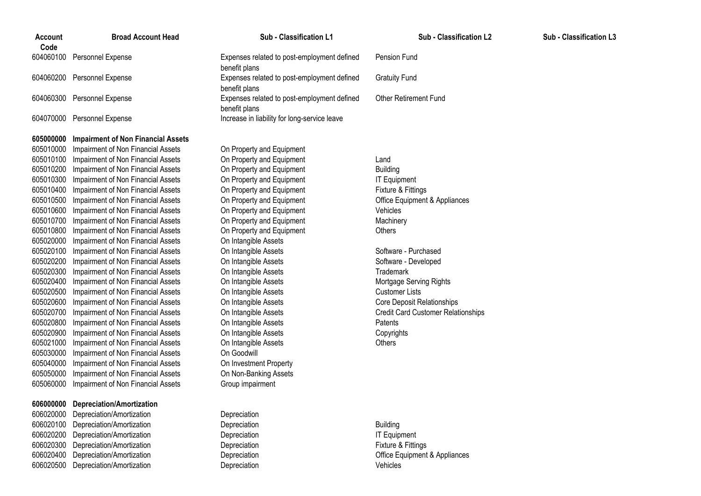| <b>Account</b><br>Code | <b>Broad Account Head</b>   |
|------------------------|-----------------------------|
|                        | 604060100 Personnel Expense |
|                        | 604060200 Personnel Expense |
|                        | 604060300 Personnel Expense |
|                        | 604070000 Personnel Expense |

## **Impairment of Non Financial Assets**

 Impairment of Non Financial Assets On Property and Equipment Impairment of Non Financial Assets On Property and Equipment Land Impairment of Non Financial Assets On Property and Equipment Building Impairment of Non Financial Assets On Property and Equipment IT Equipment Impairment of Non Financial Assets On Property and Equipment Fixture & Fittings Impairment of Non Financial Assets On Property and Equipment Office Equipment & Appliances Impairment of Non Financial Assets On Property and Equipment Vehicles Impairment of Non Financial Assets On Property and Equipment Machinery Impairment of Non Financial Assets On Property and Equipment Others Impairment of Non Financial Assets On Intangible Assets Impairment of Non Financial Assets On Intangible Assets Software - Purchased Impairment of Non Financial Assets On Intangible Assets Software - Developed Impairment of Non Financial Assets On Intangible Assets Trademark Impairment of Non Financial Assets On Intangible Assets Mortgage Serving Rights Impairment of Non Financial Assets On Intangible Assets Customer Lists Impairment of Non Financial Assets On Intangible Assets Core Deposit Relationships Impairment of Non Financial Assets On Intangible Assets Credit Card Customer Relationships Impairment of Non Financial Assets On Intangible Assets Patents Impairment of Non Financial Assets On Intangible Assets Copyrights Impairment of Non Financial Assets On Intangible Assets Others Impairment of Non Financial Assets On Goodwill Impairment of Non Financial Assets On Investment Property Impairment of Non Financial Assets On Non-Banking Assets Impairment of Non Financial Assets Group impairment

# **Depreciation/Amortization** Depreciation/Amortization Depreciation Depreciation/Amortization Depreciation Building 606020200 Depreciation/Amortization **Depreciation** Depreciation **Depreciation** IT Equipment Depreciation/Amortization Depreciation Fixture & Fittings

 Depreciation/Amortization Depreciation Office Equipment & Appliances Depreciation/Amortization Depreciation Vehicles

**Broad Account Head Sub - Classification L1 Sub - Classification L2 Sub - Classification L3**

Expenses related to post-employment defined benefit plans Pension Fund Expenses related to post-employment defined benefit plans Gratuity Fund Expenses related to post-employment defined benefit plans Other Retirement Fund Increase in liability for long-service leave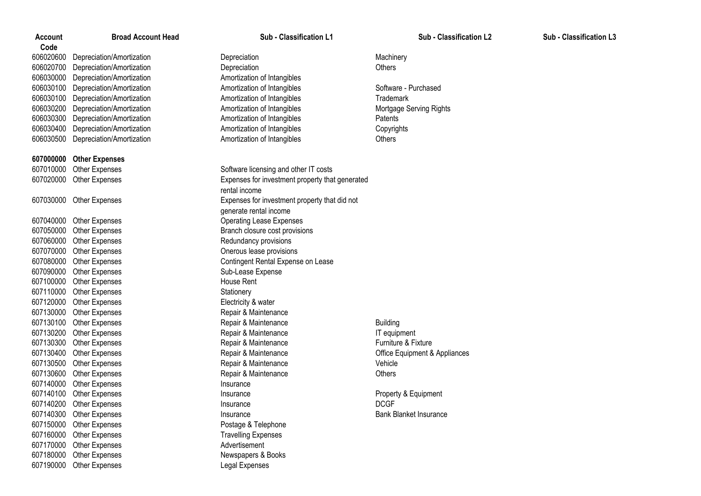**Code** Depreciation/Amortization Depreciation Machinery Depreciation/Amortization Depreciation Others Depreciation/Amortization Amortization of Intangibles Depreciation/Amortization Amortization of Intangibles Software - Purchased Depreciation/Amortization Amortization of Intangibles Trademark 606030200 Depreciation/Amortization **Amortization Amortization of Intangibles** Mortgage Serving Rights Depreciation/Amortization Amortization of Intangibles Patents Depreciation/Amortization Amortization of Intangibles Copyrights Depreciation/Amortization Amortization of Intangibles Others

# **607000000 Other Expenses**

607040000 Other Expenses Operating Lease Expenses 607050000 Other Expenses Branch closure cost provisions 607060000 Other Expenses **Redundancy provisions** 607070000 Other Expenses Contract Conerous lease provisions 607090000 Other Expenses Sub-Lease Expense 607100000 Other Expenses House Rent 607110000 Other Expenses Stationery 607120000 Other Expenses Electricity & water 607130000 Other Expenses Repair & Maintenance 607140000 Other Expenses Insurance 607150000 Other Expenses experience and the Postage & Telephone 607160000 Other Expenses Travelling Expenses 607170000 Other Expenses Advertisement 607180000 Other Expenses Newspapers & Books 607190000 Other Expenses Legal Expenses

607010000 Other Expenses Software licensing and other IT costs 607020000 Other Expenses Expenses for investment property that generated rental income 607030000 Other Expenses Expenses for investment property that did not generate rental income 607080000 Other Expenses Contingent Rental Expense on Lease 607130100 Other Expenses **Repair & Maintenance** Building Building 607130200 Other Expenses Repair & Maintenance IT equipment 607130300 Other Expenses **Repair & Maintenance Repair & Maintenance** Furniture & Fixture 607130400 Other Expenses extending the Repair & Maintenance Correspondent & Appliances Correspondent & Appliances 607130500 Other Expenses Repair & Maintenance Vehicle 607130600 Other Expenses Repair & Maintenance Others 607140100 Other Expenses **Insurance** Insurance **Insurance** Property & Equipment 607140200 Other Expenses Insurance DCGF 607140300 Other Expenses **Insurance** Insurance **Insurance** Bank Blanket Insurance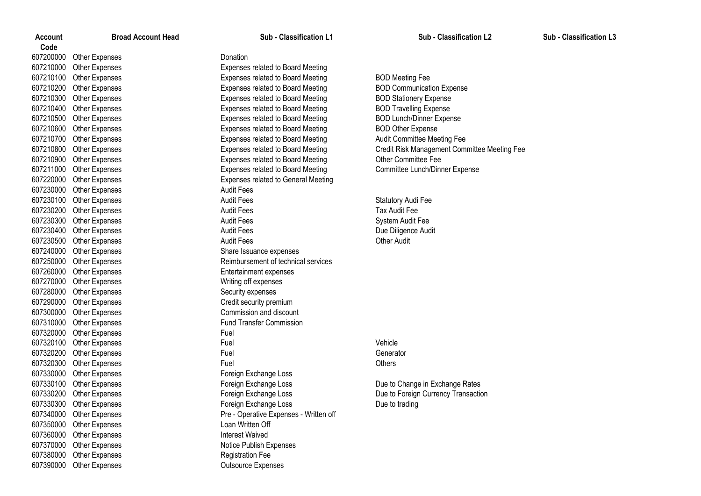| Account   | <b>Broad Account Head</b> | Sub - Classification L1                    | <b>Sub - Classification L2</b>               | Sub - Classification L3 |
|-----------|---------------------------|--------------------------------------------|----------------------------------------------|-------------------------|
| Code      |                           |                                            |                                              |                         |
| 607200000 | Other Expenses            | Donation                                   |                                              |                         |
| 607210000 | Other Expenses            | Expenses related to Board Meeting          |                                              |                         |
| 607210100 | <b>Other Expenses</b>     | Expenses related to Board Meeting          | <b>BOD Meeting Fee</b>                       |                         |
| 607210200 | <b>Other Expenses</b>     | Expenses related to Board Meeting          | <b>BOD Communication Expense</b>             |                         |
| 607210300 | <b>Other Expenses</b>     | Expenses related to Board Meeting          | <b>BOD Stationery Expense</b>                |                         |
| 607210400 | <b>Other Expenses</b>     | Expenses related to Board Meeting          | <b>BOD Travelling Expense</b>                |                         |
| 607210500 | Other Expenses            | Expenses related to Board Meeting          | <b>BOD Lunch/Dinner Expense</b>              |                         |
| 607210600 | <b>Other Expenses</b>     | Expenses related to Board Meeting          | <b>BOD Other Expense</b>                     |                         |
| 607210700 | <b>Other Expenses</b>     | Expenses related to Board Meeting          | Audit Committee Meeting Fee                  |                         |
| 607210800 | <b>Other Expenses</b>     | <b>Expenses related to Board Meeting</b>   | Credit Risk Management Committee Meeting Fee |                         |
| 607210900 | Other Expenses            | Expenses related to Board Meeting          | <b>Other Committee Fee</b>                   |                         |
| 607211000 | <b>Other Expenses</b>     | Expenses related to Board Meeting          | Committee Lunch/Dinner Expense               |                         |
| 607220000 | <b>Other Expenses</b>     | <b>Expenses related to General Meeting</b> |                                              |                         |
| 607230000 | <b>Other Expenses</b>     | <b>Audit Fees</b>                          |                                              |                         |
| 607230100 | <b>Other Expenses</b>     | <b>Audit Fees</b>                          | Statutory Audi Fee                           |                         |
| 607230200 | <b>Other Expenses</b>     | <b>Audit Fees</b>                          | Tax Audit Fee                                |                         |
| 607230300 | <b>Other Expenses</b>     | <b>Audit Fees</b>                          | System Audit Fee                             |                         |
| 607230400 | <b>Other Expenses</b>     | <b>Audit Fees</b>                          | Due Diligence Audit                          |                         |
| 607230500 | <b>Other Expenses</b>     | <b>Audit Fees</b>                          | <b>Other Audit</b>                           |                         |
| 607240000 | <b>Other Expenses</b>     | Share Issuance expenses                    |                                              |                         |
| 607250000 | <b>Other Expenses</b>     | Reimbursement of technical services        |                                              |                         |
| 607260000 | <b>Other Expenses</b>     | Entertainment expenses                     |                                              |                         |
| 607270000 | <b>Other Expenses</b>     | Writing off expenses                       |                                              |                         |
| 607280000 | <b>Other Expenses</b>     | Security expenses                          |                                              |                         |
| 607290000 | Other Expenses            | Credit security premium                    |                                              |                         |
| 607300000 | <b>Other Expenses</b>     | Commission and discount                    |                                              |                         |
| 607310000 | <b>Other Expenses</b>     | <b>Fund Transfer Commission</b>            |                                              |                         |
| 607320000 | <b>Other Expenses</b>     | Fuel                                       |                                              |                         |
| 607320100 | <b>Other Expenses</b>     | Fuel                                       | Vehicle                                      |                         |
| 607320200 | <b>Other Expenses</b>     | Fuel                                       | Generator                                    |                         |
| 607320300 | Other Expenses            | Fuel                                       | Others                                       |                         |
| 607330000 | Other Expenses            | Foreign Exchange Loss                      |                                              |                         |
| 607330100 | <b>Other Expenses</b>     | Foreign Exchange Loss                      | Due to Change in Exchange Rates              |                         |
| 607330200 | <b>Other Expenses</b>     | Foreign Exchange Loss                      | Due to Foreign Currency Transaction          |                         |
|           | 607330300 Other Expenses  | Foreign Exchange Loss                      | Due to trading                               |                         |
|           | 607340000 Other Expenses  | Pre - Operative Expenses - Written off     |                                              |                         |
| 607350000 | Other Expenses            | Loan Written Off                           |                                              |                         |
| 607360000 | Other Expenses            | <b>Interest Waived</b>                     |                                              |                         |
| 607370000 | Other Expenses            | Notice Publish Expenses                    |                                              |                         |
| 607380000 | <b>Other Expenses</b>     | <b>Registration Fee</b>                    |                                              |                         |
| 607390000 | Other Expenses            | Outsource Expenses                         |                                              |                         |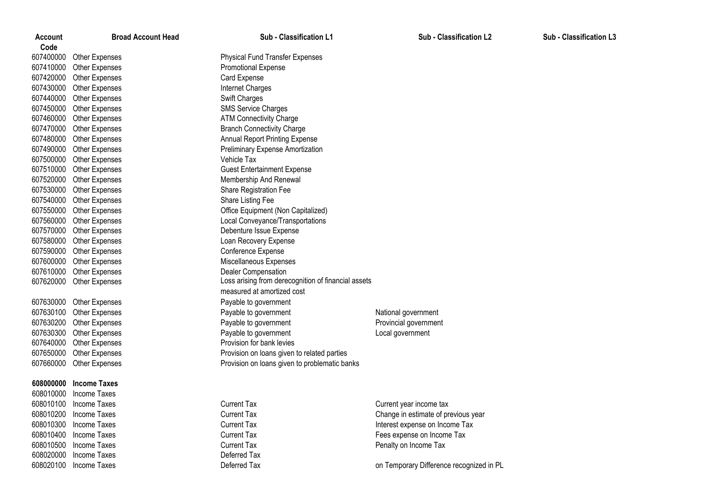| Account   | <b>Broad Account Head</b> | Sub - Classification L1                             | <b>Sub - Classification L2</b>           | <b>Sub - Classification L3</b> |
|-----------|---------------------------|-----------------------------------------------------|------------------------------------------|--------------------------------|
| Code      |                           |                                                     |                                          |                                |
| 607400000 | <b>Other Expenses</b>     | <b>Physical Fund Transfer Expenses</b>              |                                          |                                |
| 607410000 | Other Expenses            | Promotional Expense                                 |                                          |                                |
| 607420000 | <b>Other Expenses</b>     | Card Expense                                        |                                          |                                |
| 607430000 | <b>Other Expenses</b>     | Internet Charges                                    |                                          |                                |
| 607440000 | Other Expenses            | Swift Charges                                       |                                          |                                |
| 607450000 | Other Expenses            | <b>SMS Service Charges</b>                          |                                          |                                |
| 607460000 | <b>Other Expenses</b>     | <b>ATM Connectivity Charge</b>                      |                                          |                                |
| 607470000 | <b>Other Expenses</b>     | <b>Branch Connectivity Charge</b>                   |                                          |                                |
| 607480000 | Other Expenses            | Annual Report Printing Expense                      |                                          |                                |
| 607490000 | Other Expenses            | Preliminary Expense Amortization                    |                                          |                                |
| 607500000 | <b>Other Expenses</b>     | Vehicle Tax                                         |                                          |                                |
| 607510000 | <b>Other Expenses</b>     | <b>Guest Entertainment Expense</b>                  |                                          |                                |
| 607520000 | <b>Other Expenses</b>     | Membership And Renewal                              |                                          |                                |
| 607530000 | <b>Other Expenses</b>     | Share Registration Fee                              |                                          |                                |
| 607540000 | <b>Other Expenses</b>     | Share Listing Fee                                   |                                          |                                |
| 607550000 | Other Expenses            | Office Equipment (Non Capitalized)                  |                                          |                                |
| 607560000 | <b>Other Expenses</b>     | Local Conveyance/Transportations                    |                                          |                                |
| 607570000 | <b>Other Expenses</b>     | Debenture Issue Expense                             |                                          |                                |
| 607580000 | <b>Other Expenses</b>     | Loan Recovery Expense                               |                                          |                                |
| 607590000 | <b>Other Expenses</b>     | Conference Expense                                  |                                          |                                |
| 607600000 | <b>Other Expenses</b>     | Miscellaneous Expenses                              |                                          |                                |
| 607610000 | Other Expenses            | Dealer Compensation                                 |                                          |                                |
| 607620000 | Other Expenses            | Loss arising from derecognition of financial assets |                                          |                                |
|           |                           | measured at amortized cost                          |                                          |                                |
| 607630000 | <b>Other Expenses</b>     | Payable to government                               |                                          |                                |
| 607630100 | <b>Other Expenses</b>     | Payable to government                               | National government                      |                                |
| 607630200 | <b>Other Expenses</b>     | Payable to government                               | Provincial government                    |                                |
| 607630300 | <b>Other Expenses</b>     | Payable to government                               | Local government                         |                                |
| 607640000 | Other Expenses            | Provision for bank levies                           |                                          |                                |
| 607650000 | Other Expenses            | Provision on loans given to related parties         |                                          |                                |
| 607660000 | <b>Other Expenses</b>     | Provision on loans given to problematic banks       |                                          |                                |
| 608000000 | <b>Income Taxes</b>       |                                                     |                                          |                                |
| 608010000 | Income Taxes              |                                                     |                                          |                                |
|           | 608010100 Income Taxes    | <b>Current Tax</b>                                  | Current year income tax                  |                                |
|           | 608010200 Income Taxes    | <b>Current Tax</b>                                  | Change in estimate of previous year      |                                |
| 608010300 | Income Taxes              | <b>Current Tax</b>                                  | Interest expense on Income Tax           |                                |
| 608010400 | Income Taxes              | <b>Current Tax</b>                                  | Fees expense on Income Tax               |                                |
| 608010500 | Income Taxes              | <b>Current Tax</b>                                  | Penalty on Income Tax                    |                                |
| 608020000 | Income Taxes              | Deferred Tax                                        |                                          |                                |
| 608020100 | Income Taxes              | Deferred Tax                                        | on Temporary Difference recognized in PL |                                |
|           |                           |                                                     |                                          |                                |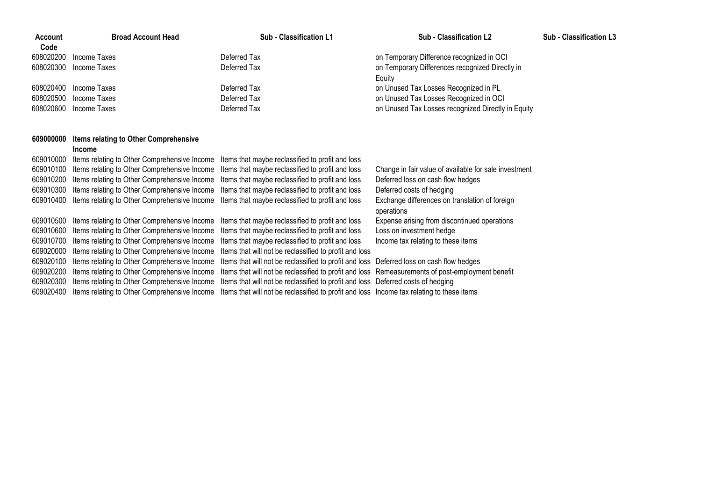| Account   | <b>Broad Account Head</b> | Sub - Classification L1 | Sub - Classification L2                            | <b>Sub - Classification L3</b> |
|-----------|---------------------------|-------------------------|----------------------------------------------------|--------------------------------|
| Code      |                           |                         |                                                    |                                |
| 608020200 | Income Taxes              | Deferred Tax            | on Temporary Difference recognized in OCI          |                                |
|           | 608020300 Income Taxes    | Deferred Tax            | on Temporary Differences recognized Directly in    |                                |
|           |                           |                         | Eauity                                             |                                |
|           | 608020400 Income Taxes    | Deferred Tax            | on Unused Tax Losses Recognized in PL              |                                |
| 608020500 | Income Taxes              | Deferred Tax            | on Unused Tax Losses Recognized in OCI             |                                |
|           | 608020600 Income Taxes    | Deferred Tax            | on Unused Tax Losses recognized Directly in Equity |                                |
|           |                           |                         |                                                    |                                |

# **Items relating to Other Comprehensive**

# **Income**

| 609010000<br>609010100 | Items relating to Other Comprehensive Income<br>Items relating to Other Comprehensive Income | Items that maybe reclassified to profit and loss<br>Items that maybe reclassified to profit and loss | Change in fair value of available for sale investment |
|------------------------|----------------------------------------------------------------------------------------------|------------------------------------------------------------------------------------------------------|-------------------------------------------------------|
| 609010200              | Items relating to Other Comprehensive Income                                                 | Items that maybe reclassified to profit and loss                                                     | Deferred loss on cash flow hedges                     |
| 609010300              | Items relating to Other Comprehensive Income                                                 | Items that maybe reclassified to profit and loss                                                     | Deferred costs of hedging                             |
| 609010400              | Items relating to Other Comprehensive Income                                                 | Items that maybe reclassified to profit and loss                                                     | Exchange differences on translation of foreign        |
|                        |                                                                                              |                                                                                                      | operations                                            |
| 609010500              | Items relating to Other Comprehensive Income                                                 | Items that maybe reclassified to profit and loss                                                     | Expense arising from discontinued operations          |
| 609010600              | Items relating to Other Comprehensive Income                                                 | Items that maybe reclassified to profit and loss                                                     | Loss on investment hedge                              |
| 609010700              | Items relating to Other Comprehensive Income                                                 | Items that maybe reclassified to profit and loss                                                     | Income tax relating to these items                    |
| 609020000              | Items relating to Other Comprehensive Income                                                 | Items that will not be reclassified to profit and loss                                               |                                                       |
| 609020100              | Items relating to Other Comprehensive Income                                                 | Items that will not be reclassified to profit and loss Deferred loss on cash flow hedges             |                                                       |
| 609020200              | Items relating to Other Comprehensive Income                                                 | Items that will not be reclassified to profit and loss Remeasurements of post-employment benefit     |                                                       |
| 609020300              | Items relating to Other Comprehensive Income                                                 | Items that will not be reclassified to profit and loss Deferred costs of hedging                     |                                                       |
| 609020400              | Items relating to Other Comprehensive Income                                                 | Items that will not be reclassified to profit and loss Income tax relating to these items            |                                                       |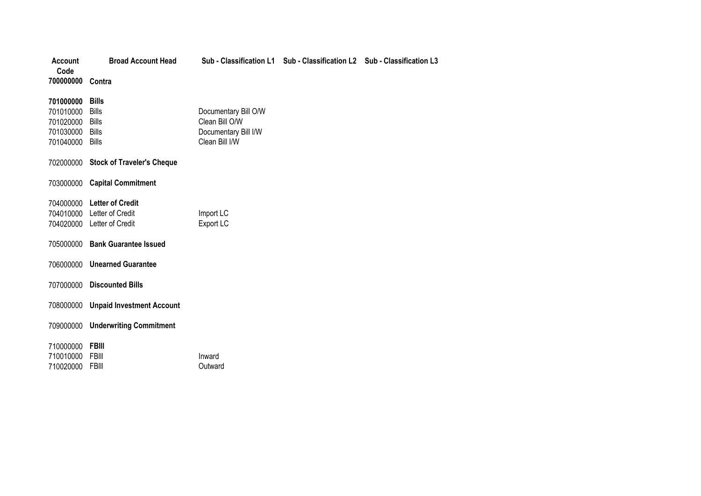| <b>Account</b><br>Code | <b>Broad Account Head</b>            |                      | Sub - Classification L1 Sub - Classification L2 Sub - Classification L3 |  |
|------------------------|--------------------------------------|----------------------|-------------------------------------------------------------------------|--|
| 700000000 Contra       |                                      |                      |                                                                         |  |
| 701000000              | <b>Bills</b>                         |                      |                                                                         |  |
| 701010000              | <b>Bills</b>                         | Documentary Bill O/W |                                                                         |  |
| 701020000              | Bills                                | Clean Bill O/W       |                                                                         |  |
| 701030000              | <b>Bills</b>                         | Documentary Bill I/W |                                                                         |  |
| 701040000 Bills        |                                      | Clean Bill I/W       |                                                                         |  |
|                        | 702000000 Stock of Traveler's Cheque |                      |                                                                         |  |
| 703000000              | <b>Capital Commitment</b>            |                      |                                                                         |  |
|                        | 704000000 Letter of Credit           |                      |                                                                         |  |
|                        | 704010000 Letter of Credit           | Import LC            |                                                                         |  |
|                        | 704020000 Letter of Credit           | Export LC            |                                                                         |  |
|                        | 705000000 Bank Guarantee Issued      |                      |                                                                         |  |
|                        | 706000000 Unearned Guarantee         |                      |                                                                         |  |
|                        | 707000000 Discounted Bills           |                      |                                                                         |  |
|                        | 708000000 Unpaid Investment Account  |                      |                                                                         |  |
|                        | 709000000 Underwriting Commitment    |                      |                                                                         |  |
| 710000000 FBIII        |                                      |                      |                                                                         |  |
| 710010000              | FBIII                                | Inward               |                                                                         |  |
| 710020000              | FBIII                                | Outward              |                                                                         |  |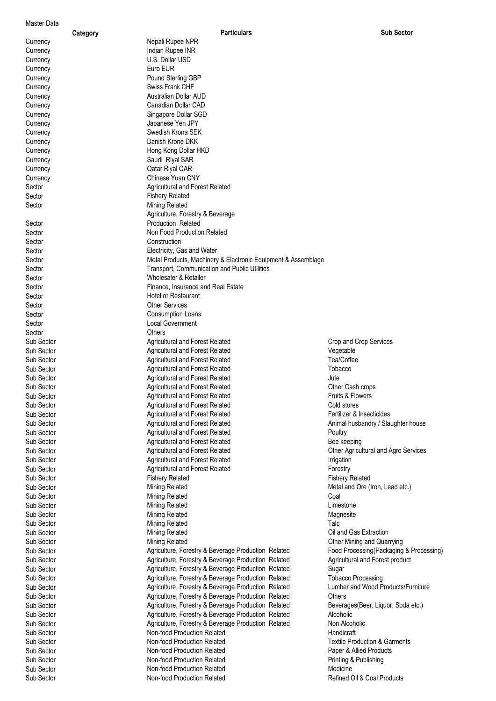# Master Data

|            | Category                 | Particulars                                                   | <b>Sub Sector</b>                        |
|------------|--------------------------|---------------------------------------------------------------|------------------------------------------|
| Currency   | Nepali Rupee NPR         |                                                               |                                          |
| Currency   | Indian Rupee INR         |                                                               |                                          |
| Currency   | U.S. Dollar USD          |                                                               |                                          |
| Currency   | Euro EUR                 |                                                               |                                          |
| Currency   | Pound Sterling GBP       |                                                               |                                          |
| Currency   | Swiss Frank CHF          |                                                               |                                          |
| Currency   |                          | Australian Dollar AUD                                         |                                          |
| Currency   |                          | Canadian Dollar CAD                                           |                                          |
| Currency   |                          | Singapore Dollar SGD                                          |                                          |
|            | Japanese Yen JPY         |                                                               |                                          |
| Currency   |                          |                                                               |                                          |
| Currency   | Swedish Krona SEK        |                                                               |                                          |
| Currency   | Danish Krone DKK         |                                                               |                                          |
| Currency   |                          | Hong Kong Dollar HKD                                          |                                          |
| Currency   | Saudi Riyal SAR          |                                                               |                                          |
| Currency   | Qatar Riyal QAR          |                                                               |                                          |
| Currency   | Chinese Yuan CNY         |                                                               |                                          |
| Sector     |                          | Agricultural and Forest Related                               |                                          |
| Sector     | <b>Fishery Related</b>   |                                                               |                                          |
| Sector     | Mining Related           |                                                               |                                          |
|            |                          | Agriculture, Forestry & Beverage                              |                                          |
| Sector     | Production Related       |                                                               |                                          |
| Sector     |                          | Non Food Production Related                                   |                                          |
| Sector     | Construction             |                                                               |                                          |
|            |                          |                                                               |                                          |
| Sector     |                          | Electricity, Gas and Water                                    |                                          |
| Sector     |                          | Metal Products, Machinery & Electronic Equipment & Assemblage |                                          |
| Sector     |                          | Transport, Communication and Public Utilities                 |                                          |
| Sector     |                          | Wholesaler & Retailer                                         |                                          |
| Sector     |                          | Finance, Insurance and Real Estate                            |                                          |
| Sector     | Hotel or Restaurant      |                                                               |                                          |
| Sector     | <b>Other Services</b>    |                                                               |                                          |
| Sector     | <b>Consumption Loans</b> |                                                               |                                          |
| Sector     | <b>Local Government</b>  |                                                               |                                          |
| Sector     | Others                   |                                                               |                                          |
| Sub Sector |                          | <b>Agricultural and Forest Related</b>                        | Crop and Crop Services                   |
| Sub Sector |                          | Agricultural and Forest Related                               | Vegetable                                |
| Sub Sector |                          | Agricultural and Forest Related                               | Tea/Coffee                               |
| Sub Sector |                          | <b>Agricultural and Forest Related</b>                        | Tobacco                                  |
| Sub Sector |                          |                                                               | Jute                                     |
|            |                          | <b>Agricultural and Forest Related</b>                        |                                          |
| Sub Sector |                          | <b>Agricultural and Forest Related</b>                        | Other Cash crops                         |
| Sub Sector |                          | Agricultural and Forest Related                               | <b>Fruits &amp; Flowers</b>              |
| Sub Sector |                          | Agricultural and Forest Related                               | Cold stores                              |
| Sub Sector |                          | Agricultural and Forest Related                               | Fertilizer & Insecticides                |
| Sub Sector |                          | <b>Agricultural and Forest Related</b>                        | Animal husbandry / Slaughter house       |
| Sub Sector |                          | Agricultural and Forest Related                               | Poultry                                  |
| Sub Sector |                          | <b>Agricultural and Forest Related</b>                        | Bee keeping                              |
| Sub Sector |                          | <b>Agricultural and Forest Related</b>                        | Other Agricultural and Agro Services     |
| Sub Sector |                          | <b>Agricultural and Forest Related</b>                        | Irrigation                               |
| Sub Sector |                          | Agricultural and Forest Related                               | Forestry                                 |
| Sub Sector | <b>Fishery Related</b>   |                                                               | <b>Fishery Related</b>                   |
| Sub Sector | Mining Related           |                                                               | Metal and Ore (Iron, Lead etc.)          |
| Sub Sector | <b>Mining Related</b>    |                                                               | Coal                                     |
| Sub Sector | <b>Mining Related</b>    |                                                               | Limestone                                |
| Sub Sector |                          |                                                               |                                          |
|            | <b>Mining Related</b>    |                                                               | Magnesite                                |
| Sub Sector | <b>Mining Related</b>    |                                                               | Talc                                     |
| Sub Sector | <b>Mining Related</b>    |                                                               | Oil and Gas Extraction                   |
| Sub Sector | Mining Related           |                                                               | Other Mining and Quarrying               |
| Sub Sector |                          | Agriculture, Forestry & Beverage Production Related           | Food Processing(Packaging & Processing)  |
| Sub Sector |                          | Agriculture, Forestry & Beverage Production Related           | Agricultural and Forest product          |
| Sub Sector |                          | Agriculture, Forestry & Beverage Production Related           | Sugar                                    |
| Sub Sector |                          | Agriculture, Forestry & Beverage Production Related           | <b>Tobacco Processing</b>                |
| Sub Sector |                          | Agriculture, Forestry & Beverage Production Related           | Lumber and Wood Products/Furniture       |
| Sub Sector |                          | Agriculture, Forestry & Beverage Production Related           | Others                                   |
| Sub Sector |                          | Agriculture, Forestry & Beverage Production Related           | Beverages (Beer, Liquor, Soda etc.)      |
| Sub Sector |                          | Agriculture, Forestry & Beverage Production Related           | Alcoholic                                |
| Sub Sector |                          | Agriculture, Forestry & Beverage Production Related           | Non Alcoholic                            |
| Sub Sector |                          | Non-food Production Related                                   | Handicraft                               |
|            |                          |                                                               |                                          |
| Sub Sector |                          | Non-food Production Related                                   | <b>Textile Production &amp; Garments</b> |
| Sub Sector |                          | Non-food Production Related                                   | Paper & Allied Products                  |
| Sub Sector |                          | Non-food Production Related                                   | Printing & Publishing                    |
| Sub Sector |                          | Non-food Production Related                                   | Medicine                                 |
| Sub Sector |                          | Non-food Production Related                                   | Refined Oil & Coal Products              |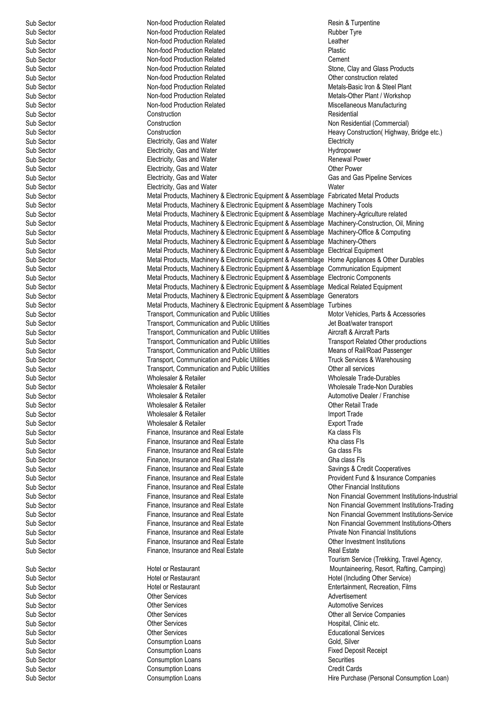Sub Sector **Consumption Loans** Consumption Loans Sub Sector **Sub Sector** Consumption Loans **Credit Cards** Credit Cards Credit Cards Consumption Loans Consumption Loans Credit Cards Consumption Loans Consumption Loans Credit Cards Consumption Loans Consumption Loans Consu

Sub Sector **Non-food Production Related** Resin & Turpentine Resin & Turpentine Sub Sector **Sub Sector** Non-food Production Related **Rubber Tyre Sub Sector** Rubber Tyre<br>
Non-food Production Related **Rubber Tyre** Rubber Tyre Sub Sector **Sub Sector** Non-food Production Related **Non-food Production Related** Sub Sector **Charles Constanting Constanting Constanting Constanting Constanting Constanting Constanting Plastic Plastic Plastic Plastic Plas** Sub Sector **Sub Sector** Non-food Production Related **Plastic Plastic Plastic**<br>
Non-food Production Related **Plastic Cement** Sub Sector **Non-food Production Related**<br>
Sub Sector **Non-food Production Related** Sub Sector **Sub Sector** Non-food Production Related and Sub Sector Chemicated Sub Sector Sub Sector Sub Sector Sub Sector Non-food Production Related Sub Sector Sub Sector Sub Sector Sub Sector Non-food Production Related Sub Sector Non-food Production Related Metals-Other Plant / Workshop Sub Sector **Non-food Production Related** Miscellaneous Manufacturing Miscellaneous Manufacturing Sub Sector **Construction** Construction **Construction** Construction **Residential** Sub Sector **Construction** Construction Construction Construction Non Residential (Commercial) Sub Sector Construction Heavy Construction( Highway, Bridge etc.) Sub Sector **Electricity, Gas and Water** Communication of the Electricity Sub Sector Communication Clear Communication<br>
Electricity, Gas and Water Communication Christmas Communication Christmas Communication Christmas Comm Electricity, Gas and Water Sub Sector **Sub Sector** Electricity, Gas and Water **Construction Construction Construction**<br>
Sub Sector **Report Construction** Electricity, Gas and Water **Renewal Power Power** Other Power Sub Sector **Electricity, Gas and Water Sub Sector Electricity**, Gas and Water Sub Sector Sub Sector Electricity, Gas and Water Water Sub Sector **Metal Products, Machinery & Electronic Equipment & Assemblage Fabricated Metal Products** Sub Sector **Metal Products, Machinery & Electronic Equipment & Assemblage Machinery Tools** Sub Sector **Metal Products, Machinery & Electronic Equipment & Assemblage Machinery-Agriculture related** Sub Sector Metal Products, Machinery & Electronic Equipment & Assemblage Machinery-Construction, Oil, Mining Sub Sector **Sub Sector** Metal Products, Machinery & Electronic Equipment & Assemblage Machinery-Office & Computing<br>Metal Products. Machinery & Electronic Equipment & Assemblage Machinery-Others Metal Products, Machinery & Electronic Equipment & Assemblage Machinery-Others Sub Sector **Sub Sector** Metal Products, Machinery & Electronic Equipment & Assemblage Electrical Equipment Sub Sector Sub Sector Sub Sector Metal Products. Machinery & Electronic Equipment & Assemblage Home Appliances & Metal Products, Machinery & Electronic Equipment & Assemblage Home Appliances & Other Durables Sub Sector Metal Products, Machinery & Electronic Equipment & Assemblage Communication Equipment Sub Sector **Metal Products, Machinery & Electronic Equipment & Assemblage Electronic Components** Sub Sector **Metal Products, Machinery & Electronic Equipment & Assemblage Medical Related Equipment** Sub Sector **Sub Sector** Metal Products, Machinery & Electronic Equipment & Assemblage Generators<br>Sub Sector Metal Products, Machinery & Electronic Equipment & Assemblage Turbines Metal Products, Machinery & Electronic Equipment & Assemblage Turbines<br>Transport, Communication and Public Utilities Motor Vehicles, Parts & Accessories Sub Sector **Sub Sector** Transport, Communication and Public Utilities Motor Vehicles, Parts & Accessories Communication and Public Utilities Sub Sector and Public Utilities Sub Sector and Public Utilities Sub Sector and Pu Transport, Communication and Public Utilities Sub Sector **Sub Sector** Transport, Communication and Public Utilities **Aircraft & Aircraft Parts**<br>
Sub Sector **Alternation Sub Sector** Transport Communication and Public Utilities **Transport Related Other productions** Transport, Communication and Public Utilities Sub Sector **Transport, Communication and Public Utilities** Means of Rail/Road Passenger Sub Sector **Transport, Communication and Public Utilities** Truck Services & Warehousing Sub Sector **Sub Sector** Transport, Communication and Public Utilities **Cub Sector** Other all services Other and Sub-<br>Sub Sector Muholesale Trade-Sub Sector **Sub Sector** Molesaler & Retailer **Molesaler & Retailer** Wholesale Trade-Durables Sub Sector and the United Sub Sector of the United Sub Sector of the United Sub Sector of the United Sub Sector of the United Sub Sub Sector **Sub Sector** Controller Wholesaler & Retailer Controller Metale Metale Trade-Non Durables<br>
Sub Sector Controller Wholesaler & Retailer Controller Controller Metaler / Franchise Sub Sector **Sub Sector** Mholesaler & Retailer **Automotive Dealer / Franchise**<br>
Sub Sector **Automotive Dealer / Cher Retail Trade**<br>
Sub Sector **Automotive Dealer / Cher Retail Trade** Wholesaler & Retailer Sub Sector **Sub Sector 1998** Wholesaler & Retailer **Sub Sector 1999 Import Trade**<br>
Sub Sector **Import Trade** Sub Sector 1999 Wholesaler & Retailer 1999 **Import Trade** Sub Sector **Exports** Wholesaler & Retailer Sub Sector **Finance, Insurance and Real Estate** Ka class Fis<br>
Finance, Insurance and Real Estate **Figure 1996**<br>
Kha class Fis Sub Sector **Finance**, Insurance and Real Estate Sub Sector **Finance, Insurance and Real Estate** Ga class FIs Sub Sector **Sub Sector** Finance, Insurance and Real Estate **Finance and Real Estate** Gha class FIs<br>
Finance, Insurance and Real Estate **Finance and Real Estate** Savings & Cre Sub Sector **Finance, Insurance and Real Estate** Savings & Credit Cooperatives Containers Savings & Credit Cooperatives Sub Sector **Exercise Finance, Insurance and Real Estate Finance Companies** Provident Fund & Insurance Companies<br>
Finance Insurance and Real Estate **Fund Companies**<br>
Other Financial Institutions Sub Sector Finance, Insurance and Real Estate Sub Sector **Sub Sector** Finance, Insurance and Real Estate **Non Financial Government Institutions-Industrial Sub Sector**<br>Sub Sector **Non Finance, Insurance and Real Estate** Non Financial Government Institutions-Trading Sub Sector **Sub Sector** Finance, Insurance and Real Estate **Non Financial Government Institutions-Trading**<br>Sub Sector **Sub Sector** Finance. Insurance and Real Estate **Non Financial Government Institutions-Service** Sub Sector **Finance, Insurance and Real Estate** Non Financial Government Institutions-Others **Contained Institutions** Sub Sector **Finance, Insurance and Real Estate** Private Non Financial Institutions **Private Non Financial Institutions** Sub Sector **Finance, Insurance and Real Estate** Chine in Sub Sector Chine Investment Institutions<br>
Sub Sector **Finance Insurance and Real Estate** Real Estate Real Estate Sub Sector **Finance**, Insurance and Real Estate Sub Sector **Sub Sector** Hotel or Restaurant<br>
Sub Sector **Hotel or Restaurant** Sub Sector **Sub Sector Entertainment, Recreation, Films**<br>
Sub Sector **Entertainment** Communication, Films<br>
Sub Sector Sub Sector **Contract Contract Contract Contract Contract Contract Contract Contract Contract Contract Contract Contract Contract Contract Contract Contract Contract Contract Contract Contract Contract Contract Contract Con** Sub Sector Other Services Automotive Services Sub Sector Other Services Other all Service Companies

Consumption Loans

Stone, Clay and Glass Products Metals-Basic Iron & Steel Plant Gas and Gas Pipeline Services Non Financial Government Institutions-Service Tourism Service (Trekking, Travel Agency, Mountaineering, Resort, Rafting, Camping) Hotel (Including Other Service) Sub Sector **Sub Sector** Cher Services **Channel Services Hospital, Clinic etc. Hospital**, Clinic etc. Sub Sector **Sub Sector** Christ Consumption Loans<br>
Sub Sector Consumption Loans<br>
Consumption Loans Sub Sector **Sub Sector** Consumption Loans **Fixed Deposit Receipt** Sub Sector Sub Sector Consumption Loans **Fixed Deposit Receipt** Sub Securities Sub Sector **Consumption Loans** Consumption Loans **Consumption Loans** Hire Purchase (Personal Consumption Loan)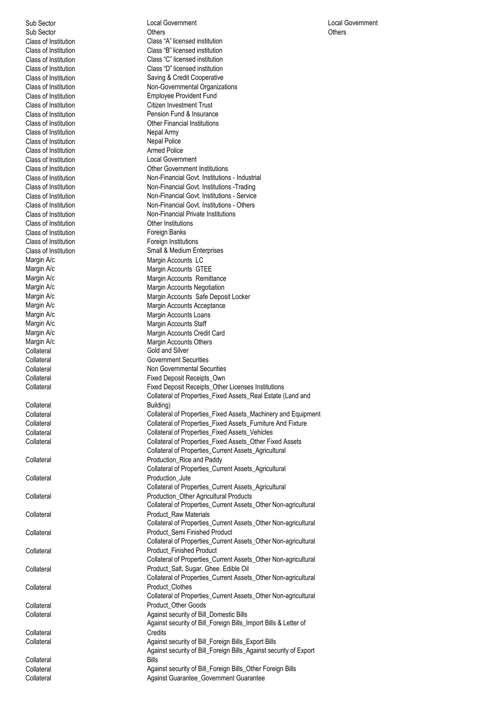Class of Institution Nepal Army Class of Institution Class of Institution<br>Class of Institution Collateral Collateral **Collateral** Collateral Collateral **Collateral** Collateral **Collateral Collateral Collateral** Collateral<br>Collateral **Collateral** 

Sub Sector Local Government Local Government Sub Sector **Others** Others **Others** Others **Others** Others **Others** Others **Others** Class of Institution Class "A" licensed institution Class of Institution Class "B" licensed institution Class of Institution<br>
Class of Institution<br>
Class "D" licensed institution<br>
Class "D" licensed institution Class "D" licensed institution Class of Institution<br>
Class of Institution<br>
Class of Institution<br>
Saving & Credit Cooperative<br>
Non-Governmental Organiza Non-Governmental Organizations Class of Institution **Employee Provident Fund** Class of Institution Citizen Investment Trust Class of Institution **Pension Fund & Insurance** Class of Institution **Class of Institution** Other Financial Institutions Class of Institution<br>
Class of Institution<br>
Class of Institution<br>
Class of Institution Class of Institution Local Government Class of Institution **Class of Institution**<br>Class of Institution **Class of Institution**<br>Non-Financial Govt. Institution Non-Financial Govt. Institutions - Industrial Class of Institution **Non-Financial Govt.** Institutions -Trading Class of Institution Non-Financial Govt. Institutions - Service Class of Institution **Non-Financial Govt.** Institutions - Others<br>
Class of Institution **Non-Financial Private Institutions** Non-Financial Private Institutions Class of Institution<br>
Class of Institution<br>
Class of Institution<br>
Class of Institution<br>
Class of Institution Foreign Institutions Class of Institution Small & Medium Enterprises Margin A/c<br>Margin A/c **Margin A/c** Margin Accounts GT Margin A/c<br>Margin A/c **Margin Accounts GTEE**<br>Margin Accounts Remitt Margin Accounts Remittance Margin A/c Margin Accounts Negotiation Margin A/c Margin Accounts Safe Deposit Locker Margin A/c<br>
Margin A/c<br>
Margin Accounts Loans Margin A/c **Margin Accounts Loans**<br>
Margin A/c Margin Accounts Staff Margin A/c<br>Margin A/c **Margin Accounts Staff**<br>Margin Accounts Cred Margin A/c Margin Accounts Credit Card<br>
Margin A/c Margin Accounts Others Margin A/c Margin Accounts Others<br>Collateral Collateral Collateral Collateral Gold and Silver Collateral Government Securities Collateral Collateral Collateral Collateral Collateral Collateral Collateral Collateral Collateral Collateral Co Collateral **Fixed Deposit Receipts\_Own**<br>
Fixed Deposit Receipts\_Other<br>
Fixed Deposit Receipts\_Other Fixed Deposit Receipts\_Other Licenses Institutions Collateral of Properties\_Fixed Assets\_Real Estate (Land and Building) Collateral Collateral of Properties\_Fixed Assets\_Machinery and Equipment Collateral Collateral of Properties\_Fixed Assets\_Furniture And Fixture Collateral Collateral of Properties\_Fixed Assets\_Vehicles Collateral Collateral of Properties\_Fixed Assets\_Other Fixed Assets Collateral of Properties\_Current Assets\_Agricultural Production\_Rice and Paddy Collateral of Properties\_Current Assets\_Agricultural Production\_Jute Collateral of Properties\_Current Assets\_Agricultural Production\_Other Agricultural Products Collateral of Properties\_Current Assets\_Other Non-agricultural Product\_Raw Materials Collateral of Properties\_Current Assets\_Other Non-agricultural Product\_Semi Finished Product Collateral of Properties\_Current Assets\_Other Non-agricultural Product\_Finished Product Collateral of Properties\_Current Assets\_Other Non-agricultural Product\_Salt, Sugar, Ghee. Edible Oil Collateral of Properties\_Current Assets\_Other Non-agricultural Product\_Clothes Collateral of Properties\_Current Assets\_Other Non-agricultural Product\_Other Goods Collateral Against security of Bill\_Domestic Bills Against security of Bill\_Foreign Bills\_Import Bills & Letter of **Credits** Against security of Bill\_Foreign Bills\_Export Bills Against security of Bill\_Foreign Bills\_Against security of Export Bills Collateral **Collateral** Against security of Bill\_Foreign Bills\_Other Foreign Bills

Collateral **Against Guarantee** Government Guarantee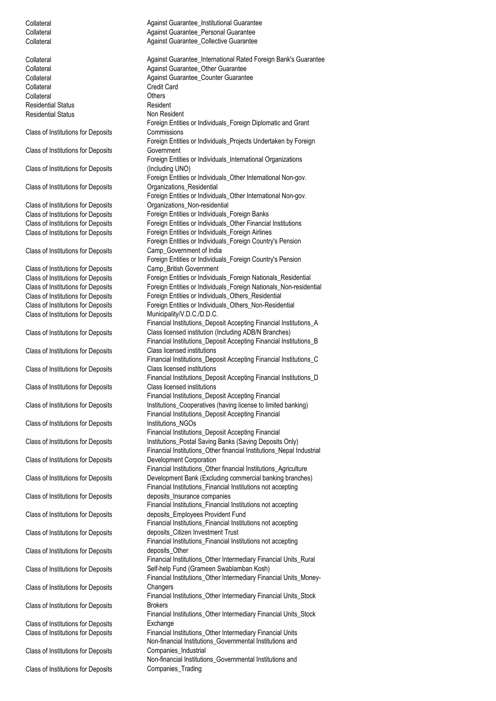Collateral Against Guarantee\_Institutional Guarantee Collateral **Against Guarantee\_Personal Guarantee** 

Collateral **Against Guarantee\_Collective Guarantee** Collateral **Collateral Against Guarantee\_International Rated Foreign Bank's Guarantee**<br>
Against Guarantee Other Guarantee Against Guarantee\_Other Guarantee Collateral **Against Guarantee\_Counter Guarantee** Collateral Credit Card Collateral Others Residential Status **Resident** Residential Status Non Resident Class of Institutions for Deposits Foreign Entities or Individuals\_Foreign Diplomatic and Grant **Commissions** Class of Institutions for Deposits Foreign Entities or Individuals\_Projects Undertaken by Foreign Government Class of Institutions for Deposits Foreign Entities or Individuals\_International Organizations (Including UNO) Class of Institutions for Deposits Foreign Entities or Individuals\_Other International Non-gov. Organizations\_Residential Class of Institutions for Deposits Foreign Entities or Individuals\_Other International Non-gov. Organizations\_Non-residential Class of Institutions for Deposits Foreign Entities or Individuals\_Foreign Banks Class of Institutions for Deposits Foreign Entities or Individuals\_Other Financial Institutions Class of Institutions for Deposits Foreign Entities or Individuals\_Foreign Airlines Class of Institutions for Deposits Foreign Entities or Individuals\_Foreign Country's Pension Camp\_Government of India Class of Institutions for Deposits Foreign Entities or Individuals\_Foreign Country's Pension Camp\_British Government Class of Institutions for Deposits Foreign Entities or Individuals\_Foreign Nationals\_Residential Class of Institutions for Deposits Foreign Entities or Individuals\_Foreign Nationals\_Non-residential Class of Institutions for Deposits Foreign Entities or Individuals\_Others\_Residential Class of Institutions for Deposits Foreign Entities or Individuals\_Others\_Non-Residential Class of Institutions for Deposits Municipality/V.D.C./D.D.C. Class of Institutions for Deposits Financial Institutions\_Deposit Accepting Financial Institutions\_A Class licensed institution (Including ADB/N Branches) Class of Institutions for Deposits Financial Institutions\_Deposit Accepting Financial Institutions\_B Class licensed institutions Class of Institutions for Deposits Financial Institutions\_Deposit Accepting Financial Institutions\_C Class licensed institutions Class of Institutions for Deposits Financial Institutions\_Deposit Accepting Financial Institutions\_D Class licensed institutions Class of Institutions for Deposits Financial Institutions\_Deposit Accepting Financial Institutions\_Cooperatives (having license to limited banking) Class of Institutions for Deposits Financial Institutions\_Deposit Accepting Financial Institutions\_NGOs Class of Institutions for Deposits Financial Institutions\_Deposit Accepting Financial Institutions\_Postal Saving Banks (Saving Deposits Only) Class of Institutions for Deposits Financial Institutions\_Other financial Institutions\_Nepal Industrial Development Corporation Class of Institutions for Deposits Financial Institutions\_Other financial Institutions\_Agriculture Development Bank (Excluding commercial banking branches) Class of Institutions for Deposits Financial Institutions\_Financial Institutions not accepting deposits\_Insurance companies Class of Institutions for Deposits Financial Institutions\_Financial Institutions not accepting deposits\_Employees Provident Fund Class of Institutions for Deposits Financial Institutions\_Financial Institutions not accepting deposits\_Citizen Investment Trust Class of Institutions for Deposits Financial Institutions\_Financial Institutions not accepting deposits\_Other Class of Institutions for Deposits Financial Institutions\_Other Intermediary Financial Units\_Rural Self-help Fund (Grameen Swablamban Kosh) Class of Institutions for Deposits Financial Institutions\_Other Intermediary Financial Units\_Money-**Changers** Class of Institutions for Deposits Financial Institutions\_Other Intermediary Financial Units\_Stock Brokers Class of Institutions for Deposits Financial Institutions\_Other Intermediary Financial Units\_Stock **Exchange** Class of Institutions for Deposits Financial Institutions\_Other Intermediary Financial Units Class of Institutions for Deposits Non-financial Institutions\_Governmental Institutions and Companies\_Industrial Class of Institutions for Deposits Non-financial Institutions\_Governmental Institutions and Companies\_Trading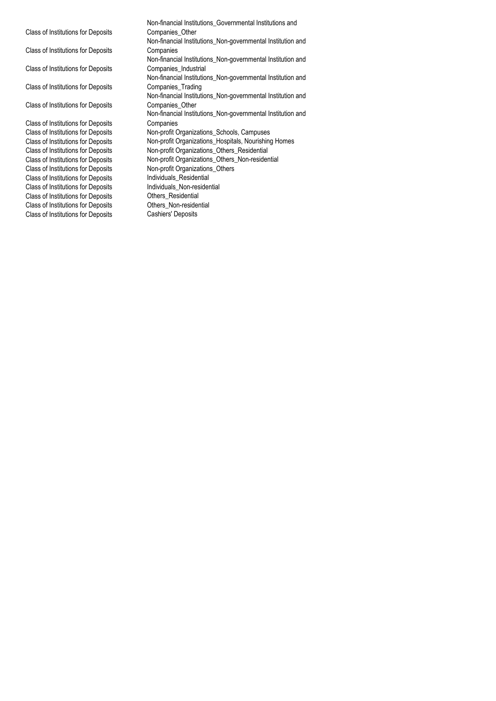Class of Institutions for Deposits Class of Institutions for Deposits Class of Institutions for Deposits Class of Institutions for Deposits Class of Institutions for Deposits Class of Institutions for Deposits Class of Institutions for Deposits Non-profit Organization<br>Class of Institutions for Deposits Individuals Residential Class of Institutions for Deposits<br>
Class of Institutions for Deposits<br>
Individuals Non-residential Class of Institutions for Deposits Individuals\_Non-res<br>Class of Institutions for Deposits Others\_Residential Class of Institutions for Deposits Class of Institutions for Deposits<br>
Class of Institutions for Deposits<br>
Cashiers' Deposits Class of Institutions for Deposits

Non-financial Institutions\_Governmental Institutions and Companies\_Other Non-financial Institutions\_Non-governmental Institution and **Companies** Non-financial Institutions\_Non-governmental Institution and Companies\_Industrial Non-financial Institutions\_Non-governmental Institution and Companies\_Trading Non-financial Institutions\_Non-governmental Institution and Companies\_Other Non-financial Institutions\_Non-governmental Institution and **Companies** Class of Institutions for Deposits Non-profit Organizations\_Schools, Campuses<br>Class of Institutions for Deposits Non-profit Organizations\_Hospitals, Nourishing Class of Institutions for Deposits Non-profit Organizations\_Hospitals, Nourishing Homes<br>Class of Institutions for Deposits Non-profit Organizations\_Others\_Residential Non-profit Organizations\_Others\_Residential Class of Institutions for Deposits Non-profit Organizations\_Others\_Non-residential<br>Class of Institutions for Deposits Non-profit Organizations\_Others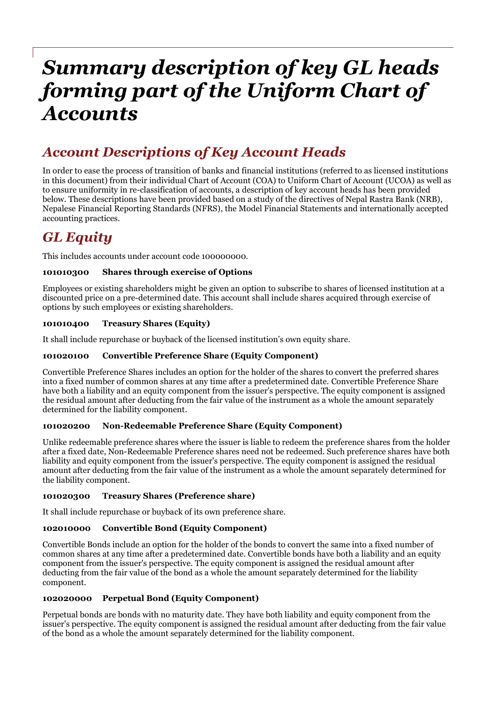# *Summary description of key GL heads forming part of the Uniform Chart of Accounts*

# *Account Descriptions of Key Account Heads*

In order to ease the process of transition of banks and financial institutions (referred to as licensed institutions in this document) from their individual Chart of Account (COA) to Uniform Chart of Account (UCOA) as well as to ensure uniformity in re-classification of accounts, a description of key account heads has been provided below. These descriptions have been provided based on a study of the directives of Nepal Rastra Bank (NRB), Nepalese Financial Reporting Standards (NFRS), the Model Financial Statements and internationally accepted accounting practices.

# *GL Equity*

This includes accounts under account code 100000000.

# **101010300 Shares through exercise of Options**

Employees or existing shareholders might be given an option to subscribe to shares of licensed institution at a discounted price on a pre-determined date. This account shall include shares acquired through exercise of options by such employees or existing shareholders.

# **101010400 Treasury Shares (Equity)**

It shall include repurchase or buyback of the licensed institution's own equity share.

#### **101020100 Convertible Preference Share (Equity Component)**

Convertible Preference Shares includes an option for the holder of the shares to convert the preferred shares into a fixed number of common shares at any time after a predetermined date. Convertible Preference Share have both a liability and an equity component from the issuer's perspective. The equity component is assigned the residual amount after deducting from the fair value of the instrument as a whole the amount separately determined for the liability component.

#### **101020200 Non-Redeemable Preference Share (Equity Component)**

Unlike redeemable preference shares where the issuer is liable to redeem the preference shares from the holder after a fixed date, Non-Redeemable Preference shares need not be redeemed. Such preference shares have both liability and equity component from the issuer's perspective. The equity component is assigned the residual amount after deducting from the fair value of the instrument as a whole the amount separately determined for the liability component.

#### **101020300 Treasury Shares (Preference share)**

It shall include repurchase or buyback of its own preference share.

# **102010000 Convertible Bond (Equity Component)**

Convertible Bonds include an option for the holder of the bonds to convert the same into a fixed number of common shares at any time after a predetermined date. Convertible bonds have both a liability and an equity component from the issuer's perspective. The equity component is assigned the residual amount after deducting from the fair value of the bond as a whole the amount separately determined for the liability component.

#### **102020000 Perpetual Bond (Equity Component)**

Perpetual bonds are bonds with no maturity date. They have both liability and equity component from the issuer's perspective. The equity component is assigned the residual amount after deducting from the fair value of the bond as a whole the amount separately determined for the liability component.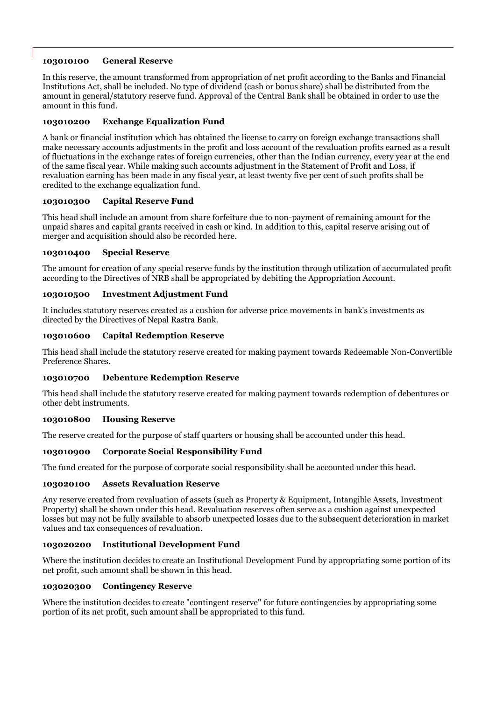### **103010100 General Reserve**

In this reserve, the amount transformed from appropriation of net profit according to the Banks and Financial Institutions Act, shall be included. No type of dividend (cash or bonus share) shall be distributed from the amount in general/statutory reserve fund. Approval of the Central Bank shall be obtained in order to use the amount in this fund.

# **103010200 Exchange Equalization Fund**

A bank or financial institution which has obtained the license to carry on foreign exchange transactions shall make necessary accounts adjustments in the profit and loss account of the revaluation profits earned as a result of fluctuations in the exchange rates of foreign currencies, other than the Indian currency, every year at the end of the same fiscal year. While making such accounts adjustment in the Statement of Profit and Loss, if revaluation earning has been made in any fiscal year, at least twenty five per cent of such profits shall be credited to the exchange equalization fund.

# **103010300 Capital Reserve Fund**

This head shall include an amount from share forfeiture due to non-payment of remaining amount for the unpaid shares and capital grants received in cash or kind. In addition to this, capital reserve arising out of merger and acquisition should also be recorded here.

#### **103010400 Special Reserve**

The amount for creation of any special reserve funds by the institution through utilization of accumulated profit according to the Directives of NRB shall be appropriated by debiting the Appropriation Account.

# **103010500 Investment Adjustment Fund**

It includes statutory reserves created as a cushion for adverse price movements in bank's investments as directed by the Directives of Nepal Rastra Bank.

# **103010600 Capital Redemption Reserve**

This head shall include the statutory reserve created for making payment towards Redeemable Non-Convertible Preference Shares.

# **103010700 Debenture Redemption Reserve**

This head shall include the statutory reserve created for making payment towards redemption of debentures or other debt instruments.

#### **103010800 Housing Reserve**

The reserve created for the purpose of staff quarters or housing shall be accounted under this head.

# **103010900 Corporate Social Responsibility Fund**

The fund created for the purpose of corporate social responsibility shall be accounted under this head.

#### **103020100 Assets Revaluation Reserve**

Any reserve created from revaluation of assets (such as Property & Equipment, Intangible Assets, Investment Property) shall be shown under this head. Revaluation reserves often serve as a cushion against unexpected losses but may not be fully available to absorb unexpected losses due to the subsequent deterioration in market values and tax consequences of revaluation.

#### **103020200 Institutional Development Fund**

Where the institution decides to create an Institutional Development Fund by appropriating some portion of its net profit, such amount shall be shown in this head.

### **103020300 Contingency Reserve**

Where the institution decides to create "contingent reserve" for future contingencies by appropriating some portion of its net profit, such amount shall be appropriated to this fund.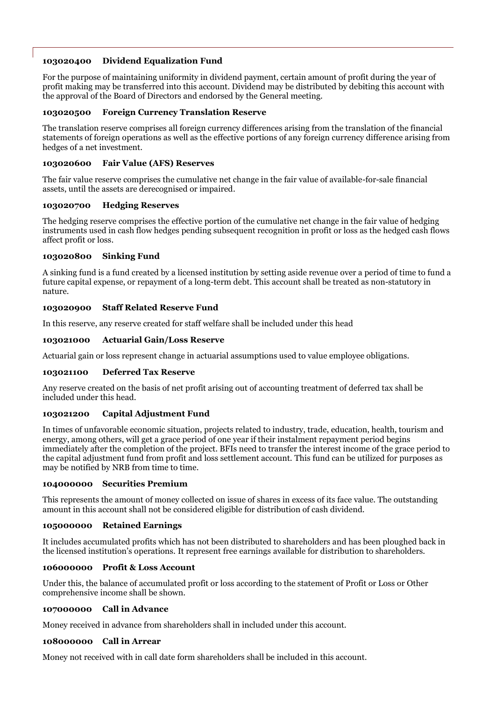# **103020400 Dividend Equalization Fund**

For the purpose of maintaining uniformity in dividend payment, certain amount of profit during the year of profit making may be transferred into this account. Dividend may be distributed by debiting this account with the approval of the Board of Directors and endorsed by the General meeting.

### **103020500 Foreign Currency Translation Reserve**

The translation reserve comprises all foreign currency differences arising from the translation of the financial statements of foreign operations as well as the effective portions of any foreign currency difference arising from hedges of a net investment.

#### **103020600 Fair Value (AFS) Reserves**

The fair value reserve comprises the cumulative net change in the fair value of available-for-sale financial assets, until the assets are derecognised or impaired.

#### **103020700 Hedging Reserves**

The hedging reserve comprises the effective portion of the cumulative net change in the fair value of hedging instruments used in cash flow hedges pending subsequent recognition in profit or loss as the hedged cash flows affect profit or loss.

### **103020800 Sinking Fund**

A sinking fund is a fund created by a licensed institution by setting aside revenue over a period of time to fund a future capital expense, or repayment of a long-term debt. This account shall be treated as non-statutory in nature.

# **103020900 Staff Related Reserve Fund**

In this reserve, any reserve created for staff welfare shall be included under this head

# **103021000 Actuarial Gain/Loss Reserve**

Actuarial gain or loss represent change in actuarial assumptions used to value employee obligations.

#### **103021100 Deferred Tax Reserve**

Any reserve created on the basis of net profit arising out of accounting treatment of deferred tax shall be included under this head.

# **103021200 Capital Adjustment Fund**

In times of unfavorable economic situation, projects related to industry, trade, education, health, tourism and energy, among others, will get a grace period of one year if their instalment repayment period begins immediately after the completion of the project. BFIs need to transfer the interest income of the grace period to the capital adjustment fund from profit and loss settlement account. This fund can be utilized for purposes as may be notified by NRB from time to time.

#### **104000000 Securities Premium**

This represents the amount of money collected on issue of shares in excess of its face value. The outstanding amount in this account shall not be considered eligible for distribution of cash dividend.

#### **105000000 Retained Earnings**

It includes accumulated profits which has not been distributed to shareholders and has been ploughed back in the licensed institution's operations. It represent free earnings available for distribution to shareholders.

#### **106000000 Profit & Loss Account**

Under this, the balance of accumulated profit or loss according to the statement of Profit or Loss or Other comprehensive income shall be shown.

#### **107000000 Call in Advance**

Money received in advance from shareholders shall in included under this account.

#### **108000000 Call in Arrear**

Money not received with in call date form shareholders shall be included in this account.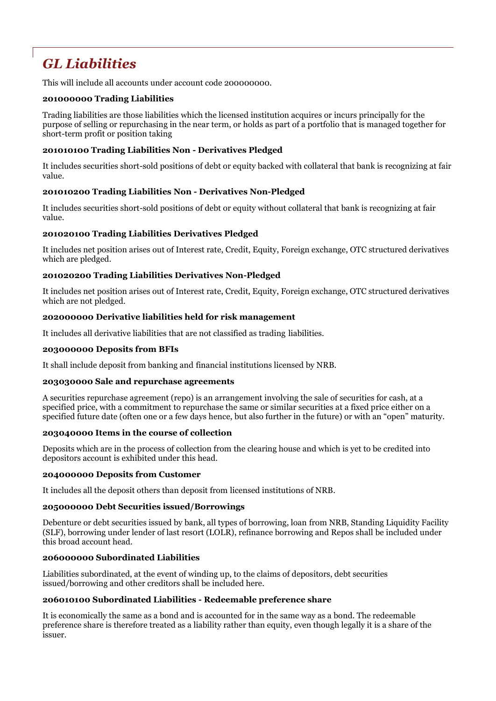# *GL Liabilities*

This will include all accounts under account code 200000000.

### **201000000 Trading Liabilities**

Trading liabilities are those liabilities which the licensed institution acquires or incurs principally for the purpose of selling or repurchasing in the near term, or holds as part of a portfolio that is managed together for short-term profit or position taking

# **201010100 Trading Liabilities Non - Derivatives Pledged**

It includes securities short-sold positions of debt or equity backed with collateral that bank is recognizing at fair value.

# **201010200 Trading Liabilities Non - Derivatives Non-Pledged**

It includes securities short-sold positions of debt or equity without collateral that bank is recognizing at fair value.

# **201020100 Trading Liabilities Derivatives Pledged**

It includes net position arises out of Interest rate, Credit, Equity, Foreign exchange, OTC structured derivatives which are pledged.

# **201020200 Trading Liabilities Derivatives Non-Pledged**

It includes net position arises out of Interest rate, Credit, Equity, Foreign exchange, OTC structured derivatives which are not pledged.

#### **202000000 Derivative liabilities held for risk management**

It includes all derivative liabilities that are not classified as trading liabilities.

#### **203000000 Deposits from BFIs**

It shall include deposit from banking and financial institutions licensed by NRB.

#### **203030000 Sale and repurchase agreements**

A securities repurchase agreement (repo) is an arrangement involving the sale of securities for cash, at a specified price, with a commitment to repurchase the same or similar securities at a fixed price either on a specified future date (often one or a few days hence, but also further in the future) or with an "open" maturity.

#### **203040000 Items in the course of collection**

Deposits which are in the process of collection from the clearing house and which is yet to be credited into depositors account is exhibited under this head.

#### **204000000 Deposits from Customer**

It includes all the deposit others than deposit from licensed institutions of NRB.

#### **205000000 Debt Securities issued/Borrowings**

Debenture or debt securities issued by bank, all types of borrowing, loan from NRB, Standing Liquidity Facility (SLF), borrowing under lender of last resort (LOLR), refinance borrowing and Repos shall be included under this broad account head.

#### **206000000 Subordinated Liabilities**

Liabilities subordinated, at the event of winding up, to the claims of depositors, debt securities issued/borrowing and other creditors shall be included here.

#### **206010100 Subordinated Liabilities - Redeemable preference share**

It is economically the same as a bond and is accounted for in the same way as a bond. The redeemable preference share is therefore treated as a liability rather than equity, even though legally it is a share of the issuer.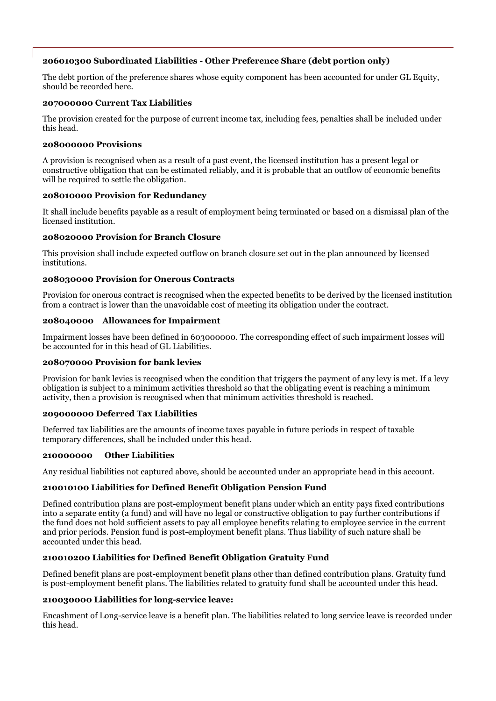# **206010300 Subordinated Liabilities - Other Preference Share (debt portion only)**

The debt portion of the preference shares whose equity component has been accounted for under GL Equity, should be recorded here.

#### **207000000 Current Tax Liabilities**

The provision created for the purpose of current income tax, including fees, penalties shall be included under this head.

#### **208000000 Provisions**

A provision is recognised when as a result of a past event, the licensed institution has a present legal or constructive obligation that can be estimated reliably, and it is probable that an outflow of economic benefits will be required to settle the obligation.

#### **208010000 Provision for Redundancy**

It shall include benefits payable as a result of employment being terminated or based on a dismissal plan of the licensed institution.

#### **208020000 Provision for Branch Closure**

This provision shall include expected outflow on branch closure set out in the plan announced by licensed institutions.

#### **208030000 Provision for Onerous Contracts**

Provision for onerous contract is recognised when the expected benefits to be derived by the licensed institution from a contract is lower than the unavoidable cost of meeting its obligation under the contract.

# **208040000 Allowances for Impairment**

Impairment losses have been defined in 603000000. The corresponding effect of such impairment losses will be accounted for in this head of GL Liabilities.

#### **208070000 Provision for bank levies**

Provision for bank levies is recognised when the condition that triggers the payment of any levy is met. If a levy obligation is subject to a minimum activities threshold so that the obligating event is reaching a minimum activity, then a provision is recognised when that minimum activities threshold is reached.

#### **209000000 Deferred Tax Liabilities**

Deferred tax liabilities are the amounts of income taxes payable in future periods in respect of taxable temporary differences, shall be included under this head.

#### **210000000 Other Liabilities**

Any residual liabilities not captured above, should be accounted under an appropriate head in this account.

#### **210010100 Liabilities for Defined Benefit Obligation Pension Fund**

Defined contribution plans are post-employment benefit plans under which an entity pays fixed contributions into a separate entity (a fund) and will have no legal or constructive obligation to pay further contributions if the fund does not hold sufficient assets to pay all employee benefits relating to employee service in the current and prior periods. Pension fund is post-employment benefit plans. Thus liability of such nature shall be accounted under this head.

# **210010200 Liabilities for Defined Benefit Obligation Gratuity Fund**

Defined benefit plans are post-employment benefit plans other than defined contribution plans. Gratuity fund is post-employment benefit plans. The liabilities related to gratuity fund shall be accounted under this head.

#### **210030000 Liabilities for long-service leave:**

Encashment of Long-service leave is a benefit plan. The liabilities related to long service leave is recorded under this head.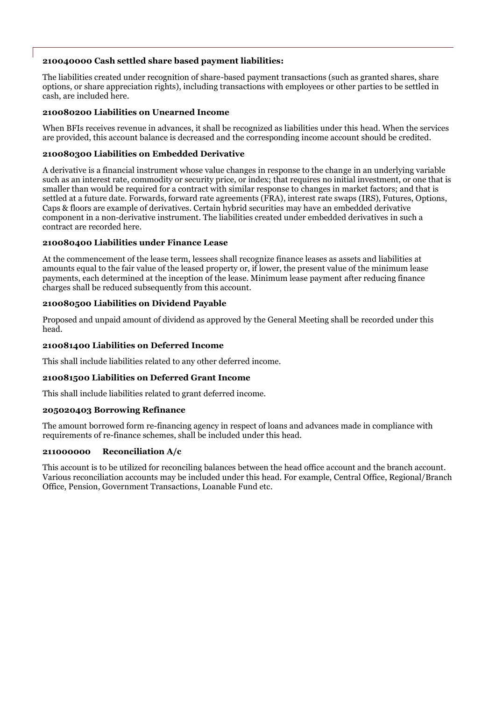#### **210040000 Cash settled share based payment liabilities:**

The liabilities created under recognition of share-based payment transactions (such as granted shares, share options, or share appreciation rights), including transactions with employees or other parties to be settled in cash, are included here.

#### **210080200 Liabilities on Unearned Income**

When BFIs receives revenue in advances, it shall be recognized as liabilities under this head. When the services are provided, this account balance is decreased and the corresponding income account should be credited.

#### **210080300 Liabilities on Embedded Derivative**

A derivative is a financial instrument whose value changes in response to the change in an underlying variable such as an interest rate, commodity or security price, or index; that requires no initial investment, or one that is smaller than would be required for a contract with similar response to changes in market factors; and that is settled at a future date. Forwards, forward rate agreements (FRA), interest rate swaps (IRS), Futures, Options, Caps & floors are example of derivatives. Certain hybrid securities may have an embedded derivative component in a non-derivative instrument. The liabilities created under embedded derivatives in such a contract are recorded here.

#### **210080400 Liabilities under Finance Lease**

At the commencement of the lease term, lessees shall recognize finance leases as assets and liabilities at amounts equal to the fair value of the leased property or, if lower, the present value of the minimum lease payments, each determined at the inception of the lease. Minimum lease payment after reducing finance charges shall be reduced subsequently from this account.

#### **210080500 Liabilities on Dividend Payable**

Proposed and unpaid amount of dividend as approved by the General Meeting shall be recorded under this head.

#### **210081400 Liabilities on Deferred Income**

This shall include liabilities related to any other deferred income.

#### **210081500 Liabilities on Deferred Grant Income**

This shall include liabilities related to grant deferred income.

#### **205020403 Borrowing Refinance**

The amount borrowed form re-financing agency in respect of loans and advances made in compliance with requirements of re-finance schemes, shall be included under this head.

#### **211000000 Reconciliation A/c**

This account is to be utilized for reconciling balances between the head office account and the branch account. Various reconciliation accounts may be included under this head. For example, Central Office, Regional/Branch Office, Pension, Government Transactions, Loanable Fund etc.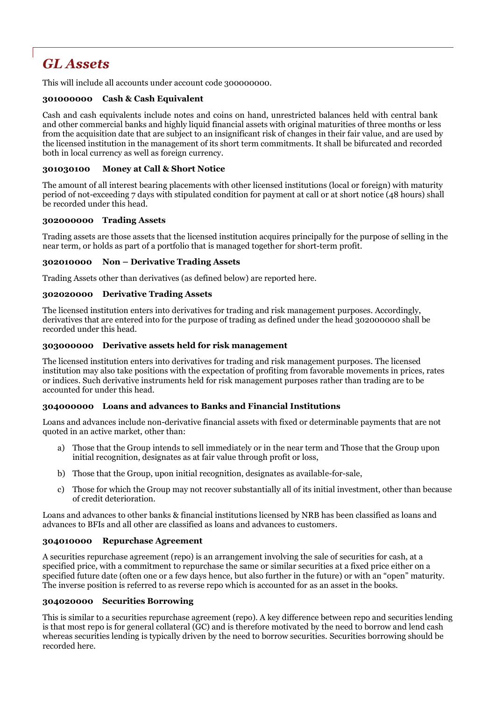# *GL Assets*

This will include all accounts under account code 300000000.

### **301000000 Cash & Cash Equivalent**

Cash and cash equivalents include notes and coins on hand, unrestricted balances held with central bank and other commercial banks and highly liquid financial assets with original maturities of three months or less from the acquisition date that are subject to an insignificant risk of changes in their fair value, and are used by the licensed institution in the management of its short term commitments. It shall be bifurcated and recorded both in local currency as well as foreign currency.

#### **301030100 Money at Call & Short Notice**

The amount of all interest bearing placements with other licensed institutions (local or foreign) with maturity period of not-exceeding 7 days with stipulated condition for payment at call or at short notice (48 hours) shall be recorded under this head.

#### **302000000 Trading Assets**

Trading assets are those assets that the licensed institution acquires principally for the purpose of selling in the near term, or holds as part of a portfolio that is managed together for short-term profit.

#### **302010000 Non – Derivative Trading Assets**

Trading Assets other than derivatives (as defined below) are reported here.

#### **302020000 Derivative Trading Assets**

The licensed institution enters into derivatives for trading and risk management purposes. Accordingly, derivatives that are entered into for the purpose of trading as defined under the head 302000000 shall be recorded under this head.

#### **303000000 Derivative assets held for risk management**

The licensed institution enters into derivatives for trading and risk management purposes. The licensed institution may also take positions with the expectation of profiting from favorable movements in prices, rates or indices. Such derivative instruments held for risk management purposes rather than trading are to be accounted for under this head.

#### **304000000 Loans and advances to Banks and Financial Institutions**

Loans and advances include non-derivative financial assets with fixed or determinable payments that are not quoted in an active market, other than:

- a) Those that the Group intends to sell immediately or in the near term and Those that the Group upon initial recognition, designates as at fair value through profit or loss,
- b) Those that the Group, upon initial recognition, designates as available-for-sale,
- c) Those for which the Group may not recover substantially all of its initial investment, other than because of credit deterioration.

Loans and advances to other banks & financial institutions licensed by NRB has been classified as loans and advances to BFIs and all other are classified as loans and advances to customers.

#### **304010000 Repurchase Agreement**

A securities repurchase agreement (repo) is an arrangement involving the sale of securities for cash, at a specified price, with a commitment to repurchase the same or similar securities at a fixed price either on a specified future date (often one or a few days hence, but also further in the future) or with an "open" maturity. The inverse position is referred to as reverse repo which is accounted for as an asset in the books.

#### **304020000 Securities Borrowing**

This is similar to a securities repurchase agreement (repo). A key difference between repo and securities lending is that most repo is for general collateral (GC) and is therefore motivated by the need to borrow and lend cash whereas securities lending is typically driven by the need to borrow securities. Securities borrowing should be recorded here.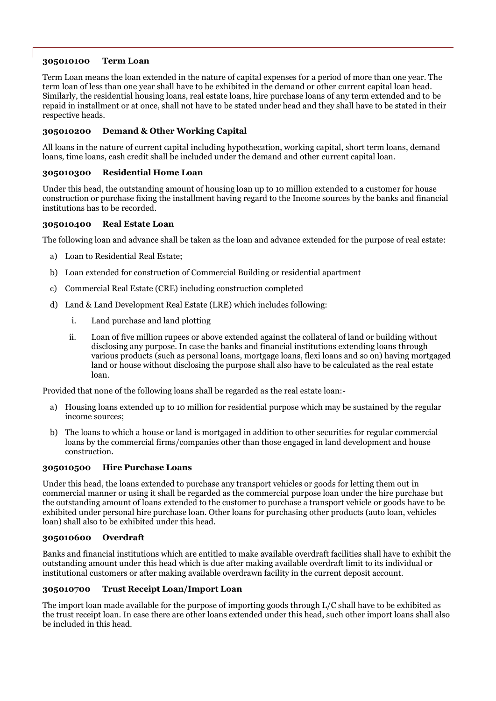# **305010100 Term Loan**

Term Loan means the loan extended in the nature of capital expenses for a period of more than one year. The term loan of less than one year shall have to be exhibited in the demand or other current capital loan head. Similarly, the residential housing loans, real estate loans, hire purchase loans of any term extended and to be repaid in installment or at once, shall not have to be stated under head and they shall have to be stated in their respective heads.

### **305010200 Demand & Other Working Capital**

All loans in the nature of current capital including hypothecation, working capital, short term loans, demand loans, time loans, cash credit shall be included under the demand and other current capital loan.

#### **305010300 Residential Home Loan**

Under this head, the outstanding amount of housing loan up to 10 million extended to a customer for house construction or purchase fixing the installment having regard to the Income sources by the banks and financial institutions has to be recorded.

#### **305010400 Real Estate Loan**

The following loan and advance shall be taken as the loan and advance extended for the purpose of real estate:

- a) Loan to Residential Real Estate;
- b) Loan extended for construction of Commercial Building or residential apartment
- c) Commercial Real Estate (CRE) including construction completed
- d) Land & Land Development Real Estate (LRE) which includes following:
	- i. Land purchase and land plotting
	- ii. Loan of five million rupees or above extended against the collateral of land or building without disclosing any purpose. In case the banks and financial institutions extending loans through various products (such as personal loans, mortgage loans, flexi loans and so on) having mortgaged land or house without disclosing the purpose shall also have to be calculated as the real estate loan.

Provided that none of the following loans shall be regarded as the real estate loan:-

- a) Housing loans extended up to 10 million for residential purpose which may be sustained by the regular income sources;
- b) The loans to which a house or land is mortgaged in addition to other securities for regular commercial loans by the commercial firms/companies other than those engaged in land development and house construction.

#### **305010500 Hire Purchase Loans**

Under this head, the loans extended to purchase any transport vehicles or goods for letting them out in commercial manner or using it shall be regarded as the commercial purpose loan under the hire purchase but the outstanding amount of loans extended to the customer to purchase a transport vehicle or goods have to be exhibited under personal hire purchase loan. Other loans for purchasing other products (auto loan, vehicles loan) shall also to be exhibited under this head.

#### **305010600 Overdraft**

Banks and financial institutions which are entitled to make available overdraft facilities shall have to exhibit the outstanding amount under this head which is due after making available overdraft limit to its individual or institutional customers or after making available overdrawn facility in the current deposit account.

#### **305010700 Trust Receipt Loan/Import Loan**

The import loan made available for the purpose of importing goods through L/C shall have to be exhibited as the trust receipt loan. In case there are other loans extended under this head, such other import loans shall also be included in this head.